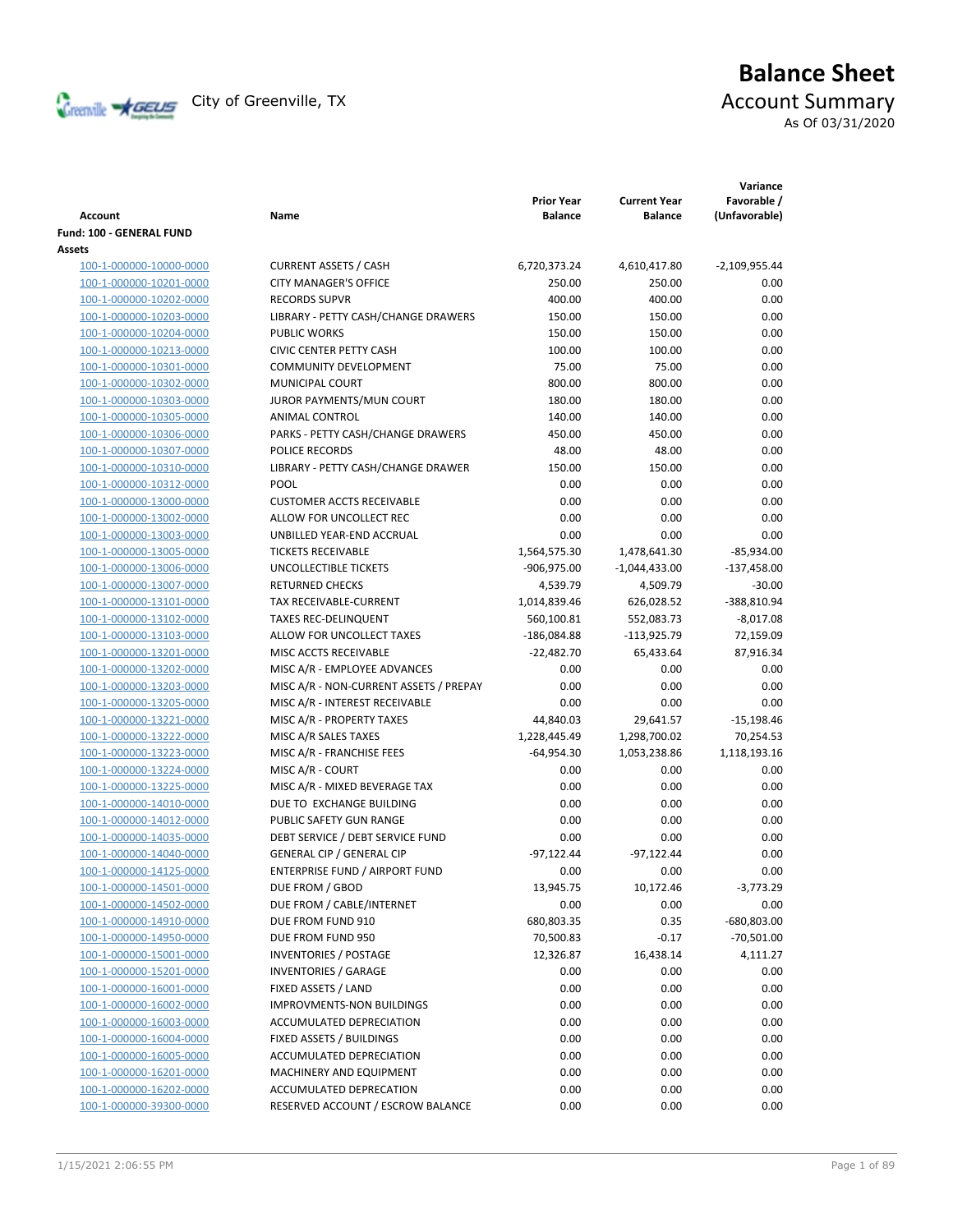

# **Balance Sheet** Creenville Strategy City of Greenville, TX Account Summary

As Of 03/31/2020

|                          |                                        | <b>Prior Year</b> | <b>Current Year</b> | Variance<br>Favorable / |
|--------------------------|----------------------------------------|-------------------|---------------------|-------------------------|
| Account                  | Name                                   | <b>Balance</b>    | <b>Balance</b>      | (Unfavorable)           |
| Fund: 100 - GENERAL FUND |                                        |                   |                     |                         |
| Assets                   |                                        |                   |                     |                         |
| 100-1-000000-10000-0000  | <b>CURRENT ASSETS / CASH</b>           | 6,720,373.24      | 4,610,417.80        | $-2,109,955.44$         |
| 100-1-000000-10201-0000  | <b>CITY MANAGER'S OFFICE</b>           | 250.00            | 250.00              | 0.00                    |
| 100-1-000000-10202-0000  | <b>RECORDS SUPVR</b>                   | 400.00            | 400.00              | 0.00                    |
| 100-1-000000-10203-0000  | LIBRARY - PETTY CASH/CHANGE DRAWERS    | 150.00            | 150.00              | 0.00                    |
| 100-1-000000-10204-0000  | <b>PUBLIC WORKS</b>                    | 150.00            | 150.00              | 0.00                    |
| 100-1-000000-10213-0000  | <b>CIVIC CENTER PETTY CASH</b>         | 100.00            | 100.00              | 0.00                    |
| 100-1-000000-10301-0000  | <b>COMMUNITY DEVELOPMENT</b>           | 75.00             | 75.00               | 0.00                    |
| 100-1-000000-10302-0000  | <b>MUNICIPAL COURT</b>                 | 800.00            | 800.00              | 0.00                    |
| 100-1-000000-10303-0000  | JUROR PAYMENTS/MUN COURT               | 180.00            | 180.00              | 0.00                    |
| 100-1-000000-10305-0000  | ANIMAL CONTROL                         | 140.00            | 140.00              | 0.00                    |
| 100-1-000000-10306-0000  | PARKS - PETTY CASH/CHANGE DRAWERS      | 450.00            | 450.00              | 0.00                    |
| 100-1-000000-10307-0000  | POLICE RECORDS                         | 48.00             | 48.00               | 0.00                    |
| 100-1-000000-10310-0000  | LIBRARY - PETTY CASH/CHANGE DRAWER     | 150.00            | 150.00              | 0.00                    |
| 100-1-000000-10312-0000  | POOL                                   | 0.00              | 0.00                | 0.00                    |
| 100-1-000000-13000-0000  | <b>CUSTOMER ACCTS RECEIVABLE</b>       | 0.00              | 0.00                | 0.00                    |
| 100-1-000000-13002-0000  | ALLOW FOR UNCOLLECT REC                | 0.00              | 0.00                | 0.00                    |
| 100-1-000000-13003-0000  | UNBILLED YEAR-END ACCRUAL              | 0.00              | 0.00                | 0.00                    |
| 100-1-000000-13005-0000  | <b>TICKETS RECEIVABLE</b>              | 1,564,575.30      | 1,478,641.30        | $-85,934.00$            |
| 100-1-000000-13006-0000  | UNCOLLECTIBLE TICKETS                  | -906,975.00       | $-1,044,433.00$     | $-137,458.00$           |
| 100-1-000000-13007-0000  | <b>RETURNED CHECKS</b>                 | 4,539.79          | 4,509.79            | $-30.00$                |
| 100-1-000000-13101-0000  | <b>TAX RECEIVABLE-CURRENT</b>          | 1,014,839.46      | 626,028.52          | -388,810.94             |
| 100-1-000000-13102-0000  | <b>TAXES REC-DELINQUENT</b>            | 560,100.81        | 552,083.73          | $-8,017.08$             |
| 100-1-000000-13103-0000  | ALLOW FOR UNCOLLECT TAXES              | $-186,084.88$     | -113,925.79         | 72,159.09               |
| 100-1-000000-13201-0000  | MISC ACCTS RECEIVABLE                  | $-22,482.70$      | 65,433.64           | 87,916.34               |
| 100-1-000000-13202-0000  | MISC A/R - EMPLOYEE ADVANCES           | 0.00              | 0.00                | 0.00                    |
| 100-1-000000-13203-0000  | MISC A/R - NON-CURRENT ASSETS / PREPAY | 0.00              | 0.00                | 0.00                    |
| 100-1-000000-13205-0000  | MISC A/R - INTEREST RECEIVABLE         | 0.00              | 0.00                | 0.00                    |
| 100-1-000000-13221-0000  | MISC A/R - PROPERTY TAXES              | 44,840.03         | 29,641.57           | $-15,198.46$            |
| 100-1-000000-13222-0000  | MISC A/R SALES TAXES                   | 1,228,445.49      | 1,298,700.02        | 70,254.53               |
| 100-1-000000-13223-0000  | MISC A/R - FRANCHISE FEES              | $-64,954.30$      | 1,053,238.86        | 1,118,193.16            |
| 100-1-000000-13224-0000  | MISC A/R - COURT                       | 0.00              | 0.00                | 0.00                    |
| 100-1-000000-13225-0000  | MISC A/R - MIXED BEVERAGE TAX          | 0.00              | 0.00                | 0.00                    |
| 100-1-000000-14010-0000  | DUE TO EXCHANGE BUILDING               | 0.00              | 0.00                | 0.00                    |
| 100-1-000000-14012-0000  | PUBLIC SAFETY GUN RANGE                | 0.00              | 0.00                | 0.00                    |
| 100-1-000000-14035-0000  | DEBT SERVICE / DEBT SERVICE FUND       | 0.00              | 0.00                | 0.00                    |
| 100-1-000000-14040-0000  | GENERAL CIP / GENERAL CIP              | $-97,122.44$      | $-97,122.44$        | 0.00                    |
| 100-1-000000-14125-0000  | ENTERPRISE FUND / AIRPORT FUND         | 0.00              | 0.00                | 0.00                    |
| 100-1-000000-14501-0000  | DUE FROM / GBOD                        | 13,945.75         | 10,172.46           | -3,773.29               |
| 100-1-000000-14502-0000  | DUE FROM / CABLE/INTERNET              | 0.00              | 0.00                | 0.00                    |
| 100-1-000000-14910-0000  | DUE FROM FUND 910                      | 680,803.35        | 0.35                | -680,803.00             |
| 100-1-000000-14950-0000  | DUE FROM FUND 950                      | 70,500.83         | $-0.17$             | $-70,501.00$            |
| 100-1-000000-15001-0000  | <b>INVENTORIES / POSTAGE</b>           | 12,326.87         | 16,438.14           | 4,111.27                |
| 100-1-000000-15201-0000  | <b>INVENTORIES / GARAGE</b>            | 0.00              | 0.00                | 0.00                    |
| 100-1-000000-16001-0000  | FIXED ASSETS / LAND                    | 0.00              | 0.00                | 0.00                    |
| 100-1-000000-16002-0000  | IMPROVMENTS-NON BUILDINGS              | 0.00              | 0.00                | 0.00                    |
| 100-1-000000-16003-0000  | ACCUMULATED DEPRECIATION               | 0.00              | 0.00                | 0.00                    |
| 100-1-000000-16004-0000  | FIXED ASSETS / BUILDINGS               | 0.00              | 0.00                | 0.00                    |
| 100-1-000000-16005-0000  | ACCUMULATED DEPRECIATION               | 0.00              | 0.00                | 0.00                    |
| 100-1-000000-16201-0000  | MACHINERY AND EQUIPMENT                | 0.00              | 0.00                | 0.00                    |
| 100-1-000000-16202-0000  | ACCUMULATED DEPRECATION                | 0.00              | 0.00                | 0.00                    |
| 100-1-000000-39300-0000  | RESERVED ACCOUNT / ESCROW BALANCE      | 0.00              | 0.00                | 0.00                    |
|                          |                                        |                   |                     |                         |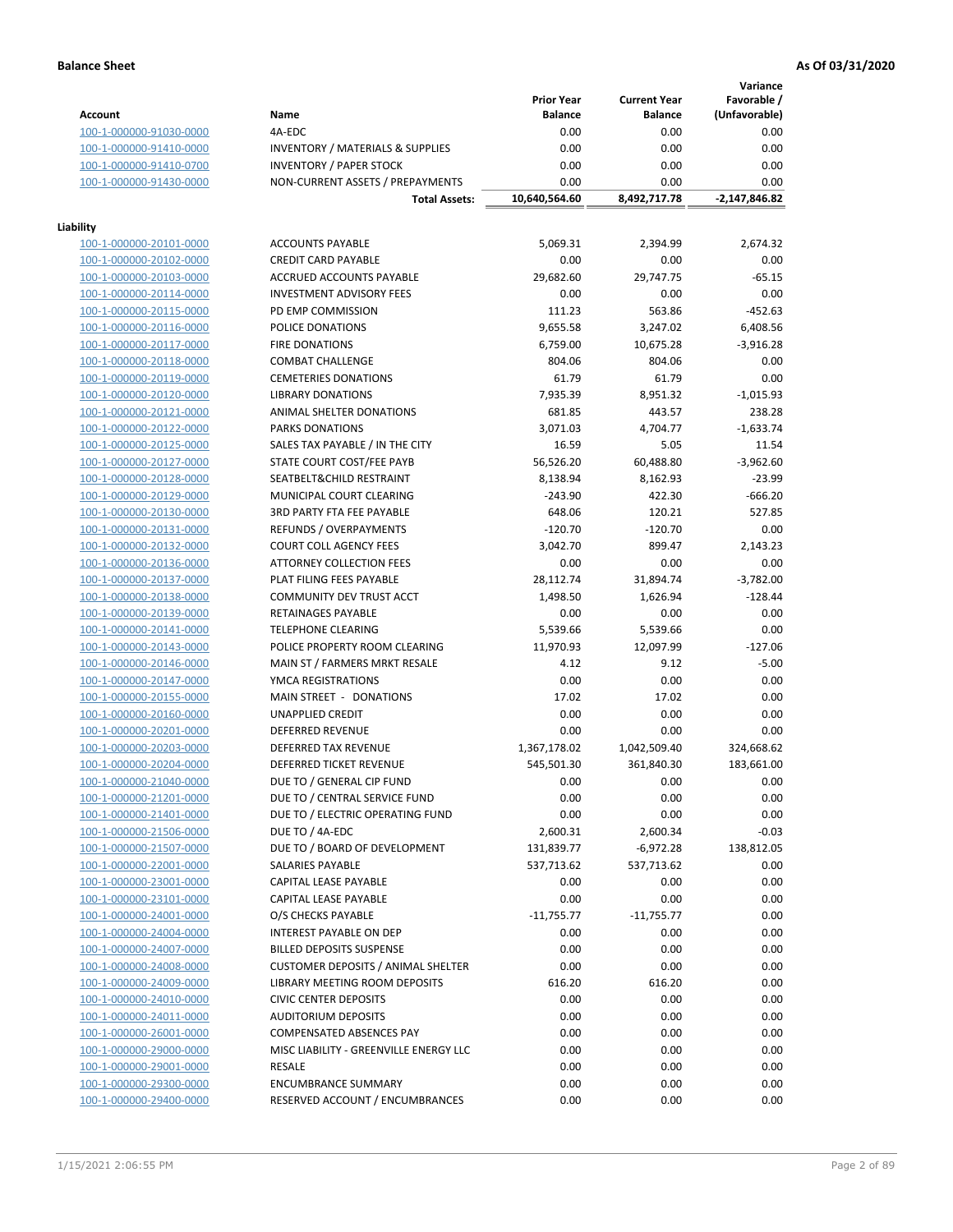**Variance**

|                         |                                             | <b>Prior Year</b> | <b>Current Year</b> | Favorable /   |
|-------------------------|---------------------------------------------|-------------------|---------------------|---------------|
| Account                 | Name                                        | <b>Balance</b>    | <b>Balance</b>      | (Unfavorable) |
| 100-1-000000-91030-0000 | 4A-EDC                                      | 0.00              | 0.00                | 0.00          |
| 100-1-000000-91410-0000 | <b>INVENTORY / MATERIALS &amp; SUPPLIES</b> | 0.00              | 0.00                | 0.00          |
| 100-1-000000-91410-0700 | <b>INVENTORY / PAPER STOCK</b>              | 0.00              | 0.00                | 0.00          |
| 100-1-000000-91430-0000 | NON-CURRENT ASSETS / PREPAYMENTS            | 0.00              | 0.00                | 0.00          |
|                         | <b>Total Assets:</b>                        | 10,640,564.60     | 8,492,717.78        | -2,147,846.82 |
|                         |                                             |                   |                     |               |
| Liability               |                                             |                   |                     |               |
| 100-1-000000-20101-0000 | <b>ACCOUNTS PAYABLE</b>                     | 5,069.31          | 2,394.99            | 2,674.32      |
| 100-1-000000-20102-0000 | <b>CREDIT CARD PAYABLE</b>                  | 0.00              | 0.00                | 0.00          |
| 100-1-000000-20103-0000 | <b>ACCRUED ACCOUNTS PAYABLE</b>             | 29,682.60         | 29,747.75           | $-65.15$      |
| 100-1-000000-20114-0000 | <b>INVESTMENT ADVISORY FEES</b>             | 0.00              | 0.00                | 0.00          |
| 100-1-000000-20115-0000 | PD EMP COMMISSION                           | 111.23            | 563.86              | $-452.63$     |
| 100-1-000000-20116-0000 | POLICE DONATIONS                            | 9,655.58          | 3,247.02            | 6,408.56      |
| 100-1-000000-20117-0000 | <b>FIRE DONATIONS</b>                       | 6,759.00          | 10,675.28           | -3,916.28     |
|                         | <b>COMBAT CHALLENGE</b>                     | 804.06            | 804.06              |               |
| 100-1-000000-20118-0000 |                                             |                   |                     | 0.00          |
| 100-1-000000-20119-0000 | <b>CEMETERIES DONATIONS</b>                 | 61.79             | 61.79               | 0.00          |
| 100-1-000000-20120-0000 | <b>LIBRARY DONATIONS</b>                    | 7,935.39          | 8,951.32            | $-1,015.93$   |
| 100-1-000000-20121-0000 | ANIMAL SHELTER DONATIONS                    | 681.85            | 443.57              | 238.28        |
| 100-1-000000-20122-0000 | <b>PARKS DONATIONS</b>                      | 3,071.03          | 4,704.77            | $-1,633.74$   |
| 100-1-000000-20125-0000 | SALES TAX PAYABLE / IN THE CITY             | 16.59             | 5.05                | 11.54         |
| 100-1-000000-20127-0000 | STATE COURT COST/FEE PAYB                   | 56,526.20         | 60,488.80           | $-3,962.60$   |
| 100-1-000000-20128-0000 | SEATBELT&CHILD RESTRAINT                    | 8,138.94          | 8,162.93            | $-23.99$      |
| 100-1-000000-20129-0000 | MUNICIPAL COURT CLEARING                    | $-243.90$         | 422.30              | $-666.20$     |
| 100-1-000000-20130-0000 | <b>3RD PARTY FTA FEE PAYABLE</b>            | 648.06            | 120.21              | 527.85        |
| 100-1-000000-20131-0000 | <b>REFUNDS / OVERPAYMENTS</b>               | $-120.70$         | $-120.70$           | 0.00          |
| 100-1-000000-20132-0000 | <b>COURT COLL AGENCY FEES</b>               | 3,042.70          | 899.47              | 2,143.23      |
| 100-1-000000-20136-0000 | <b>ATTORNEY COLLECTION FEES</b>             | 0.00              | 0.00                | 0.00          |
| 100-1-000000-20137-0000 | PLAT FILING FEES PAYABLE                    | 28,112.74         | 31,894.74           | $-3,782.00$   |
| 100-1-000000-20138-0000 | COMMUNITY DEV TRUST ACCT                    | 1,498.50          | 1,626.94            | $-128.44$     |
| 100-1-000000-20139-0000 | RETAINAGES PAYABLE                          | 0.00              | 0.00                | 0.00          |
| 100-1-000000-20141-0000 | <b>TELEPHONE CLEARING</b>                   | 5,539.66          | 5,539.66            | 0.00          |
| 100-1-000000-20143-0000 | POLICE PROPERTY ROOM CLEARING               | 11,970.93         | 12,097.99           | $-127.06$     |
| 100-1-000000-20146-0000 | MAIN ST / FARMERS MRKT RESALE               | 4.12              | 9.12                | $-5.00$       |
| 100-1-000000-20147-0000 | YMCA REGISTRATIONS                          | 0.00              | 0.00                | 0.00          |
| 100-1-000000-20155-0000 | MAIN STREET - DONATIONS                     | 17.02             | 17.02               | 0.00          |
| 100-1-000000-20160-0000 | <b>UNAPPLIED CREDIT</b>                     | 0.00              | 0.00                | 0.00          |
| 100-1-000000-20201-0000 | <b>DEFERRED REVENUE</b>                     | 0.00              | 0.00                | 0.00          |
| 100-1-000000-20203-0000 | DEFERRED TAX REVENUE                        | 1,367,178.02      | 1,042,509.40        | 324,668.62    |
| 100-1-000000-20204-0000 | DEFERRED TICKET REVENUE                     | 545,501.30        | 361,840.30          | 183,661.00    |
| 100-1-000000-21040-0000 | DUE TO / GENERAL CIP FUND                   | 0.00              | 0.00                | 0.00          |
| 100-1-000000-21201-0000 | DUE TO / CENTRAL SERVICE FUND               | 0.00              | 0.00                | 0.00          |
| 100-1-000000-21401-0000 | DUE TO / ELECTRIC OPERATING FUND            | 0.00              | 0.00                | 0.00          |
|                         | DUE TO / 4A-EDC                             |                   |                     | $-0.03$       |
| 100-1-000000-21506-0000 |                                             | 2,600.31          | 2,600.34            |               |
| 100-1-000000-21507-0000 | DUE TO / BOARD OF DEVELOPMENT               | 131,839.77        | -6,972.28           | 138,812.05    |
| 100-1-000000-22001-0000 | SALARIES PAYABLE                            | 537,713.62        | 537,713.62          | 0.00          |
| 100-1-000000-23001-0000 | CAPITAL LEASE PAYABLE                       | 0.00              | 0.00                | 0.00          |
| 100-1-000000-23101-0000 | CAPITAL LEASE PAYABLE                       | 0.00              | 0.00                | 0.00          |
| 100-1-000000-24001-0000 | O/S CHECKS PAYABLE                          | $-11,755.77$      | $-11,755.77$        | 0.00          |
| 100-1-000000-24004-0000 | INTEREST PAYABLE ON DEP                     | 0.00              | 0.00                | 0.00          |
| 100-1-000000-24007-0000 | <b>BILLED DEPOSITS SUSPENSE</b>             | 0.00              | 0.00                | 0.00          |
| 100-1-000000-24008-0000 | <b>CUSTOMER DEPOSITS / ANIMAL SHELTER</b>   | 0.00              | 0.00                | 0.00          |
| 100-1-000000-24009-0000 | LIBRARY MEETING ROOM DEPOSITS               | 616.20            | 616.20              | 0.00          |
| 100-1-000000-24010-0000 | <b>CIVIC CENTER DEPOSITS</b>                | 0.00              | 0.00                | 0.00          |
| 100-1-000000-24011-0000 | <b>AUDITORIUM DEPOSITS</b>                  | 0.00              | 0.00                | 0.00          |
| 100-1-000000-26001-0000 | COMPENSATED ABSENCES PAY                    | 0.00              | 0.00                | 0.00          |
| 100-1-000000-29000-0000 | MISC LIABILITY - GREENVILLE ENERGY LLC      | 0.00              | 0.00                | 0.00          |
| 100-1-000000-29001-0000 | RESALE                                      | 0.00              | 0.00                | 0.00          |
| 100-1-000000-29300-0000 | <b>ENCUMBRANCE SUMMARY</b>                  | 0.00              | 0.00                | 0.00          |
| 100-1-000000-29400-0000 | RESERVED ACCOUNT / ENCUMBRANCES             | 0.00              | 0.00                | 0.00          |
|                         |                                             |                   |                     |               |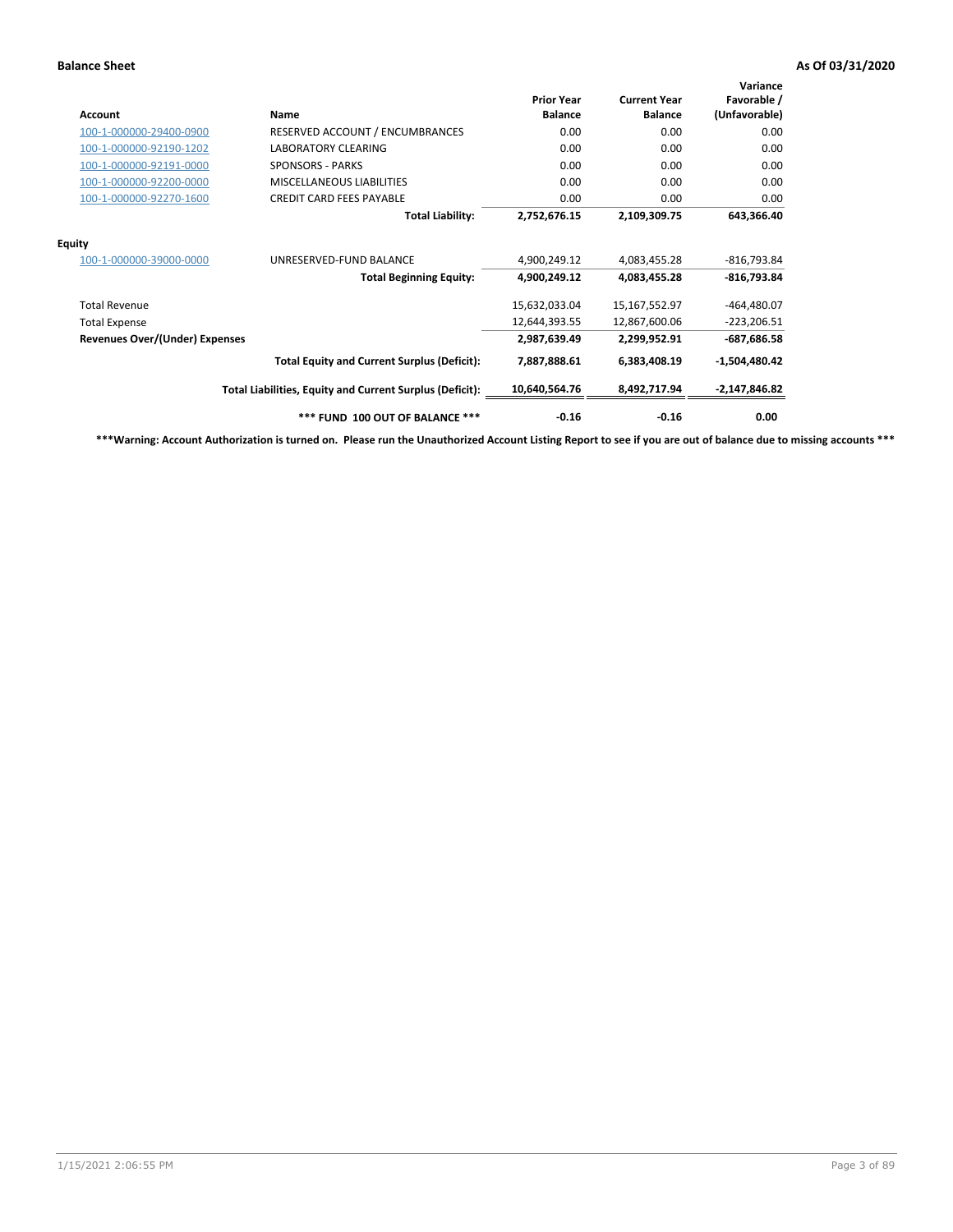| Account                               | Name                                                     | <b>Prior Year</b><br><b>Balance</b> | <b>Current Year</b><br><b>Balance</b> | Variance<br>Favorable /<br>(Unfavorable) |
|---------------------------------------|----------------------------------------------------------|-------------------------------------|---------------------------------------|------------------------------------------|
| 100-1-000000-29400-0900               | RESERVED ACCOUNT / ENCUMBRANCES                          | 0.00                                | 0.00                                  | 0.00                                     |
| 100-1-000000-92190-1202               | <b>LABORATORY CLEARING</b>                               | 0.00                                | 0.00                                  | 0.00                                     |
| 100-1-000000-92191-0000               | <b>SPONSORS - PARKS</b>                                  | 0.00                                | 0.00                                  | 0.00                                     |
| 100-1-000000-92200-0000               | <b>MISCELLANEOUS LIABILITIES</b>                         | 0.00                                | 0.00                                  | 0.00                                     |
| 100-1-000000-92270-1600               | <b>CREDIT CARD FEES PAYABLE</b>                          | 0.00                                | 0.00                                  | 0.00                                     |
|                                       | <b>Total Liability:</b>                                  | 2,752,676.15                        | 2,109,309.75                          | 643,366.40                               |
| <b>Equity</b>                         |                                                          |                                     |                                       |                                          |
| 100-1-000000-39000-0000               | UNRESERVED-FUND BALANCE                                  | 4,900,249.12                        | 4,083,455.28                          | $-816,793.84$                            |
|                                       | <b>Total Beginning Equity:</b>                           | 4,900,249.12                        | 4,083,455.28                          | $-816,793.84$                            |
| <b>Total Revenue</b>                  |                                                          | 15,632,033.04                       | 15,167,552.97                         | $-464,480.07$                            |
| <b>Total Expense</b>                  |                                                          | 12,644,393.55                       | 12,867,600.06                         | $-223,206.51$                            |
| <b>Revenues Over/(Under) Expenses</b> |                                                          | 2,987,639.49                        | 2.299.952.91                          | $-687,686.58$                            |
|                                       | <b>Total Equity and Current Surplus (Deficit):</b>       | 7,887,888.61                        | 6,383,408.19                          | $-1,504,480.42$                          |
|                                       | Total Liabilities, Equity and Current Surplus (Deficit): | 10,640,564.76                       | 8,492,717.94                          | $-2,147,846.82$                          |
|                                       | *** FUND 100 OUT OF BALANCE ***                          | $-0.16$                             | $-0.16$                               | 0.00                                     |

**\*\*\*Warning: Account Authorization is turned on. Please run the Unauthorized Account Listing Report to see if you are out of balance due to missing accounts \*\*\***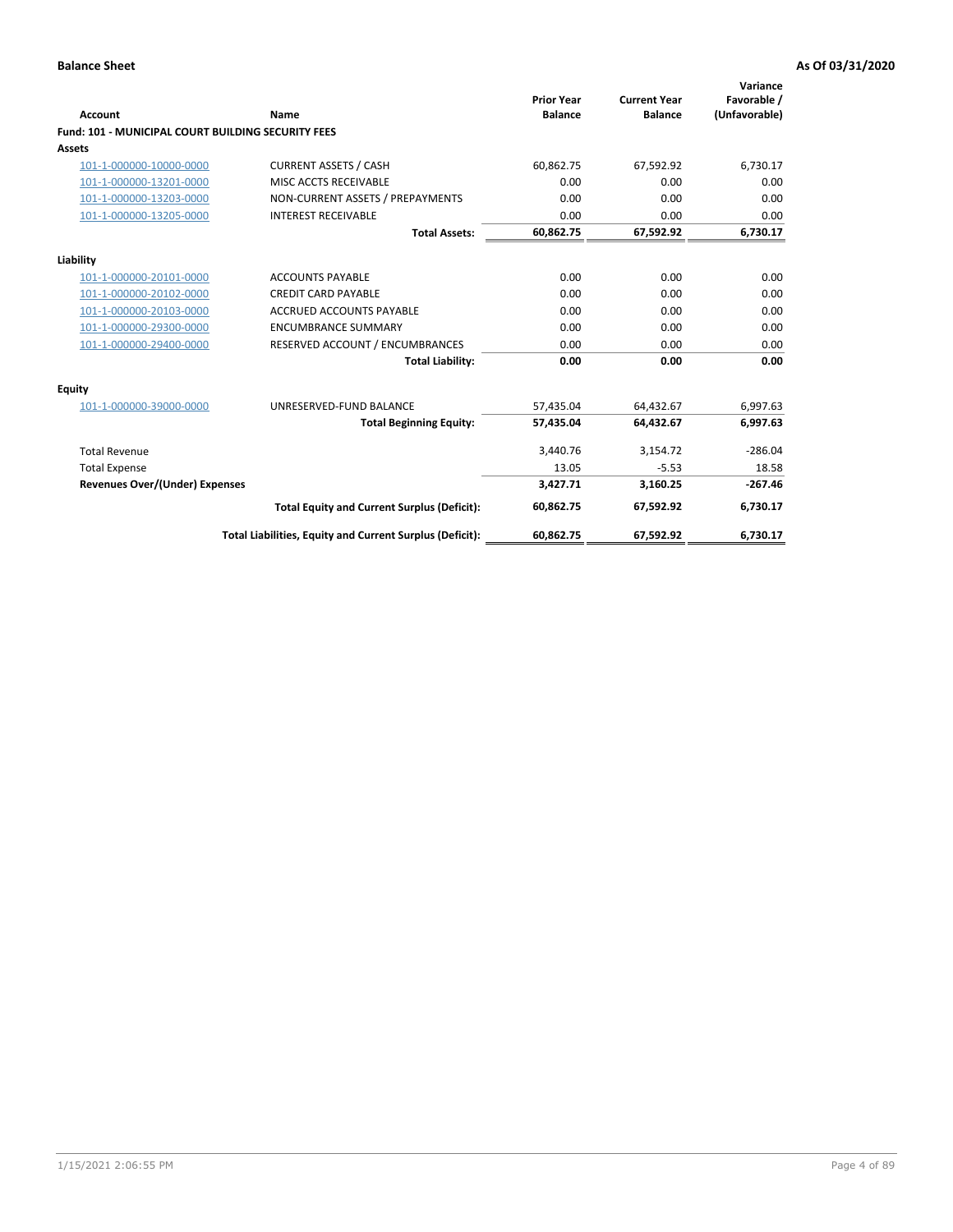| Account                                                   | Name                                                     | <b>Prior Year</b><br><b>Balance</b> | <b>Current Year</b><br><b>Balance</b> | Variance<br>Favorable /<br>(Unfavorable) |
|-----------------------------------------------------------|----------------------------------------------------------|-------------------------------------|---------------------------------------|------------------------------------------|
| <b>Fund: 101 - MUNICIPAL COURT BUILDING SECURITY FEES</b> |                                                          |                                     |                                       |                                          |
| Assets                                                    |                                                          |                                     |                                       |                                          |
| 101-1-000000-10000-0000                                   | <b>CURRENT ASSETS / CASH</b>                             | 60,862.75                           | 67,592.92                             | 6,730.17                                 |
| 101-1-000000-13201-0000                                   | MISC ACCTS RECEIVABLE                                    | 0.00                                | 0.00                                  | 0.00                                     |
| 101-1-000000-13203-0000                                   | NON-CURRENT ASSETS / PREPAYMENTS                         | 0.00                                | 0.00                                  | 0.00                                     |
| 101-1-000000-13205-0000                                   | <b>INTEREST RECEIVABLE</b>                               | 0.00                                | 0.00                                  | 0.00                                     |
|                                                           | <b>Total Assets:</b>                                     | 60,862.75                           | 67,592.92                             | 6,730.17                                 |
| Liability                                                 |                                                          |                                     |                                       |                                          |
| 101-1-000000-20101-0000                                   | <b>ACCOUNTS PAYABLE</b>                                  | 0.00                                | 0.00                                  | 0.00                                     |
| 101-1-000000-20102-0000                                   | <b>CREDIT CARD PAYABLE</b>                               | 0.00                                | 0.00                                  | 0.00                                     |
| 101-1-000000-20103-0000                                   | <b>ACCRUED ACCOUNTS PAYABLE</b>                          | 0.00                                | 0.00                                  | 0.00                                     |
| 101-1-000000-29300-0000                                   | <b>ENCUMBRANCE SUMMARY</b>                               | 0.00                                | 0.00                                  | 0.00                                     |
| 101-1-000000-29400-0000                                   | RESERVED ACCOUNT / ENCUMBRANCES                          | 0.00                                | 0.00                                  | 0.00                                     |
|                                                           | <b>Total Liability:</b>                                  | 0.00                                | 0.00                                  | 0.00                                     |
| <b>Equity</b>                                             |                                                          |                                     |                                       |                                          |
| 101-1-000000-39000-0000                                   | UNRESERVED-FUND BALANCE                                  | 57,435.04                           | 64,432.67                             | 6,997.63                                 |
|                                                           | <b>Total Beginning Equity:</b>                           | 57,435.04                           | 64,432.67                             | 6,997.63                                 |
| <b>Total Revenue</b>                                      |                                                          | 3,440.76                            | 3,154.72                              | $-286.04$                                |
| <b>Total Expense</b>                                      |                                                          | 13.05                               | $-5.53$                               | 18.58                                    |
| Revenues Over/(Under) Expenses                            |                                                          | 3,427.71                            | 3,160.25                              | $-267.46$                                |
|                                                           | <b>Total Equity and Current Surplus (Deficit):</b>       | 60,862.75                           | 67,592.92                             | 6,730.17                                 |
|                                                           | Total Liabilities, Equity and Current Surplus (Deficit): | 60,862.75                           | 67,592.92                             | 6,730.17                                 |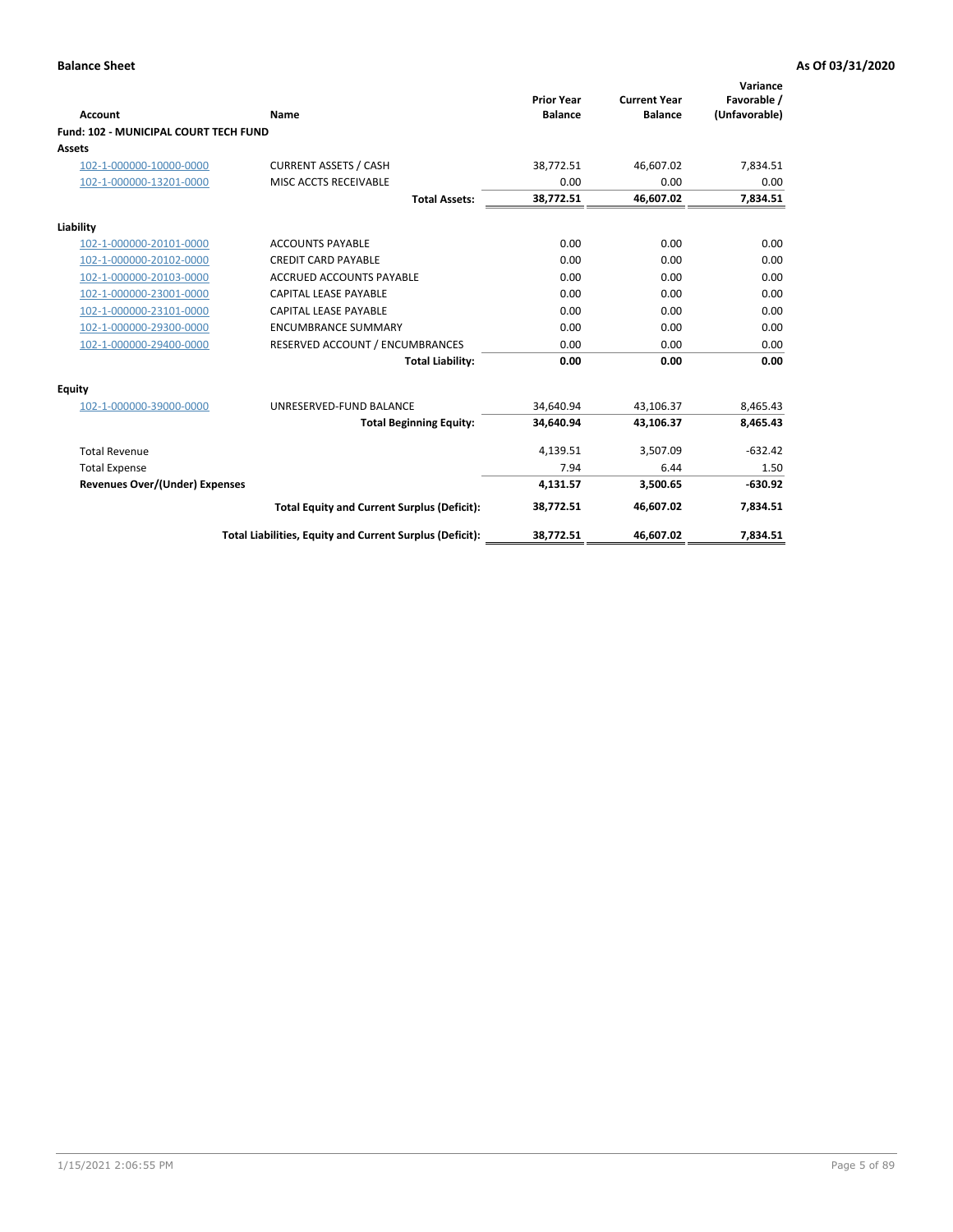| Account                                      | Name                                                     | <b>Prior Year</b><br><b>Balance</b> | <b>Current Year</b><br><b>Balance</b> | Variance<br>Favorable /<br>(Unfavorable) |
|----------------------------------------------|----------------------------------------------------------|-------------------------------------|---------------------------------------|------------------------------------------|
| <b>Fund: 102 - MUNICIPAL COURT TECH FUND</b> |                                                          |                                     |                                       |                                          |
| Assets                                       |                                                          |                                     |                                       |                                          |
| 102-1-000000-10000-0000                      | <b>CURRENT ASSETS / CASH</b>                             | 38,772.51                           | 46,607.02                             | 7,834.51                                 |
| 102-1-000000-13201-0000                      | MISC ACCTS RECEIVABLE                                    | 0.00                                | 0.00                                  | 0.00                                     |
|                                              | <b>Total Assets:</b>                                     | 38,772.51                           | 46,607.02                             | 7,834.51                                 |
| Liability                                    |                                                          |                                     |                                       |                                          |
| 102-1-000000-20101-0000                      | <b>ACCOUNTS PAYABLE</b>                                  | 0.00                                | 0.00                                  | 0.00                                     |
| 102-1-000000-20102-0000                      | <b>CREDIT CARD PAYABLE</b>                               | 0.00                                | 0.00                                  | 0.00                                     |
| 102-1-000000-20103-0000                      | <b>ACCRUED ACCOUNTS PAYABLE</b>                          | 0.00                                | 0.00                                  | 0.00                                     |
| 102-1-000000-23001-0000                      | <b>CAPITAL LEASE PAYABLE</b>                             | 0.00                                | 0.00                                  | 0.00                                     |
| 102-1-000000-23101-0000                      | <b>CAPITAL LEASE PAYABLE</b>                             | 0.00                                | 0.00                                  | 0.00                                     |
| 102-1-000000-29300-0000                      | <b>ENCUMBRANCE SUMMARY</b>                               | 0.00                                | 0.00                                  | 0.00                                     |
| 102-1-000000-29400-0000                      | RESERVED ACCOUNT / ENCUMBRANCES                          | 0.00                                | 0.00                                  | 0.00                                     |
|                                              | <b>Total Liability:</b>                                  | 0.00                                | 0.00                                  | 0.00                                     |
| <b>Equity</b>                                |                                                          |                                     |                                       |                                          |
| 102-1-000000-39000-0000                      | UNRESERVED-FUND BALANCE                                  | 34,640.94                           | 43,106.37                             | 8,465.43                                 |
|                                              | <b>Total Beginning Equity:</b>                           | 34,640.94                           | 43,106.37                             | 8,465.43                                 |
| <b>Total Revenue</b>                         |                                                          | 4,139.51                            | 3,507.09                              | $-632.42$                                |
| <b>Total Expense</b>                         |                                                          | 7.94                                | 6.44                                  | 1.50                                     |
| <b>Revenues Over/(Under) Expenses</b>        |                                                          | 4,131.57                            | 3,500.65                              | $-630.92$                                |
|                                              | <b>Total Equity and Current Surplus (Deficit):</b>       | 38,772.51                           | 46,607.02                             | 7,834.51                                 |
|                                              | Total Liabilities, Equity and Current Surplus (Deficit): | 38,772.51                           | 46,607.02                             | 7,834.51                                 |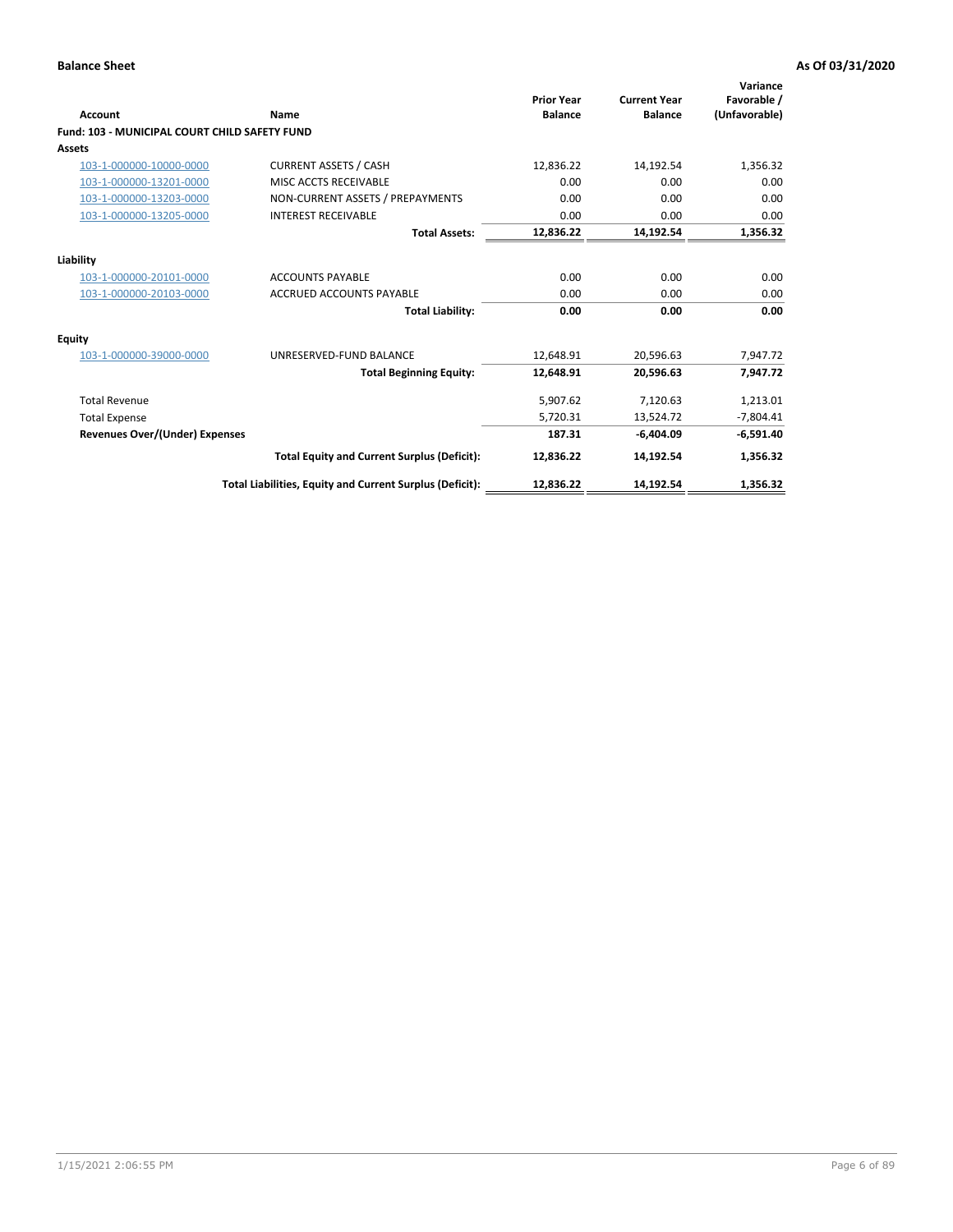| <b>Account</b>                                       | Name                                                     | <b>Prior Year</b><br><b>Balance</b> | <b>Current Year</b><br><b>Balance</b> | Variance<br>Favorable /<br>(Unfavorable) |
|------------------------------------------------------|----------------------------------------------------------|-------------------------------------|---------------------------------------|------------------------------------------|
| <b>Fund: 103 - MUNICIPAL COURT CHILD SAFETY FUND</b> |                                                          |                                     |                                       |                                          |
| <b>Assets</b>                                        |                                                          |                                     |                                       |                                          |
| 103-1-000000-10000-0000                              | <b>CURRENT ASSETS / CASH</b>                             | 12,836.22                           | 14,192.54                             | 1,356.32                                 |
| 103-1-000000-13201-0000                              | MISC ACCTS RECEIVABLE                                    | 0.00                                | 0.00                                  | 0.00                                     |
| 103-1-000000-13203-0000                              | NON-CURRENT ASSETS / PREPAYMENTS                         | 0.00                                | 0.00                                  | 0.00                                     |
| 103-1-000000-13205-0000                              | <b>INTEREST RECEIVABLE</b>                               | 0.00                                | 0.00                                  | 0.00                                     |
|                                                      | <b>Total Assets:</b>                                     | 12,836.22                           | 14,192.54                             | 1,356.32                                 |
| Liability                                            |                                                          |                                     |                                       |                                          |
| 103-1-000000-20101-0000                              | <b>ACCOUNTS PAYABLE</b>                                  | 0.00                                | 0.00                                  | 0.00                                     |
| 103-1-000000-20103-0000                              | <b>ACCRUED ACCOUNTS PAYABLE</b>                          | 0.00                                | 0.00                                  | 0.00                                     |
|                                                      | <b>Total Liability:</b>                                  | 0.00                                | 0.00                                  | 0.00                                     |
| Equity                                               |                                                          |                                     |                                       |                                          |
| 103-1-000000-39000-0000                              | UNRESERVED-FUND BALANCE                                  | 12,648.91                           | 20,596.63                             | 7,947.72                                 |
|                                                      | <b>Total Beginning Equity:</b>                           | 12,648.91                           | 20,596.63                             | 7,947.72                                 |
| <b>Total Revenue</b>                                 |                                                          | 5,907.62                            | 7,120.63                              | 1,213.01                                 |
| <b>Total Expense</b>                                 |                                                          | 5,720.31                            | 13,524.72                             | $-7,804.41$                              |
| <b>Revenues Over/(Under) Expenses</b>                |                                                          | 187.31                              | $-6.404.09$                           | $-6,591.40$                              |
|                                                      | <b>Total Equity and Current Surplus (Deficit):</b>       | 12,836.22                           | 14,192.54                             | 1,356.32                                 |
|                                                      | Total Liabilities, Equity and Current Surplus (Deficit): | 12,836.22                           | 14,192.54                             | 1,356.32                                 |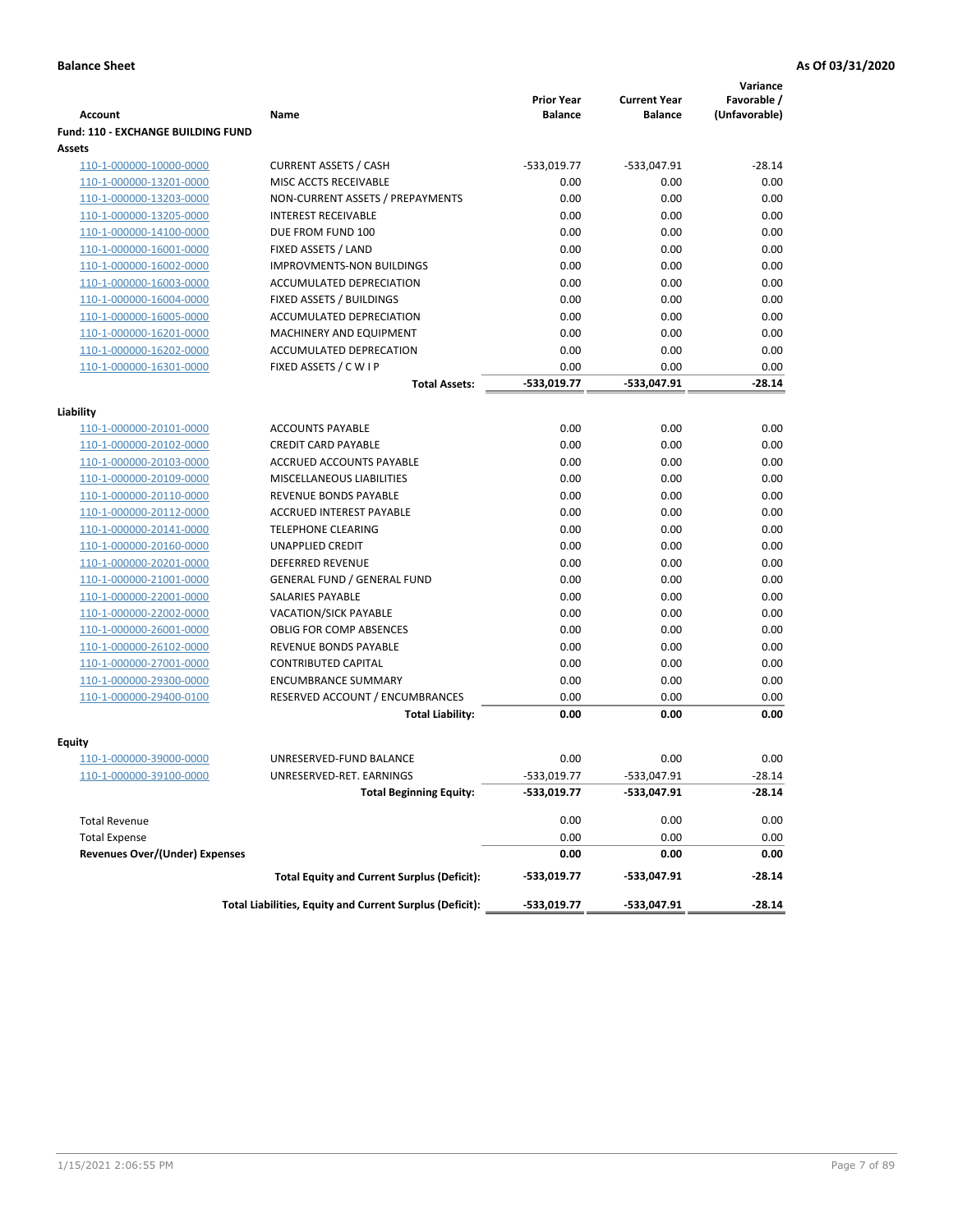|                                           |                                                          |                                     |                                       | Variance                     |
|-------------------------------------------|----------------------------------------------------------|-------------------------------------|---------------------------------------|------------------------------|
| <b>Account</b>                            | Name                                                     | <b>Prior Year</b><br><b>Balance</b> | <b>Current Year</b><br><b>Balance</b> | Favorable /<br>(Unfavorable) |
| <b>Fund: 110 - EXCHANGE BUILDING FUND</b> |                                                          |                                     |                                       |                              |
| Assets                                    |                                                          |                                     |                                       |                              |
| 110-1-000000-10000-0000                   | <b>CURRENT ASSETS / CASH</b>                             | -533,019.77                         | -533,047.91                           | $-28.14$                     |
| 110-1-000000-13201-0000                   | MISC ACCTS RECEIVABLE                                    | 0.00                                | 0.00                                  | 0.00                         |
| 110-1-000000-13203-0000                   | NON-CURRENT ASSETS / PREPAYMENTS                         | 0.00                                | 0.00                                  | 0.00                         |
| 110-1-000000-13205-0000                   | <b>INTEREST RECEIVABLE</b>                               | 0.00                                | 0.00                                  | 0.00                         |
| 110-1-000000-14100-0000                   | DUE FROM FUND 100                                        | 0.00                                | 0.00                                  | 0.00                         |
| 110-1-000000-16001-0000                   | FIXED ASSETS / LAND                                      | 0.00                                | 0.00                                  | 0.00                         |
| 110-1-000000-16002-0000                   | <b>IMPROVMENTS-NON BUILDINGS</b>                         | 0.00                                | 0.00                                  | 0.00                         |
| 110-1-000000-16003-0000                   | ACCUMULATED DEPRECIATION                                 | 0.00                                | 0.00                                  | 0.00                         |
| 110-1-000000-16004-0000                   | FIXED ASSETS / BUILDINGS                                 | 0.00                                | 0.00                                  | 0.00                         |
| 110-1-000000-16005-0000                   | ACCUMULATED DEPRECIATION                                 | 0.00                                | 0.00                                  | 0.00                         |
| 110-1-000000-16201-0000                   | <b>MACHINERY AND EQUIPMENT</b>                           | 0.00                                | 0.00                                  | 0.00                         |
| 110-1-000000-16202-0000                   | ACCUMULATED DEPRECATION                                  | 0.00                                | 0.00                                  | 0.00                         |
| 110-1-000000-16301-0000                   | FIXED ASSETS / C W I P                                   | 0.00                                | 0.00                                  | 0.00                         |
|                                           | <b>Total Assets:</b>                                     | $-533,019.77$                       | -533,047.91                           | $-28.14$                     |
| Liability                                 |                                                          |                                     |                                       |                              |
| 110-1-000000-20101-0000                   | <b>ACCOUNTS PAYABLE</b>                                  | 0.00                                | 0.00                                  | 0.00                         |
| 110-1-000000-20102-0000                   | <b>CREDIT CARD PAYABLE</b>                               | 0.00                                | 0.00                                  | 0.00                         |
| 110-1-000000-20103-0000                   | ACCRUED ACCOUNTS PAYABLE                                 | 0.00                                | 0.00                                  | 0.00                         |
| 110-1-000000-20109-0000                   | MISCELLANEOUS LIABILITIES                                | 0.00                                | 0.00                                  | 0.00                         |
| 110-1-000000-20110-0000                   | REVENUE BONDS PAYABLE                                    | 0.00                                | 0.00                                  | 0.00                         |
| 110-1-000000-20112-0000                   | <b>ACCRUED INTEREST PAYABLE</b>                          | 0.00                                | 0.00                                  | 0.00                         |
| 110-1-000000-20141-0000                   | <b>TELEPHONE CLEARING</b>                                | 0.00                                | 0.00                                  | 0.00                         |
| 110-1-000000-20160-0000                   | <b>UNAPPLIED CREDIT</b>                                  | 0.00                                | 0.00                                  | 0.00                         |
| 110-1-000000-20201-0000                   | <b>DEFERRED REVENUE</b>                                  | 0.00                                | 0.00                                  | 0.00                         |
| 110-1-000000-21001-0000                   | <b>GENERAL FUND / GENERAL FUND</b>                       | 0.00                                | 0.00                                  | 0.00                         |
| 110-1-000000-22001-0000                   | SALARIES PAYABLE                                         | 0.00                                | 0.00                                  | 0.00                         |
| 110-1-000000-22002-0000                   | <b>VACATION/SICK PAYABLE</b>                             | 0.00                                | 0.00                                  | 0.00                         |
| 110-1-000000-26001-0000                   | <b>OBLIG FOR COMP ABSENCES</b>                           | 0.00                                | 0.00                                  | 0.00                         |
| 110-1-000000-26102-0000                   | REVENUE BONDS PAYABLE                                    | 0.00                                | 0.00                                  | 0.00                         |
| 110-1-000000-27001-0000                   | <b>CONTRIBUTED CAPITAL</b>                               | 0.00                                | 0.00                                  | 0.00                         |
| 110-1-000000-29300-0000                   | <b>ENCUMBRANCE SUMMARY</b>                               | 0.00                                | 0.00                                  | 0.00                         |
| 110-1-000000-29400-0100                   | RESERVED ACCOUNT / ENCUMBRANCES                          | 0.00                                | 0.00                                  | 0.00                         |
|                                           | <b>Total Liability:</b>                                  | 0.00                                | 0.00                                  | 0.00                         |
| <b>Equity</b>                             |                                                          |                                     |                                       |                              |
| 110-1-000000-39000-0000                   | UNRESERVED-FUND BALANCE                                  | 0.00                                | 0.00                                  | 0.00                         |
| 110-1-000000-39100-0000                   | UNRESERVED-RET. EARNINGS                                 | $-533,019.77$                       | -533,047.91                           | $-28.14$                     |
|                                           | <b>Total Beginning Equity:</b>                           | -533,019.77                         | -533,047.91                           | -28.14                       |
|                                           |                                                          |                                     |                                       |                              |
| <b>Total Revenue</b>                      |                                                          | 0.00                                | 0.00                                  | 0.00                         |
| <b>Total Expense</b>                      |                                                          | 0.00                                | 0.00                                  | 0.00                         |
| <b>Revenues Over/(Under) Expenses</b>     |                                                          | 0.00                                | 0.00                                  | 0.00                         |
|                                           | <b>Total Equity and Current Surplus (Deficit):</b>       | -533,019.77                         | -533,047.91                           | -28.14                       |
|                                           | Total Liabilities, Equity and Current Surplus (Deficit): | -533,019.77                         | -533,047.91                           | $-28.14$                     |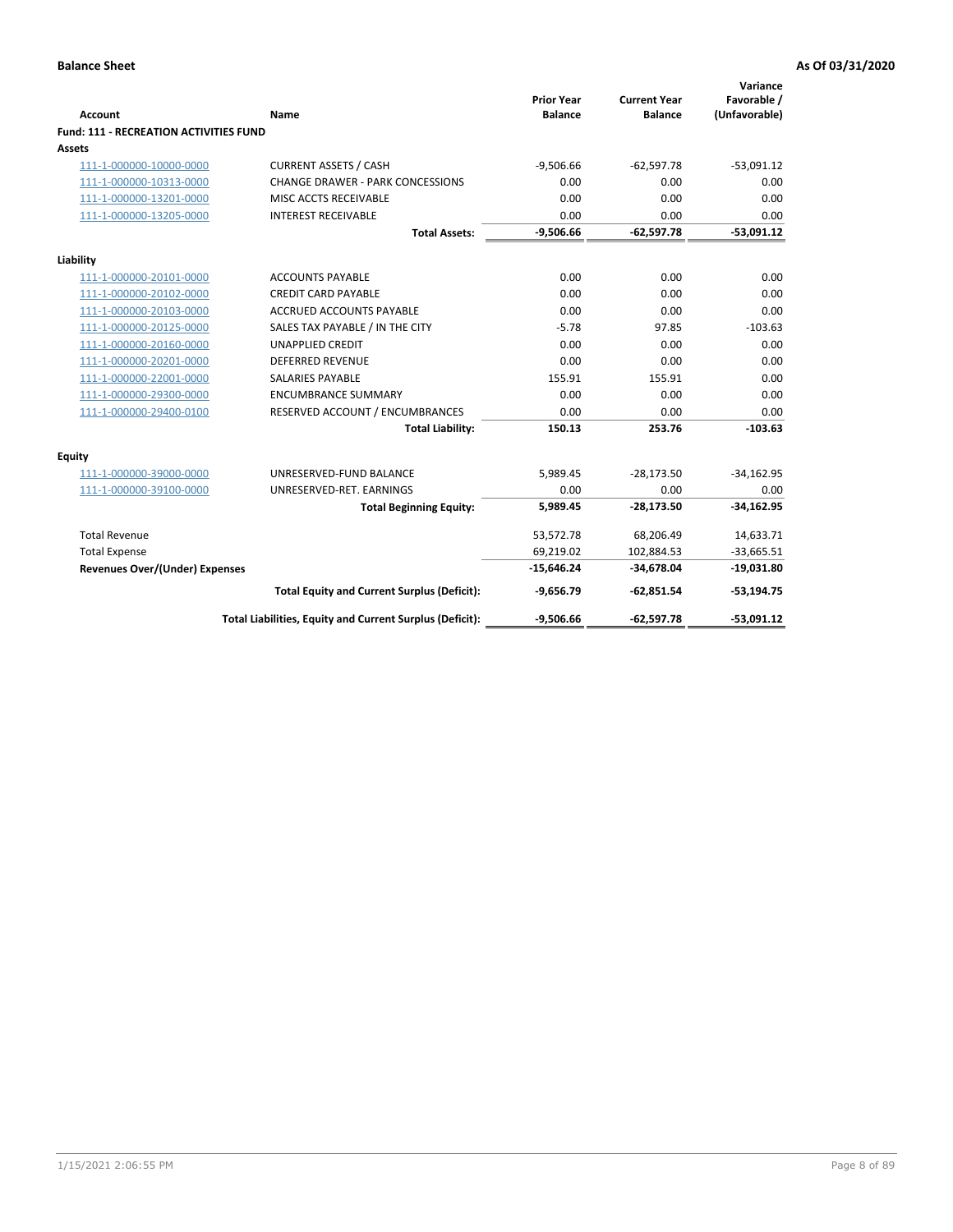| <b>Account</b>                         | <b>Name</b>                                              | <b>Prior Year</b><br><b>Balance</b> | <b>Current Year</b><br><b>Balance</b> | Variance<br>Favorable /<br>(Unfavorable) |
|----------------------------------------|----------------------------------------------------------|-------------------------------------|---------------------------------------|------------------------------------------|
| Fund: 111 - RECREATION ACTIVITIES FUND |                                                          |                                     |                                       |                                          |
| Assets                                 |                                                          |                                     |                                       |                                          |
| 111-1-000000-10000-0000                | <b>CURRENT ASSETS / CASH</b>                             | $-9,506.66$                         | $-62,597.78$                          | $-53,091.12$                             |
| 111-1-000000-10313-0000                | <b>CHANGE DRAWER - PARK CONCESSIONS</b>                  | 0.00                                | 0.00                                  | 0.00                                     |
| 111-1-000000-13201-0000                | MISC ACCTS RECEIVABLE                                    | 0.00                                | 0.00                                  | 0.00                                     |
| 111-1-000000-13205-0000                | <b>INTEREST RECEIVABLE</b>                               | 0.00                                | 0.00                                  | 0.00                                     |
|                                        | <b>Total Assets:</b>                                     | $-9,506.66$                         | $-62,597.78$                          | $-53,091.12$                             |
| Liability                              |                                                          |                                     |                                       |                                          |
| 111-1-000000-20101-0000                | <b>ACCOUNTS PAYABLE</b>                                  | 0.00                                | 0.00                                  | 0.00                                     |
| 111-1-000000-20102-0000                | <b>CREDIT CARD PAYABLE</b>                               | 0.00                                | 0.00                                  | 0.00                                     |
| 111-1-000000-20103-0000                | <b>ACCRUED ACCOUNTS PAYABLE</b>                          | 0.00                                | 0.00                                  | 0.00                                     |
| 111-1-000000-20125-0000                | SALES TAX PAYABLE / IN THE CITY                          | $-5.78$                             | 97.85                                 | $-103.63$                                |
| 111-1-000000-20160-0000                | <b>UNAPPLIED CREDIT</b>                                  | 0.00                                | 0.00                                  | 0.00                                     |
| 111-1-000000-20201-0000                | <b>DEFERRED REVENUE</b>                                  | 0.00                                | 0.00                                  | 0.00                                     |
| 111-1-000000-22001-0000                | <b>SALARIES PAYABLE</b>                                  | 155.91                              | 155.91                                | 0.00                                     |
| 111-1-000000-29300-0000                | <b>ENCUMBRANCE SUMMARY</b>                               | 0.00                                | 0.00                                  | 0.00                                     |
| 111-1-000000-29400-0100                | RESERVED ACCOUNT / ENCUMBRANCES                          | 0.00                                | 0.00                                  | 0.00                                     |
|                                        | <b>Total Liability:</b>                                  | 150.13                              | 253.76                                | $-103.63$                                |
| <b>Equity</b>                          |                                                          |                                     |                                       |                                          |
| 111-1-000000-39000-0000                | UNRESERVED-FUND BALANCE                                  | 5,989.45                            | $-28,173.50$                          | $-34,162.95$                             |
| 111-1-000000-39100-0000                | UNRESERVED-RET. EARNINGS                                 | 0.00                                | 0.00                                  | 0.00                                     |
|                                        | <b>Total Beginning Equity:</b>                           | 5,989.45                            | $-28,173.50$                          | $-34,162.95$                             |
| <b>Total Revenue</b>                   |                                                          | 53,572.78                           | 68,206.49                             | 14,633.71                                |
| <b>Total Expense</b>                   |                                                          | 69,219.02                           | 102,884.53                            | $-33,665.51$                             |
| <b>Revenues Over/(Under) Expenses</b>  |                                                          | $-15,646.24$                        | $-34,678.04$                          | $-19,031.80$                             |
|                                        | <b>Total Equity and Current Surplus (Deficit):</b>       | $-9,656.79$                         | $-62,851.54$                          | $-53,194.75$                             |
|                                        | Total Liabilities, Equity and Current Surplus (Deficit): | $-9,506.66$                         | $-62,597.78$                          | $-53,091.12$                             |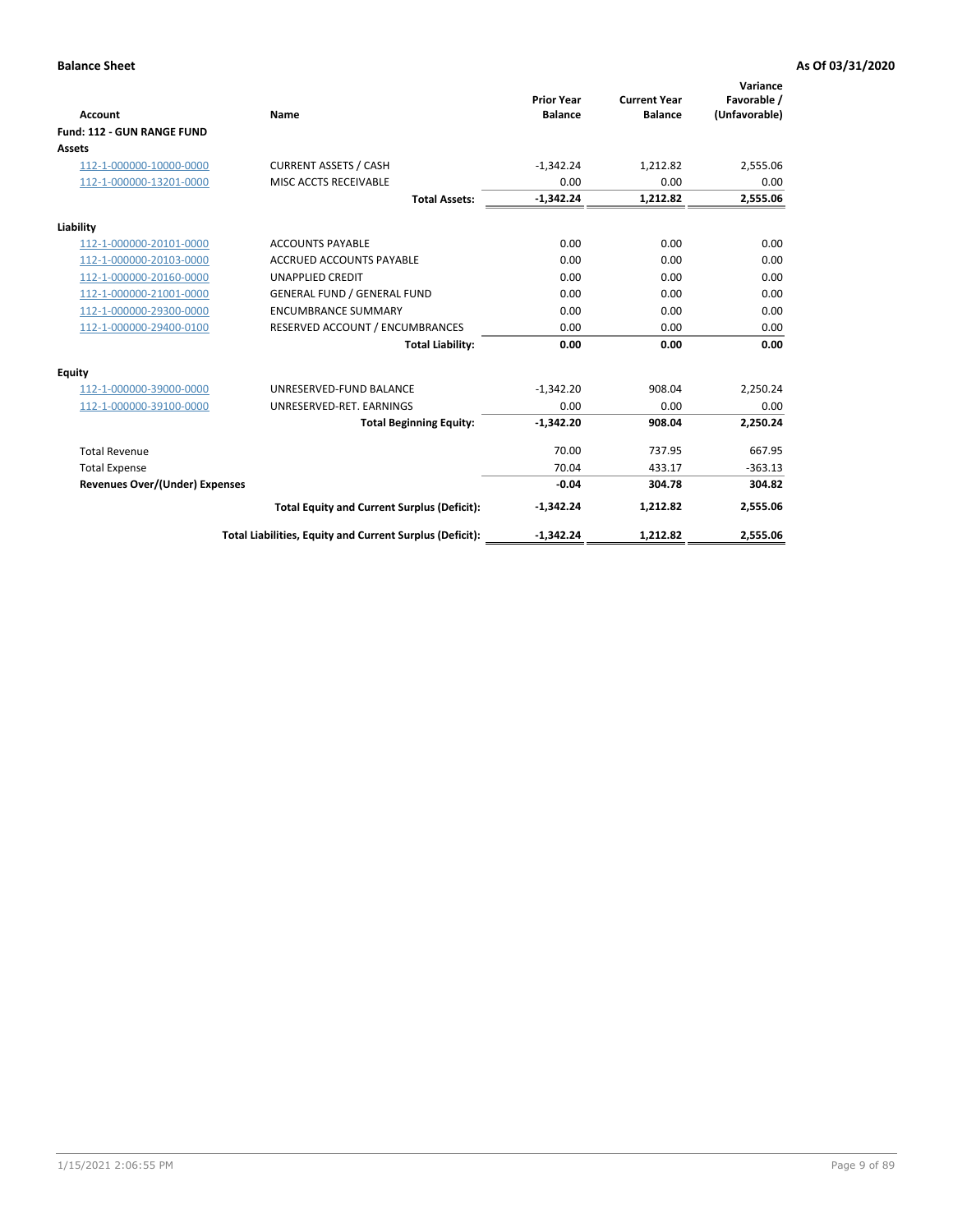|                                       |                                                          |                                     |                                       | Variance                     |
|---------------------------------------|----------------------------------------------------------|-------------------------------------|---------------------------------------|------------------------------|
| <b>Account</b>                        | Name                                                     | <b>Prior Year</b><br><b>Balance</b> | <b>Current Year</b><br><b>Balance</b> | Favorable /<br>(Unfavorable) |
| Fund: 112 - GUN RANGE FUND            |                                                          |                                     |                                       |                              |
| <b>Assets</b>                         |                                                          |                                     |                                       |                              |
| 112-1-000000-10000-0000               | <b>CURRENT ASSETS / CASH</b>                             | $-1,342.24$                         | 1,212.82                              | 2,555.06                     |
| 112-1-000000-13201-0000               | MISC ACCTS RECEIVABLE                                    | 0.00                                | 0.00                                  | 0.00                         |
|                                       | <b>Total Assets:</b>                                     | $-1,342.24$                         | 1,212.82                              | 2,555.06                     |
| Liability                             |                                                          |                                     |                                       |                              |
| 112-1-000000-20101-0000               | <b>ACCOUNTS PAYABLE</b>                                  | 0.00                                | 0.00                                  | 0.00                         |
| 112-1-000000-20103-0000               | <b>ACCRUED ACCOUNTS PAYABLE</b>                          | 0.00                                | 0.00                                  | 0.00                         |
| 112-1-000000-20160-0000               | <b>UNAPPLIED CREDIT</b>                                  | 0.00                                | 0.00                                  | 0.00                         |
| 112-1-000000-21001-0000               | <b>GENERAL FUND / GENERAL FUND</b>                       | 0.00                                | 0.00                                  | 0.00                         |
| 112-1-000000-29300-0000               | <b>ENCUMBRANCE SUMMARY</b>                               | 0.00                                | 0.00                                  | 0.00                         |
| 112-1-000000-29400-0100               | RESERVED ACCOUNT / ENCUMBRANCES                          | 0.00                                | 0.00                                  | 0.00                         |
|                                       | <b>Total Liability:</b>                                  | 0.00                                | 0.00                                  | 0.00                         |
| Equity                                |                                                          |                                     |                                       |                              |
| 112-1-000000-39000-0000               | UNRESERVED-FUND BALANCE                                  | $-1,342.20$                         | 908.04                                | 2,250.24                     |
| 112-1-000000-39100-0000               | UNRESERVED-RET. EARNINGS                                 | 0.00                                | 0.00                                  | 0.00                         |
|                                       | <b>Total Beginning Equity:</b>                           | $-1.342.20$                         | 908.04                                | 2.250.24                     |
| <b>Total Revenue</b>                  |                                                          | 70.00                               | 737.95                                | 667.95                       |
| <b>Total Expense</b>                  |                                                          | 70.04                               | 433.17                                | $-363.13$                    |
| <b>Revenues Over/(Under) Expenses</b> |                                                          | $-0.04$                             | 304.78                                | 304.82                       |
|                                       | <b>Total Equity and Current Surplus (Deficit):</b>       | $-1,342.24$                         | 1,212.82                              | 2,555.06                     |
|                                       | Total Liabilities, Equity and Current Surplus (Deficit): | $-1,342.24$                         | 1,212.82                              | 2,555.06                     |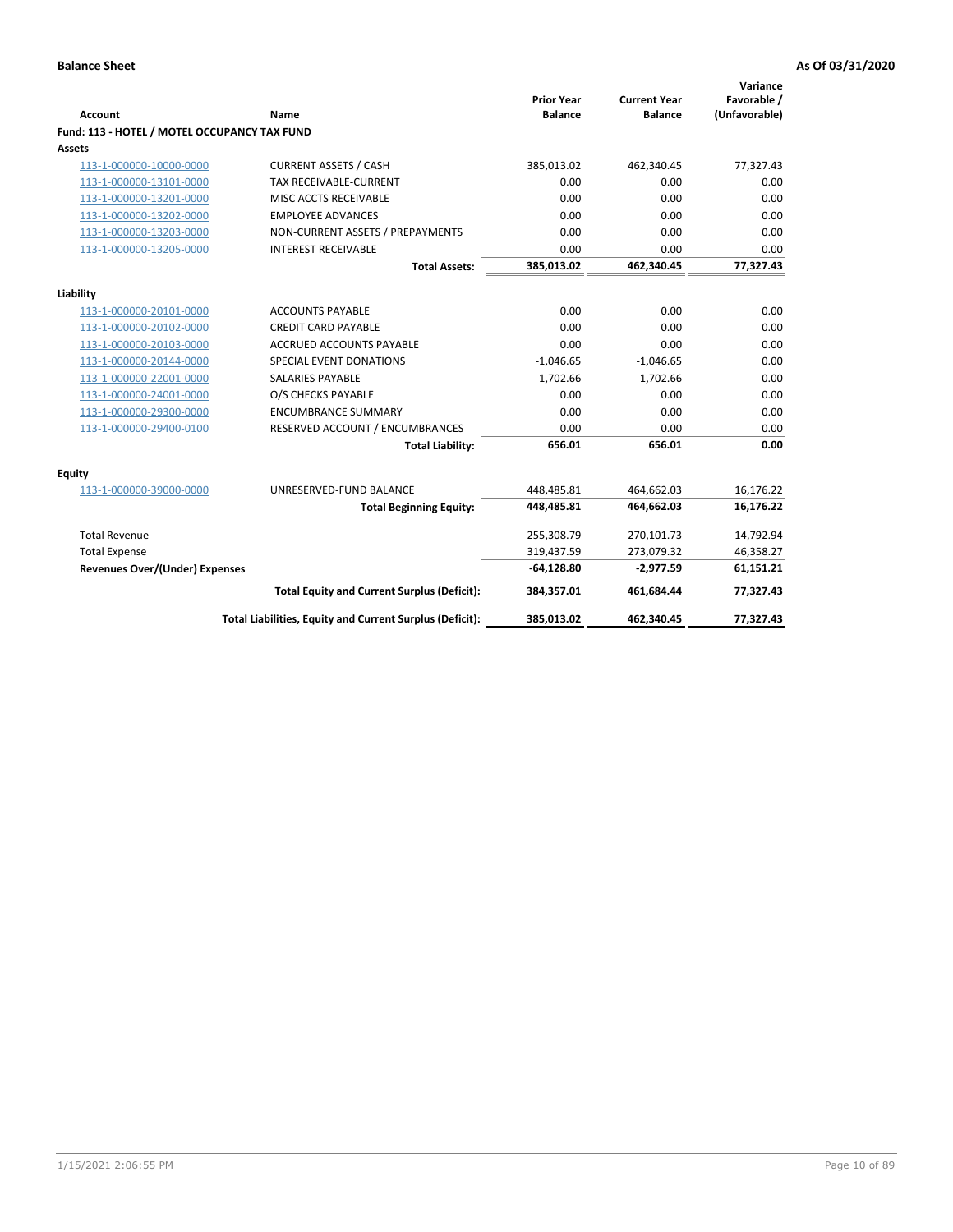| <b>Account</b>                               | Name                                                     | <b>Prior Year</b><br><b>Balance</b> | <b>Current Year</b><br><b>Balance</b> | Variance<br>Favorable /<br>(Unfavorable) |
|----------------------------------------------|----------------------------------------------------------|-------------------------------------|---------------------------------------|------------------------------------------|
| Fund: 113 - HOTEL / MOTEL OCCUPANCY TAX FUND |                                                          |                                     |                                       |                                          |
| Assets                                       |                                                          |                                     |                                       |                                          |
| 113-1-000000-10000-0000                      | <b>CURRENT ASSETS / CASH</b>                             | 385,013.02                          | 462,340.45                            | 77,327.43                                |
| 113-1-000000-13101-0000                      | TAX RECEIVABLE-CURRENT                                   | 0.00                                | 0.00                                  | 0.00                                     |
| 113-1-000000-13201-0000                      | MISC ACCTS RECEIVABLE                                    | 0.00                                | 0.00                                  | 0.00                                     |
| 113-1-000000-13202-0000                      | <b>EMPLOYEE ADVANCES</b>                                 | 0.00                                | 0.00                                  | 0.00                                     |
| 113-1-000000-13203-0000                      | NON-CURRENT ASSETS / PREPAYMENTS                         | 0.00                                | 0.00                                  | 0.00                                     |
| 113-1-000000-13205-0000                      | <b>INTEREST RECEIVABLE</b>                               | 0.00                                | 0.00                                  | 0.00                                     |
|                                              | <b>Total Assets:</b>                                     | 385,013.02                          | 462,340.45                            | 77,327.43                                |
|                                              |                                                          |                                     |                                       |                                          |
| Liability<br>113-1-000000-20101-0000         | <b>ACCOUNTS PAYABLE</b>                                  | 0.00                                | 0.00                                  | 0.00                                     |
| 113-1-000000-20102-0000                      | <b>CREDIT CARD PAYABLE</b>                               | 0.00                                | 0.00                                  | 0.00                                     |
| 113-1-000000-20103-0000                      | ACCRUED ACCOUNTS PAYABLE                                 | 0.00                                | 0.00                                  | 0.00                                     |
| 113-1-000000-20144-0000                      | SPECIAL EVENT DONATIONS                                  | $-1,046.65$                         | $-1,046.65$                           | 0.00                                     |
| 113-1-000000-22001-0000                      | <b>SALARIES PAYABLE</b>                                  | 1,702.66                            | 1,702.66                              | 0.00                                     |
| 113-1-000000-24001-0000                      | O/S CHECKS PAYABLE                                       | 0.00                                | 0.00                                  | 0.00                                     |
| 113-1-000000-29300-0000                      | <b>ENCUMBRANCE SUMMARY</b>                               | 0.00                                | 0.00                                  | 0.00                                     |
| 113-1-000000-29400-0100                      | RESERVED ACCOUNT / ENCUMBRANCES                          | 0.00                                | 0.00                                  | 0.00                                     |
|                                              | <b>Total Liability:</b>                                  | 656.01                              | 656.01                                | 0.00                                     |
|                                              |                                                          |                                     |                                       |                                          |
| Equity                                       |                                                          |                                     |                                       |                                          |
| 113-1-000000-39000-0000                      | UNRESERVED-FUND BALANCE                                  | 448,485.81                          | 464,662.03                            | 16,176.22                                |
|                                              | <b>Total Beginning Equity:</b>                           | 448,485.81                          | 464,662.03                            | 16,176.22                                |
| <b>Total Revenue</b>                         |                                                          | 255,308.79                          | 270,101.73                            | 14,792.94                                |
| <b>Total Expense</b>                         |                                                          | 319,437.59                          | 273,079.32                            | 46,358.27                                |
| Revenues Over/(Under) Expenses               |                                                          | $-64,128.80$                        | $-2,977.59$                           | 61,151.21                                |
|                                              | <b>Total Equity and Current Surplus (Deficit):</b>       | 384,357.01                          | 461,684.44                            | 77,327.43                                |
|                                              | Total Liabilities, Equity and Current Surplus (Deficit): | 385,013.02                          | 462,340.45                            | 77,327.43                                |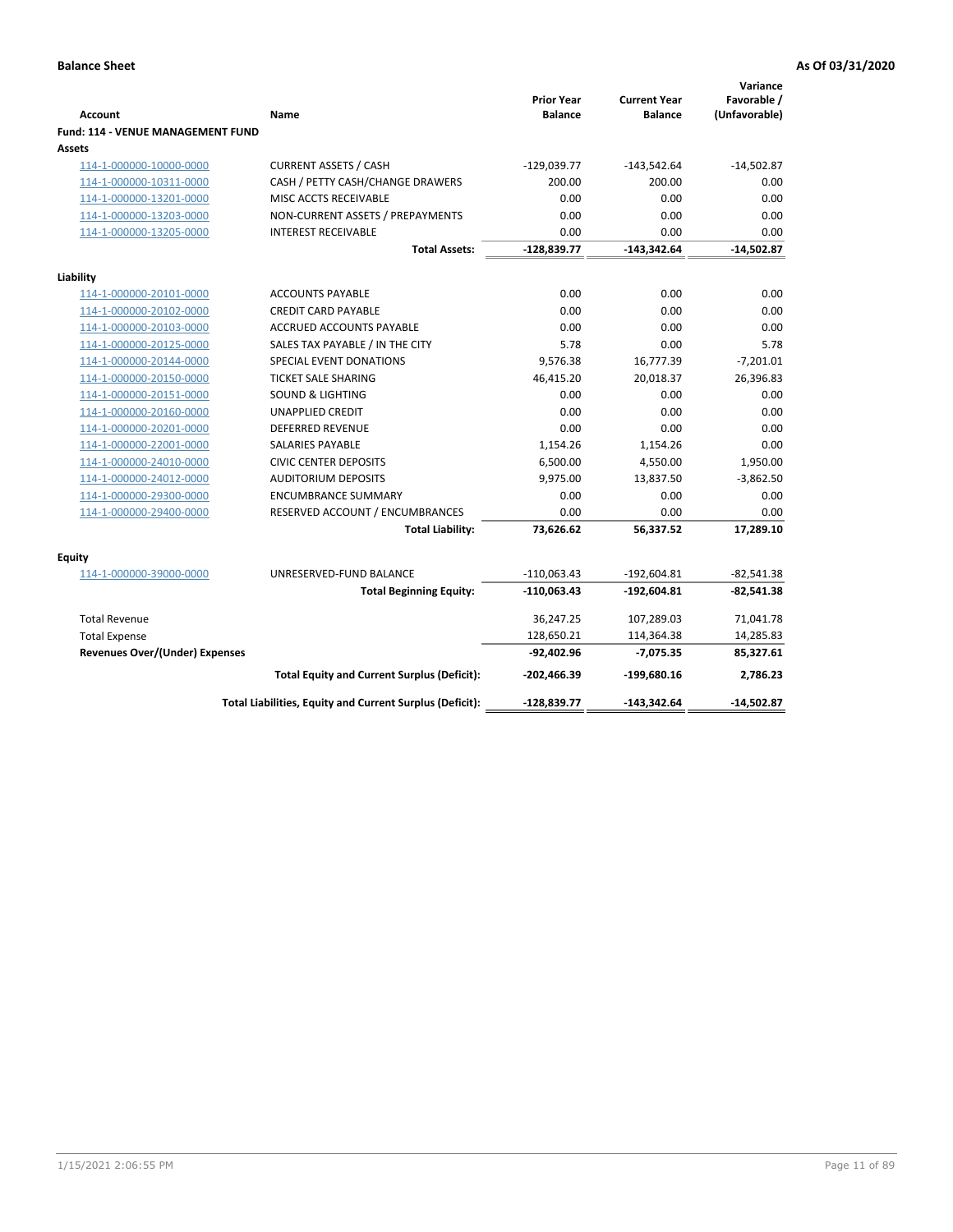| <b>Account</b>                        | Name                                                     | <b>Prior Year</b><br><b>Balance</b> | <b>Current Year</b><br><b>Balance</b> | Variance<br>Favorable /<br>(Unfavorable) |
|---------------------------------------|----------------------------------------------------------|-------------------------------------|---------------------------------------|------------------------------------------|
| Fund: 114 - VENUE MANAGEMENT FUND     |                                                          |                                     |                                       |                                          |
| Assets                                |                                                          |                                     |                                       |                                          |
| 114-1-000000-10000-0000               | <b>CURRENT ASSETS / CASH</b>                             | $-129,039.77$                       | $-143,542.64$                         | $-14,502.87$                             |
| 114-1-000000-10311-0000               | CASH / PETTY CASH/CHANGE DRAWERS                         | 200.00                              | 200.00                                | 0.00                                     |
| 114-1-000000-13201-0000               | MISC ACCTS RECEIVABLE                                    | 0.00                                | 0.00                                  | 0.00                                     |
| 114-1-000000-13203-0000               | NON-CURRENT ASSETS / PREPAYMENTS                         | 0.00                                | 0.00                                  | 0.00                                     |
| 114-1-000000-13205-0000               | <b>INTEREST RECEIVABLE</b>                               | 0.00                                | 0.00                                  | 0.00                                     |
|                                       | <b>Total Assets:</b>                                     | $-128,839.77$                       | $-143,342.64$                         | $-14,502.87$                             |
| Liability                             |                                                          |                                     |                                       |                                          |
| 114-1-000000-20101-0000               | <b>ACCOUNTS PAYABLE</b>                                  | 0.00                                | 0.00                                  | 0.00                                     |
| 114-1-000000-20102-0000               | <b>CREDIT CARD PAYABLE</b>                               | 0.00                                | 0.00                                  | 0.00                                     |
| 114-1-000000-20103-0000               | <b>ACCRUED ACCOUNTS PAYABLE</b>                          | 0.00                                | 0.00                                  | 0.00                                     |
| 114-1-000000-20125-0000               | SALES TAX PAYABLE / IN THE CITY                          | 5.78                                | 0.00                                  | 5.78                                     |
| 114-1-000000-20144-0000               | SPECIAL EVENT DONATIONS                                  | 9,576.38                            | 16,777.39                             | $-7,201.01$                              |
| 114-1-000000-20150-0000               | TICKET SALE SHARING                                      | 46,415.20                           | 20,018.37                             | 26,396.83                                |
| 114-1-000000-20151-0000               | <b>SOUND &amp; LIGHTING</b>                              | 0.00                                | 0.00                                  | 0.00                                     |
| 114-1-000000-20160-0000               | <b>UNAPPLIED CREDIT</b>                                  | 0.00                                | 0.00                                  | 0.00                                     |
| 114-1-000000-20201-0000               | <b>DEFERRED REVENUE</b>                                  | 0.00                                | 0.00                                  | 0.00                                     |
| 114-1-000000-22001-0000               | SALARIES PAYABLE                                         | 1,154.26                            | 1,154.26                              | 0.00                                     |
| 114-1-000000-24010-0000               | <b>CIVIC CENTER DEPOSITS</b>                             | 6,500.00                            | 4,550.00                              | 1,950.00                                 |
| 114-1-000000-24012-0000               | <b>AUDITORIUM DEPOSITS</b>                               | 9,975.00                            | 13,837.50                             | $-3,862.50$                              |
| 114-1-000000-29300-0000               | <b>ENCUMBRANCE SUMMARY</b>                               | 0.00                                | 0.00                                  | 0.00                                     |
| 114-1-000000-29400-0000               | RESERVED ACCOUNT / ENCUMBRANCES                          | 0.00                                | 0.00                                  | 0.00                                     |
|                                       | <b>Total Liability:</b>                                  | 73,626.62                           | 56,337.52                             | 17,289.10                                |
| Equity                                |                                                          |                                     |                                       |                                          |
| 114-1-000000-39000-0000               | UNRESERVED-FUND BALANCE                                  | $-110,063.43$                       | $-192,604.81$                         | $-82,541.38$                             |
|                                       | <b>Total Beginning Equity:</b>                           | $-110,063.43$                       | -192,604.81                           | $-82,541.38$                             |
| <b>Total Revenue</b>                  |                                                          | 36,247.25                           | 107,289.03                            | 71,041.78                                |
| <b>Total Expense</b>                  |                                                          | 128,650.21                          | 114,364.38                            | 14,285.83                                |
| <b>Revenues Over/(Under) Expenses</b> |                                                          | -92,402.96                          | $-7,075.35$                           | 85,327.61                                |
|                                       | <b>Total Equity and Current Surplus (Deficit):</b>       | -202,466.39                         | -199,680.16                           | 2,786.23                                 |
|                                       | Total Liabilities, Equity and Current Surplus (Deficit): | -128,839.77                         | $-143,342.64$                         | $-14,502.87$                             |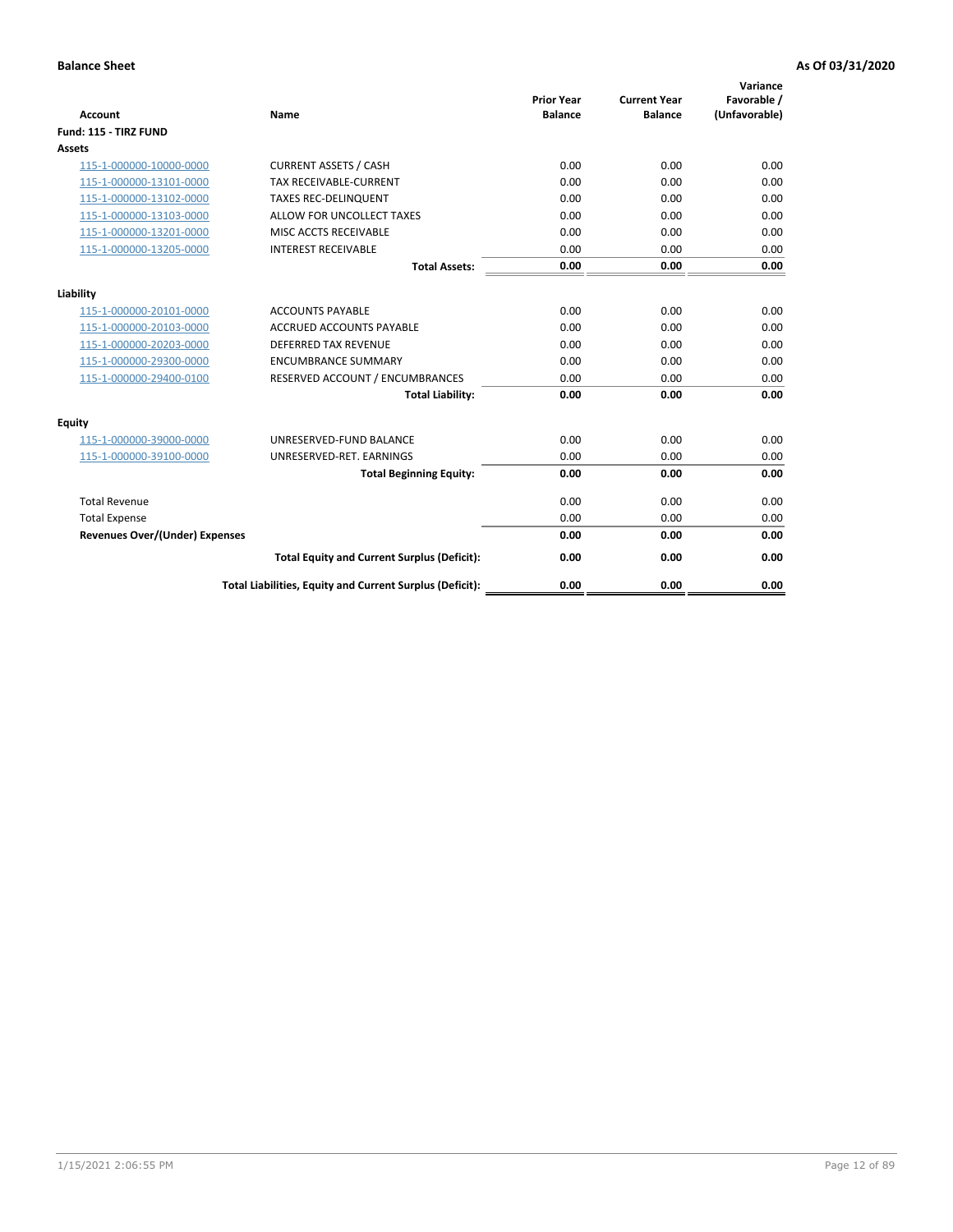| <b>Account</b>                        | <b>Name</b>                                              | <b>Prior Year</b><br><b>Balance</b> | <b>Current Year</b><br><b>Balance</b> | Variance<br>Favorable /<br>(Unfavorable) |
|---------------------------------------|----------------------------------------------------------|-------------------------------------|---------------------------------------|------------------------------------------|
| Fund: 115 - TIRZ FUND                 |                                                          |                                     |                                       |                                          |
| <b>Assets</b>                         |                                                          |                                     |                                       |                                          |
| 115-1-000000-10000-0000               | <b>CURRENT ASSETS / CASH</b>                             | 0.00                                | 0.00                                  | 0.00                                     |
| 115-1-000000-13101-0000               | <b>TAX RECEIVABLE-CURRENT</b>                            | 0.00                                | 0.00                                  | 0.00                                     |
| 115-1-000000-13102-0000               | <b>TAXES REC-DELINQUENT</b>                              | 0.00                                | 0.00                                  | 0.00                                     |
| 115-1-000000-13103-0000               | ALLOW FOR UNCOLLECT TAXES                                | 0.00                                | 0.00                                  | 0.00                                     |
| 115-1-000000-13201-0000               | MISC ACCTS RECEIVABLE                                    | 0.00                                | 0.00                                  | 0.00                                     |
| 115-1-000000-13205-0000               | <b>INTEREST RECEIVABLE</b>                               | 0.00                                | 0.00                                  | 0.00                                     |
|                                       | <b>Total Assets:</b>                                     | 0.00                                | 0.00                                  | 0.00                                     |
| Liability                             |                                                          |                                     |                                       |                                          |
| 115-1-000000-20101-0000               | <b>ACCOUNTS PAYABLE</b>                                  | 0.00                                | 0.00                                  | 0.00                                     |
| 115-1-000000-20103-0000               | <b>ACCRUED ACCOUNTS PAYABLE</b>                          | 0.00                                | 0.00                                  | 0.00                                     |
| 115-1-000000-20203-0000               | <b>DEFERRED TAX REVENUE</b>                              | 0.00                                | 0.00                                  | 0.00                                     |
| 115-1-000000-29300-0000               | <b>ENCUMBRANCE SUMMARY</b>                               | 0.00                                | 0.00                                  | 0.00                                     |
| 115-1-000000-29400-0100               | RESERVED ACCOUNT / ENCUMBRANCES                          | 0.00                                | 0.00                                  | 0.00                                     |
|                                       | <b>Total Liability:</b>                                  | 0.00                                | 0.00                                  | 0.00                                     |
| Equity                                |                                                          |                                     |                                       |                                          |
| 115-1-000000-39000-0000               | UNRESERVED-FUND BALANCE                                  | 0.00                                | 0.00                                  | 0.00                                     |
| 115-1-000000-39100-0000               | UNRESERVED-RET. EARNINGS                                 | 0.00                                | 0.00                                  | 0.00                                     |
|                                       | <b>Total Beginning Equity:</b>                           | 0.00                                | 0.00                                  | 0.00                                     |
| <b>Total Revenue</b>                  |                                                          | 0.00                                | 0.00                                  | 0.00                                     |
| <b>Total Expense</b>                  |                                                          | 0.00                                | 0.00                                  | 0.00                                     |
| <b>Revenues Over/(Under) Expenses</b> |                                                          | 0.00                                | 0.00                                  | 0.00                                     |
|                                       | <b>Total Equity and Current Surplus (Deficit):</b>       | 0.00                                | 0.00                                  | 0.00                                     |
|                                       | Total Liabilities, Equity and Current Surplus (Deficit): | 0.00                                | 0.00                                  | 0.00                                     |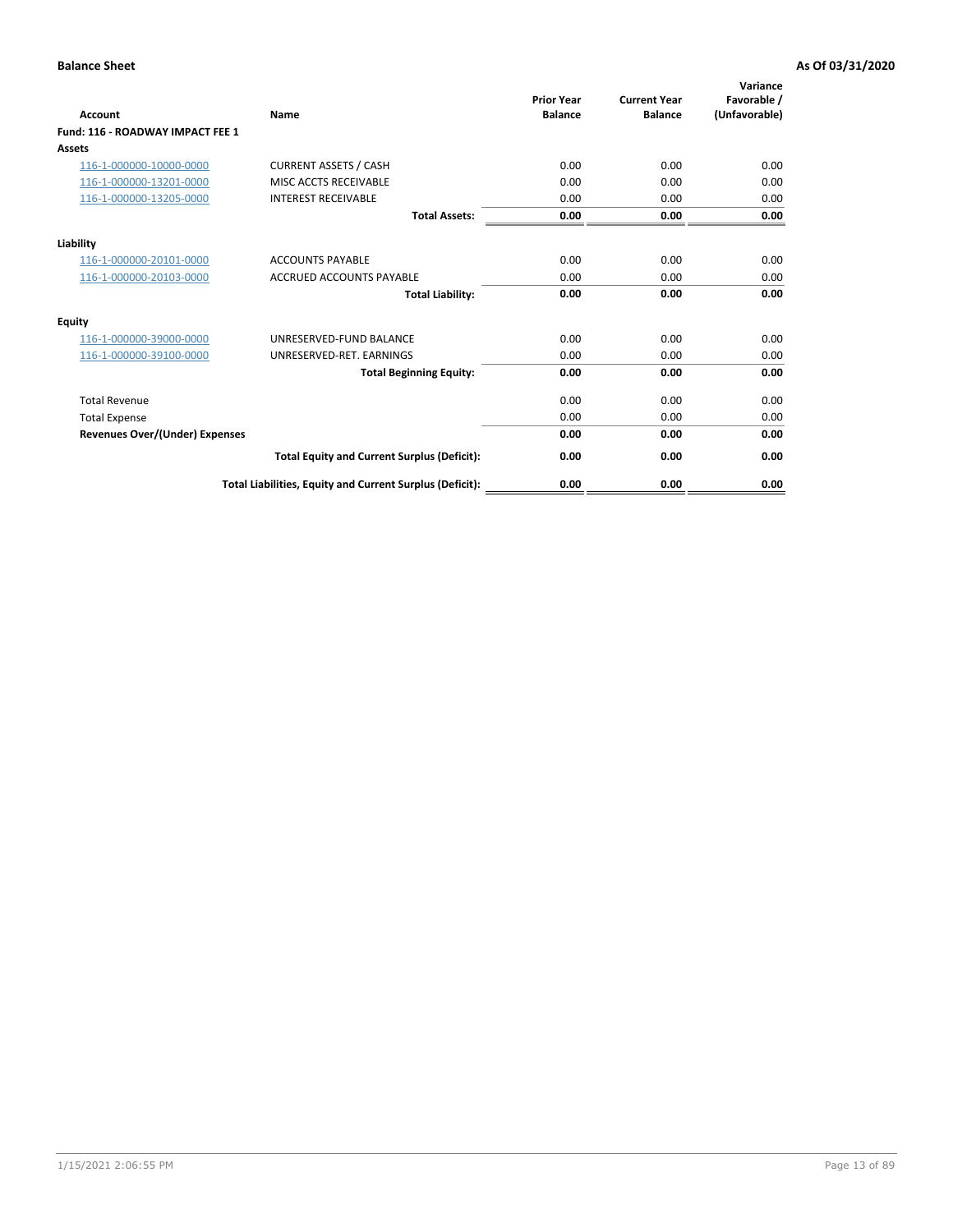| <b>Account</b>                        | Name                                                     | <b>Prior Year</b><br><b>Balance</b> | <b>Current Year</b><br><b>Balance</b> | Variance<br>Favorable /<br>(Unfavorable) |
|---------------------------------------|----------------------------------------------------------|-------------------------------------|---------------------------------------|------------------------------------------|
| Fund: 116 - ROADWAY IMPACT FEE 1      |                                                          |                                     |                                       |                                          |
| <b>Assets</b>                         |                                                          |                                     |                                       |                                          |
| 116-1-000000-10000-0000               | <b>CURRENT ASSETS / CASH</b>                             | 0.00                                | 0.00                                  | 0.00                                     |
| 116-1-000000-13201-0000               | MISC ACCTS RECEIVABLE                                    | 0.00                                | 0.00                                  | 0.00                                     |
| 116-1-000000-13205-0000               | <b>INTEREST RECEIVABLE</b>                               | 0.00                                | 0.00                                  | 0.00                                     |
|                                       | <b>Total Assets:</b>                                     | 0.00                                | 0.00                                  | 0.00                                     |
| Liability                             |                                                          |                                     |                                       |                                          |
| 116-1-000000-20101-0000               | <b>ACCOUNTS PAYABLE</b>                                  | 0.00                                | 0.00                                  | 0.00                                     |
| 116-1-000000-20103-0000               | <b>ACCRUED ACCOUNTS PAYABLE</b>                          | 0.00                                | 0.00                                  | 0.00                                     |
|                                       | <b>Total Liability:</b>                                  | 0.00                                | 0.00                                  | 0.00                                     |
| Equity                                |                                                          |                                     |                                       |                                          |
| 116-1-000000-39000-0000               | UNRESERVED-FUND BALANCE                                  | 0.00                                | 0.00                                  | 0.00                                     |
| 116-1-000000-39100-0000               | UNRESERVED-RET. EARNINGS                                 | 0.00                                | 0.00                                  | 0.00                                     |
|                                       | <b>Total Beginning Equity:</b>                           | 0.00                                | 0.00                                  | 0.00                                     |
| <b>Total Revenue</b>                  |                                                          | 0.00                                | 0.00                                  | 0.00                                     |
| <b>Total Expense</b>                  |                                                          | 0.00                                | 0.00                                  | 0.00                                     |
| <b>Revenues Over/(Under) Expenses</b> |                                                          | 0.00                                | 0.00                                  | 0.00                                     |
|                                       | <b>Total Equity and Current Surplus (Deficit):</b>       | 0.00                                | 0.00                                  | 0.00                                     |
|                                       | Total Liabilities, Equity and Current Surplus (Deficit): | 0.00                                | 0.00                                  | 0.00                                     |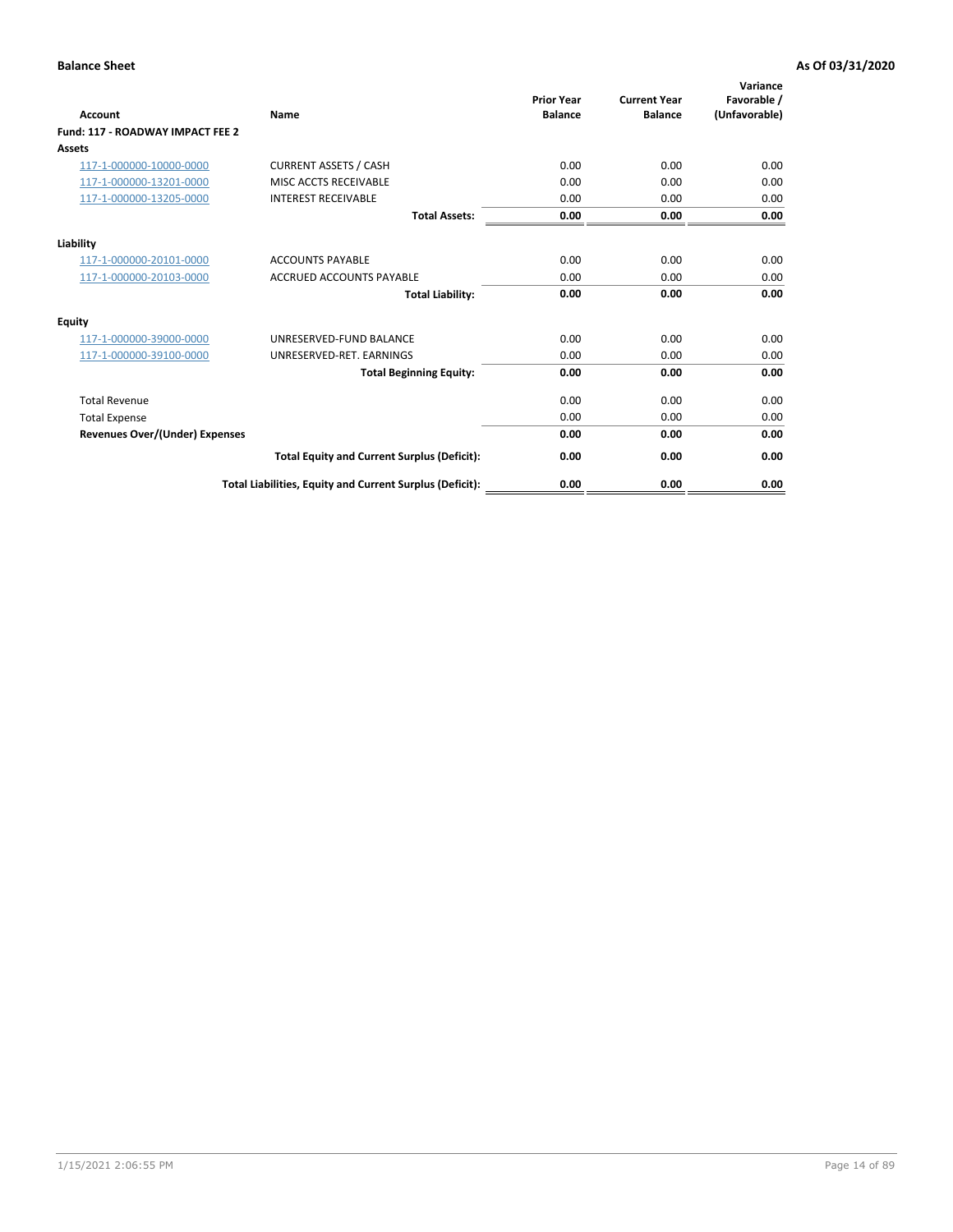| Account                               | Name                                                     | <b>Prior Year</b><br><b>Balance</b> | <b>Current Year</b><br><b>Balance</b> | Variance<br>Favorable /<br>(Unfavorable) |
|---------------------------------------|----------------------------------------------------------|-------------------------------------|---------------------------------------|------------------------------------------|
| Fund: 117 - ROADWAY IMPACT FEE 2      |                                                          |                                     |                                       |                                          |
| Assets                                |                                                          |                                     |                                       |                                          |
| 117-1-000000-10000-0000               | <b>CURRENT ASSETS / CASH</b>                             | 0.00                                | 0.00                                  | 0.00                                     |
| 117-1-000000-13201-0000               | MISC ACCTS RECEIVABLE                                    | 0.00                                | 0.00                                  | 0.00                                     |
| 117-1-000000-13205-0000               | <b>INTEREST RECEIVABLE</b>                               | 0.00                                | 0.00                                  | 0.00                                     |
|                                       | <b>Total Assets:</b>                                     | 0.00                                | 0.00                                  | 0.00                                     |
| Liability                             |                                                          |                                     |                                       |                                          |
| 117-1-000000-20101-0000               | <b>ACCOUNTS PAYABLE</b>                                  | 0.00                                | 0.00                                  | 0.00                                     |
| 117-1-000000-20103-0000               | <b>ACCRUED ACCOUNTS PAYABLE</b>                          | 0.00                                | 0.00                                  | 0.00                                     |
|                                       | <b>Total Liability:</b>                                  | 0.00                                | 0.00                                  | 0.00                                     |
| Equity                                |                                                          |                                     |                                       |                                          |
| 117-1-000000-39000-0000               | UNRESERVED-FUND BALANCE                                  | 0.00                                | 0.00                                  | 0.00                                     |
| 117-1-000000-39100-0000               | UNRESERVED-RET. EARNINGS                                 | 0.00                                | 0.00                                  | 0.00                                     |
|                                       | <b>Total Beginning Equity:</b>                           | 0.00                                | 0.00                                  | 0.00                                     |
| <b>Total Revenue</b>                  |                                                          | 0.00                                | 0.00                                  | 0.00                                     |
| <b>Total Expense</b>                  |                                                          | 0.00                                | 0.00                                  | 0.00                                     |
| <b>Revenues Over/(Under) Expenses</b> |                                                          | 0.00                                | 0.00                                  | 0.00                                     |
|                                       | <b>Total Equity and Current Surplus (Deficit):</b>       | 0.00                                | 0.00                                  | 0.00                                     |
|                                       | Total Liabilities, Equity and Current Surplus (Deficit): | 0.00                                | 0.00                                  | 0.00                                     |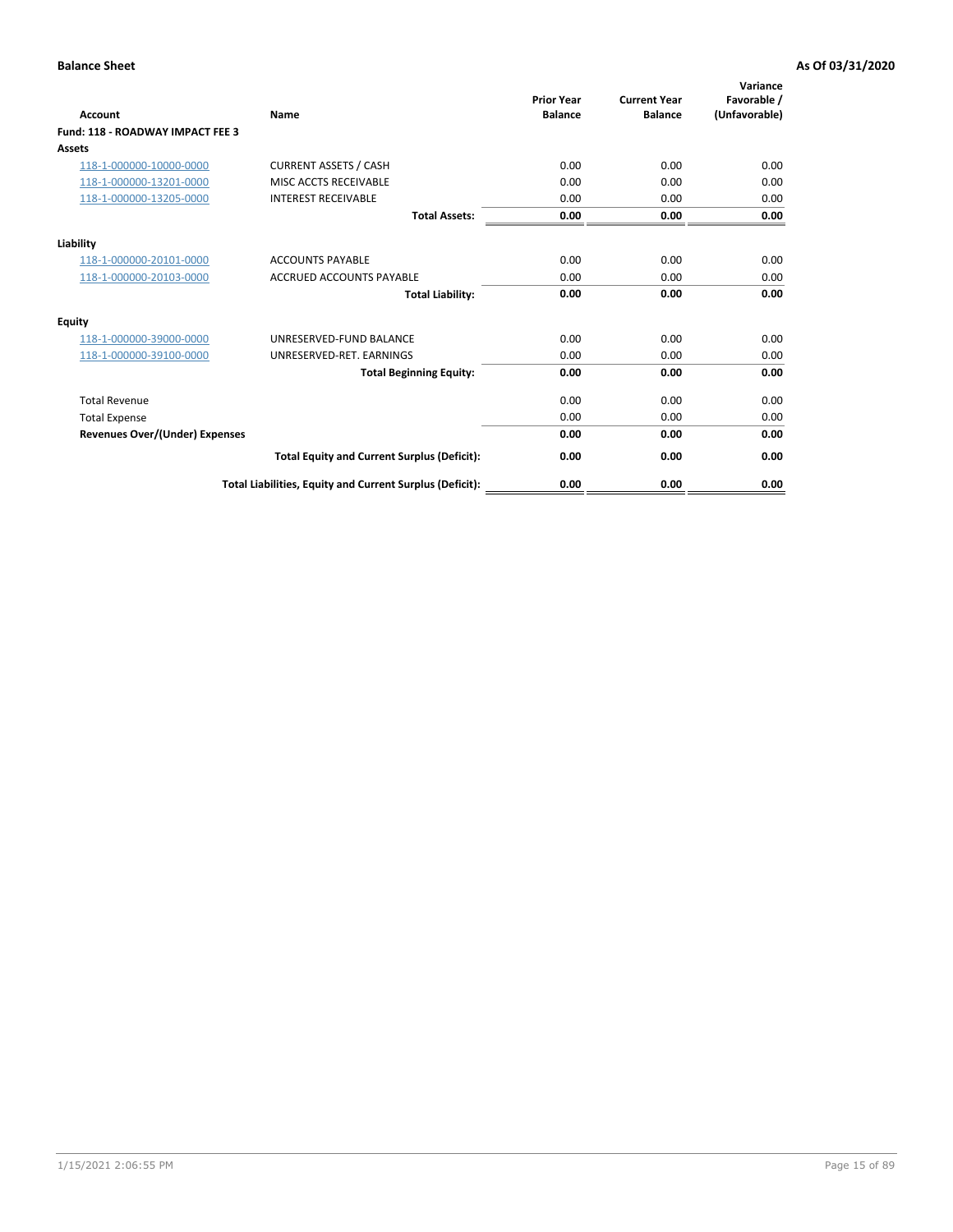| <b>Account</b>                        | Name                                                     | <b>Prior Year</b><br><b>Balance</b> | <b>Current Year</b><br><b>Balance</b> | Variance<br>Favorable /<br>(Unfavorable) |
|---------------------------------------|----------------------------------------------------------|-------------------------------------|---------------------------------------|------------------------------------------|
| Fund: 118 - ROADWAY IMPACT FEE 3      |                                                          |                                     |                                       |                                          |
| <b>Assets</b>                         |                                                          |                                     |                                       |                                          |
| 118-1-000000-10000-0000               | <b>CURRENT ASSETS / CASH</b>                             | 0.00                                | 0.00                                  | 0.00                                     |
| 118-1-000000-13201-0000               | MISC ACCTS RECEIVABLE                                    | 0.00                                | 0.00                                  | 0.00                                     |
| 118-1-000000-13205-0000               | <b>INTEREST RECEIVABLE</b>                               | 0.00                                | 0.00                                  | 0.00                                     |
|                                       | <b>Total Assets:</b>                                     | 0.00                                | 0.00                                  | 0.00                                     |
| Liability                             |                                                          |                                     |                                       |                                          |
| 118-1-000000-20101-0000               | <b>ACCOUNTS PAYABLE</b>                                  | 0.00                                | 0.00                                  | 0.00                                     |
| 118-1-000000-20103-0000               | <b>ACCRUED ACCOUNTS PAYABLE</b>                          | 0.00                                | 0.00                                  | 0.00                                     |
|                                       | <b>Total Liability:</b>                                  | 0.00                                | 0.00                                  | 0.00                                     |
| Equity                                |                                                          |                                     |                                       |                                          |
| 118-1-000000-39000-0000               | UNRESERVED-FUND BALANCE                                  | 0.00                                | 0.00                                  | 0.00                                     |
| 118-1-000000-39100-0000               | UNRESERVED-RET. EARNINGS                                 | 0.00                                | 0.00                                  | 0.00                                     |
|                                       | <b>Total Beginning Equity:</b>                           | 0.00                                | 0.00                                  | 0.00                                     |
| <b>Total Revenue</b>                  |                                                          | 0.00                                | 0.00                                  | 0.00                                     |
| <b>Total Expense</b>                  |                                                          | 0.00                                | 0.00                                  | 0.00                                     |
| <b>Revenues Over/(Under) Expenses</b> |                                                          | 0.00                                | 0.00                                  | 0.00                                     |
|                                       | <b>Total Equity and Current Surplus (Deficit):</b>       | 0.00                                | 0.00                                  | 0.00                                     |
|                                       | Total Liabilities, Equity and Current Surplus (Deficit): | 0.00                                | 0.00                                  | 0.00                                     |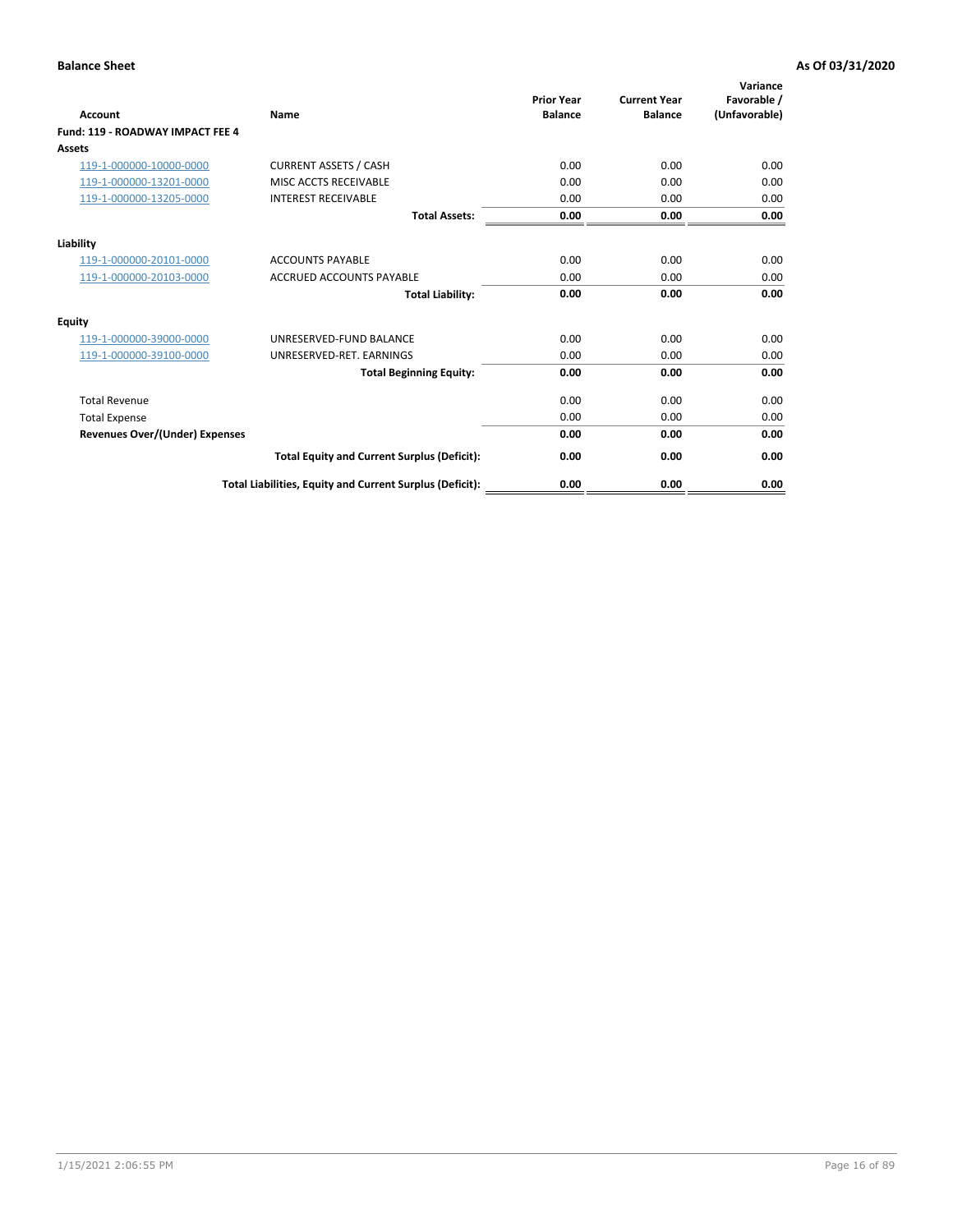| <b>Account</b>                        | Name                                                     | <b>Prior Year</b><br><b>Balance</b> | <b>Current Year</b><br><b>Balance</b> | Variance<br>Favorable /<br>(Unfavorable) |
|---------------------------------------|----------------------------------------------------------|-------------------------------------|---------------------------------------|------------------------------------------|
| Fund: 119 - ROADWAY IMPACT FEE 4      |                                                          |                                     |                                       |                                          |
| Assets                                |                                                          |                                     |                                       |                                          |
| 119-1-000000-10000-0000               | <b>CURRENT ASSETS / CASH</b>                             | 0.00                                | 0.00                                  | 0.00                                     |
| 119-1-000000-13201-0000               | MISC ACCTS RECEIVABLE                                    | 0.00                                | 0.00                                  | 0.00                                     |
| 119-1-000000-13205-0000               | <b>INTEREST RECEIVABLE</b>                               | 0.00                                | 0.00                                  | 0.00                                     |
|                                       | <b>Total Assets:</b>                                     | 0.00                                | 0.00                                  | 0.00                                     |
| Liability                             |                                                          |                                     |                                       |                                          |
| 119-1-000000-20101-0000               | <b>ACCOUNTS PAYABLE</b>                                  | 0.00                                | 0.00                                  | 0.00                                     |
| 119-1-000000-20103-0000               | <b>ACCRUED ACCOUNTS PAYABLE</b>                          | 0.00                                | 0.00                                  | 0.00                                     |
|                                       | <b>Total Liability:</b>                                  | 0.00                                | 0.00                                  | 0.00                                     |
| Equity                                |                                                          |                                     |                                       |                                          |
| 119-1-000000-39000-0000               | UNRESERVED-FUND BALANCE                                  | 0.00                                | 0.00                                  | 0.00                                     |
| 119-1-000000-39100-0000               | UNRESERVED-RET, EARNINGS                                 | 0.00                                | 0.00                                  | 0.00                                     |
|                                       | <b>Total Beginning Equity:</b>                           | 0.00                                | 0.00                                  | 0.00                                     |
| <b>Total Revenue</b>                  |                                                          | 0.00                                | 0.00                                  | 0.00                                     |
| <b>Total Expense</b>                  |                                                          | 0.00                                | 0.00                                  | 0.00                                     |
| <b>Revenues Over/(Under) Expenses</b> |                                                          | 0.00                                | 0.00                                  | 0.00                                     |
|                                       | <b>Total Equity and Current Surplus (Deficit):</b>       | 0.00                                | 0.00                                  | 0.00                                     |
|                                       | Total Liabilities, Equity and Current Surplus (Deficit): | 0.00                                | 0.00                                  | 0.00                                     |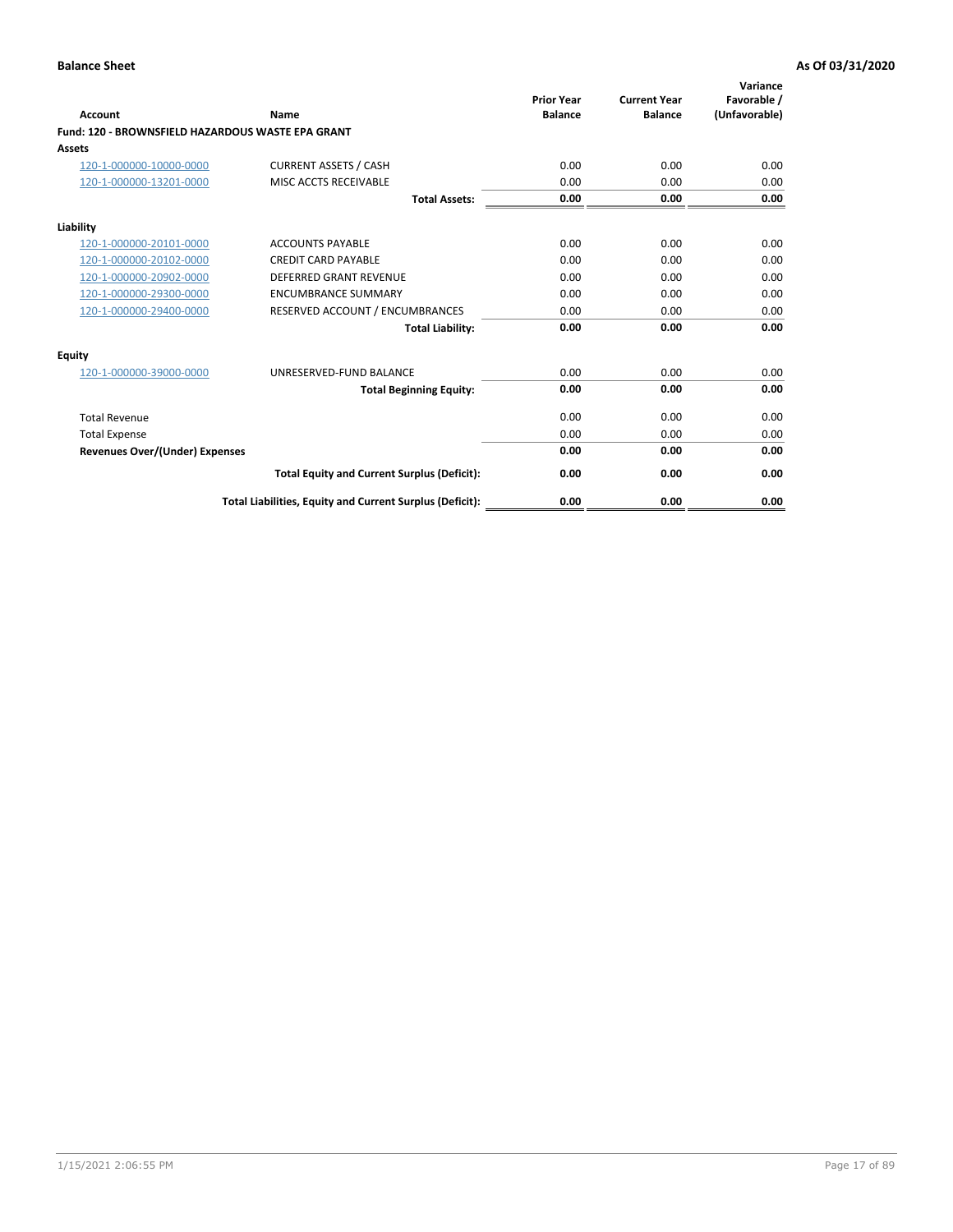| <b>Account</b>                                    | Name                                                     | <b>Prior Year</b><br><b>Balance</b> | <b>Current Year</b><br><b>Balance</b> | Variance<br>Favorable /<br>(Unfavorable) |
|---------------------------------------------------|----------------------------------------------------------|-------------------------------------|---------------------------------------|------------------------------------------|
| Fund: 120 - BROWNSFIELD HAZARDOUS WASTE EPA GRANT |                                                          |                                     |                                       |                                          |
| <b>Assets</b>                                     |                                                          |                                     |                                       |                                          |
| 120-1-000000-10000-0000                           | <b>CURRENT ASSETS / CASH</b>                             | 0.00                                | 0.00                                  | 0.00                                     |
| 120-1-000000-13201-0000                           | MISC ACCTS RECEIVABLE                                    | 0.00                                | 0.00                                  | 0.00                                     |
|                                                   | <b>Total Assets:</b>                                     | 0.00                                | 0.00                                  | 0.00                                     |
| Liability                                         |                                                          |                                     |                                       |                                          |
| 120-1-000000-20101-0000                           | <b>ACCOUNTS PAYABLE</b>                                  | 0.00                                | 0.00                                  | 0.00                                     |
| 120-1-000000-20102-0000                           | <b>CREDIT CARD PAYABLE</b>                               | 0.00                                | 0.00                                  | 0.00                                     |
| 120-1-000000-20902-0000                           | <b>DEFERRED GRANT REVENUE</b>                            | 0.00                                | 0.00                                  | 0.00                                     |
| 120-1-000000-29300-0000                           | <b>ENCUMBRANCE SUMMARY</b>                               | 0.00                                | 0.00                                  | 0.00                                     |
| 120-1-000000-29400-0000                           | RESERVED ACCOUNT / ENCUMBRANCES                          | 0.00                                | 0.00                                  | 0.00                                     |
|                                                   | <b>Total Liability:</b>                                  | 0.00                                | 0.00                                  | 0.00                                     |
| Equity                                            |                                                          |                                     |                                       |                                          |
| 120-1-000000-39000-0000                           | UNRESERVED-FUND BALANCE                                  | 0.00                                | 0.00                                  | 0.00                                     |
|                                                   | <b>Total Beginning Equity:</b>                           | 0.00                                | 0.00                                  | 0.00                                     |
| <b>Total Revenue</b>                              |                                                          | 0.00                                | 0.00                                  | 0.00                                     |
| <b>Total Expense</b>                              |                                                          | 0.00                                | 0.00                                  | 0.00                                     |
| <b>Revenues Over/(Under) Expenses</b>             |                                                          | 0.00                                | 0.00                                  | 0.00                                     |
|                                                   | <b>Total Equity and Current Surplus (Deficit):</b>       | 0.00                                | 0.00                                  | 0.00                                     |
|                                                   | Total Liabilities, Equity and Current Surplus (Deficit): | 0.00                                | 0.00                                  | 0.00                                     |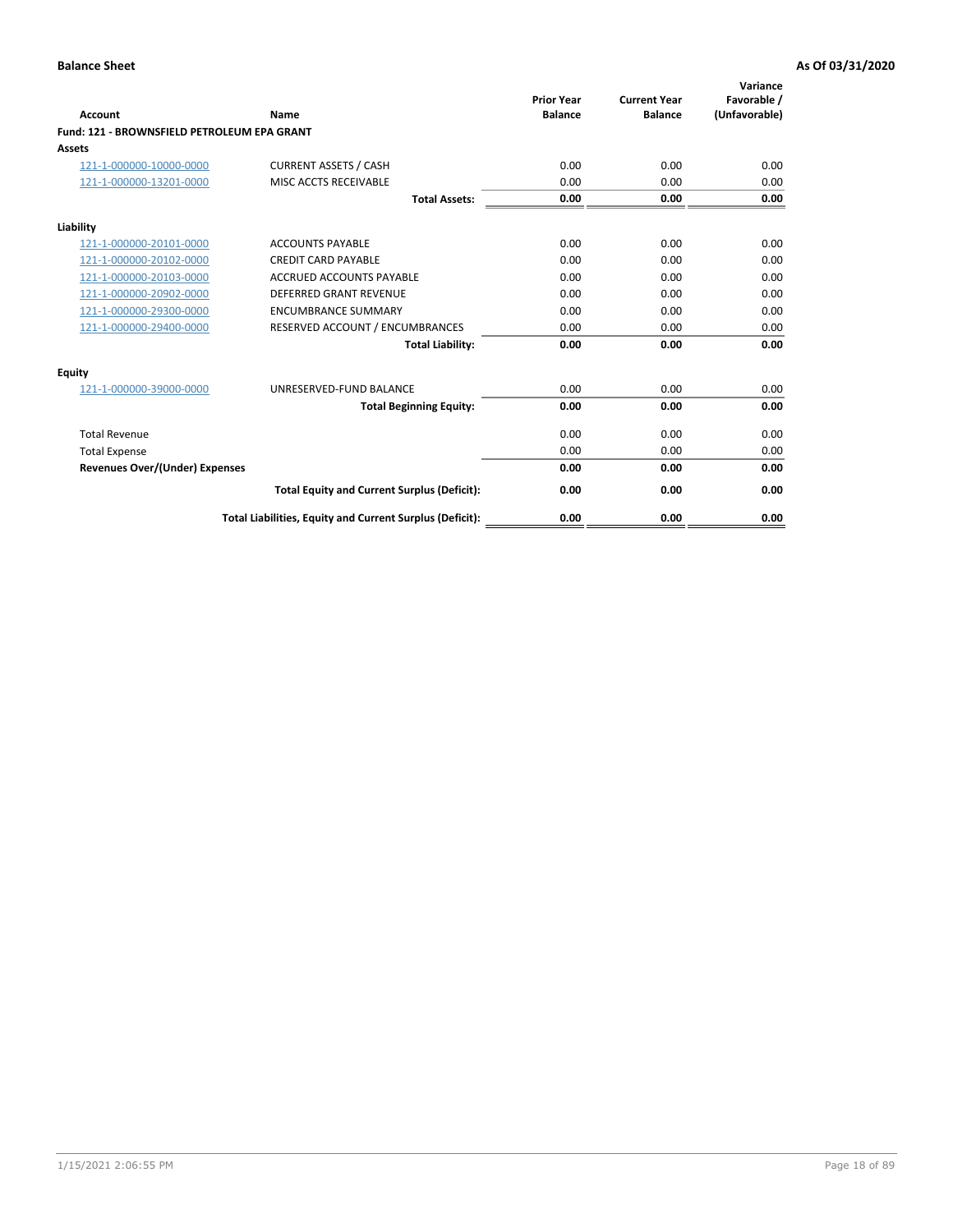| Account                                     | Name                                                     | <b>Prior Year</b><br><b>Balance</b> | <b>Current Year</b><br><b>Balance</b> | Variance<br>Favorable /<br>(Unfavorable) |
|---------------------------------------------|----------------------------------------------------------|-------------------------------------|---------------------------------------|------------------------------------------|
| Fund: 121 - BROWNSFIELD PETROLEUM EPA GRANT |                                                          |                                     |                                       |                                          |
| <b>Assets</b>                               |                                                          |                                     |                                       |                                          |
| 121-1-000000-10000-0000                     | <b>CURRENT ASSETS / CASH</b>                             | 0.00                                | 0.00                                  | 0.00                                     |
| 121-1-000000-13201-0000                     | MISC ACCTS RECEIVABLE                                    | 0.00                                | 0.00                                  | 0.00                                     |
|                                             | <b>Total Assets:</b>                                     | 0.00                                | 0.00                                  | 0.00                                     |
| Liability                                   |                                                          |                                     |                                       |                                          |
| 121-1-000000-20101-0000                     | <b>ACCOUNTS PAYABLE</b>                                  | 0.00                                | 0.00                                  | 0.00                                     |
| 121-1-000000-20102-0000                     | <b>CREDIT CARD PAYABLE</b>                               | 0.00                                | 0.00                                  | 0.00                                     |
| 121-1-000000-20103-0000                     | <b>ACCRUED ACCOUNTS PAYABLE</b>                          | 0.00                                | 0.00                                  | 0.00                                     |
| 121-1-000000-20902-0000                     | <b>DEFERRED GRANT REVENUE</b>                            | 0.00                                | 0.00                                  | 0.00                                     |
| 121-1-000000-29300-0000                     | <b>ENCUMBRANCE SUMMARY</b>                               | 0.00                                | 0.00                                  | 0.00                                     |
| 121-1-000000-29400-0000                     | RESERVED ACCOUNT / ENCUMBRANCES                          | 0.00                                | 0.00                                  | 0.00                                     |
|                                             | <b>Total Liability:</b>                                  | 0.00                                | 0.00                                  | 0.00                                     |
| <b>Equity</b>                               |                                                          |                                     |                                       |                                          |
| 121-1-000000-39000-0000                     | UNRESERVED-FUND BALANCE                                  | 0.00                                | 0.00                                  | 0.00                                     |
|                                             | <b>Total Beginning Equity:</b>                           | 0.00                                | 0.00                                  | 0.00                                     |
| <b>Total Revenue</b>                        |                                                          | 0.00                                | 0.00                                  | 0.00                                     |
| <b>Total Expense</b>                        |                                                          | 0.00                                | 0.00                                  | 0.00                                     |
| <b>Revenues Over/(Under) Expenses</b>       |                                                          | 0.00                                | 0.00                                  | 0.00                                     |
|                                             | <b>Total Equity and Current Surplus (Deficit):</b>       | 0.00                                | 0.00                                  | 0.00                                     |
|                                             | Total Liabilities, Equity and Current Surplus (Deficit): | 0.00                                | 0.00                                  | 0.00                                     |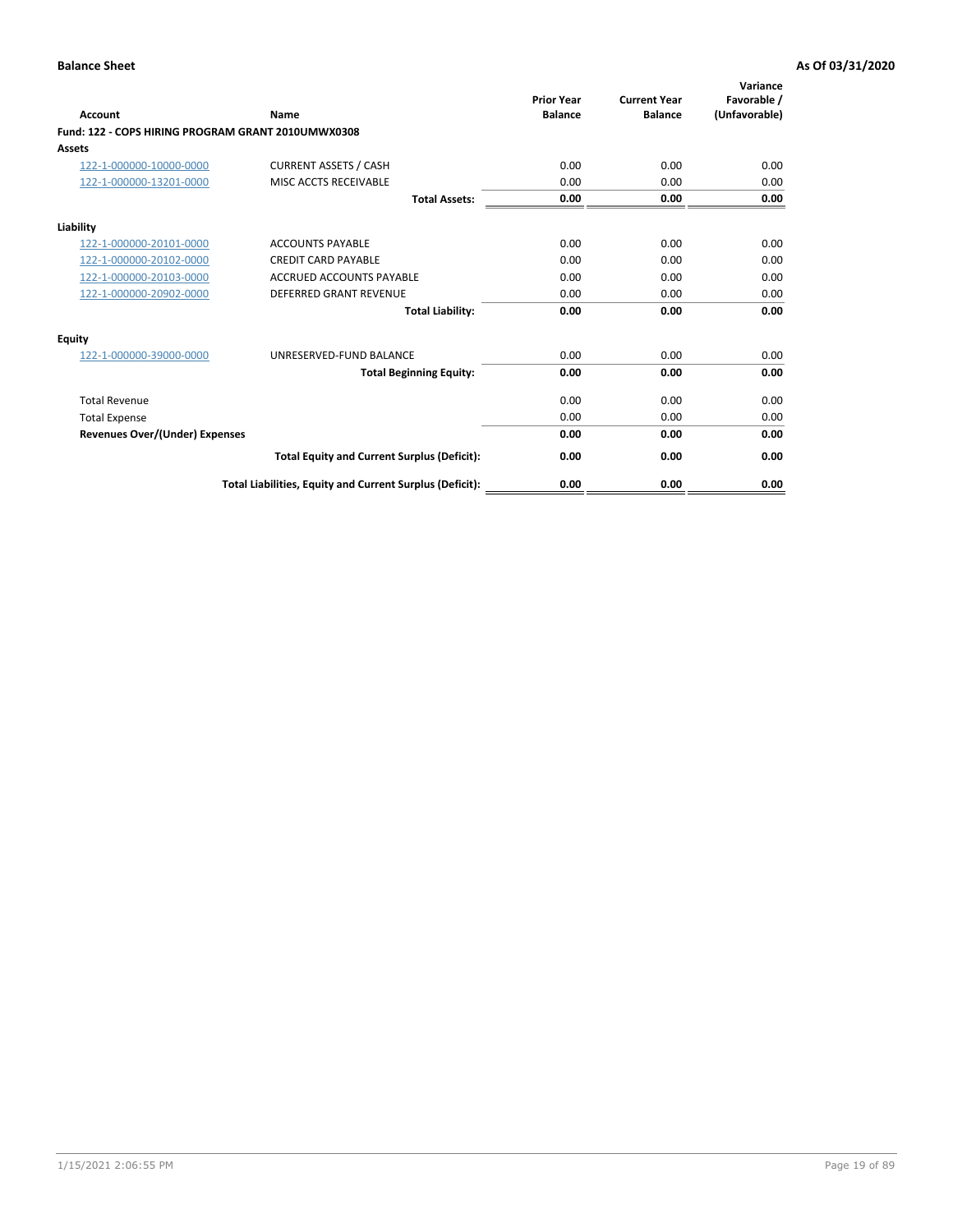| <b>Account</b>                                     | Name                                                     | <b>Prior Year</b><br><b>Balance</b> | <b>Current Year</b><br><b>Balance</b> | Variance<br>Favorable /<br>(Unfavorable) |
|----------------------------------------------------|----------------------------------------------------------|-------------------------------------|---------------------------------------|------------------------------------------|
| Fund: 122 - COPS HIRING PROGRAM GRANT 2010UMWX0308 |                                                          |                                     |                                       |                                          |
| Assets                                             |                                                          |                                     |                                       |                                          |
| 122-1-000000-10000-0000                            | <b>CURRENT ASSETS / CASH</b>                             | 0.00                                | 0.00                                  | 0.00                                     |
| 122-1-000000-13201-0000                            | MISC ACCTS RECEIVABLE                                    | 0.00                                | 0.00                                  | 0.00                                     |
|                                                    | <b>Total Assets:</b>                                     | 0.00                                | 0.00                                  | 0.00                                     |
| Liability                                          |                                                          |                                     |                                       |                                          |
| 122-1-000000-20101-0000                            | <b>ACCOUNTS PAYABLE</b>                                  | 0.00                                | 0.00                                  | 0.00                                     |
| 122-1-000000-20102-0000                            | <b>CREDIT CARD PAYABLE</b>                               | 0.00                                | 0.00                                  | 0.00                                     |
| 122-1-000000-20103-0000                            | <b>ACCRUED ACCOUNTS PAYABLE</b>                          | 0.00                                | 0.00                                  | 0.00                                     |
| 122-1-000000-20902-0000                            | <b>DEFERRED GRANT REVENUE</b>                            | 0.00                                | 0.00                                  | 0.00                                     |
|                                                    | <b>Total Liability:</b>                                  | 0.00                                | 0.00                                  | 0.00                                     |
| Equity                                             |                                                          |                                     |                                       |                                          |
| 122-1-000000-39000-0000                            | UNRESERVED-FUND BALANCE                                  | 0.00                                | 0.00                                  | 0.00                                     |
|                                                    | <b>Total Beginning Equity:</b>                           | 0.00                                | 0.00                                  | 0.00                                     |
| <b>Total Revenue</b>                               |                                                          | 0.00                                | 0.00                                  | 0.00                                     |
| <b>Total Expense</b>                               |                                                          | 0.00                                | 0.00                                  | 0.00                                     |
| <b>Revenues Over/(Under) Expenses</b>              |                                                          | 0.00                                | 0.00                                  | 0.00                                     |
|                                                    | <b>Total Equity and Current Surplus (Deficit):</b>       | 0.00                                | 0.00                                  | 0.00                                     |
|                                                    | Total Liabilities, Equity and Current Surplus (Deficit): | 0.00                                | 0.00                                  | 0.00                                     |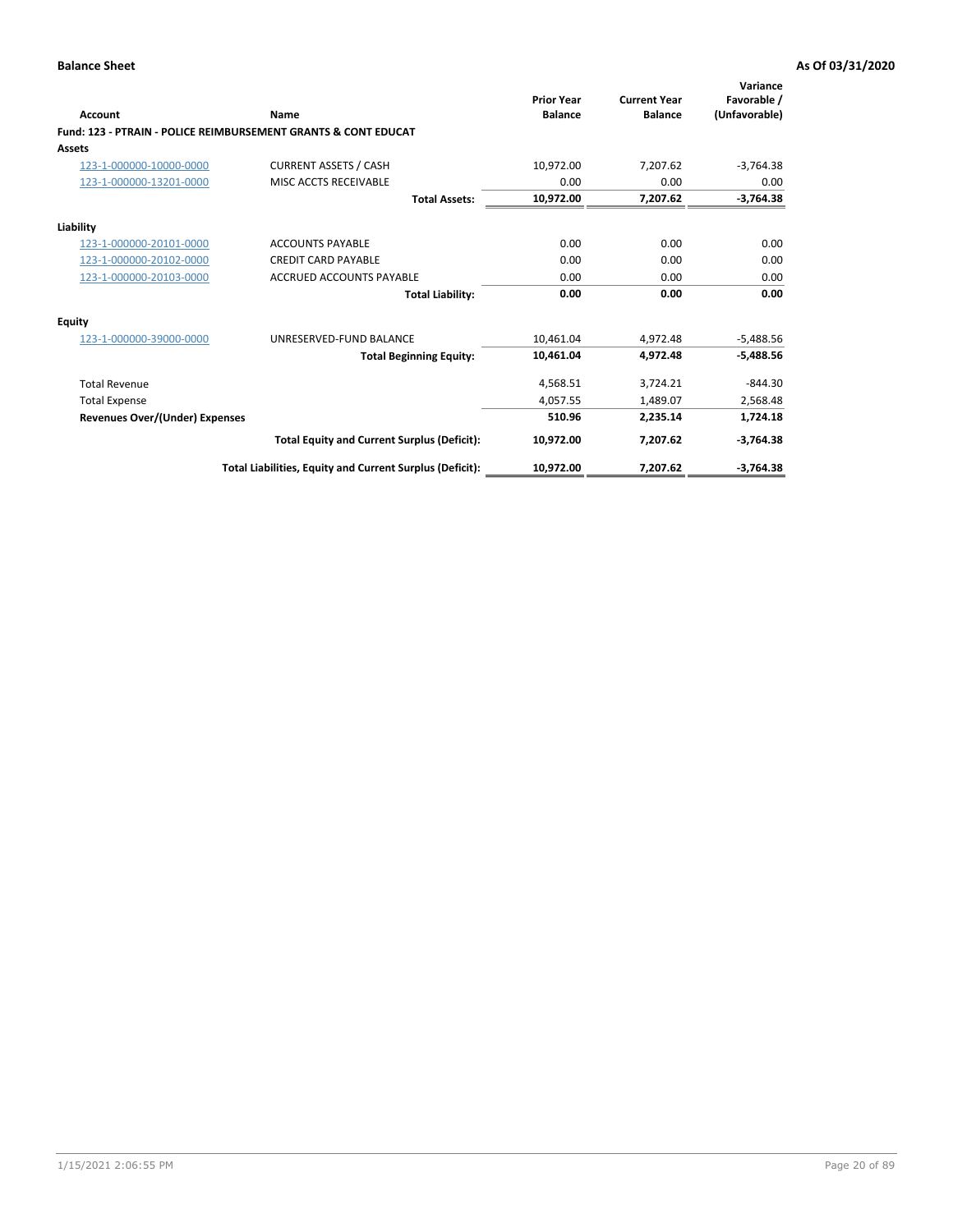| Account                               | Name                                                           | <b>Prior Year</b><br><b>Balance</b> | <b>Current Year</b><br><b>Balance</b> | Variance<br>Favorable /<br>(Unfavorable) |
|---------------------------------------|----------------------------------------------------------------|-------------------------------------|---------------------------------------|------------------------------------------|
|                                       | Fund: 123 - PTRAIN - POLICE REIMBURSEMENT GRANTS & CONT EDUCAT |                                     |                                       |                                          |
| Assets                                |                                                                |                                     |                                       |                                          |
| 123-1-000000-10000-0000               | <b>CURRENT ASSETS / CASH</b>                                   | 10,972.00                           | 7,207.62                              | $-3,764.38$                              |
| 123-1-000000-13201-0000               | MISC ACCTS RECEIVABLE                                          | 0.00                                | 0.00                                  | 0.00                                     |
|                                       | <b>Total Assets:</b>                                           | 10,972.00                           | 7,207.62                              | $-3,764.38$                              |
| Liability                             |                                                                |                                     |                                       |                                          |
| 123-1-000000-20101-0000               | <b>ACCOUNTS PAYABLE</b>                                        | 0.00                                | 0.00                                  | 0.00                                     |
| 123-1-000000-20102-0000               | <b>CREDIT CARD PAYABLE</b>                                     | 0.00                                | 0.00                                  | 0.00                                     |
| 123-1-000000-20103-0000               | <b>ACCRUED ACCOUNTS PAYABLE</b>                                | 0.00                                | 0.00                                  | 0.00                                     |
|                                       | <b>Total Liability:</b>                                        | 0.00                                | 0.00                                  | 0.00                                     |
| Equity                                |                                                                |                                     |                                       |                                          |
| 123-1-000000-39000-0000               | UNRESERVED-FUND BALANCE                                        | 10.461.04                           | 4,972.48                              | $-5,488.56$                              |
|                                       | <b>Total Beginning Equity:</b>                                 | 10,461.04                           | 4,972.48                              | $-5,488.56$                              |
| <b>Total Revenue</b>                  |                                                                | 4,568.51                            | 3,724.21                              | $-844.30$                                |
| <b>Total Expense</b>                  |                                                                | 4.057.55                            | 1,489.07                              | 2,568.48                                 |
| <b>Revenues Over/(Under) Expenses</b> |                                                                | 510.96                              | 2,235.14                              | 1,724.18                                 |
|                                       | <b>Total Equity and Current Surplus (Deficit):</b>             | 10,972.00                           | 7,207.62                              | $-3,764.38$                              |
|                                       | Total Liabilities, Equity and Current Surplus (Deficit):       | 10,972.00                           | 7,207.62                              | $-3,764.38$                              |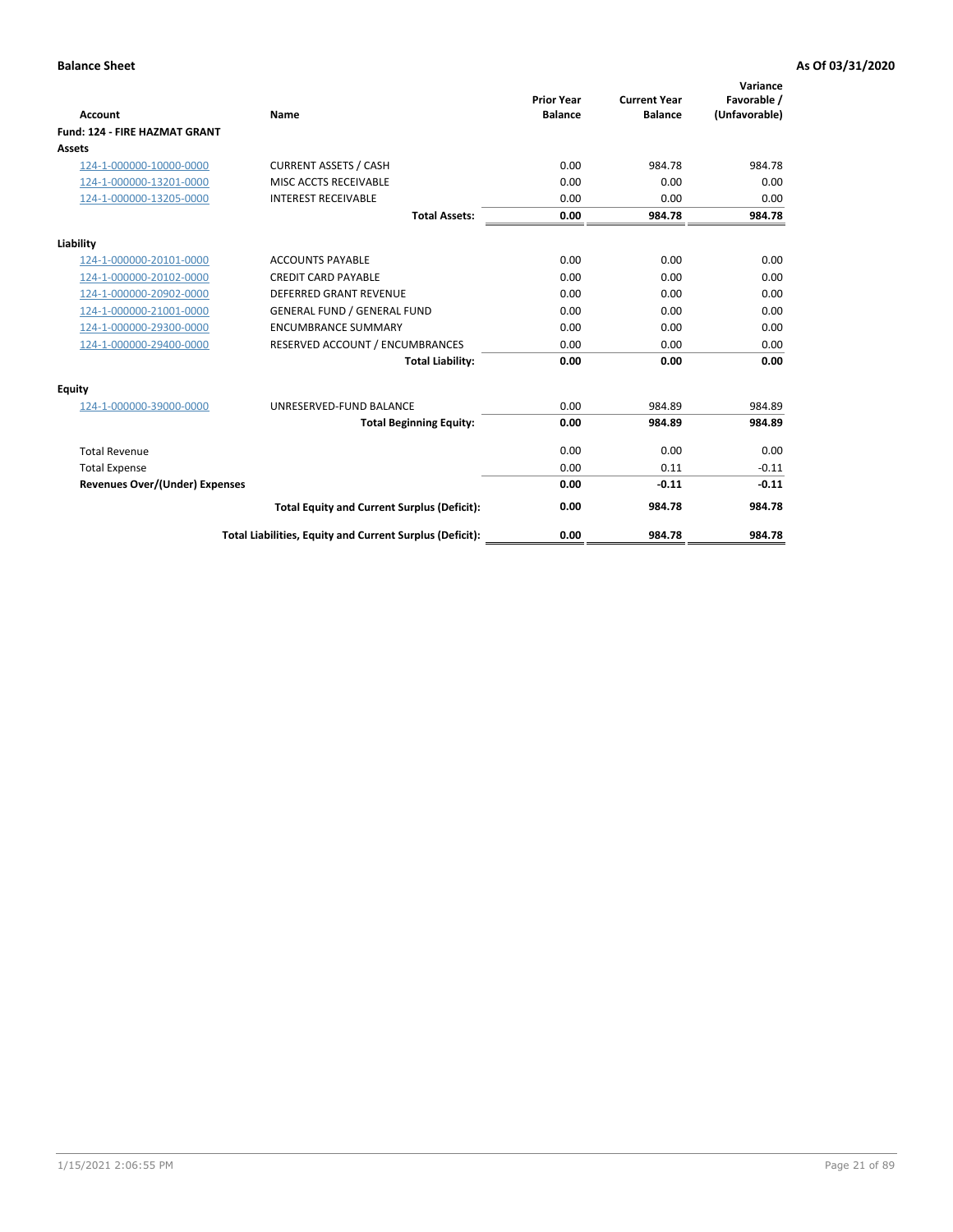|                                       |                                                          | <b>Prior Year</b> | <b>Current Year</b> | Variance<br>Favorable / |
|---------------------------------------|----------------------------------------------------------|-------------------|---------------------|-------------------------|
| <b>Account</b>                        | Name                                                     | <b>Balance</b>    | <b>Balance</b>      | (Unfavorable)           |
| <b>Fund: 124 - FIRE HAZMAT GRANT</b>  |                                                          |                   |                     |                         |
| <b>Assets</b>                         |                                                          |                   |                     |                         |
| 124-1-000000-10000-0000               | <b>CURRENT ASSETS / CASH</b>                             | 0.00              | 984.78              | 984.78                  |
| 124-1-000000-13201-0000               | MISC ACCTS RECEIVABLE                                    | 0.00              | 0.00                | 0.00                    |
| 124-1-000000-13205-0000               | <b>INTEREST RECEIVABLE</b>                               | 0.00              | 0.00                | 0.00                    |
|                                       | <b>Total Assets:</b>                                     | 0.00              | 984.78              | 984.78                  |
| Liability                             |                                                          |                   |                     |                         |
| 124-1-000000-20101-0000               | <b>ACCOUNTS PAYABLE</b>                                  | 0.00              | 0.00                | 0.00                    |
| 124-1-000000-20102-0000               | <b>CREDIT CARD PAYABLE</b>                               | 0.00              | 0.00                | 0.00                    |
| 124-1-000000-20902-0000               | <b>DEFERRED GRANT REVENUE</b>                            | 0.00              | 0.00                | 0.00                    |
| 124-1-000000-21001-0000               | <b>GENERAL FUND / GENERAL FUND</b>                       | 0.00              | 0.00                | 0.00                    |
| 124-1-000000-29300-0000               | <b>ENCUMBRANCE SUMMARY</b>                               | 0.00              | 0.00                | 0.00                    |
| 124-1-000000-29400-0000               | RESERVED ACCOUNT / ENCUMBRANCES                          | 0.00              | 0.00                | 0.00                    |
|                                       | <b>Total Liability:</b>                                  | 0.00              | 0.00                | 0.00                    |
| <b>Equity</b>                         |                                                          |                   |                     |                         |
| 124-1-000000-39000-0000               | UNRESERVED-FUND BALANCE                                  | 0.00              | 984.89              | 984.89                  |
|                                       | <b>Total Beginning Equity:</b>                           | 0.00              | 984.89              | 984.89                  |
| <b>Total Revenue</b>                  |                                                          | 0.00              | 0.00                | 0.00                    |
| <b>Total Expense</b>                  |                                                          | 0.00              | 0.11                | $-0.11$                 |
| <b>Revenues Over/(Under) Expenses</b> |                                                          | 0.00              | $-0.11$             | $-0.11$                 |
|                                       | <b>Total Equity and Current Surplus (Deficit):</b>       | 0.00              | 984.78              | 984.78                  |
|                                       | Total Liabilities, Equity and Current Surplus (Deficit): | 0.00              | 984.78              | 984.78                  |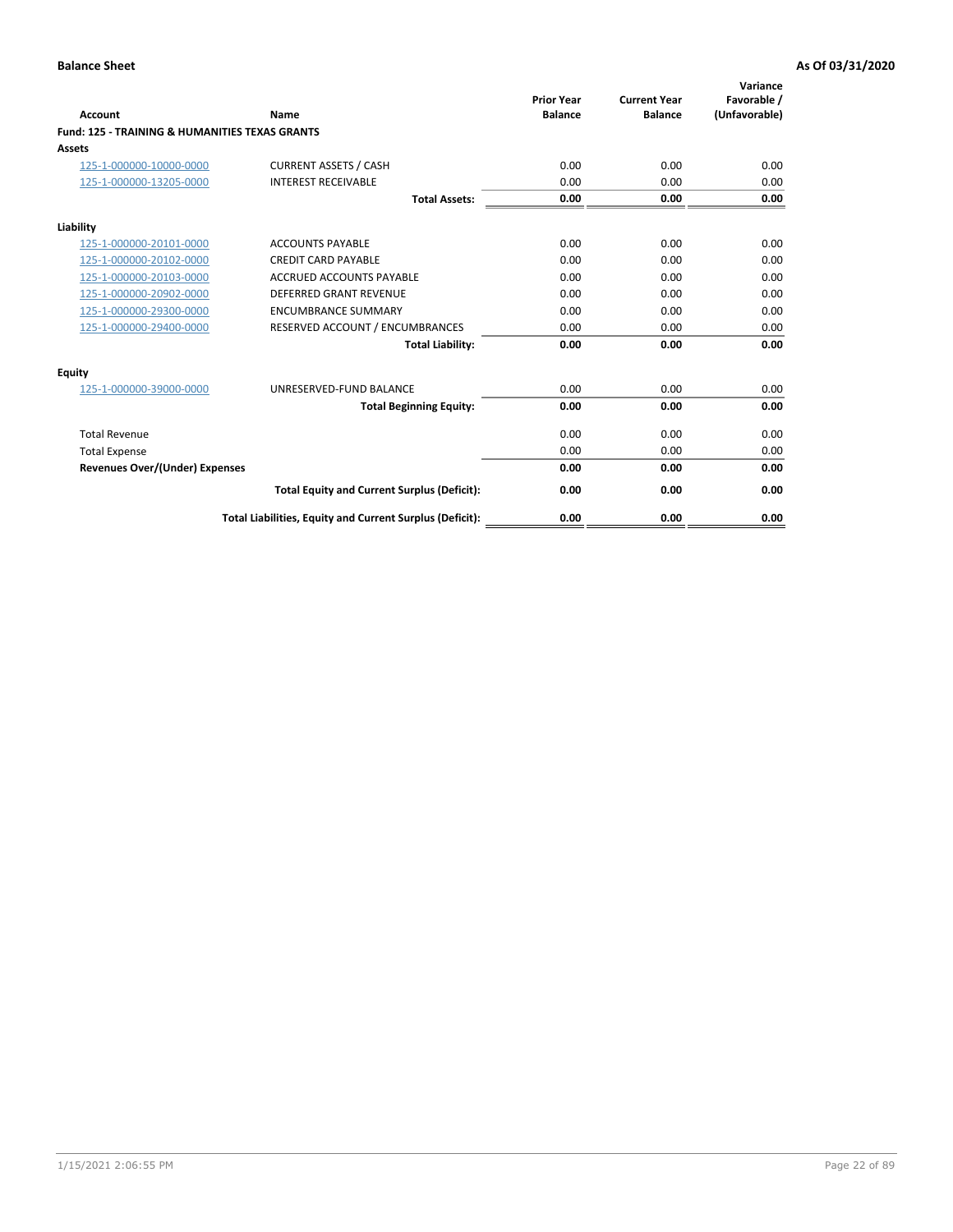| Account                                                   | Name                                                     | <b>Prior Year</b><br><b>Balance</b> | <b>Current Year</b><br><b>Balance</b> | Variance<br>Favorable /<br>(Unfavorable) |
|-----------------------------------------------------------|----------------------------------------------------------|-------------------------------------|---------------------------------------|------------------------------------------|
| <b>Fund: 125 - TRAINING &amp; HUMANITIES TEXAS GRANTS</b> |                                                          |                                     |                                       |                                          |
| <b>Assets</b>                                             |                                                          |                                     |                                       |                                          |
| 125-1-000000-10000-0000                                   | <b>CURRENT ASSETS / CASH</b>                             | 0.00                                | 0.00                                  | 0.00                                     |
| 125-1-000000-13205-0000                                   | <b>INTEREST RECEIVABLE</b>                               | 0.00                                | 0.00                                  | 0.00                                     |
|                                                           | <b>Total Assets:</b>                                     | 0.00                                | 0.00                                  | 0.00                                     |
| Liability                                                 |                                                          |                                     |                                       |                                          |
| 125-1-000000-20101-0000                                   | <b>ACCOUNTS PAYABLE</b>                                  | 0.00                                | 0.00                                  | 0.00                                     |
| 125-1-000000-20102-0000                                   | <b>CREDIT CARD PAYABLE</b>                               | 0.00                                | 0.00                                  | 0.00                                     |
| 125-1-000000-20103-0000                                   | <b>ACCRUED ACCOUNTS PAYABLE</b>                          | 0.00                                | 0.00                                  | 0.00                                     |
| 125-1-000000-20902-0000                                   | <b>DEFERRED GRANT REVENUE</b>                            | 0.00                                | 0.00                                  | 0.00                                     |
| 125-1-000000-29300-0000                                   | <b>ENCUMBRANCE SUMMARY</b>                               | 0.00                                | 0.00                                  | 0.00                                     |
| 125-1-000000-29400-0000                                   | RESERVED ACCOUNT / ENCUMBRANCES                          | 0.00                                | 0.00                                  | 0.00                                     |
|                                                           | <b>Total Liability:</b>                                  | 0.00                                | 0.00                                  | 0.00                                     |
| <b>Equity</b>                                             |                                                          |                                     |                                       |                                          |
| 125-1-000000-39000-0000                                   | UNRESERVED-FUND BALANCE                                  | 0.00                                | 0.00                                  | 0.00                                     |
|                                                           | <b>Total Beginning Equity:</b>                           | 0.00                                | 0.00                                  | 0.00                                     |
| <b>Total Revenue</b>                                      |                                                          | 0.00                                | 0.00                                  | 0.00                                     |
| <b>Total Expense</b>                                      |                                                          | 0.00                                | 0.00                                  | 0.00                                     |
| <b>Revenues Over/(Under) Expenses</b>                     |                                                          | 0.00                                | 0.00                                  | 0.00                                     |
|                                                           | <b>Total Equity and Current Surplus (Deficit):</b>       | 0.00                                | 0.00                                  | 0.00                                     |
|                                                           | Total Liabilities, Equity and Current Surplus (Deficit): | 0.00                                | 0.00                                  | 0.00                                     |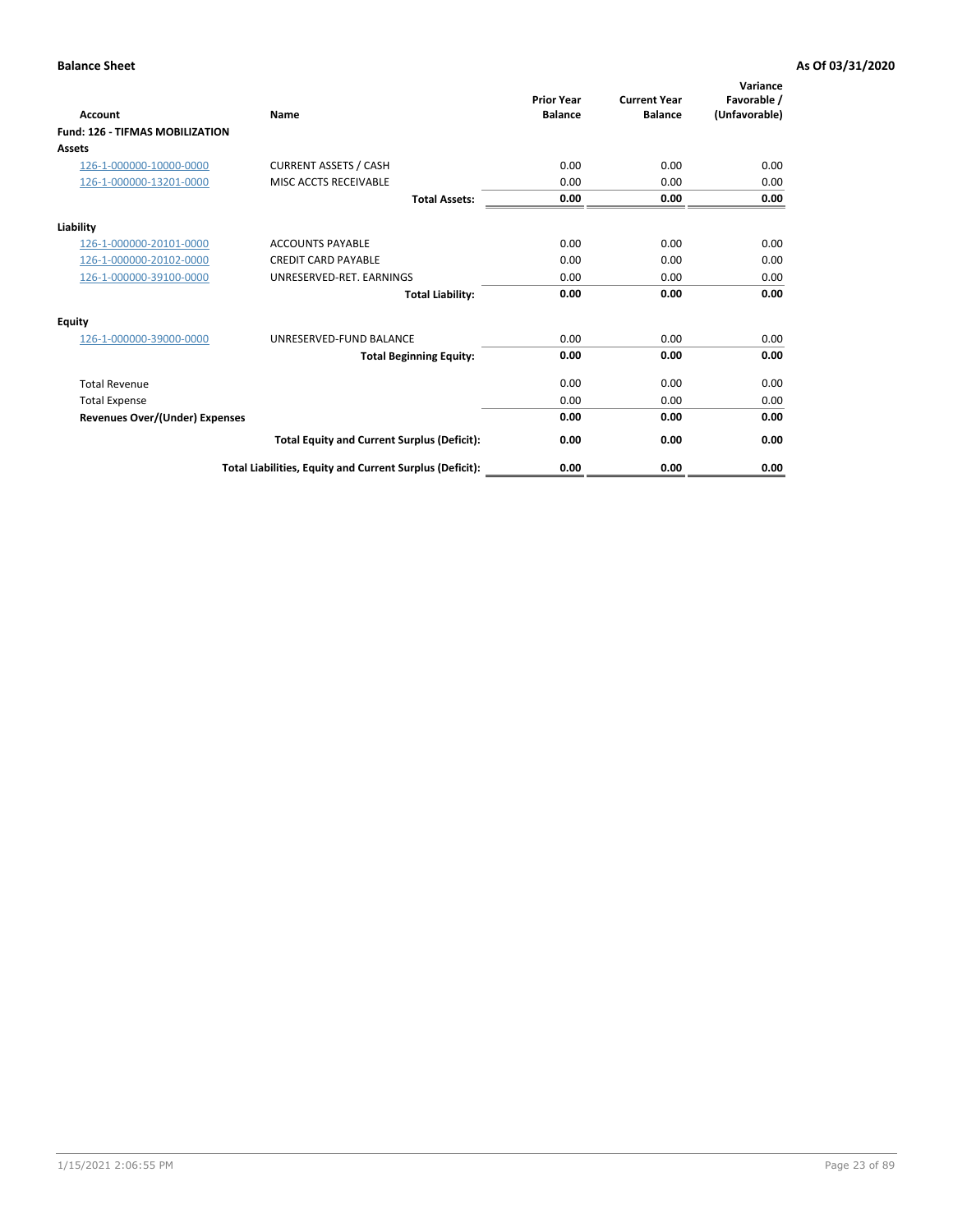| <b>Account</b>                         | Name                                                     | <b>Prior Year</b><br><b>Balance</b> | <b>Current Year</b><br><b>Balance</b> | Variance<br>Favorable /<br>(Unfavorable) |
|----------------------------------------|----------------------------------------------------------|-------------------------------------|---------------------------------------|------------------------------------------|
| <b>Fund: 126 - TIFMAS MOBILIZATION</b> |                                                          |                                     |                                       |                                          |
| Assets                                 |                                                          |                                     |                                       |                                          |
| 126-1-000000-10000-0000                | <b>CURRENT ASSETS / CASH</b>                             | 0.00                                | 0.00                                  | 0.00                                     |
| 126-1-000000-13201-0000                | MISC ACCTS RECEIVABLE                                    | 0.00                                | 0.00                                  | 0.00                                     |
|                                        | <b>Total Assets:</b>                                     | 0.00                                | 0.00                                  | 0.00                                     |
| Liability                              |                                                          |                                     |                                       |                                          |
| 126-1-000000-20101-0000                | <b>ACCOUNTS PAYABLE</b>                                  | 0.00                                | 0.00                                  | 0.00                                     |
| 126-1-000000-20102-0000                | <b>CREDIT CARD PAYABLE</b>                               | 0.00                                | 0.00                                  | 0.00                                     |
| 126-1-000000-39100-0000                | UNRESERVED-RET. EARNINGS                                 | 0.00                                | 0.00                                  | 0.00                                     |
|                                        | <b>Total Liability:</b>                                  | 0.00                                | 0.00                                  | 0.00                                     |
| Equity                                 |                                                          |                                     |                                       |                                          |
| 126-1-000000-39000-0000                | UNRESERVED-FUND BALANCE                                  | 0.00                                | 0.00                                  | 0.00                                     |
|                                        | <b>Total Beginning Equity:</b>                           | 0.00                                | 0.00                                  | 0.00                                     |
| <b>Total Revenue</b>                   |                                                          | 0.00                                | 0.00                                  | 0.00                                     |
| <b>Total Expense</b>                   |                                                          | 0.00                                | 0.00                                  | 0.00                                     |
| Revenues Over/(Under) Expenses         |                                                          | 0.00                                | 0.00                                  | 0.00                                     |
|                                        | <b>Total Equity and Current Surplus (Deficit):</b>       | 0.00                                | 0.00                                  | 0.00                                     |
|                                        | Total Liabilities, Equity and Current Surplus (Deficit): | 0.00                                | 0.00                                  | 0.00                                     |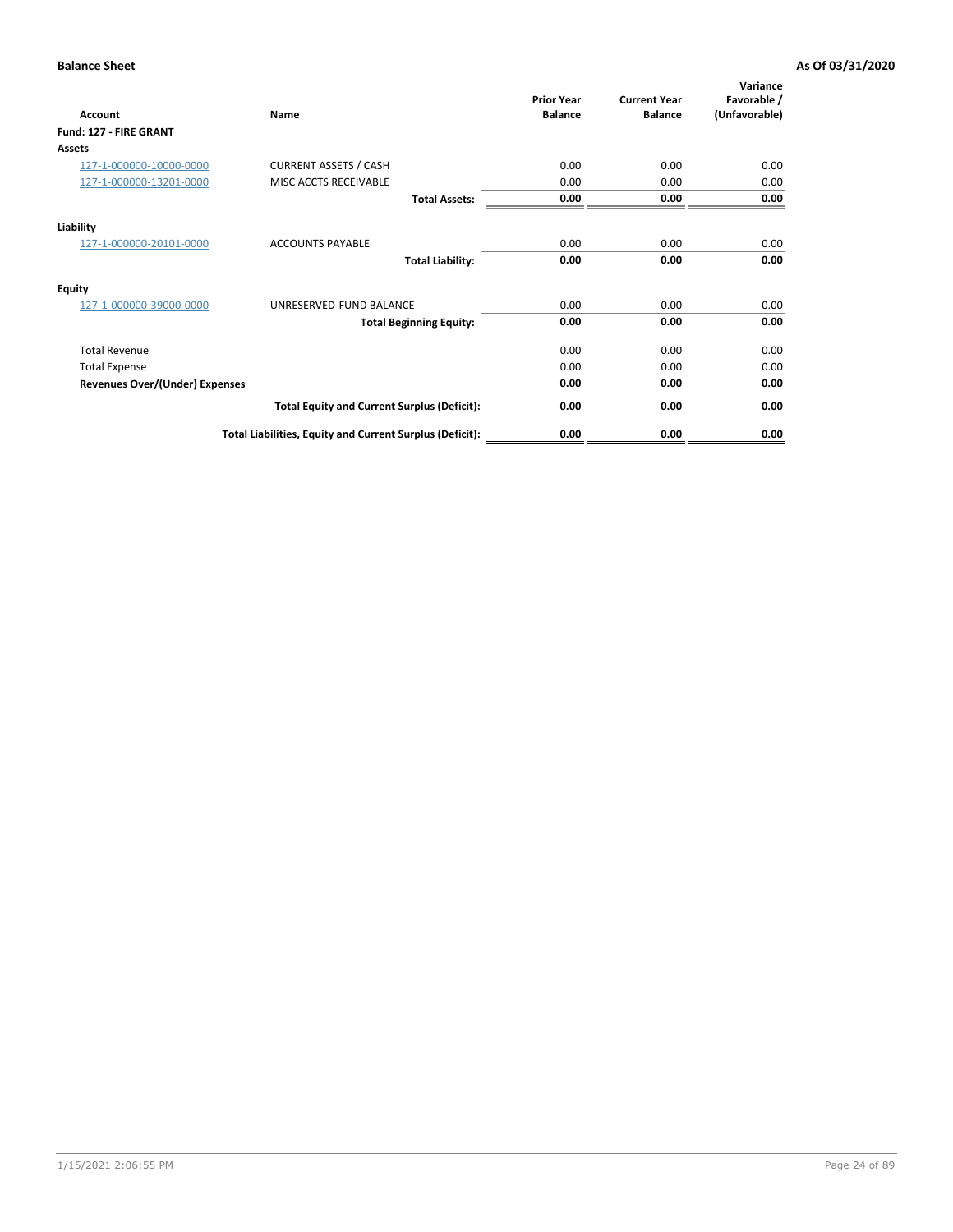| <b>Account</b>                        | Name                                                     | <b>Prior Year</b><br><b>Balance</b> | <b>Current Year</b><br><b>Balance</b> | Variance<br>Favorable /<br>(Unfavorable) |
|---------------------------------------|----------------------------------------------------------|-------------------------------------|---------------------------------------|------------------------------------------|
| Fund: 127 - FIRE GRANT                |                                                          |                                     |                                       |                                          |
| Assets                                |                                                          |                                     |                                       |                                          |
| 127-1-000000-10000-0000               | <b>CURRENT ASSETS / CASH</b>                             | 0.00                                | 0.00                                  | 0.00                                     |
| 127-1-000000-13201-0000               | MISC ACCTS RECEIVABLE                                    | 0.00                                | 0.00                                  | 0.00                                     |
|                                       | <b>Total Assets:</b>                                     | 0.00                                | 0.00                                  | 0.00                                     |
| Liability                             |                                                          |                                     |                                       |                                          |
| 127-1-000000-20101-0000               | <b>ACCOUNTS PAYABLE</b>                                  | 0.00                                | 0.00                                  | 0.00                                     |
|                                       | <b>Total Liability:</b>                                  | 0.00                                | 0.00                                  | 0.00                                     |
| Equity                                |                                                          |                                     |                                       |                                          |
| 127-1-000000-39000-0000               | UNRESERVED-FUND BALANCE                                  | 0.00                                | 0.00                                  | 0.00                                     |
|                                       | <b>Total Beginning Equity:</b>                           | 0.00                                | 0.00                                  | 0.00                                     |
| <b>Total Revenue</b>                  |                                                          | 0.00                                | 0.00                                  | 0.00                                     |
| <b>Total Expense</b>                  |                                                          | 0.00                                | 0.00                                  | 0.00                                     |
| <b>Revenues Over/(Under) Expenses</b> |                                                          | 0.00                                | 0.00                                  | 0.00                                     |
|                                       | <b>Total Equity and Current Surplus (Deficit):</b>       | 0.00                                | 0.00                                  | 0.00                                     |
|                                       | Total Liabilities, Equity and Current Surplus (Deficit): | 0.00                                | 0.00                                  | 0.00                                     |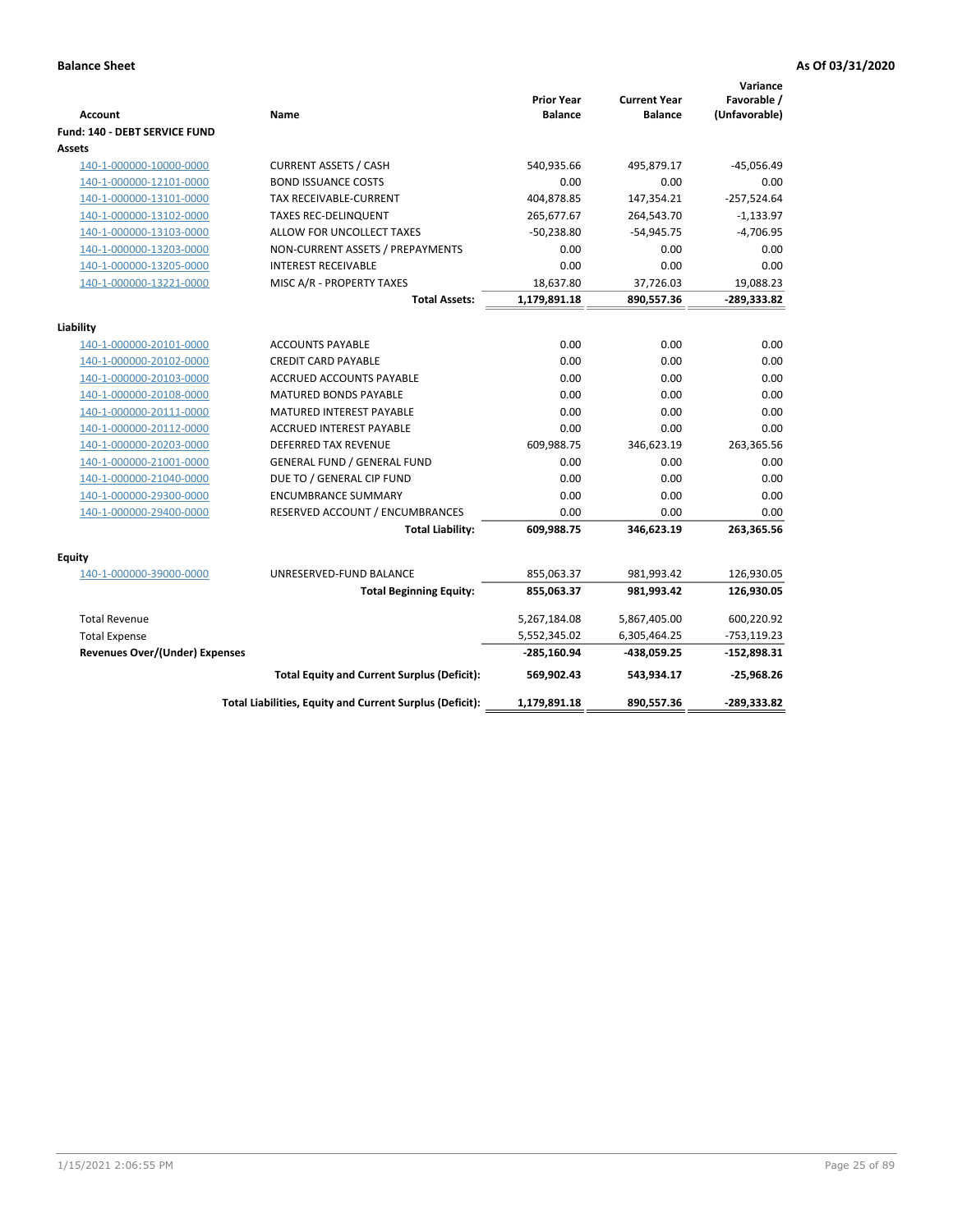| <b>Account</b>                        | Name                                                           | <b>Prior Year</b><br><b>Balance</b> | <b>Current Year</b><br><b>Balance</b> | Variance<br>Favorable /<br>(Unfavorable) |
|---------------------------------------|----------------------------------------------------------------|-------------------------------------|---------------------------------------|------------------------------------------|
| Fund: 140 - DEBT SERVICE FUND         |                                                                |                                     |                                       |                                          |
| Assets                                | <b>CURRENT ASSETS / CASH</b>                                   | 540,935.66                          | 495,879.17                            | $-45,056.49$                             |
| 140-1-000000-10000-0000               | <b>BOND ISSUANCE COSTS</b>                                     | 0.00                                | 0.00                                  | 0.00                                     |
| 140-1-000000-12101-0000               | <b>TAX RECEIVABLE-CURRENT</b>                                  | 404,878.85                          | 147,354.21                            | $-257,524.64$                            |
| 140-1-000000-13101-0000               |                                                                |                                     |                                       |                                          |
| 140-1-000000-13102-0000               | <b>TAXES REC-DELINQUENT</b>                                    | 265,677.67                          | 264,543.70                            | $-1,133.97$<br>$-4,706.95$               |
| 140-1-000000-13103-0000               | ALLOW FOR UNCOLLECT TAXES                                      | $-50,238.80$                        | $-54,945.75$                          |                                          |
| 140-1-000000-13203-0000               | NON-CURRENT ASSETS / PREPAYMENTS<br><b>INTEREST RECEIVABLE</b> | 0.00<br>0.00                        | 0.00<br>0.00                          | 0.00<br>0.00                             |
| 140-1-000000-13205-0000               |                                                                |                                     |                                       |                                          |
| 140-1-000000-13221-0000               | MISC A/R - PROPERTY TAXES                                      | 18,637.80                           | 37,726.03                             | 19,088.23                                |
|                                       | <b>Total Assets:</b>                                           | 1,179,891.18                        | 890,557.36                            | -289,333.82                              |
| Liability                             |                                                                |                                     |                                       |                                          |
| 140-1-000000-20101-0000               | <b>ACCOUNTS PAYABLE</b>                                        | 0.00                                | 0.00                                  | 0.00                                     |
| 140-1-000000-20102-0000               | <b>CREDIT CARD PAYABLE</b>                                     | 0.00                                | 0.00                                  | 0.00                                     |
| 140-1-000000-20103-0000               | ACCRUED ACCOUNTS PAYABLE                                       | 0.00                                | 0.00                                  | 0.00                                     |
| 140-1-000000-20108-0000               | <b>MATURED BONDS PAYABLE</b>                                   | 0.00                                | 0.00                                  | 0.00                                     |
| 140-1-000000-20111-0000               | MATURED INTEREST PAYABLE                                       | 0.00                                | 0.00                                  | 0.00                                     |
| 140-1-000000-20112-0000               | ACCRUED INTEREST PAYABLE                                       | 0.00                                | 0.00                                  | 0.00                                     |
| 140-1-000000-20203-0000               | <b>DEFERRED TAX REVENUE</b>                                    | 609,988.75                          | 346,623.19                            | 263,365.56                               |
| 140-1-000000-21001-0000               | <b>GENERAL FUND / GENERAL FUND</b>                             | 0.00                                | 0.00                                  | 0.00                                     |
| 140-1-000000-21040-0000               | DUE TO / GENERAL CIP FUND                                      | 0.00                                | 0.00                                  | 0.00                                     |
| 140-1-000000-29300-0000               | <b>ENCUMBRANCE SUMMARY</b>                                     | 0.00                                | 0.00                                  | 0.00                                     |
| 140-1-000000-29400-0000               | RESERVED ACCOUNT / ENCUMBRANCES                                | 0.00                                | 0.00                                  | 0.00                                     |
|                                       | <b>Total Liability:</b>                                        | 609,988.75                          | 346,623.19                            | 263,365.56                               |
|                                       |                                                                |                                     |                                       |                                          |
| Equity<br>140-1-000000-39000-0000     | UNRESERVED-FUND BALANCE                                        | 855,063.37                          | 981,993.42                            | 126,930.05                               |
|                                       | <b>Total Beginning Equity:</b>                                 | 855,063.37                          | 981,993.42                            | 126,930.05                               |
|                                       |                                                                |                                     |                                       |                                          |
| <b>Total Revenue</b>                  |                                                                | 5,267,184.08                        | 5,867,405.00                          | 600,220.92                               |
| <b>Total Expense</b>                  |                                                                | 5,552,345.02                        | 6,305,464.25                          | $-753,119.23$                            |
| <b>Revenues Over/(Under) Expenses</b> |                                                                | $-285,160.94$                       | -438,059.25                           | $-152,898.31$                            |
|                                       | <b>Total Equity and Current Surplus (Deficit):</b>             | 569,902.43                          | 543,934.17                            | $-25,968.26$                             |
|                                       | Total Liabilities, Equity and Current Surplus (Deficit):       | 1,179,891.18                        | 890,557.36                            | $-289,333.82$                            |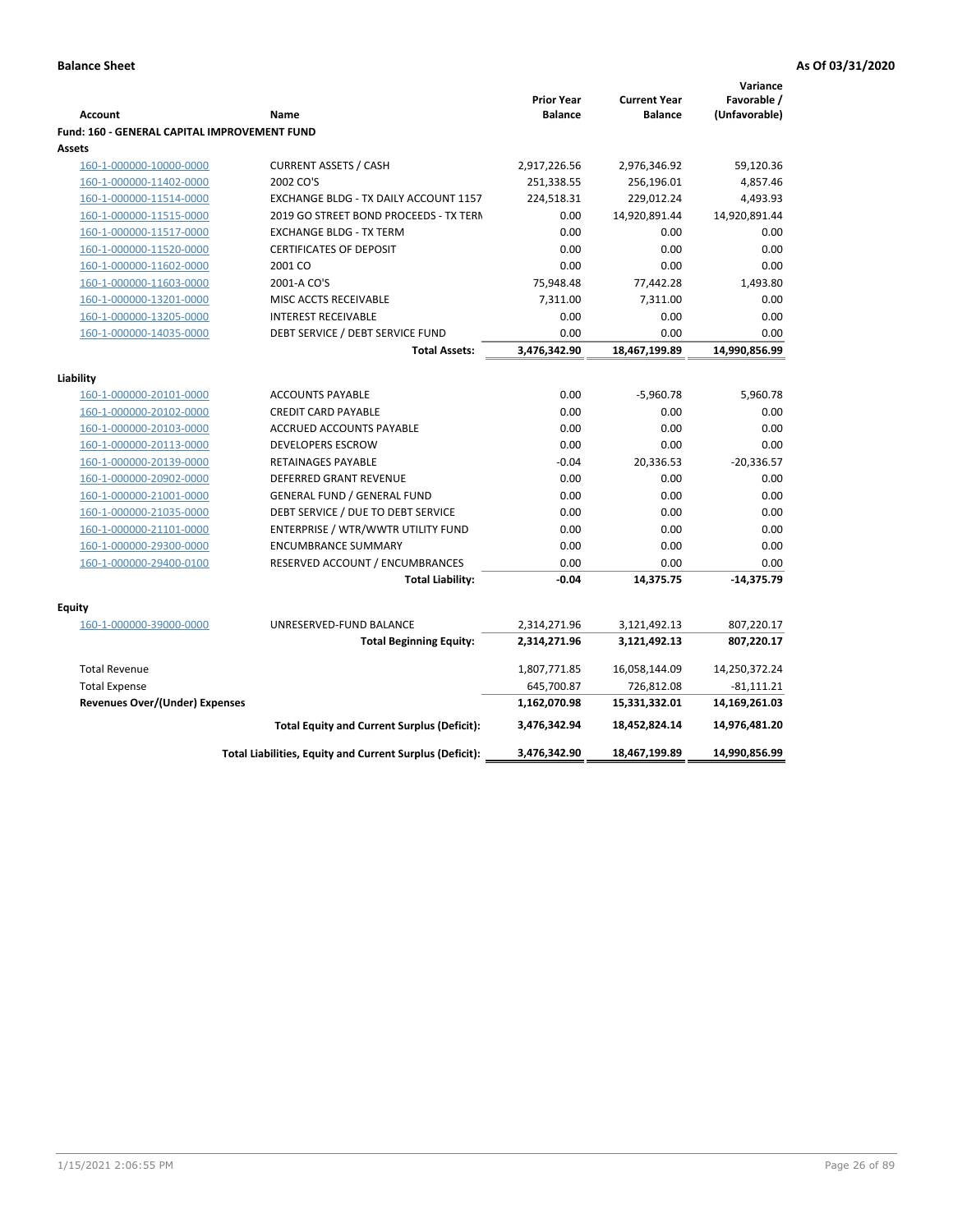|                                                    |                                                          |                                     |                                       | Variance                     |
|----------------------------------------------------|----------------------------------------------------------|-------------------------------------|---------------------------------------|------------------------------|
| <b>Account</b>                                     | Name                                                     | <b>Prior Year</b><br><b>Balance</b> | <b>Current Year</b><br><b>Balance</b> | Favorable /<br>(Unfavorable) |
| Fund: 160 - GENERAL CAPITAL IMPROVEMENT FUND       |                                                          |                                     |                                       |                              |
| Assets                                             |                                                          |                                     |                                       |                              |
| 160-1-000000-10000-0000                            | <b>CURRENT ASSETS / CASH</b>                             | 2,917,226.56                        | 2,976,346.92                          | 59,120.36                    |
| 160-1-000000-11402-0000                            | 2002 CO'S                                                | 251,338.55                          | 256,196.01                            | 4,857.46                     |
| 160-1-000000-11514-0000                            | EXCHANGE BLDG - TX DAILY ACCOUNT 1157                    | 224,518.31                          | 229,012.24                            | 4,493.93                     |
| 160-1-000000-11515-0000                            | 2019 GO STREET BOND PROCEEDS - TX TERN                   | 0.00                                | 14,920,891.44                         | 14,920,891.44                |
| 160-1-000000-11517-0000                            | <b>EXCHANGE BLDG - TX TERM</b>                           | 0.00                                | 0.00                                  | 0.00                         |
| 160-1-000000-11520-0000                            | <b>CERTIFICATES OF DEPOSIT</b>                           | 0.00                                | 0.00                                  | 0.00                         |
| 160-1-000000-11602-0000                            | 2001 CO                                                  | 0.00                                | 0.00                                  | 0.00                         |
| 160-1-000000-11603-0000                            | 2001-A CO'S                                              | 75,948.48                           | 77,442.28                             | 1,493.80                     |
| 160-1-000000-13201-0000                            | MISC ACCTS RECEIVABLE                                    | 7,311.00                            | 7,311.00                              | 0.00                         |
| 160-1-000000-13205-0000                            | <b>INTEREST RECEIVABLE</b>                               | 0.00                                | 0.00                                  | 0.00                         |
| 160-1-000000-14035-0000                            | DEBT SERVICE / DEBT SERVICE FUND                         | 0.00                                | 0.00                                  | 0.00                         |
|                                                    | <b>Total Assets:</b>                                     | 3,476,342.90                        | 18,467,199.89                         | 14,990,856.99                |
|                                                    |                                                          |                                     |                                       |                              |
| Liability                                          |                                                          | 0.00                                |                                       | 5,960.78                     |
| 160-1-000000-20101-0000                            | <b>ACCOUNTS PAYABLE</b>                                  |                                     | $-5,960.78$                           |                              |
| 160-1-000000-20102-0000<br>160-1-000000-20103-0000 | <b>CREDIT CARD PAYABLE</b><br>ACCRUED ACCOUNTS PAYABLE   | 0.00<br>0.00                        | 0.00<br>0.00                          | 0.00<br>0.00                 |
| 160-1-000000-20113-0000                            | <b>DEVELOPERS ESCROW</b>                                 | 0.00                                | 0.00                                  | 0.00                         |
| 160-1-000000-20139-0000                            | RETAINAGES PAYABLE                                       | $-0.04$                             | 20,336.53                             | $-20,336.57$                 |
| 160-1-000000-20902-0000                            | <b>DEFERRED GRANT REVENUE</b>                            | 0.00                                | 0.00                                  | 0.00                         |
| 160-1-000000-21001-0000                            | <b>GENERAL FUND / GENERAL FUND</b>                       | 0.00                                | 0.00                                  | 0.00                         |
| 160-1-000000-21035-0000                            | DEBT SERVICE / DUE TO DEBT SERVICE                       | 0.00                                | 0.00                                  | 0.00                         |
| 160-1-000000-21101-0000                            | ENTERPRISE / WTR/WWTR UTILITY FUND                       | 0.00                                | 0.00                                  | 0.00                         |
| 160-1-000000-29300-0000                            | <b>ENCUMBRANCE SUMMARY</b>                               | 0.00                                | 0.00                                  | 0.00                         |
| 160-1-000000-29400-0100                            | RESERVED ACCOUNT / ENCUMBRANCES                          | 0.00                                | 0.00                                  | 0.00                         |
|                                                    | <b>Total Liability:</b>                                  | $-0.04$                             | 14,375.75                             | $-14,375.79$                 |
|                                                    |                                                          |                                     |                                       |                              |
| <b>Equity</b>                                      |                                                          |                                     |                                       |                              |
| 160-1-000000-39000-0000                            | UNRESERVED-FUND BALANCE                                  | 2,314,271.96                        | 3,121,492.13                          | 807,220.17                   |
|                                                    | <b>Total Beginning Equity:</b>                           | 2,314,271.96                        | 3,121,492.13                          | 807,220.17                   |
| <b>Total Revenue</b>                               |                                                          | 1,807,771.85                        | 16,058,144.09                         | 14,250,372.24                |
| <b>Total Expense</b>                               |                                                          | 645,700.87                          | 726,812.08                            | $-81,111.21$                 |
| <b>Revenues Over/(Under) Expenses</b>              |                                                          | 1,162,070.98                        | 15,331,332.01                         | 14,169,261.03                |
|                                                    | <b>Total Equity and Current Surplus (Deficit):</b>       | 3,476,342.94                        | 18,452,824.14                         | 14,976,481.20                |
|                                                    | Total Liabilities, Equity and Current Surplus (Deficit): | 3,476,342.90                        | 18,467,199.89                         | 14,990,856.99                |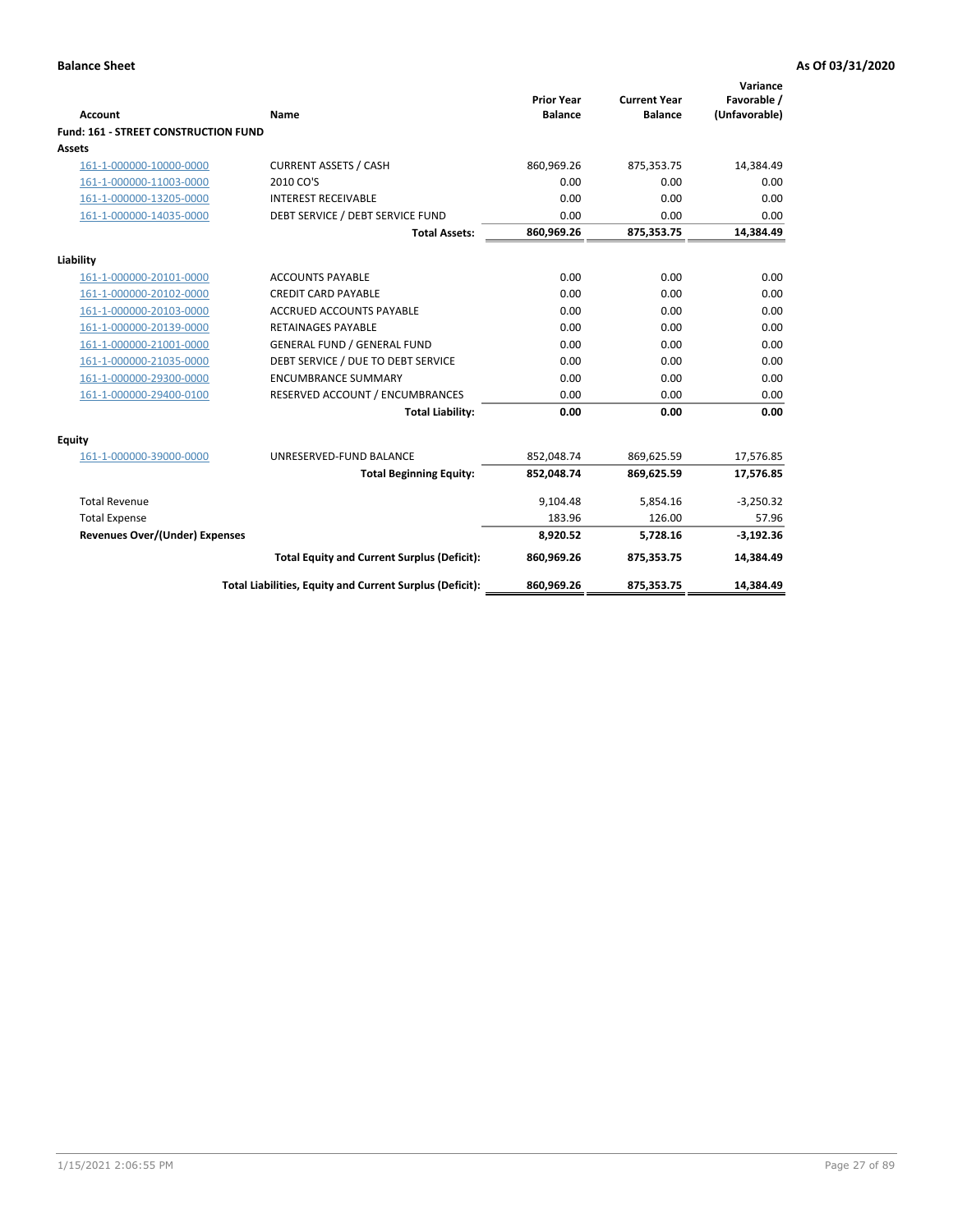| <b>Account</b>                        | Name                                                     | <b>Prior Year</b><br><b>Balance</b> | <b>Current Year</b><br><b>Balance</b> | Variance<br>Favorable /<br>(Unfavorable) |
|---------------------------------------|----------------------------------------------------------|-------------------------------------|---------------------------------------|------------------------------------------|
| Fund: 161 - STREET CONSTRUCTION FUND  |                                                          |                                     |                                       |                                          |
| Assets                                |                                                          |                                     |                                       |                                          |
| 161-1-000000-10000-0000               | <b>CURRENT ASSETS / CASH</b>                             | 860,969.26                          | 875,353.75                            | 14,384.49                                |
| 161-1-000000-11003-0000               | 2010 CO'S                                                | 0.00                                | 0.00                                  | 0.00                                     |
| 161-1-000000-13205-0000               | <b>INTEREST RECEIVABLE</b>                               | 0.00                                | 0.00                                  | 0.00                                     |
| 161-1-000000-14035-0000               | DEBT SERVICE / DEBT SERVICE FUND                         | 0.00                                | 0.00                                  | 0.00                                     |
|                                       | <b>Total Assets:</b>                                     | 860,969.26                          | 875,353.75                            | 14,384.49                                |
| Liability                             |                                                          |                                     |                                       |                                          |
| 161-1-000000-20101-0000               | <b>ACCOUNTS PAYABLE</b>                                  | 0.00                                | 0.00                                  | 0.00                                     |
| 161-1-000000-20102-0000               | <b>CREDIT CARD PAYABLE</b>                               | 0.00                                | 0.00                                  | 0.00                                     |
| 161-1-000000-20103-0000               | <b>ACCRUED ACCOUNTS PAYABLE</b>                          | 0.00                                | 0.00                                  | 0.00                                     |
| 161-1-000000-20139-0000               | <b>RETAINAGES PAYABLE</b>                                | 0.00                                | 0.00                                  | 0.00                                     |
| 161-1-000000-21001-0000               | <b>GENERAL FUND / GENERAL FUND</b>                       | 0.00                                | 0.00                                  | 0.00                                     |
| 161-1-000000-21035-0000               | DEBT SERVICE / DUE TO DEBT SERVICE                       | 0.00                                | 0.00                                  | 0.00                                     |
| 161-1-000000-29300-0000               | <b>ENCUMBRANCE SUMMARY</b>                               | 0.00                                | 0.00                                  | 0.00                                     |
| 161-1-000000-29400-0100               | RESERVED ACCOUNT / ENCUMBRANCES                          | 0.00                                | 0.00                                  | 0.00                                     |
|                                       | <b>Total Liability:</b>                                  | 0.00                                | 0.00                                  | 0.00                                     |
| <b>Equity</b>                         |                                                          |                                     |                                       |                                          |
| 161-1-000000-39000-0000               | UNRESERVED-FUND BALANCE                                  | 852,048.74                          | 869,625.59                            | 17,576.85                                |
|                                       | <b>Total Beginning Equity:</b>                           | 852,048.74                          | 869,625.59                            | 17,576.85                                |
| <b>Total Revenue</b>                  |                                                          | 9.104.48                            | 5,854.16                              | $-3,250.32$                              |
| <b>Total Expense</b>                  |                                                          | 183.96                              | 126.00                                | 57.96                                    |
| <b>Revenues Over/(Under) Expenses</b> |                                                          | 8,920.52                            | 5,728.16                              | $-3,192.36$                              |
|                                       | <b>Total Equity and Current Surplus (Deficit):</b>       | 860,969.26                          | 875,353.75                            | 14,384.49                                |
|                                       | Total Liabilities, Equity and Current Surplus (Deficit): | 860,969.26                          | 875,353.75                            | 14,384.49                                |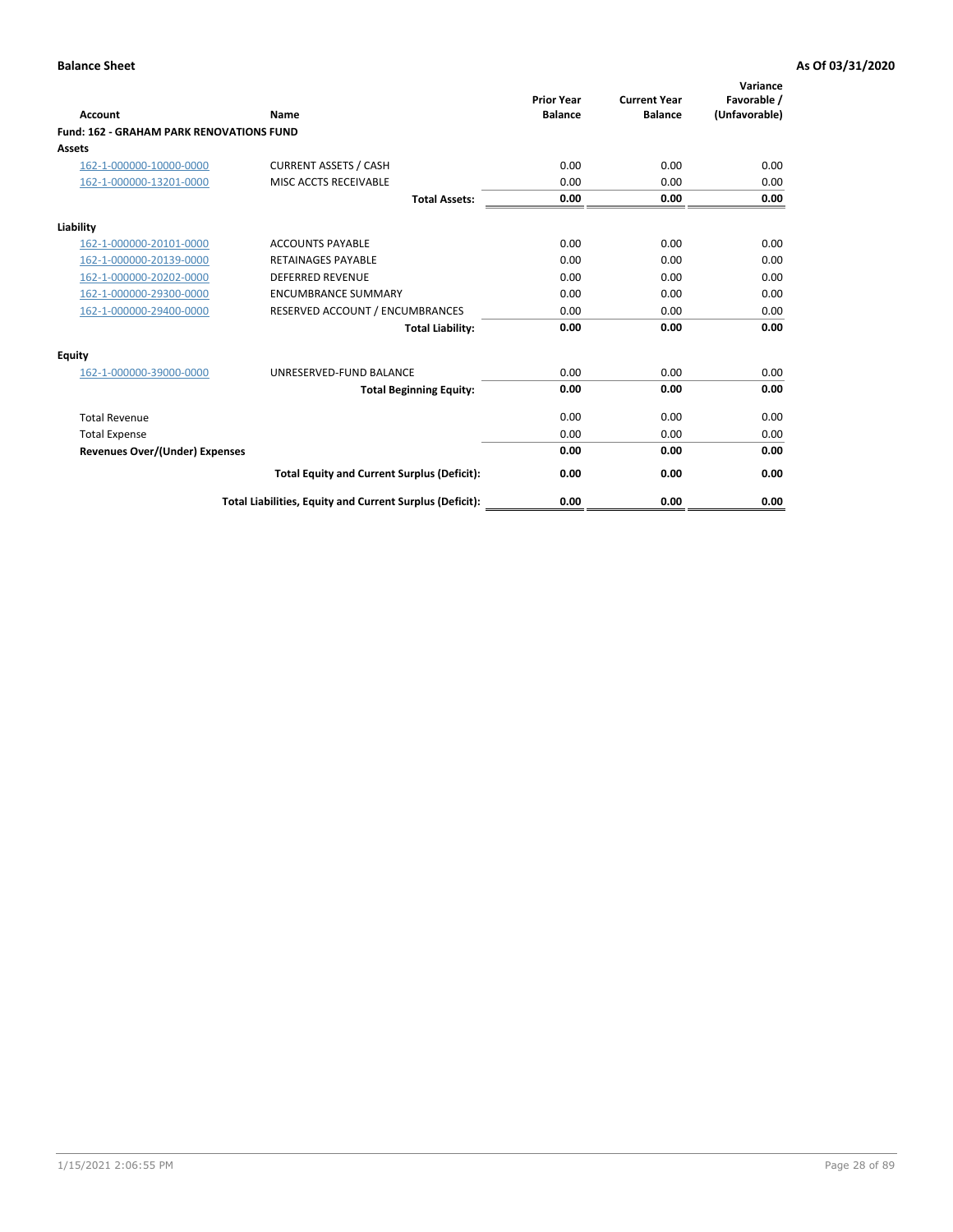| Account                                         | Name                                                     | <b>Prior Year</b><br><b>Balance</b> | <b>Current Year</b><br><b>Balance</b> | Variance<br>Favorable /<br>(Unfavorable) |
|-------------------------------------------------|----------------------------------------------------------|-------------------------------------|---------------------------------------|------------------------------------------|
| <b>Fund: 162 - GRAHAM PARK RENOVATIONS FUND</b> |                                                          |                                     |                                       |                                          |
| <b>Assets</b>                                   |                                                          |                                     |                                       |                                          |
| 162-1-000000-10000-0000                         | <b>CURRENT ASSETS / CASH</b>                             | 0.00                                | 0.00                                  | 0.00                                     |
| 162-1-000000-13201-0000                         | MISC ACCTS RECEIVABLE                                    | 0.00                                | 0.00                                  | 0.00                                     |
|                                                 | <b>Total Assets:</b>                                     | 0.00                                | 0.00                                  | 0.00                                     |
| Liability                                       |                                                          |                                     |                                       |                                          |
| 162-1-000000-20101-0000                         | <b>ACCOUNTS PAYABLE</b>                                  | 0.00                                | 0.00                                  | 0.00                                     |
| 162-1-000000-20139-0000                         | <b>RETAINAGES PAYABLE</b>                                | 0.00                                | 0.00                                  | 0.00                                     |
| 162-1-000000-20202-0000                         | <b>DEFERRED REVENUE</b>                                  | 0.00                                | 0.00                                  | 0.00                                     |
| 162-1-000000-29300-0000                         | <b>ENCUMBRANCE SUMMARY</b>                               | 0.00                                | 0.00                                  | 0.00                                     |
| 162-1-000000-29400-0000                         | RESERVED ACCOUNT / ENCUMBRANCES                          | 0.00                                | 0.00                                  | 0.00                                     |
|                                                 | <b>Total Liability:</b>                                  | 0.00                                | 0.00                                  | 0.00                                     |
| Equity                                          |                                                          |                                     |                                       |                                          |
| 162-1-000000-39000-0000                         | UNRESERVED-FUND BALANCE                                  | 0.00                                | 0.00                                  | 0.00                                     |
|                                                 | <b>Total Beginning Equity:</b>                           | 0.00                                | 0.00                                  | 0.00                                     |
| <b>Total Revenue</b>                            |                                                          | 0.00                                | 0.00                                  | 0.00                                     |
| <b>Total Expense</b>                            |                                                          | 0.00                                | 0.00                                  | 0.00                                     |
| <b>Revenues Over/(Under) Expenses</b>           |                                                          | 0.00                                | 0.00                                  | 0.00                                     |
|                                                 | <b>Total Equity and Current Surplus (Deficit):</b>       | 0.00                                | 0.00                                  | 0.00                                     |
|                                                 | Total Liabilities, Equity and Current Surplus (Deficit): | 0.00                                | 0.00                                  | 0.00                                     |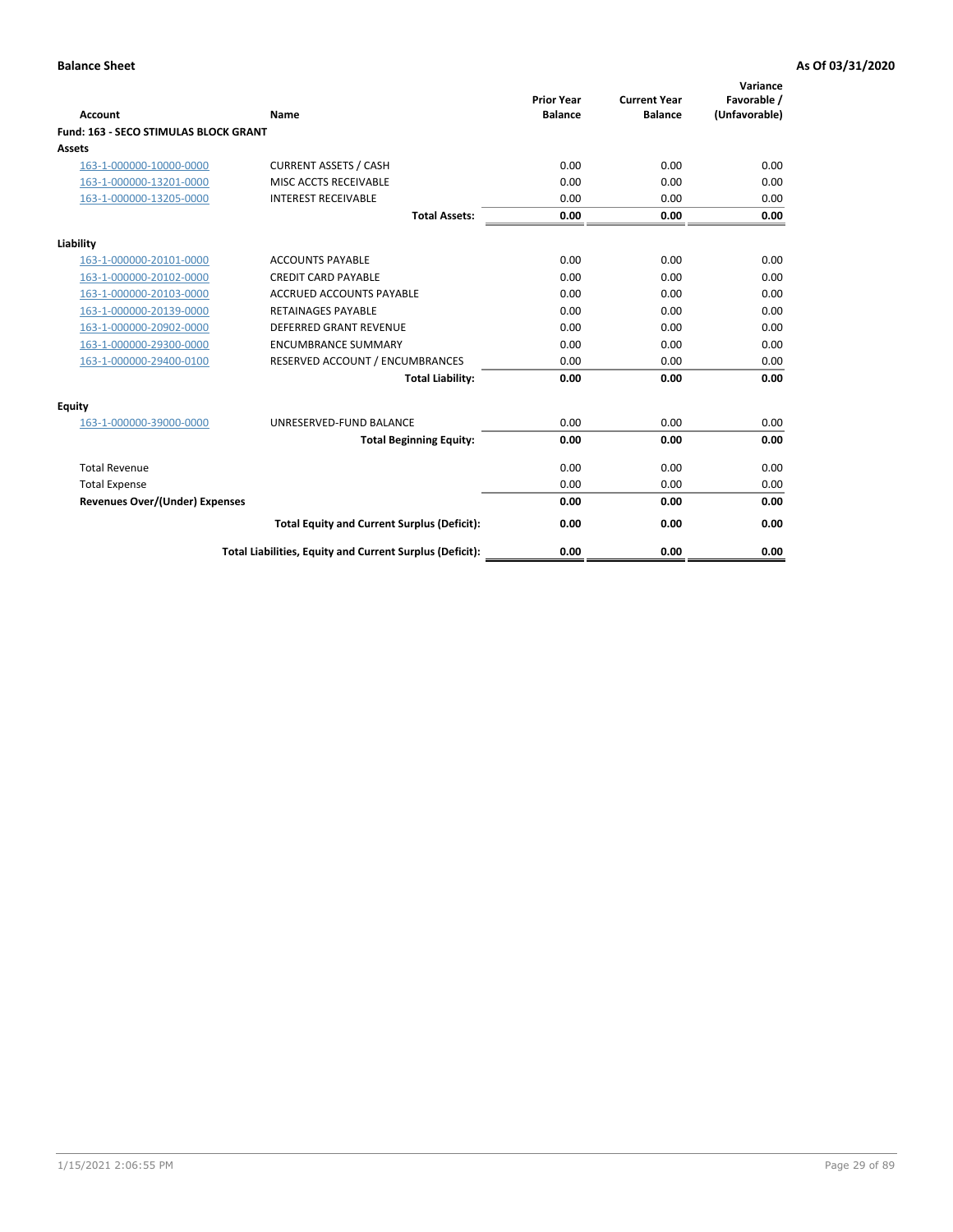| Account                               | Name                                                     | <b>Prior Year</b><br><b>Balance</b> | <b>Current Year</b><br><b>Balance</b> | Variance<br>Favorable /<br>(Unfavorable) |
|---------------------------------------|----------------------------------------------------------|-------------------------------------|---------------------------------------|------------------------------------------|
| Fund: 163 - SECO STIMULAS BLOCK GRANT |                                                          |                                     |                                       |                                          |
| <b>Assets</b>                         |                                                          |                                     |                                       |                                          |
| 163-1-000000-10000-0000               | <b>CURRENT ASSETS / CASH</b>                             | 0.00                                | 0.00                                  | 0.00                                     |
| 163-1-000000-13201-0000               | MISC ACCTS RECEIVABLE                                    | 0.00                                | 0.00                                  | 0.00                                     |
| 163-1-000000-13205-0000               | <b>INTEREST RECEIVABLE</b>                               | 0.00                                | 0.00                                  | 0.00                                     |
|                                       | <b>Total Assets:</b>                                     | 0.00                                | 0.00                                  | 0.00                                     |
| Liability                             |                                                          |                                     |                                       |                                          |
| 163-1-000000-20101-0000               | <b>ACCOUNTS PAYABLE</b>                                  | 0.00                                | 0.00                                  | 0.00                                     |
| 163-1-000000-20102-0000               | <b>CREDIT CARD PAYABLE</b>                               | 0.00                                | 0.00                                  | 0.00                                     |
| 163-1-000000-20103-0000               | <b>ACCRUED ACCOUNTS PAYABLE</b>                          | 0.00                                | 0.00                                  | 0.00                                     |
| 163-1-000000-20139-0000               | <b>RETAINAGES PAYABLE</b>                                | 0.00                                | 0.00                                  | 0.00                                     |
| 163-1-000000-20902-0000               | DEFERRED GRANT REVENUE                                   | 0.00                                | 0.00                                  | 0.00                                     |
| 163-1-000000-29300-0000               | <b>ENCUMBRANCE SUMMARY</b>                               | 0.00                                | 0.00                                  | 0.00                                     |
| 163-1-000000-29400-0100               | RESERVED ACCOUNT / ENCUMBRANCES                          | 0.00                                | 0.00                                  | 0.00                                     |
|                                       | <b>Total Liability:</b>                                  | 0.00                                | 0.00                                  | 0.00                                     |
| <b>Equity</b>                         |                                                          |                                     |                                       |                                          |
| 163-1-000000-39000-0000               | UNRESERVED-FUND BALANCE                                  | 0.00                                | 0.00                                  | 0.00                                     |
|                                       | <b>Total Beginning Equity:</b>                           | 0.00                                | 0.00                                  | 0.00                                     |
| <b>Total Revenue</b>                  |                                                          | 0.00                                | 0.00                                  | 0.00                                     |
| <b>Total Expense</b>                  |                                                          | 0.00                                | 0.00                                  | 0.00                                     |
| <b>Revenues Over/(Under) Expenses</b> |                                                          | 0.00                                | 0.00                                  | 0.00                                     |
|                                       | <b>Total Equity and Current Surplus (Deficit):</b>       | 0.00                                | 0.00                                  | 0.00                                     |
|                                       | Total Liabilities, Equity and Current Surplus (Deficit): | 0.00                                | 0.00                                  | 0.00                                     |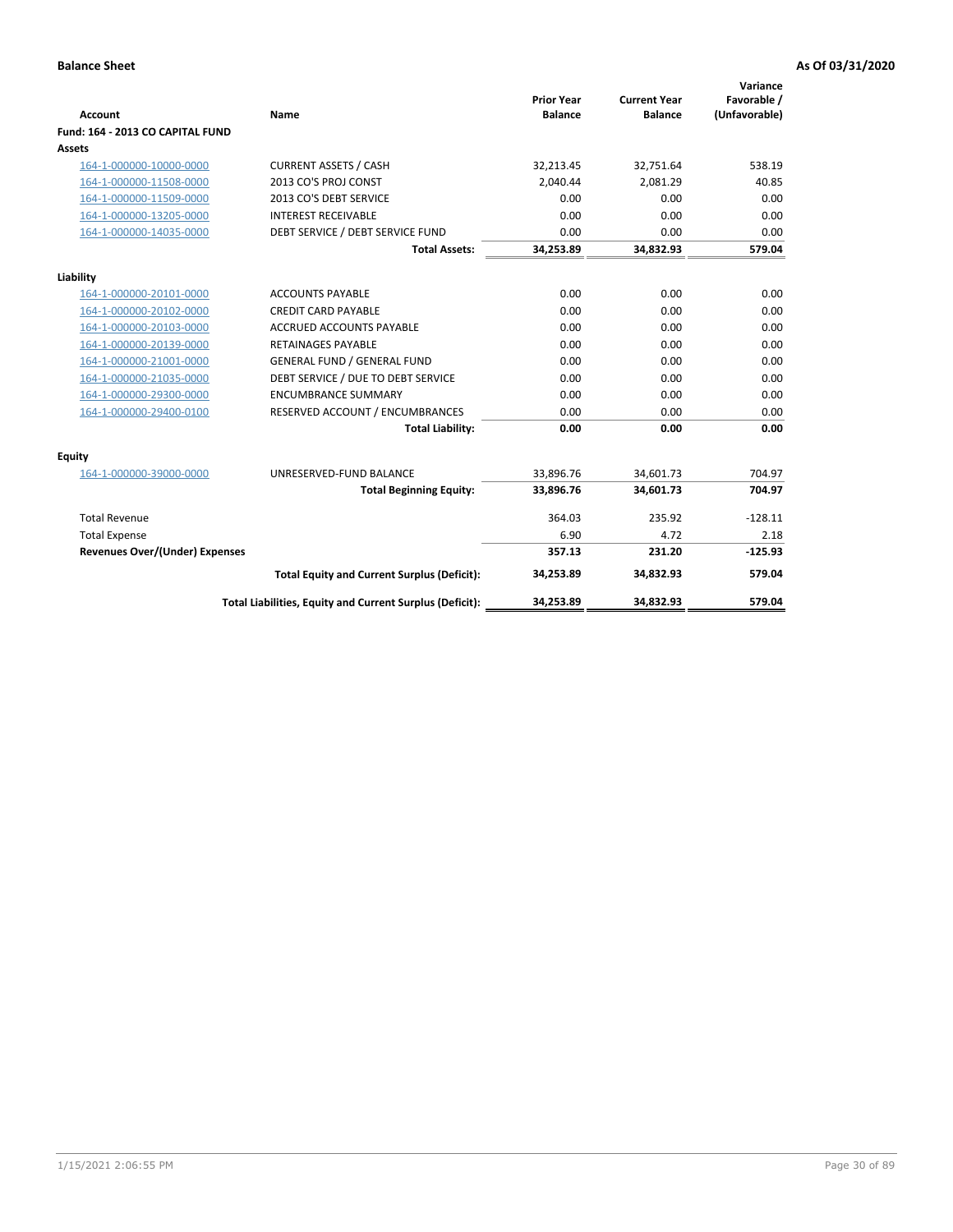|                                       |                                                          |                                     |                                       | Variance                     |
|---------------------------------------|----------------------------------------------------------|-------------------------------------|---------------------------------------|------------------------------|
| <b>Account</b>                        | Name                                                     | <b>Prior Year</b><br><b>Balance</b> | <b>Current Year</b><br><b>Balance</b> | Favorable /<br>(Unfavorable) |
| Fund: 164 - 2013 CO CAPITAL FUND      |                                                          |                                     |                                       |                              |
| Assets                                |                                                          |                                     |                                       |                              |
| 164-1-000000-10000-0000               | <b>CURRENT ASSETS / CASH</b>                             | 32,213.45                           | 32,751.64                             | 538.19                       |
| 164-1-000000-11508-0000               | 2013 CO'S PROJ CONST                                     | 2.040.44                            | 2.081.29                              | 40.85                        |
| 164-1-000000-11509-0000               | 2013 CO'S DEBT SERVICE                                   | 0.00                                | 0.00                                  | 0.00                         |
| 164-1-000000-13205-0000               | <b>INTEREST RECEIVABLE</b>                               | 0.00                                | 0.00                                  | 0.00                         |
| 164-1-000000-14035-0000               | DEBT SERVICE / DEBT SERVICE FUND                         | 0.00                                | 0.00                                  | 0.00                         |
|                                       | <b>Total Assets:</b>                                     | 34,253.89                           | 34,832.93                             | 579.04                       |
| Liability                             |                                                          |                                     |                                       |                              |
| 164-1-000000-20101-0000               | <b>ACCOUNTS PAYABLE</b>                                  | 0.00                                | 0.00                                  | 0.00                         |
| 164-1-000000-20102-0000               | <b>CREDIT CARD PAYABLE</b>                               | 0.00                                | 0.00                                  | 0.00                         |
| 164-1-000000-20103-0000               | <b>ACCRUED ACCOUNTS PAYABLE</b>                          | 0.00                                | 0.00                                  | 0.00                         |
| 164-1-000000-20139-0000               | <b>RETAINAGES PAYABLE</b>                                | 0.00                                | 0.00                                  | 0.00                         |
| 164-1-000000-21001-0000               | <b>GENERAL FUND / GENERAL FUND</b>                       | 0.00                                | 0.00                                  | 0.00                         |
| 164-1-000000-21035-0000               | DEBT SERVICE / DUE TO DEBT SERVICE                       | 0.00                                | 0.00                                  | 0.00                         |
| 164-1-000000-29300-0000               | <b>ENCUMBRANCE SUMMARY</b>                               | 0.00                                | 0.00                                  | 0.00                         |
| 164-1-000000-29400-0100               | RESERVED ACCOUNT / ENCUMBRANCES                          | 0.00                                | 0.00                                  | 0.00                         |
|                                       | <b>Total Liability:</b>                                  | 0.00                                | 0.00                                  | 0.00                         |
| Equity                                |                                                          |                                     |                                       |                              |
| 164-1-000000-39000-0000               | UNRESERVED-FUND BALANCE                                  | 33,896.76                           | 34,601.73                             | 704.97                       |
|                                       | <b>Total Beginning Equity:</b>                           | 33,896.76                           | 34,601.73                             | 704.97                       |
| <b>Total Revenue</b>                  |                                                          | 364.03                              | 235.92                                | $-128.11$                    |
| <b>Total Expense</b>                  |                                                          | 6.90                                | 4.72                                  | 2.18                         |
| <b>Revenues Over/(Under) Expenses</b> |                                                          | 357.13                              | 231.20                                | $-125.93$                    |
|                                       | <b>Total Equity and Current Surplus (Deficit):</b>       | 34,253.89                           | 34,832.93                             | 579.04                       |
|                                       | Total Liabilities, Equity and Current Surplus (Deficit): | 34.253.89                           | 34,832.93                             | 579.04                       |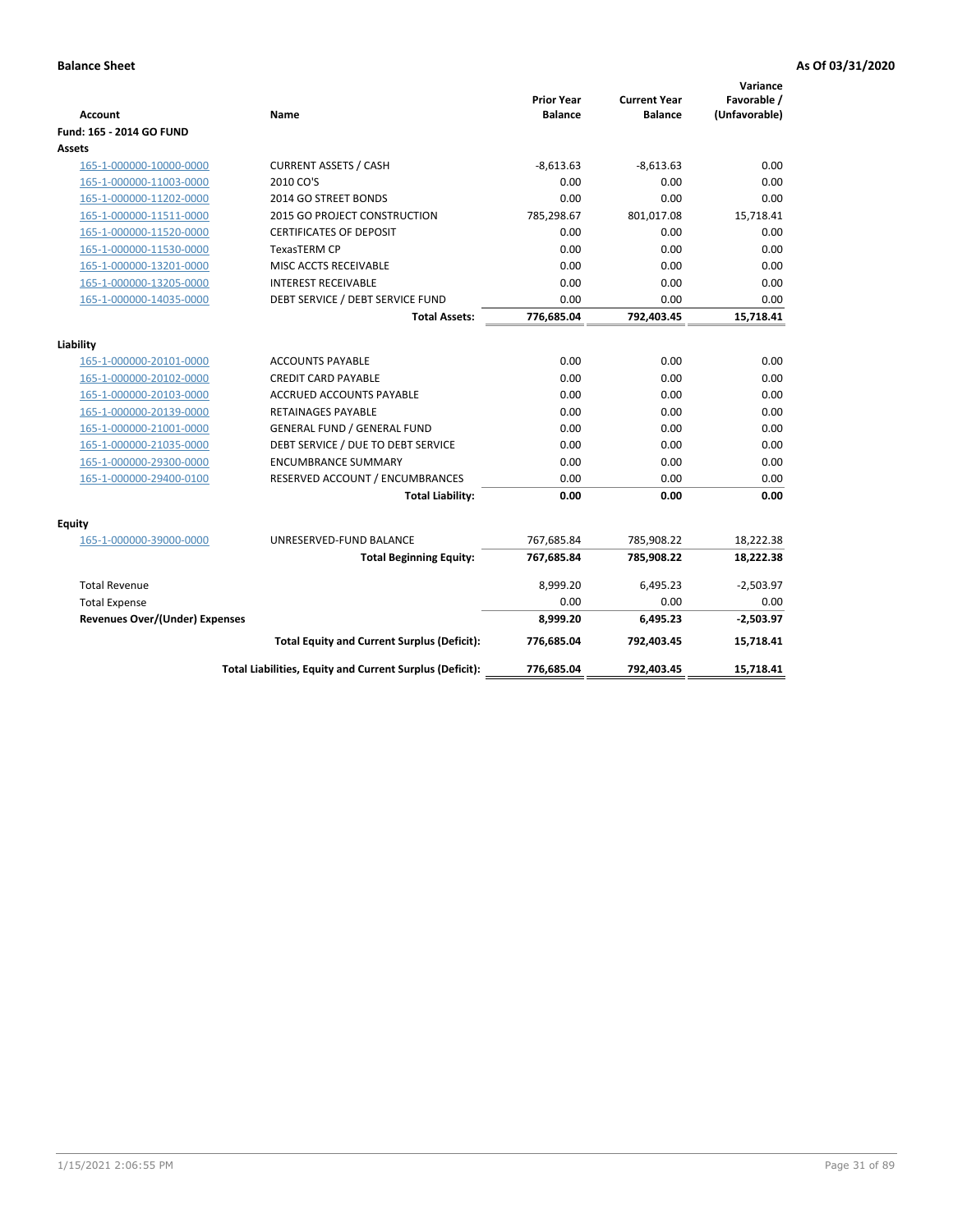| <b>Account</b>                        | Name                                                     | <b>Prior Year</b><br><b>Balance</b> | <b>Current Year</b><br><b>Balance</b> | Variance<br>Favorable /<br>(Unfavorable) |
|---------------------------------------|----------------------------------------------------------|-------------------------------------|---------------------------------------|------------------------------------------|
| Fund: 165 - 2014 GO FUND              |                                                          |                                     |                                       |                                          |
| Assets                                |                                                          |                                     |                                       |                                          |
| 165-1-000000-10000-0000               | <b>CURRENT ASSETS / CASH</b>                             | $-8,613.63$                         | $-8,613.63$                           | 0.00                                     |
| 165-1-000000-11003-0000               | 2010 CO'S                                                | 0.00                                | 0.00                                  | 0.00                                     |
| 165-1-000000-11202-0000               | 2014 GO STREET BONDS                                     | 0.00                                | 0.00                                  | 0.00                                     |
| 165-1-000000-11511-0000               | 2015 GO PROJECT CONSTRUCTION                             | 785,298.67                          | 801,017.08                            | 15,718.41                                |
| 165-1-000000-11520-0000               | <b>CERTIFICATES OF DEPOSIT</b>                           | 0.00                                | 0.00                                  | 0.00                                     |
| 165-1-000000-11530-0000               | <b>TexasTERM CP</b>                                      | 0.00                                | 0.00                                  | 0.00                                     |
| 165-1-000000-13201-0000               | MISC ACCTS RECEIVABLE                                    | 0.00                                | 0.00                                  | 0.00                                     |
| 165-1-000000-13205-0000               | <b>INTEREST RECEIVABLE</b>                               | 0.00                                | 0.00                                  | 0.00                                     |
| 165-1-000000-14035-0000               | DEBT SERVICE / DEBT SERVICE FUND                         | 0.00                                | 0.00                                  | 0.00                                     |
|                                       | <b>Total Assets:</b>                                     | 776,685.04                          | 792,403.45                            | 15,718.41                                |
| Liability                             |                                                          |                                     |                                       |                                          |
| 165-1-000000-20101-0000               | <b>ACCOUNTS PAYABLE</b>                                  | 0.00                                | 0.00                                  | 0.00                                     |
| 165-1-000000-20102-0000               | <b>CREDIT CARD PAYABLE</b>                               | 0.00                                | 0.00                                  | 0.00                                     |
| 165-1-000000-20103-0000               | <b>ACCRUED ACCOUNTS PAYABLE</b>                          | 0.00                                | 0.00                                  | 0.00                                     |
| 165-1-000000-20139-0000               | <b>RETAINAGES PAYABLE</b>                                | 0.00                                | 0.00                                  | 0.00                                     |
| 165-1-000000-21001-0000               | <b>GENERAL FUND / GENERAL FUND</b>                       | 0.00                                | 0.00                                  | 0.00                                     |
| 165-1-000000-21035-0000               | DEBT SERVICE / DUE TO DEBT SERVICE                       | 0.00                                | 0.00                                  | 0.00                                     |
| 165-1-000000-29300-0000               | <b>ENCUMBRANCE SUMMARY</b>                               | 0.00                                | 0.00                                  | 0.00                                     |
| 165-1-000000-29400-0100               | RESERVED ACCOUNT / ENCUMBRANCES                          | 0.00                                | 0.00                                  | 0.00                                     |
|                                       | <b>Total Liability:</b>                                  | 0.00                                | 0.00                                  | 0.00                                     |
| Fquity                                |                                                          |                                     |                                       |                                          |
| 165-1-000000-39000-0000               | UNRESERVED-FUND BALANCE                                  | 767,685.84                          | 785,908.22                            | 18,222.38                                |
|                                       | <b>Total Beginning Equity:</b>                           | 767,685.84                          | 785,908.22                            | 18,222.38                                |
| <b>Total Revenue</b>                  |                                                          | 8,999.20                            | 6,495.23                              | $-2,503.97$                              |
| <b>Total Expense</b>                  |                                                          | 0.00                                | 0.00                                  | 0.00                                     |
| <b>Revenues Over/(Under) Expenses</b> |                                                          | 8,999.20                            | 6,495.23                              | $-2,503.97$                              |
|                                       | <b>Total Equity and Current Surplus (Deficit):</b>       | 776,685.04                          | 792,403.45                            | 15,718.41                                |
|                                       | Total Liabilities, Equity and Current Surplus (Deficit): | 776,685.04                          | 792,403.45                            | 15.718.41                                |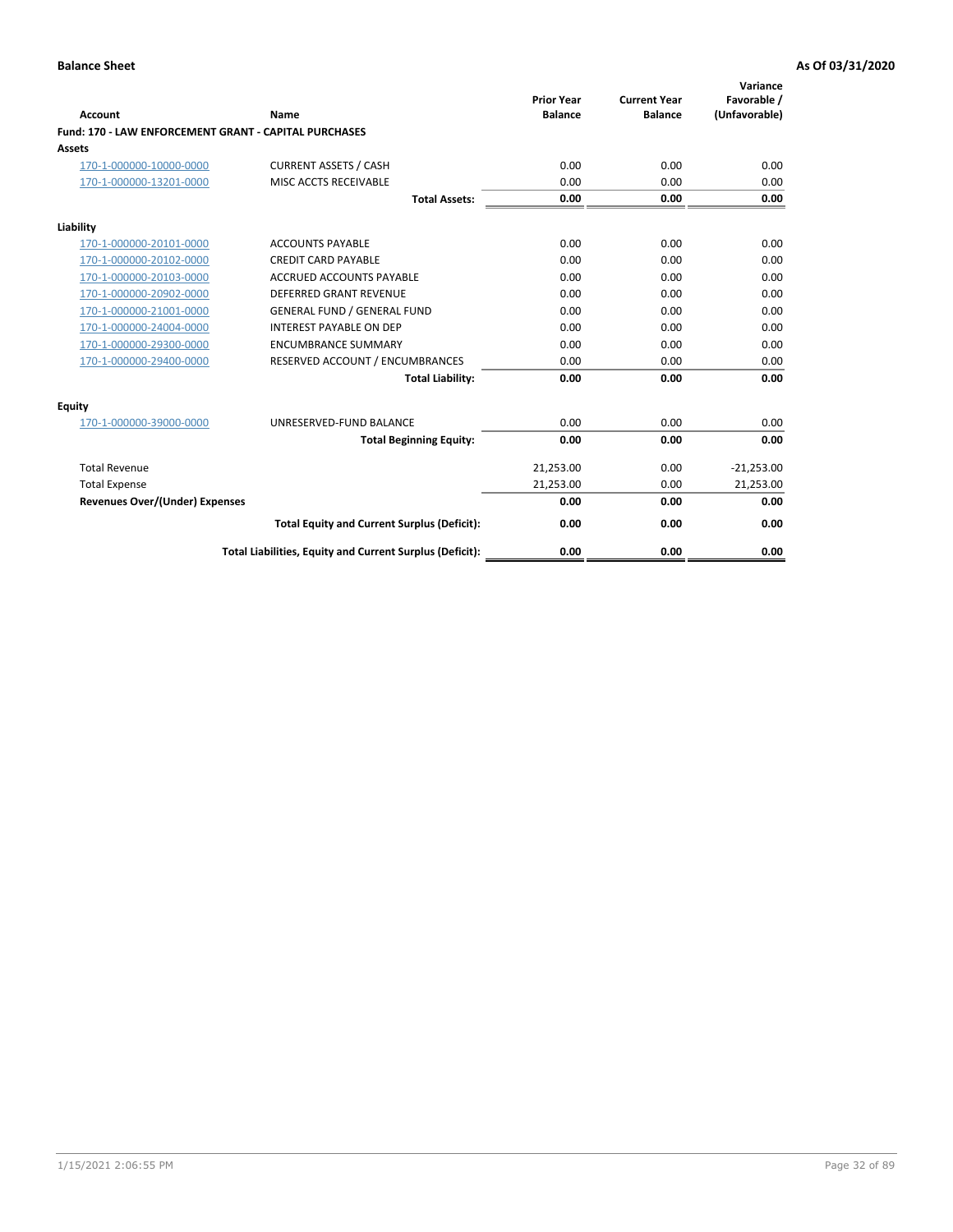| Account                                               | Name                                                     | <b>Prior Year</b><br><b>Balance</b> | <b>Current Year</b><br><b>Balance</b> | Variance<br>Favorable /<br>(Unfavorable) |
|-------------------------------------------------------|----------------------------------------------------------|-------------------------------------|---------------------------------------|------------------------------------------|
| Fund: 170 - LAW ENFORCEMENT GRANT - CAPITAL PURCHASES |                                                          |                                     |                                       |                                          |
| <b>Assets</b>                                         |                                                          |                                     |                                       |                                          |
| 170-1-000000-10000-0000                               | <b>CURRENT ASSETS / CASH</b>                             | 0.00                                | 0.00                                  | 0.00                                     |
| 170-1-000000-13201-0000                               | MISC ACCTS RECEIVABLE                                    | 0.00                                | 0.00                                  | 0.00                                     |
|                                                       | <b>Total Assets:</b>                                     | 0.00                                | 0.00                                  | 0.00                                     |
| Liability                                             |                                                          |                                     |                                       |                                          |
| 170-1-000000-20101-0000                               | <b>ACCOUNTS PAYABLE</b>                                  | 0.00                                | 0.00                                  | 0.00                                     |
| 170-1-000000-20102-0000                               | <b>CREDIT CARD PAYABLE</b>                               | 0.00                                | 0.00                                  | 0.00                                     |
| 170-1-000000-20103-0000                               | <b>ACCRUED ACCOUNTS PAYABLE</b>                          | 0.00                                | 0.00                                  | 0.00                                     |
| 170-1-000000-20902-0000                               | <b>DEFERRED GRANT REVENUE</b>                            | 0.00                                | 0.00                                  | 0.00                                     |
| 170-1-000000-21001-0000                               | <b>GENERAL FUND / GENERAL FUND</b>                       | 0.00                                | 0.00                                  | 0.00                                     |
| 170-1-000000-24004-0000                               | <b>INTEREST PAYABLE ON DEP</b>                           | 0.00                                | 0.00                                  | 0.00                                     |
| 170-1-000000-29300-0000                               | <b>ENCUMBRANCE SUMMARY</b>                               | 0.00                                | 0.00                                  | 0.00                                     |
| 170-1-000000-29400-0000                               | RESERVED ACCOUNT / ENCUMBRANCES                          | 0.00                                | 0.00                                  | 0.00                                     |
|                                                       | <b>Total Liability:</b>                                  | 0.00                                | 0.00                                  | 0.00                                     |
| <b>Equity</b>                                         |                                                          |                                     |                                       |                                          |
| 170-1-000000-39000-0000                               | UNRESERVED-FUND BALANCE                                  | 0.00                                | 0.00                                  | 0.00                                     |
|                                                       | <b>Total Beginning Equity:</b>                           | 0.00                                | 0.00                                  | 0.00                                     |
| <b>Total Revenue</b>                                  |                                                          | 21,253.00                           | 0.00                                  | $-21,253.00$                             |
| <b>Total Expense</b>                                  |                                                          | 21,253.00                           | 0.00                                  | 21,253.00                                |
| <b>Revenues Over/(Under) Expenses</b>                 |                                                          | 0.00                                | 0.00                                  | 0.00                                     |
|                                                       | <b>Total Equity and Current Surplus (Deficit):</b>       | 0.00                                | 0.00                                  | 0.00                                     |
|                                                       | Total Liabilities, Equity and Current Surplus (Deficit): | 0.00                                | 0.00                                  | 0.00                                     |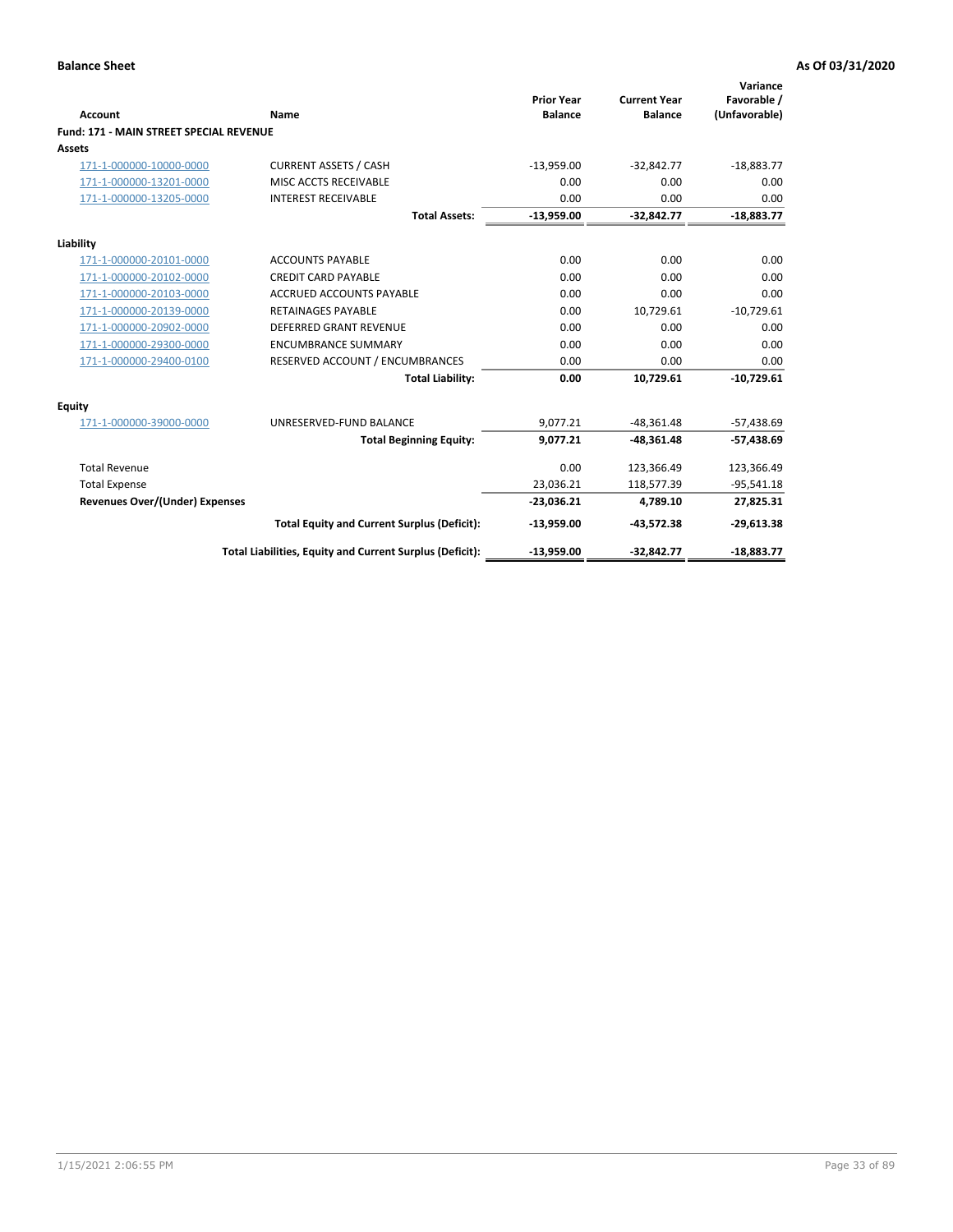|                                                |                                                          | <b>Prior Year</b> | <b>Current Year</b> | Variance<br>Favorable / |
|------------------------------------------------|----------------------------------------------------------|-------------------|---------------------|-------------------------|
| Account                                        | Name                                                     | <b>Balance</b>    | <b>Balance</b>      | (Unfavorable)           |
| <b>Fund: 171 - MAIN STREET SPECIAL REVENUE</b> |                                                          |                   |                     |                         |
| Assets                                         |                                                          |                   |                     |                         |
| 171-1-000000-10000-0000                        | <b>CURRENT ASSETS / CASH</b>                             | $-13,959.00$      | $-32,842.77$        | $-18,883.77$            |
| 171-1-000000-13201-0000                        | MISC ACCTS RECEIVABLE                                    | 0.00              | 0.00                | 0.00                    |
| 171-1-000000-13205-0000                        | <b>INTEREST RECEIVABLE</b>                               | 0.00              | 0.00                | 0.00                    |
|                                                | <b>Total Assets:</b>                                     | $-13,959.00$      | $-32,842.77$        | $-18,883.77$            |
| Liability                                      |                                                          |                   |                     |                         |
| 171-1-000000-20101-0000                        | <b>ACCOUNTS PAYABLE</b>                                  | 0.00              | 0.00                | 0.00                    |
| 171-1-000000-20102-0000                        | <b>CREDIT CARD PAYABLE</b>                               | 0.00              | 0.00                | 0.00                    |
| 171-1-000000-20103-0000                        | <b>ACCRUED ACCOUNTS PAYABLE</b>                          | 0.00              | 0.00                | 0.00                    |
| 171-1-000000-20139-0000                        | <b>RETAINAGES PAYABLE</b>                                | 0.00              | 10,729.61           | $-10,729.61$            |
| 171-1-000000-20902-0000                        | <b>DEFERRED GRANT REVENUE</b>                            | 0.00              | 0.00                | 0.00                    |
| 171-1-000000-29300-0000                        | <b>ENCUMBRANCE SUMMARY</b>                               | 0.00              | 0.00                | 0.00                    |
| 171-1-000000-29400-0100                        | RESERVED ACCOUNT / ENCUMBRANCES                          | 0.00              | 0.00                | 0.00                    |
|                                                | <b>Total Liability:</b>                                  | 0.00              | 10,729.61           | $-10,729.61$            |
| <b>Equity</b>                                  |                                                          |                   |                     |                         |
| 171-1-000000-39000-0000                        | UNRESERVED-FUND BALANCE                                  | 9,077.21          | $-48,361.48$        | $-57,438.69$            |
|                                                | <b>Total Beginning Equity:</b>                           | 9,077.21          | $-48,361.48$        | $-57,438.69$            |
| <b>Total Revenue</b>                           |                                                          | 0.00              | 123,366.49          | 123,366.49              |
| <b>Total Expense</b>                           |                                                          | 23,036.21         | 118,577.39          | $-95,541.18$            |
| <b>Revenues Over/(Under) Expenses</b>          |                                                          | $-23,036.21$      | 4,789.10            | 27,825.31               |
|                                                | <b>Total Equity and Current Surplus (Deficit):</b>       | $-13,959.00$      | $-43,572.38$        | $-29,613.38$            |
|                                                | Total Liabilities, Equity and Current Surplus (Deficit): | $-13,959.00$      | $-32,842.77$        | $-18,883.77$            |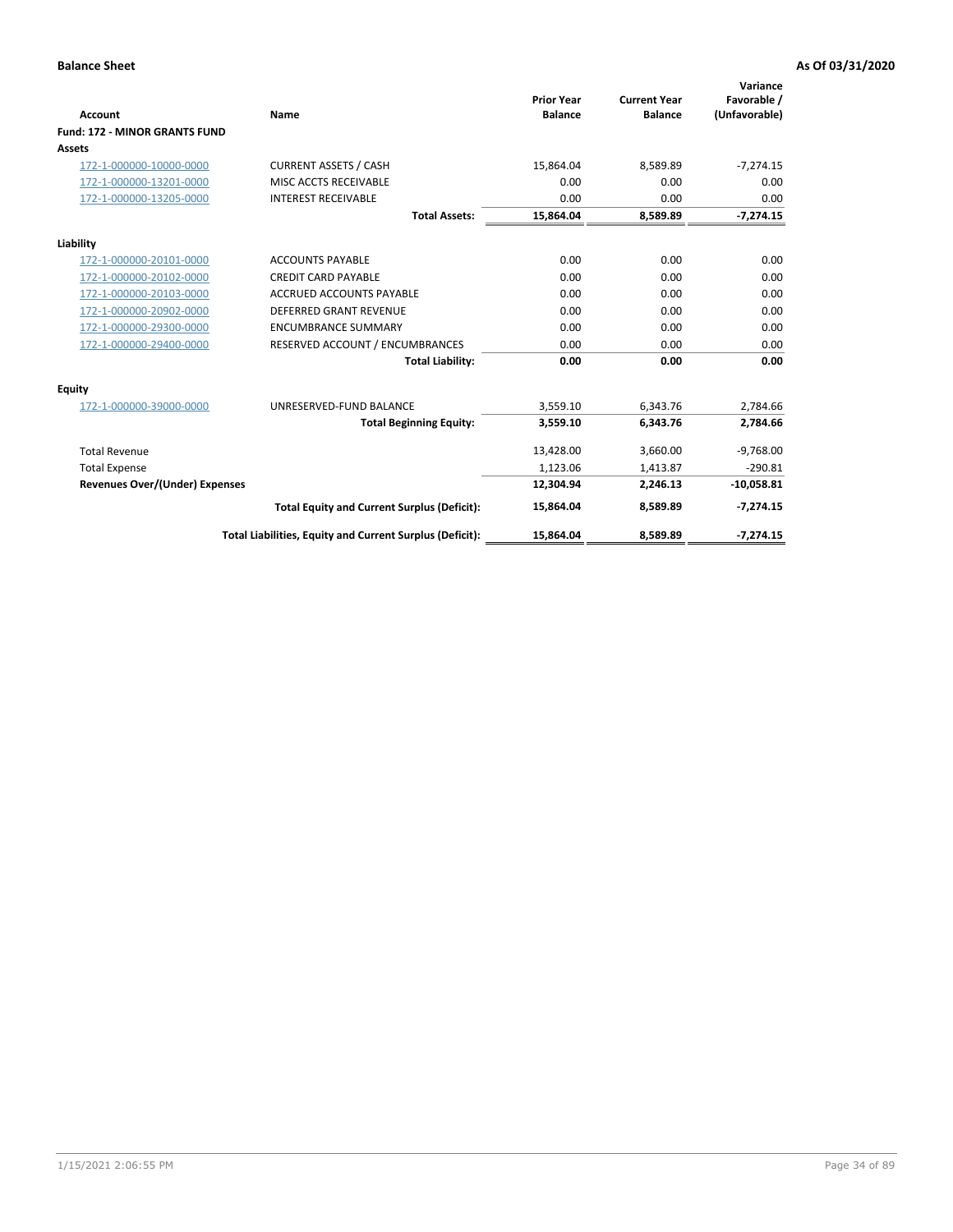|                                      |                                                          | <b>Prior Year</b> | <b>Current Year</b> | Variance<br>Favorable / |
|--------------------------------------|----------------------------------------------------------|-------------------|---------------------|-------------------------|
| <b>Account</b>                       | Name                                                     | <b>Balance</b>    | <b>Balance</b>      | (Unfavorable)           |
| <b>Fund: 172 - MINOR GRANTS FUND</b> |                                                          |                   |                     |                         |
| <b>Assets</b>                        |                                                          |                   |                     |                         |
| 172-1-000000-10000-0000              | <b>CURRENT ASSETS / CASH</b>                             | 15,864.04         | 8,589.89            | $-7,274.15$             |
| 172-1-000000-13201-0000              | MISC ACCTS RECEIVABLE                                    | 0.00              | 0.00                | 0.00                    |
| 172-1-000000-13205-0000              | <b>INTEREST RECEIVABLE</b>                               | 0.00              | 0.00                | 0.00                    |
|                                      | <b>Total Assets:</b>                                     | 15,864.04         | 8,589.89            | $-7,274.15$             |
| Liability                            |                                                          |                   |                     |                         |
| 172-1-000000-20101-0000              | <b>ACCOUNTS PAYABLE</b>                                  | 0.00              | 0.00                | 0.00                    |
| 172-1-000000-20102-0000              | <b>CREDIT CARD PAYABLE</b>                               | 0.00              | 0.00                | 0.00                    |
| 172-1-000000-20103-0000              | <b>ACCRUED ACCOUNTS PAYABLE</b>                          | 0.00              | 0.00                | 0.00                    |
| 172-1-000000-20902-0000              | DEFERRED GRANT REVENUE                                   | 0.00              | 0.00                | 0.00                    |
| 172-1-000000-29300-0000              | <b>ENCUMBRANCE SUMMARY</b>                               | 0.00              | 0.00                | 0.00                    |
| 172-1-000000-29400-0000              | RESERVED ACCOUNT / ENCUMBRANCES                          | 0.00              | 0.00                | 0.00                    |
|                                      | <b>Total Liability:</b>                                  | 0.00              | 0.00                | 0.00                    |
| Equity                               |                                                          |                   |                     |                         |
| 172-1-000000-39000-0000              | UNRESERVED-FUND BALANCE                                  | 3,559.10          | 6,343.76            | 2,784.66                |
|                                      | <b>Total Beginning Equity:</b>                           | 3,559.10          | 6,343.76            | 2,784.66                |
| <b>Total Revenue</b>                 |                                                          | 13,428.00         | 3,660.00            | $-9,768.00$             |
| <b>Total Expense</b>                 |                                                          | 1,123.06          | 1,413.87            | $-290.81$               |
| Revenues Over/(Under) Expenses       |                                                          | 12,304.94         | 2,246.13            | $-10,058.81$            |
|                                      | <b>Total Equity and Current Surplus (Deficit):</b>       | 15,864.04         | 8,589.89            | $-7,274.15$             |
|                                      | Total Liabilities, Equity and Current Surplus (Deficit): | 15,864.04         | 8,589.89            | $-7,274.15$             |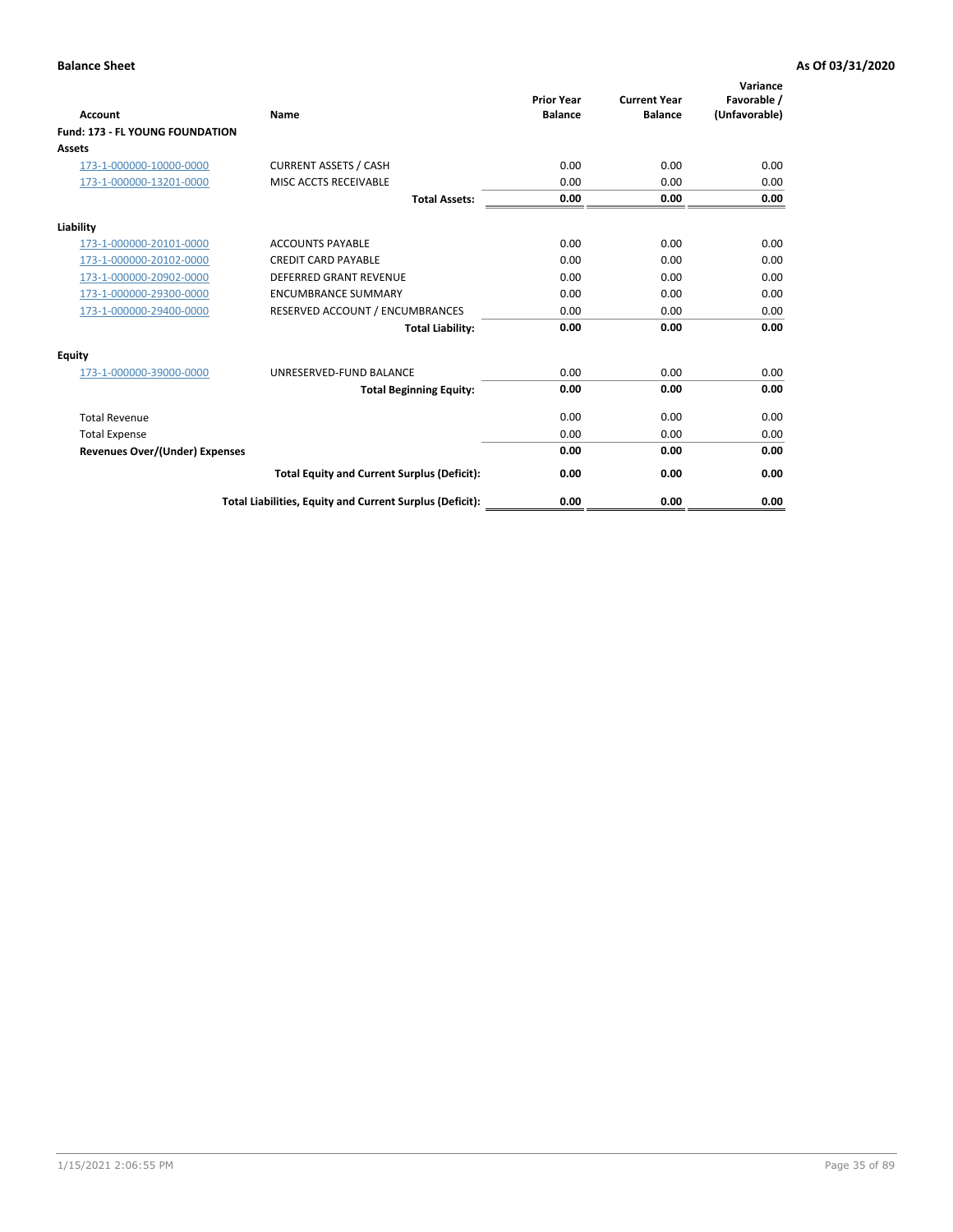| <b>Account</b>                         | <b>Name</b>                                              | <b>Prior Year</b><br><b>Balance</b> | <b>Current Year</b><br><b>Balance</b> | Variance<br>Favorable /<br>(Unfavorable) |
|----------------------------------------|----------------------------------------------------------|-------------------------------------|---------------------------------------|------------------------------------------|
| <b>Fund: 173 - FL YOUNG FOUNDATION</b> |                                                          |                                     |                                       |                                          |
| Assets                                 |                                                          |                                     |                                       |                                          |
| 173-1-000000-10000-0000                | <b>CURRENT ASSETS / CASH</b>                             | 0.00                                | 0.00                                  | 0.00                                     |
| 173-1-000000-13201-0000                | MISC ACCTS RECEIVABLE                                    | 0.00                                | 0.00                                  | 0.00                                     |
|                                        | <b>Total Assets:</b>                                     | 0.00                                | 0.00                                  | 0.00                                     |
| Liability                              |                                                          |                                     |                                       |                                          |
| 173-1-000000-20101-0000                | <b>ACCOUNTS PAYABLE</b>                                  | 0.00                                | 0.00                                  | 0.00                                     |
| 173-1-000000-20102-0000                | <b>CREDIT CARD PAYABLE</b>                               | 0.00                                | 0.00                                  | 0.00                                     |
| 173-1-000000-20902-0000                | <b>DEFERRED GRANT REVENUE</b>                            | 0.00                                | 0.00                                  | 0.00                                     |
| 173-1-000000-29300-0000                | <b>ENCUMBRANCE SUMMARY</b>                               | 0.00                                | 0.00                                  | 0.00                                     |
| 173-1-000000-29400-0000                | RESERVED ACCOUNT / ENCUMBRANCES                          | 0.00                                | 0.00                                  | 0.00                                     |
|                                        | <b>Total Liability:</b>                                  | 0.00                                | 0.00                                  | 0.00                                     |
| Equity                                 |                                                          |                                     |                                       |                                          |
| 173-1-000000-39000-0000                | UNRESERVED-FUND BALANCE                                  | 0.00                                | 0.00                                  | 0.00                                     |
|                                        | <b>Total Beginning Equity:</b>                           | 0.00                                | 0.00                                  | 0.00                                     |
| <b>Total Revenue</b>                   |                                                          | 0.00                                | 0.00                                  | 0.00                                     |
| <b>Total Expense</b>                   |                                                          | 0.00                                | 0.00                                  | 0.00                                     |
| <b>Revenues Over/(Under) Expenses</b>  |                                                          | 0.00                                | 0.00                                  | 0.00                                     |
|                                        | <b>Total Equity and Current Surplus (Deficit):</b>       | 0.00                                | 0.00                                  | 0.00                                     |
|                                        | Total Liabilities, Equity and Current Surplus (Deficit): | 0.00                                | 0.00                                  | 0.00                                     |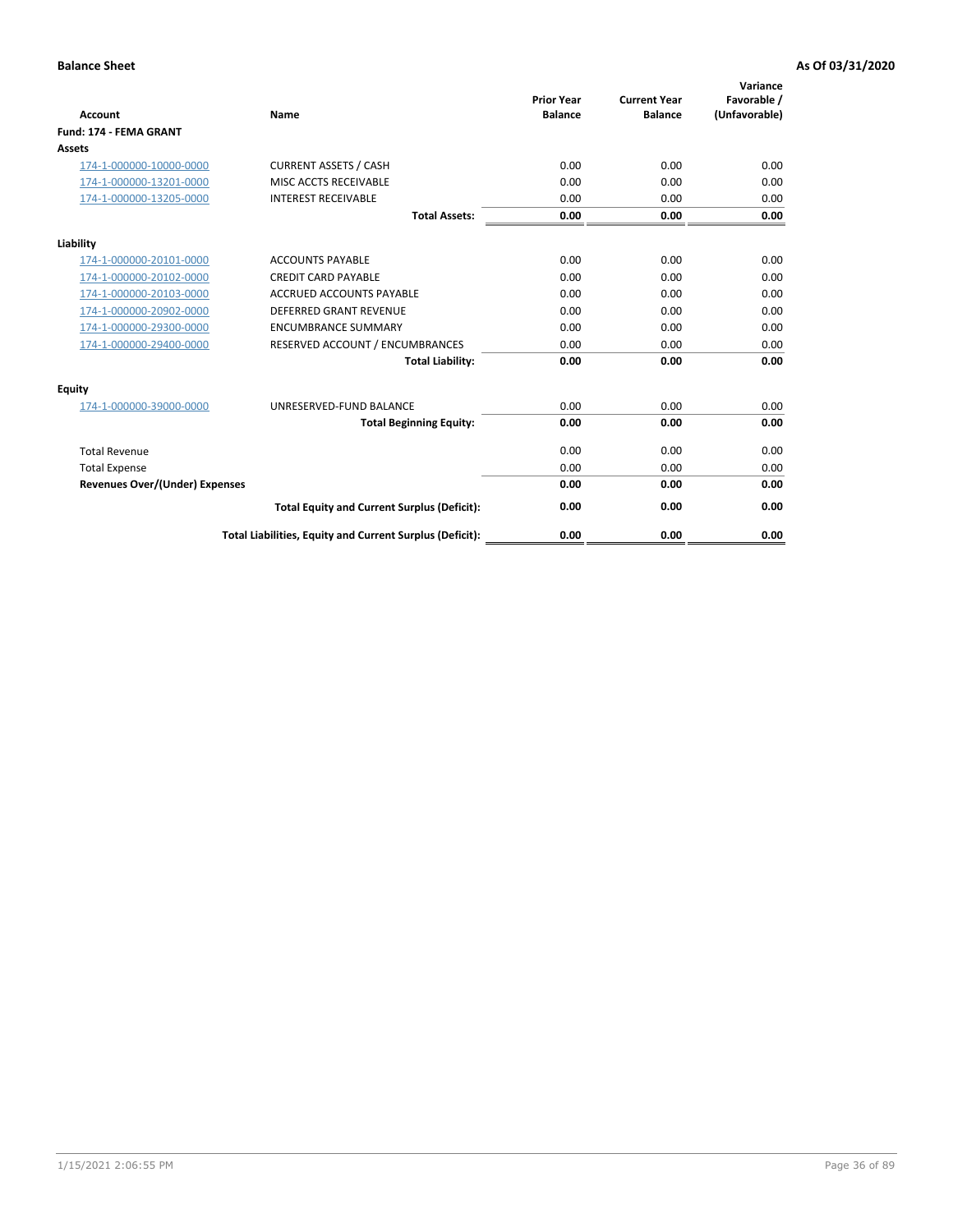| <b>Account</b>                        | Name                                                     | <b>Prior Year</b><br><b>Balance</b> | <b>Current Year</b><br><b>Balance</b> | Variance<br>Favorable /<br>(Unfavorable) |
|---------------------------------------|----------------------------------------------------------|-------------------------------------|---------------------------------------|------------------------------------------|
| <b>Fund: 174 - FEMA GRANT</b>         |                                                          |                                     |                                       |                                          |
| Assets                                |                                                          |                                     |                                       |                                          |
| 174-1-000000-10000-0000               | <b>CURRENT ASSETS / CASH</b>                             | 0.00                                | 0.00                                  | 0.00                                     |
| 174-1-000000-13201-0000               | MISC ACCTS RECEIVABLE                                    | 0.00                                | 0.00                                  | 0.00                                     |
| 174-1-000000-13205-0000               | <b>INTEREST RECEIVABLE</b>                               | 0.00                                | 0.00                                  | 0.00                                     |
|                                       | <b>Total Assets:</b>                                     | 0.00                                | 0.00                                  | 0.00                                     |
| Liability                             |                                                          |                                     |                                       |                                          |
| 174-1-000000-20101-0000               | <b>ACCOUNTS PAYABLE</b>                                  | 0.00                                | 0.00                                  | 0.00                                     |
| 174-1-000000-20102-0000               | <b>CREDIT CARD PAYABLE</b>                               | 0.00                                | 0.00                                  | 0.00                                     |
| 174-1-000000-20103-0000               | <b>ACCRUED ACCOUNTS PAYABLE</b>                          | 0.00                                | 0.00                                  | 0.00                                     |
| 174-1-000000-20902-0000               | <b>DEFERRED GRANT REVENUE</b>                            | 0.00                                | 0.00                                  | 0.00                                     |
| 174-1-000000-29300-0000               | <b>ENCUMBRANCE SUMMARY</b>                               | 0.00                                | 0.00                                  | 0.00                                     |
| 174-1-000000-29400-0000               | RESERVED ACCOUNT / ENCUMBRANCES                          | 0.00                                | 0.00                                  | 0.00                                     |
|                                       | <b>Total Liability:</b>                                  | 0.00                                | 0.00                                  | 0.00                                     |
| <b>Equity</b>                         |                                                          |                                     |                                       |                                          |
| 174-1-000000-39000-0000               | UNRESERVED-FUND BALANCE                                  | 0.00                                | 0.00                                  | 0.00                                     |
|                                       | <b>Total Beginning Equity:</b>                           | 0.00                                | 0.00                                  | 0.00                                     |
| <b>Total Revenue</b>                  |                                                          | 0.00                                | 0.00                                  | 0.00                                     |
| <b>Total Expense</b>                  |                                                          | 0.00                                | 0.00                                  | 0.00                                     |
| <b>Revenues Over/(Under) Expenses</b> |                                                          | 0.00                                | 0.00                                  | 0.00                                     |
|                                       | <b>Total Equity and Current Surplus (Deficit):</b>       | 0.00                                | 0.00                                  | 0.00                                     |
|                                       | Total Liabilities, Equity and Current Surplus (Deficit): | 0.00                                | 0.00                                  | 0.00                                     |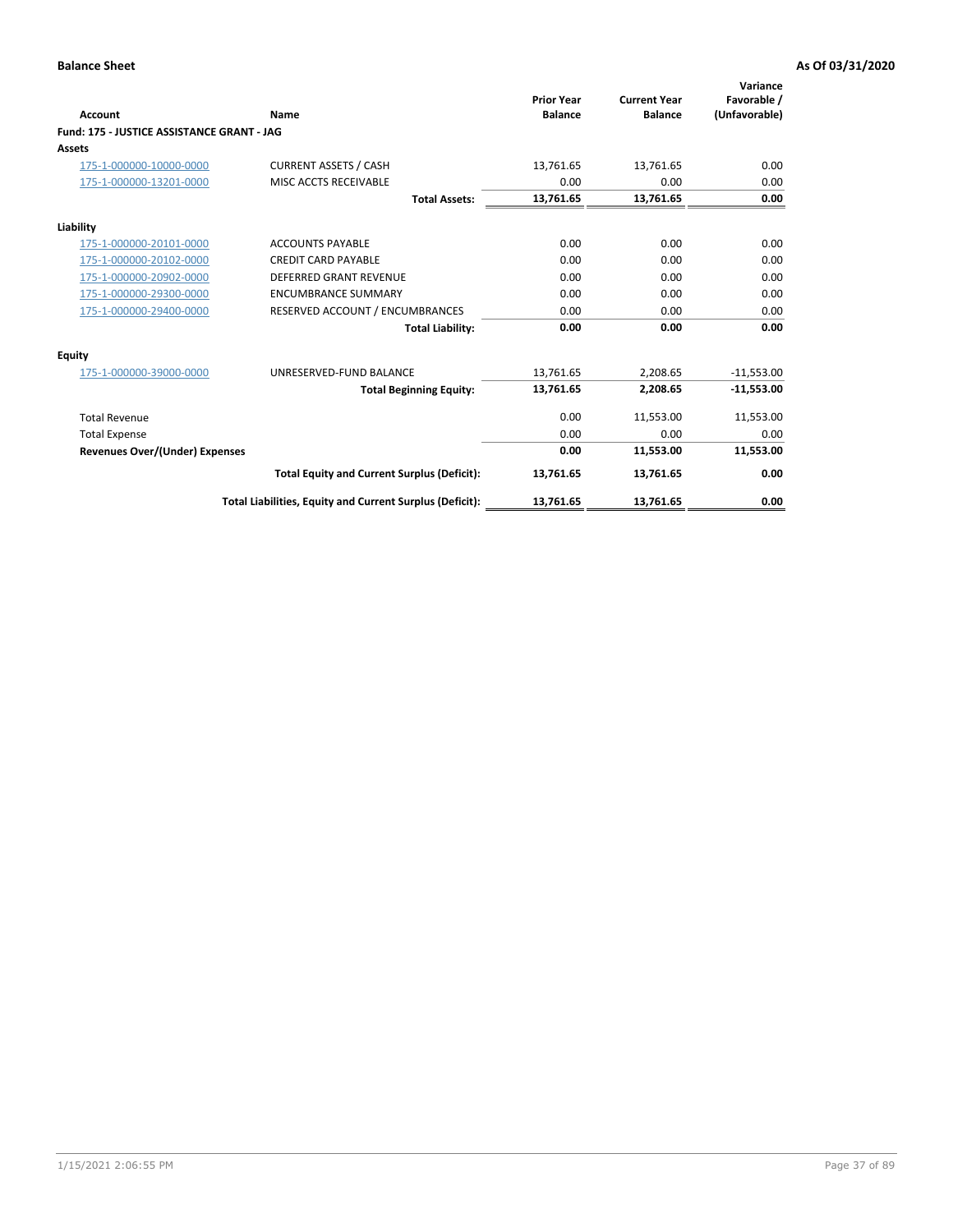| Account                                    | Name                                                     | <b>Prior Year</b><br><b>Balance</b> | <b>Current Year</b><br><b>Balance</b> | Variance<br>Favorable /<br>(Unfavorable) |
|--------------------------------------------|----------------------------------------------------------|-------------------------------------|---------------------------------------|------------------------------------------|
| Fund: 175 - JUSTICE ASSISTANCE GRANT - JAG |                                                          |                                     |                                       |                                          |
| <b>Assets</b>                              |                                                          |                                     |                                       |                                          |
| 175-1-000000-10000-0000                    | <b>CURRENT ASSETS / CASH</b>                             | 13,761.65                           | 13,761.65                             | 0.00                                     |
| 175-1-000000-13201-0000                    | MISC ACCTS RECEIVABLE                                    | 0.00                                | 0.00                                  | 0.00                                     |
|                                            | <b>Total Assets:</b>                                     | 13,761.65                           | 13,761.65                             | 0.00                                     |
| Liability                                  |                                                          |                                     |                                       |                                          |
| 175-1-000000-20101-0000                    | <b>ACCOUNTS PAYABLE</b>                                  | 0.00                                | 0.00                                  | 0.00                                     |
| 175-1-000000-20102-0000                    | <b>CREDIT CARD PAYABLE</b>                               | 0.00                                | 0.00                                  | 0.00                                     |
| 175-1-000000-20902-0000                    | <b>DEFERRED GRANT REVENUE</b>                            | 0.00                                | 0.00                                  | 0.00                                     |
| 175-1-000000-29300-0000                    | <b>ENCUMBRANCE SUMMARY</b>                               | 0.00                                | 0.00                                  | 0.00                                     |
| 175-1-000000-29400-0000                    | RESERVED ACCOUNT / ENCUMBRANCES                          | 0.00                                | 0.00                                  | 0.00                                     |
|                                            | <b>Total Liability:</b>                                  | 0.00                                | 0.00                                  | 0.00                                     |
| Equity                                     |                                                          |                                     |                                       |                                          |
| 175-1-000000-39000-0000                    | UNRESERVED-FUND BALANCE                                  | 13,761.65                           | 2,208.65                              | $-11,553.00$                             |
|                                            | <b>Total Beginning Equity:</b>                           | 13,761.65                           | 2,208.65                              | $-11,553.00$                             |
| <b>Total Revenue</b>                       |                                                          | 0.00                                | 11,553.00                             | 11,553.00                                |
| <b>Total Expense</b>                       |                                                          | 0.00                                | 0.00                                  | 0.00                                     |
| <b>Revenues Over/(Under) Expenses</b>      |                                                          | 0.00                                | 11,553.00                             | 11,553.00                                |
|                                            | <b>Total Equity and Current Surplus (Deficit):</b>       | 13,761.65                           | 13,761.65                             | 0.00                                     |
|                                            | Total Liabilities, Equity and Current Surplus (Deficit): | 13,761.65                           | 13,761.65                             | 0.00                                     |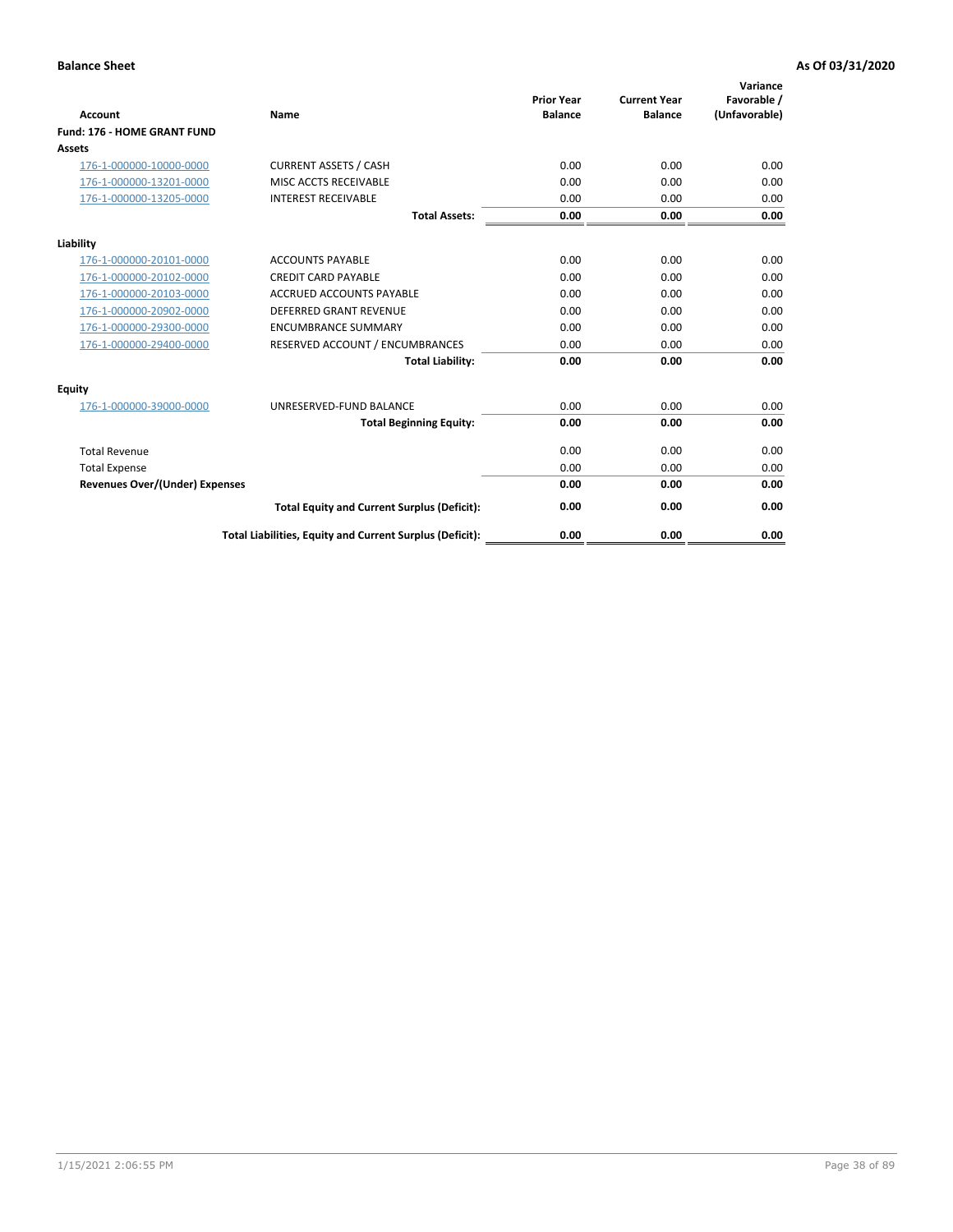| <b>Account</b>                        | Name                                                     | <b>Prior Year</b><br><b>Balance</b> | <b>Current Year</b><br><b>Balance</b> | Variance<br>Favorable /<br>(Unfavorable) |
|---------------------------------------|----------------------------------------------------------|-------------------------------------|---------------------------------------|------------------------------------------|
| Fund: 176 - HOME GRANT FUND           |                                                          |                                     |                                       |                                          |
| Assets                                |                                                          |                                     |                                       |                                          |
| 176-1-000000-10000-0000               | <b>CURRENT ASSETS / CASH</b>                             | 0.00                                | 0.00                                  | 0.00                                     |
| 176-1-000000-13201-0000               | MISC ACCTS RECEIVABLE                                    | 0.00                                | 0.00                                  | 0.00                                     |
| 176-1-000000-13205-0000               | <b>INTEREST RECEIVABLE</b>                               | 0.00                                | 0.00                                  | 0.00                                     |
|                                       | <b>Total Assets:</b>                                     | 0.00                                | 0.00                                  | 0.00                                     |
| Liability                             |                                                          |                                     |                                       |                                          |
| 176-1-000000-20101-0000               | <b>ACCOUNTS PAYABLE</b>                                  | 0.00                                | 0.00                                  | 0.00                                     |
| 176-1-000000-20102-0000               | <b>CREDIT CARD PAYABLE</b>                               | 0.00                                | 0.00                                  | 0.00                                     |
| 176-1-000000-20103-0000               | <b>ACCRUED ACCOUNTS PAYABLE</b>                          | 0.00                                | 0.00                                  | 0.00                                     |
| 176-1-000000-20902-0000               | <b>DEFERRED GRANT REVENUE</b>                            | 0.00                                | 0.00                                  | 0.00                                     |
| 176-1-000000-29300-0000               | <b>ENCUMBRANCE SUMMARY</b>                               | 0.00                                | 0.00                                  | 0.00                                     |
| 176-1-000000-29400-0000               | RESERVED ACCOUNT / ENCUMBRANCES                          | 0.00                                | 0.00                                  | 0.00                                     |
|                                       | <b>Total Liability:</b>                                  | 0.00                                | 0.00                                  | 0.00                                     |
| <b>Equity</b>                         |                                                          |                                     |                                       |                                          |
| 176-1-000000-39000-0000               | UNRESERVED-FUND BALANCE                                  | 0.00                                | 0.00                                  | 0.00                                     |
|                                       | <b>Total Beginning Equity:</b>                           | 0.00                                | 0.00                                  | 0.00                                     |
| <b>Total Revenue</b>                  |                                                          | 0.00                                | 0.00                                  | 0.00                                     |
| <b>Total Expense</b>                  |                                                          | 0.00                                | 0.00                                  | 0.00                                     |
| <b>Revenues Over/(Under) Expenses</b> |                                                          | 0.00                                | 0.00                                  | 0.00                                     |
|                                       | <b>Total Equity and Current Surplus (Deficit):</b>       | 0.00                                | 0.00                                  | 0.00                                     |
|                                       | Total Liabilities, Equity and Current Surplus (Deficit): | 0.00                                | 0.00                                  | 0.00                                     |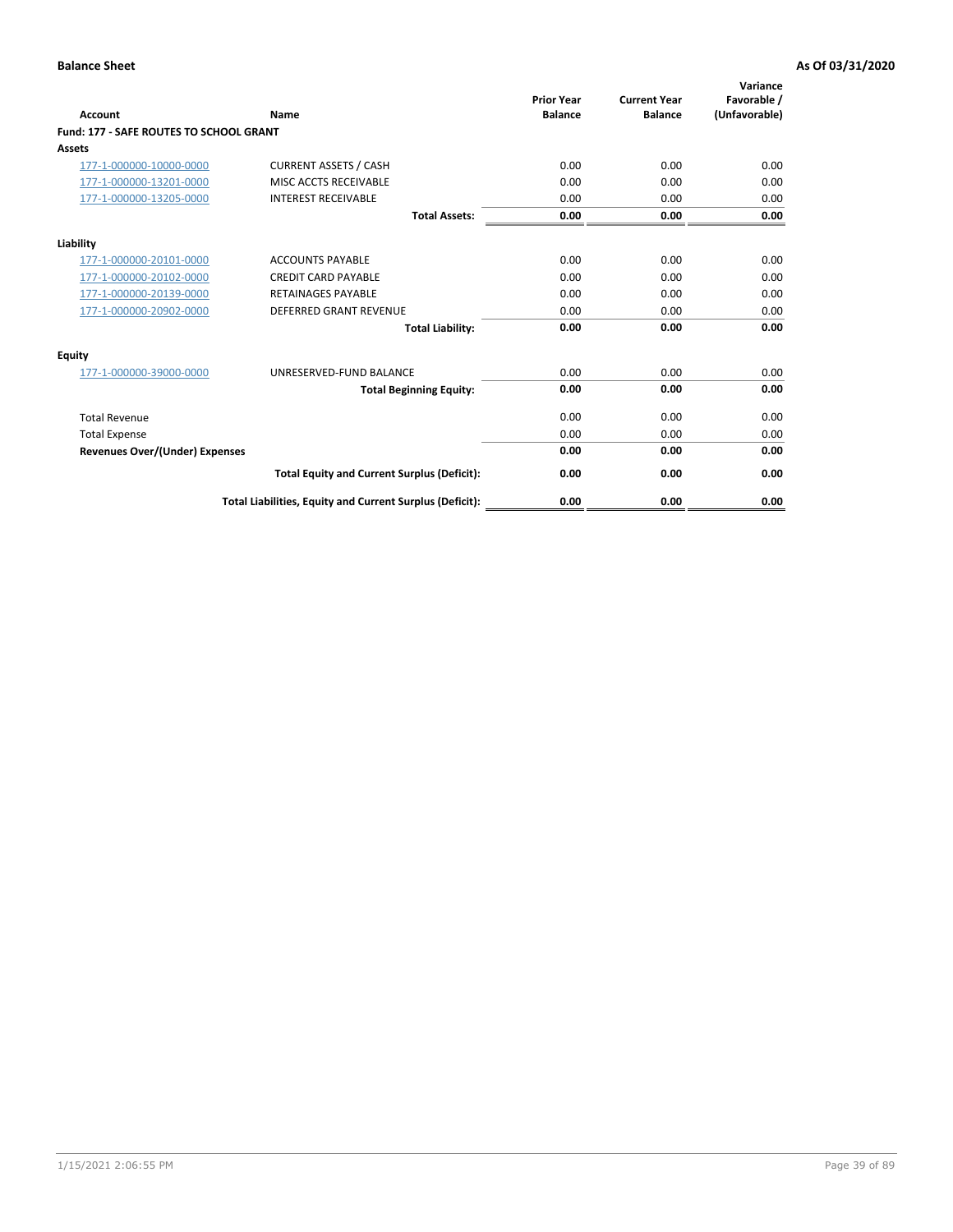| Account                                        | Name                                                     | <b>Prior Year</b><br><b>Balance</b> | <b>Current Year</b><br><b>Balance</b> | Variance<br>Favorable /<br>(Unfavorable) |
|------------------------------------------------|----------------------------------------------------------|-------------------------------------|---------------------------------------|------------------------------------------|
| <b>Fund: 177 - SAFE ROUTES TO SCHOOL GRANT</b> |                                                          |                                     |                                       |                                          |
| <b>Assets</b>                                  |                                                          |                                     |                                       |                                          |
| 177-1-000000-10000-0000                        | <b>CURRENT ASSETS / CASH</b>                             | 0.00                                | 0.00                                  | 0.00                                     |
| 177-1-000000-13201-0000                        | MISC ACCTS RECEIVABLE                                    | 0.00                                | 0.00                                  | 0.00                                     |
| 177-1-000000-13205-0000                        | <b>INTEREST RECEIVABLE</b>                               | 0.00                                | 0.00                                  | 0.00                                     |
|                                                | <b>Total Assets:</b>                                     | 0.00                                | 0.00                                  | 0.00                                     |
| Liability                                      |                                                          |                                     |                                       |                                          |
| 177-1-000000-20101-0000                        | <b>ACCOUNTS PAYABLE</b>                                  | 0.00                                | 0.00                                  | 0.00                                     |
| 177-1-000000-20102-0000                        | <b>CREDIT CARD PAYABLE</b>                               | 0.00                                | 0.00                                  | 0.00                                     |
| 177-1-000000-20139-0000                        | <b>RETAINAGES PAYABLE</b>                                | 0.00                                | 0.00                                  | 0.00                                     |
| 177-1-000000-20902-0000                        | <b>DEFERRED GRANT REVENUE</b>                            | 0.00                                | 0.00                                  | 0.00                                     |
|                                                | <b>Total Liability:</b>                                  | 0.00                                | 0.00                                  | 0.00                                     |
| Equity                                         |                                                          |                                     |                                       |                                          |
| 177-1-000000-39000-0000                        | UNRESERVED-FUND BALANCE                                  | 0.00                                | 0.00                                  | 0.00                                     |
|                                                | <b>Total Beginning Equity:</b>                           | 0.00                                | 0.00                                  | 0.00                                     |
| <b>Total Revenue</b>                           |                                                          | 0.00                                | 0.00                                  | 0.00                                     |
| <b>Total Expense</b>                           |                                                          | 0.00                                | 0.00                                  | 0.00                                     |
| Revenues Over/(Under) Expenses                 |                                                          | 0.00                                | 0.00                                  | 0.00                                     |
|                                                | <b>Total Equity and Current Surplus (Deficit):</b>       | 0.00                                | 0.00                                  | 0.00                                     |
|                                                | Total Liabilities, Equity and Current Surplus (Deficit): | 0.00                                | 0.00                                  | 0.00                                     |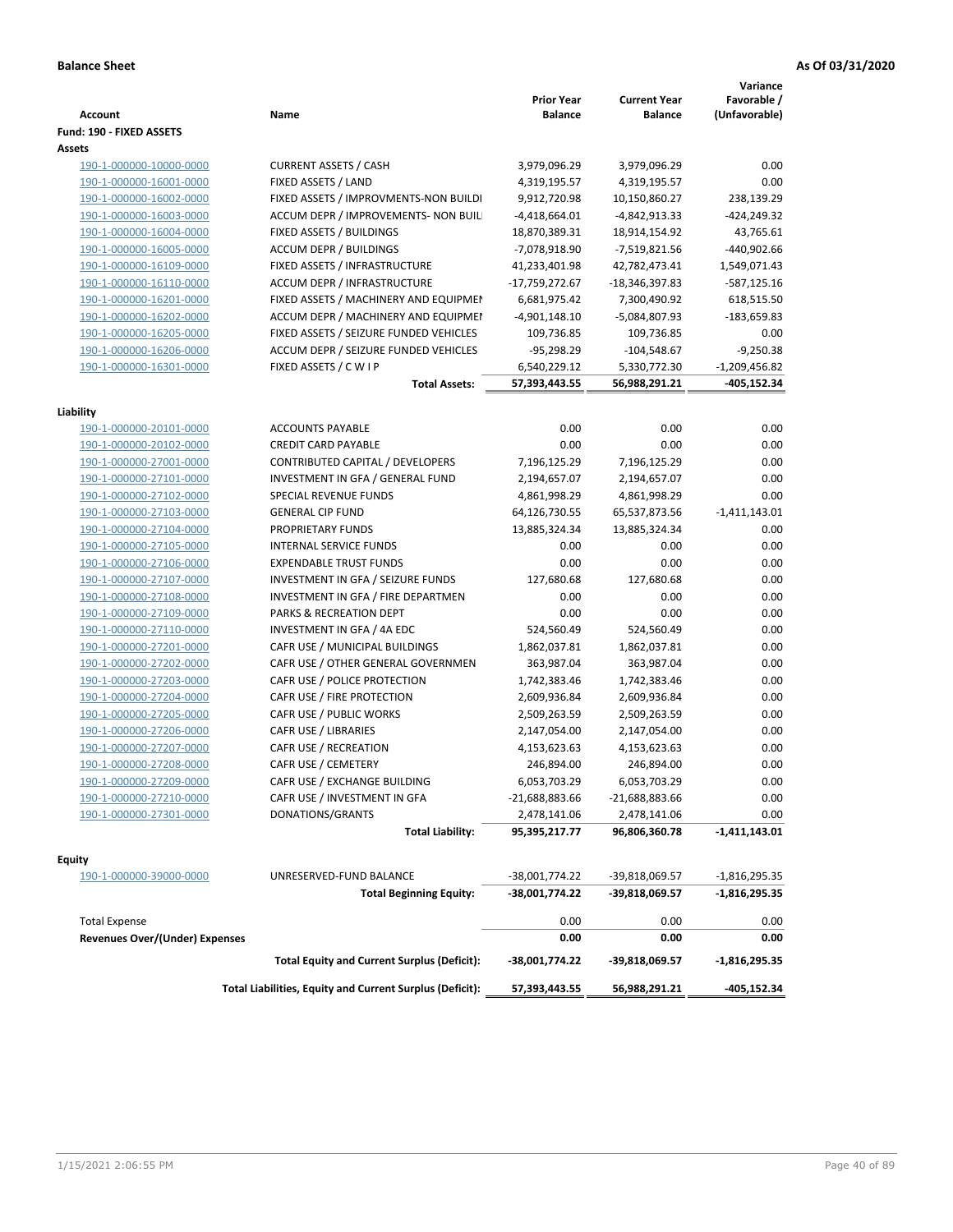| <b>Account</b>                           | Name                                                     | <b>Prior Year</b><br><b>Balance</b> | <b>Current Year</b><br><b>Balance</b> | Variance<br>Favorable /<br>(Unfavorable) |
|------------------------------------------|----------------------------------------------------------|-------------------------------------|---------------------------------------|------------------------------------------|
| Fund: 190 - FIXED ASSETS<br>Assets       |                                                          |                                     |                                       |                                          |
| 190-1-000000-10000-0000                  | <b>CURRENT ASSETS / CASH</b>                             | 3,979,096.29                        | 3,979,096.29                          | 0.00                                     |
| 190-1-000000-16001-0000                  | FIXED ASSETS / LAND                                      | 4,319,195.57                        | 4,319,195.57                          | 0.00                                     |
| 190-1-000000-16002-0000                  | FIXED ASSETS / IMPROVMENTS-NON BUILDI                    | 9,912,720.98                        | 10,150,860.27                         | 238,139.29                               |
| 190-1-000000-16003-0000                  | ACCUM DEPR / IMPROVEMENTS- NON BUIL                      | $-4,418,664.01$                     | -4,842,913.33                         | -424,249.32                              |
| 190-1-000000-16004-0000                  | FIXED ASSETS / BUILDINGS                                 | 18,870,389.31                       | 18,914,154.92                         | 43,765.61                                |
| 190-1-000000-16005-0000                  | <b>ACCUM DEPR / BUILDINGS</b>                            | -7,078,918.90                       | -7,519,821.56                         | $-440,902.66$                            |
| 190-1-000000-16109-0000                  | FIXED ASSETS / INFRASTRUCTURE                            | 41,233,401.98                       | 42,782,473.41                         | 1,549,071.43                             |
| 190-1-000000-16110-0000                  | ACCUM DEPR / INFRASTRUCTURE                              | -17,759,272.67                      | -18,346,397.83                        | $-587,125.16$                            |
| 190-1-000000-16201-0000                  | FIXED ASSETS / MACHINERY AND EQUIPMEN                    | 6,681,975.42                        | 7,300,490.92                          | 618,515.50                               |
| 190-1-000000-16202-0000                  | ACCUM DEPR / MACHINERY AND EQUIPMEI                      | $-4,901,148.10$                     | -5,084,807.93                         | $-183,659.83$                            |
| 190-1-000000-16205-0000                  | FIXED ASSETS / SEIZURE FUNDED VEHICLES                   | 109,736.85                          | 109,736.85                            | 0.00                                     |
| 190-1-000000-16206-0000                  | ACCUM DEPR / SEIZURE FUNDED VEHICLES                     | $-95,298.29$                        | $-104,548.67$                         | $-9,250.38$                              |
| 190-1-000000-16301-0000                  | FIXED ASSETS / C W I P                                   | 6,540,229.12                        | 5,330,772.30                          | $-1,209,456.82$                          |
|                                          | <b>Total Assets:</b>                                     | 57,393,443.55                       | 56,988,291.21                         | -405,152.34                              |
|                                          |                                                          |                                     |                                       |                                          |
| Liability                                |                                                          |                                     |                                       |                                          |
| 190-1-000000-20101-0000                  | <b>ACCOUNTS PAYABLE</b>                                  | 0.00                                | 0.00                                  | 0.00                                     |
| 190-1-000000-20102-0000                  | <b>CREDIT CARD PAYABLE</b>                               | 0.00                                | 0.00                                  | 0.00                                     |
| 190-1-000000-27001-0000                  | CONTRIBUTED CAPITAL / DEVELOPERS                         | 7,196,125.29                        | 7,196,125.29                          | 0.00                                     |
| 190-1-000000-27101-0000                  | INVESTMENT IN GFA / GENERAL FUND                         | 2,194,657.07                        | 2,194,657.07                          | 0.00                                     |
| 190-1-000000-27102-0000                  | SPECIAL REVENUE FUNDS                                    | 4,861,998.29                        | 4,861,998.29                          | 0.00                                     |
| 190-1-000000-27103-0000                  | <b>GENERAL CIP FUND</b>                                  | 64,126,730.55                       | 65,537,873.56                         | $-1,411,143.01$                          |
| 190-1-000000-27104-0000                  | PROPRIETARY FUNDS                                        | 13,885,324.34                       | 13,885,324.34                         | 0.00                                     |
| 190-1-000000-27105-0000                  | <b>INTERNAL SERVICE FUNDS</b>                            | 0.00                                | 0.00                                  | 0.00                                     |
| 190-1-000000-27106-0000                  | <b>EXPENDABLE TRUST FUNDS</b>                            | 0.00                                | 0.00                                  | 0.00                                     |
| 190-1-000000-27107-0000                  | INVESTMENT IN GFA / SEIZURE FUNDS                        | 127,680.68                          | 127,680.68                            | 0.00                                     |
| 190-1-000000-27108-0000                  | INVESTMENT IN GFA / FIRE DEPARTMEN                       | 0.00                                | 0.00                                  | 0.00                                     |
| 190-1-000000-27109-0000                  | PARKS & RECREATION DEPT                                  | 0.00                                | 0.00                                  | 0.00                                     |
| 190-1-000000-27110-0000                  | INVESTMENT IN GFA / 4A EDC                               | 524,560.49                          | 524,560.49                            | 0.00                                     |
| 190-1-000000-27201-0000                  | CAFR USE / MUNICIPAL BUILDINGS                           | 1,862,037.81                        | 1,862,037.81                          | 0.00                                     |
| 190-1-000000-27202-0000                  | CAFR USE / OTHER GENERAL GOVERNMEN                       | 363,987.04                          | 363,987.04                            | 0.00                                     |
| 190-1-000000-27203-0000                  | CAFR USE / POLICE PROTECTION                             | 1,742,383.46                        | 1,742,383.46                          | 0.00                                     |
| 190-1-000000-27204-0000                  | CAFR USE / FIRE PROTECTION                               | 2,609,936.84                        | 2,609,936.84                          | 0.00                                     |
| 190-1-000000-27205-0000                  | CAFR USE / PUBLIC WORKS                                  | 2,509,263.59                        | 2,509,263.59                          | 0.00                                     |
| 190-1-000000-27206-0000                  | CAFR USE / LIBRARIES                                     | 2,147,054.00                        | 2,147,054.00                          | 0.00                                     |
| 190-1-000000-27207-0000                  | CAFR USE / RECREATION                                    | 4,153,623.63                        | 4,153,623.63                          | 0.00                                     |
| 190-1-000000-27208-0000                  | CAFR USE / CEMETERY                                      | 246,894.00                          | 246,894.00                            | 0.00                                     |
| 190-1-000000-27209-0000                  | CAFR USE / EXCHANGE BUILDING                             | 6,053,703.29                        | 6,053,703.29                          | 0.00                                     |
| 190-1-000000-27210-0000                  | CAFR USE / INVESTMENT IN GFA                             | -21,688,883.66                      | $-21,688,883.66$                      | 0.00                                     |
| 190-1-000000-27301-0000                  | DONATIONS/GRANTS                                         | 2,478,141.06                        | 2,478,141.06                          | 0.00                                     |
|                                          | <b>Total Liability:</b>                                  | 95,395,217.77                       | 96,806,360.78                         | -1,411,143.01                            |
|                                          |                                                          |                                     |                                       |                                          |
| <b>Equity</b><br>190-1-000000-39000-0000 | UNRESERVED-FUND BALANCE                                  | -38,001,774.22                      | -39,818,069.57                        | $-1,816,295.35$                          |
|                                          | <b>Total Beginning Equity:</b>                           | -38,001,774.22                      | -39,818,069.57                        | $-1,816,295.35$                          |
|                                          |                                                          |                                     |                                       |                                          |
| <b>Total Expense</b>                     |                                                          | 0.00                                | 0.00                                  | 0.00                                     |
| Revenues Over/(Under) Expenses           |                                                          | 0.00                                | 0.00                                  | 0.00                                     |
|                                          | <b>Total Equity and Current Surplus (Deficit):</b>       | -38,001,774.22                      | -39,818,069.57                        | $-1,816,295.35$                          |
|                                          | Total Liabilities, Equity and Current Surplus (Deficit): | 57,393,443.55                       | 56,988,291.21                         | -405,152.34                              |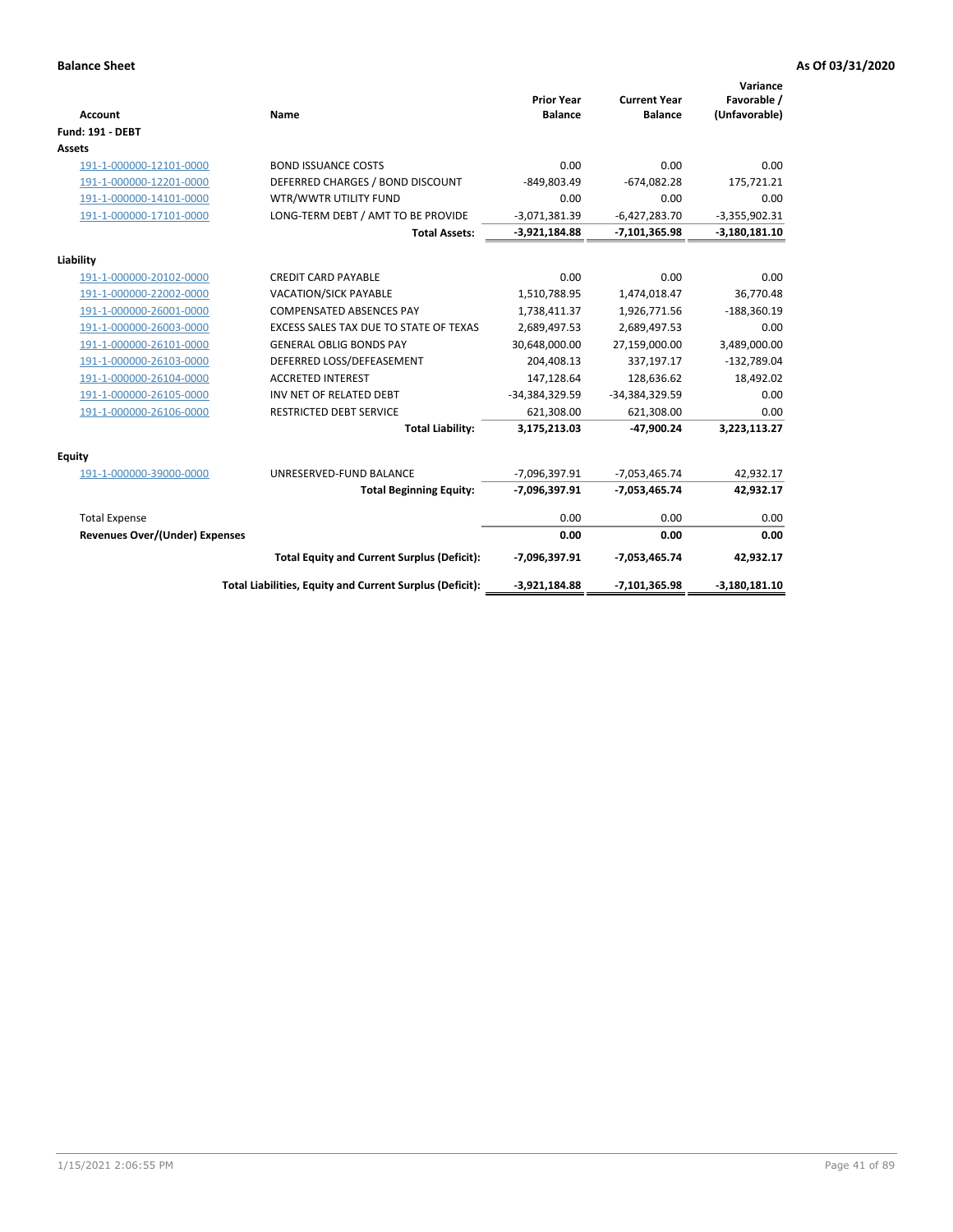| <b>Account</b>                 | Name                                                     | <b>Prior Year</b><br><b>Balance</b> | <b>Current Year</b><br><b>Balance</b> | Variance<br>Favorable /<br>(Unfavorable) |
|--------------------------------|----------------------------------------------------------|-------------------------------------|---------------------------------------|------------------------------------------|
| <b>Fund: 191 - DEBT</b>        |                                                          |                                     |                                       |                                          |
| <b>Assets</b>                  |                                                          |                                     |                                       |                                          |
| 191-1-000000-12101-0000        | <b>BOND ISSUANCE COSTS</b>                               | 0.00                                | 0.00                                  | 0.00                                     |
| 191-1-000000-12201-0000        | DEFERRED CHARGES / BOND DISCOUNT                         | -849,803.49                         | $-674,082.28$                         | 175,721.21                               |
| 191-1-000000-14101-0000        | WTR/WWTR UTILITY FUND                                    | 0.00                                | 0.00                                  | 0.00                                     |
| 191-1-000000-17101-0000        | LONG-TERM DEBT / AMT TO BE PROVIDE                       | $-3,071,381.39$                     | $-6,427,283.70$                       | $-3,355,902.31$                          |
|                                | <b>Total Assets:</b>                                     | $-3,921,184.88$                     | $-7,101,365.98$                       | $-3,180,181.10$                          |
| Liability                      |                                                          |                                     |                                       |                                          |
| 191-1-000000-20102-0000        | <b>CREDIT CARD PAYABLE</b>                               | 0.00                                | 0.00                                  | 0.00                                     |
| 191-1-000000-22002-0000        | VACATION/SICK PAYABLE                                    | 1,510,788.95                        | 1,474,018.47                          | 36,770.48                                |
| 191-1-000000-26001-0000        | <b>COMPENSATED ABSENCES PAY</b>                          | 1,738,411.37                        | 1,926,771.56                          | $-188,360.19$                            |
| 191-1-000000-26003-0000        | EXCESS SALES TAX DUE TO STATE OF TEXAS                   | 2,689,497.53                        | 2,689,497.53                          | 0.00                                     |
| 191-1-000000-26101-0000        | <b>GENERAL OBLIG BONDS PAY</b>                           | 30,648,000.00                       | 27,159,000.00                         | 3,489,000.00                             |
| 191-1-000000-26103-0000        | DEFERRED LOSS/DEFEASEMENT                                | 204,408.13                          | 337,197.17                            | $-132,789.04$                            |
| 191-1-000000-26104-0000        | <b>ACCRETED INTEREST</b>                                 | 147,128.64                          | 128,636.62                            | 18,492.02                                |
| 191-1-000000-26105-0000        | INV NET OF RELATED DEBT                                  | -34,384,329.59                      | -34,384,329.59                        | 0.00                                     |
| 191-1-000000-26106-0000        | <b>RESTRICTED DEBT SERVICE</b>                           | 621,308.00                          | 621,308.00                            | 0.00                                     |
|                                | <b>Total Liability:</b>                                  | 3,175,213.03                        | -47,900.24                            | 3,223,113.27                             |
| Equity                         |                                                          |                                     |                                       |                                          |
| 191-1-000000-39000-0000        | UNRESERVED-FUND BALANCE                                  | -7,096,397.91                       | $-7,053,465.74$                       | 42,932.17                                |
|                                | <b>Total Beginning Equity:</b>                           | -7,096,397.91                       | $-7,053,465.74$                       | 42,932.17                                |
| <b>Total Expense</b>           |                                                          | 0.00                                | 0.00                                  | 0.00                                     |
| Revenues Over/(Under) Expenses |                                                          | 0.00                                | 0.00                                  | 0.00                                     |
|                                | <b>Total Equity and Current Surplus (Deficit):</b>       | -7,096,397.91                       | $-7,053,465.74$                       | 42,932.17                                |
|                                | Total Liabilities, Equity and Current Surplus (Deficit): | $-3,921,184.88$                     | $-7,101,365.98$                       | $-3,180,181.10$                          |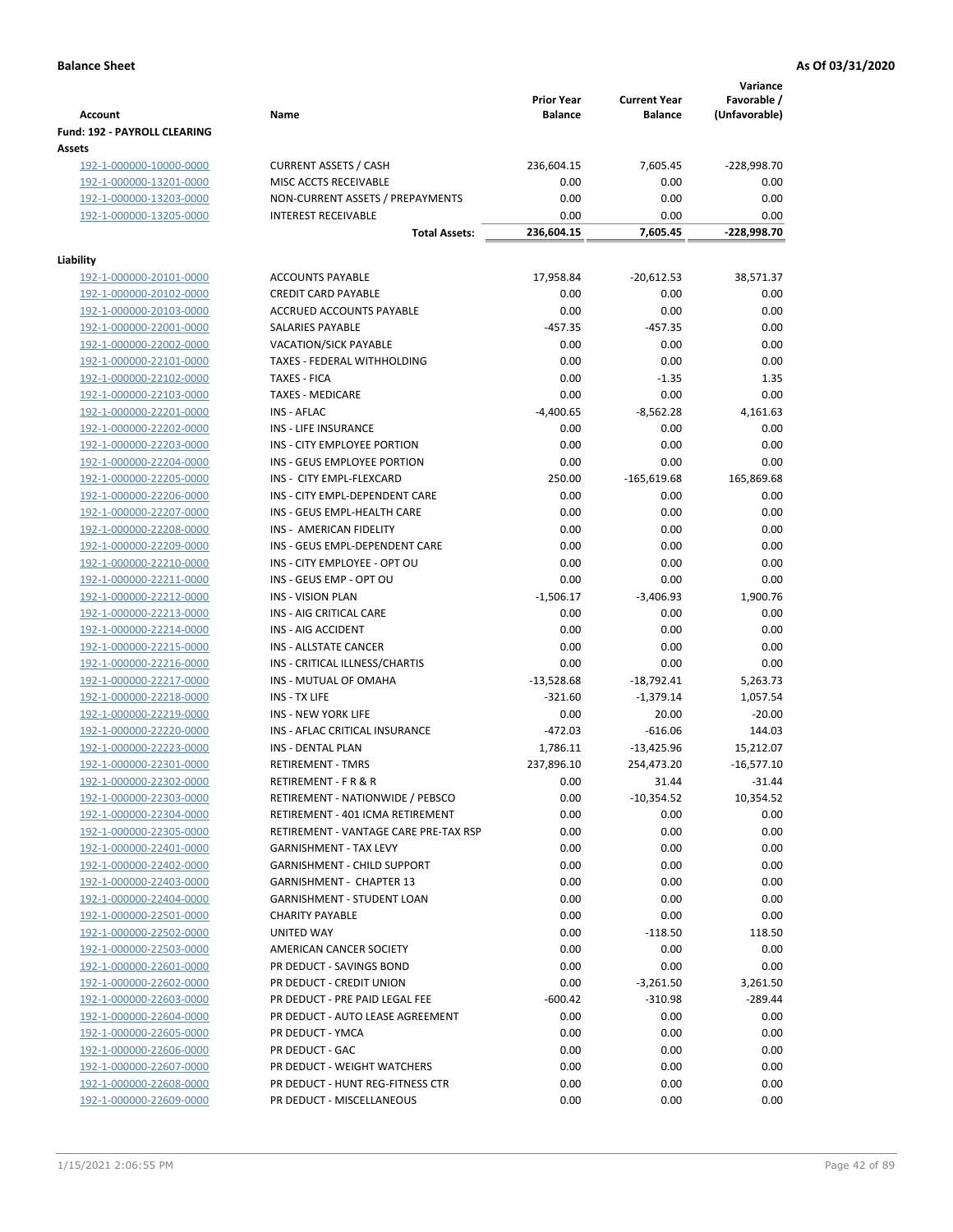| Account                                       | Name                                  | <b>Prior Year</b><br><b>Balance</b> | <b>Current Year</b><br><b>Balance</b> | Variance<br>Favorable /<br>(Unfavorable) |
|-----------------------------------------------|---------------------------------------|-------------------------------------|---------------------------------------|------------------------------------------|
| <b>Fund: 192 - PAYROLL CLEARING</b><br>Assets |                                       |                                     |                                       |                                          |
| 192-1-000000-10000-0000                       | <b>CURRENT ASSETS / CASH</b>          | 236,604.15                          | 7,605.45                              | -228,998.70                              |
| 192-1-000000-13201-0000                       | MISC ACCTS RECEIVABLE                 | 0.00                                | 0.00                                  | 0.00                                     |
| 192-1-000000-13203-0000                       | NON-CURRENT ASSETS / PREPAYMENTS      | 0.00                                | 0.00                                  | 0.00                                     |
| 192-1-000000-13205-0000                       | <b>INTEREST RECEIVABLE</b>            | 0.00                                | 0.00                                  | 0.00                                     |
|                                               | <b>Total Assets:</b>                  | 236,604.15                          | 7,605.45                              | -228,998.70                              |
| Liability                                     |                                       |                                     |                                       |                                          |
| 192-1-000000-20101-0000                       | <b>ACCOUNTS PAYABLE</b>               | 17,958.84                           | $-20,612.53$                          | 38,571.37                                |
| 192-1-000000-20102-0000                       | <b>CREDIT CARD PAYABLE</b>            | 0.00                                | 0.00                                  | 0.00                                     |
| 192-1-000000-20103-0000                       | ACCRUED ACCOUNTS PAYABLE              | 0.00                                | 0.00                                  | 0.00                                     |
| 192-1-000000-22001-0000                       | SALARIES PAYABLE                      | $-457.35$                           | $-457.35$                             | 0.00                                     |
| 192-1-000000-22002-0000                       | <b>VACATION/SICK PAYABLE</b>          | 0.00                                | 0.00                                  | 0.00                                     |
| 192-1-000000-22101-0000                       | TAXES - FEDERAL WITHHOLDING           | 0.00                                | 0.00                                  | 0.00                                     |
| 192-1-000000-22102-0000                       | <b>TAXES - FICA</b>                   | 0.00                                | $-1.35$                               | 1.35                                     |
| 192-1-000000-22103-0000                       | <b>TAXES - MEDICARE</b>               | 0.00                                | 0.00                                  | 0.00                                     |
| 192-1-000000-22201-0000                       | INS - AFLAC                           | $-4,400.65$                         | $-8,562.28$                           | 4,161.63                                 |
| 192-1-000000-22202-0000                       | INS - LIFE INSURANCE                  | 0.00                                | 0.00                                  | 0.00                                     |
| 192-1-000000-22203-0000                       | INS - CITY EMPLOYEE PORTION           | 0.00                                | 0.00                                  | 0.00                                     |
| 192-1-000000-22204-0000                       | INS - GEUS EMPLOYEE PORTION           | 0.00                                | 0.00                                  | 0.00                                     |
| 192-1-000000-22205-0000                       | INS - CITY EMPL-FLEXCARD              | 250.00                              | $-165,619.68$                         | 165,869.68                               |
| 192-1-000000-22206-0000                       | INS - CITY EMPL-DEPENDENT CARE        | 0.00                                | 0.00                                  | 0.00                                     |
| 192-1-000000-22207-0000                       | INS - GEUS EMPL-HEALTH CARE           | 0.00                                | 0.00                                  | 0.00                                     |
| 192-1-000000-22208-0000                       | INS - AMERICAN FIDELITY               | 0.00                                | 0.00                                  | 0.00                                     |
| 192-1-000000-22209-0000                       | INS - GEUS EMPL-DEPENDENT CARE        | 0.00                                | 0.00                                  | 0.00                                     |
| 192-1-000000-22210-0000                       | INS - CITY EMPLOYEE - OPT OU          | 0.00                                | 0.00                                  | 0.00                                     |
| 192-1-000000-22211-0000                       | INS - GEUS EMP - OPT OU               | 0.00                                | 0.00                                  | 0.00                                     |
| 192-1-000000-22212-0000                       | <b>INS - VISION PLAN</b>              | $-1,506.17$                         | $-3,406.93$                           | 1,900.76                                 |
| 192-1-000000-22213-0000                       | INS - AIG CRITICAL CARE               | 0.00                                | 0.00                                  | 0.00                                     |
| 192-1-000000-22214-0000                       | INS - AIG ACCIDENT                    | 0.00                                | 0.00                                  | 0.00                                     |
| 192-1-000000-22215-0000                       | <b>INS - ALLSTATE CANCER</b>          | 0.00                                | 0.00                                  | 0.00                                     |
| 192-1-000000-22216-0000                       | INS - CRITICAL ILLNESS/CHARTIS        | 0.00                                | 0.00                                  | 0.00                                     |
| 192-1-000000-22217-0000                       | INS - MUTUAL OF OMAHA                 | $-13,528.68$                        | $-18,792.41$                          | 5,263.73                                 |
| 192-1-000000-22218-0000                       | INS - TX LIFE                         | $-321.60$                           | $-1,379.14$                           | 1,057.54                                 |
| 192-1-000000-22219-0000                       | <b>INS - NEW YORK LIFE</b>            | 0.00                                | 20.00                                 | $-20.00$                                 |
| 192-1-000000-22220-0000                       | INS - AFLAC CRITICAL INSURANCE        | $-472.03$                           | $-616.06$                             | 144.03                                   |
| 192-1-000000-22223-0000                       | INS - DENTAL PLAN                     | 1,786.11                            | $-13,425.96$                          | 15,212.07                                |
| 192-1-000000-22301-0000                       | <b>RETIREMENT - TMRS</b>              | 237,896.10                          | 254,473.20                            | $-16,577.10$                             |
| 192-1-000000-22302-0000                       | RETIREMENT - F R & R                  | 0.00                                | 31.44                                 | $-31.44$                                 |
| 192-1-000000-22303-0000                       | RETIREMENT - NATIONWIDE / PEBSCO      | 0.00                                | $-10,354.52$                          | 10,354.52                                |
| 192-1-000000-22304-0000                       | RETIREMENT - 401 ICMA RETIREMENT      | 0.00                                | 0.00                                  | 0.00                                     |
| 192-1-000000-22305-0000                       | RETIREMENT - VANTAGE CARE PRE-TAX RSP | 0.00                                | 0.00                                  | 0.00                                     |
| 192-1-000000-22401-0000                       | <b>GARNISHMENT - TAX LEVY</b>         | 0.00                                | 0.00                                  | 0.00                                     |
| 192-1-000000-22402-0000                       | <b>GARNISHMENT - CHILD SUPPORT</b>    | 0.00                                | 0.00                                  | 0.00                                     |
| 192-1-000000-22403-0000                       | GARNISHMENT - CHAPTER 13              | 0.00                                | 0.00                                  | 0.00                                     |
| 192-1-000000-22404-0000                       | GARNISHMENT - STUDENT LOAN            | 0.00                                | 0.00                                  | 0.00                                     |
| 192-1-000000-22501-0000                       | <b>CHARITY PAYABLE</b>                | 0.00                                | 0.00                                  | 0.00                                     |
| 192-1-000000-22502-0000                       | UNITED WAY                            | 0.00                                | $-118.50$                             | 118.50                                   |
| 192-1-000000-22503-0000                       | AMERICAN CANCER SOCIETY               | 0.00                                | 0.00                                  | 0.00                                     |
| 192-1-000000-22601-0000                       | PR DEDUCT - SAVINGS BOND              | 0.00                                | 0.00                                  | 0.00                                     |
| 192-1-000000-22602-0000                       | PR DEDUCT - CREDIT UNION              | 0.00                                | $-3,261.50$                           | 3,261.50                                 |
| 192-1-000000-22603-0000                       | PR DEDUCT - PRE PAID LEGAL FEE        | $-600.42$                           | $-310.98$                             | $-289.44$                                |
| 192-1-000000-22604-0000                       | PR DEDUCT - AUTO LEASE AGREEMENT      | 0.00                                | 0.00                                  | 0.00                                     |
| 192-1-000000-22605-0000                       | PR DEDUCT - YMCA                      | 0.00                                | 0.00                                  | 0.00                                     |
| 192-1-000000-22606-0000                       | PR DEDUCT - GAC                       | 0.00                                | 0.00                                  | 0.00                                     |
| 192-1-000000-22607-0000                       | PR DEDUCT - WEIGHT WATCHERS           | 0.00                                | 0.00                                  | 0.00                                     |
| 192-1-000000-22608-0000                       | PR DEDUCT - HUNT REG-FITNESS CTR      | 0.00                                | 0.00                                  | 0.00                                     |
| 192-1-000000-22609-0000                       | PR DEDUCT - MISCELLANEOUS             | 0.00                                | 0.00                                  | 0.00                                     |
|                                               |                                       |                                     |                                       |                                          |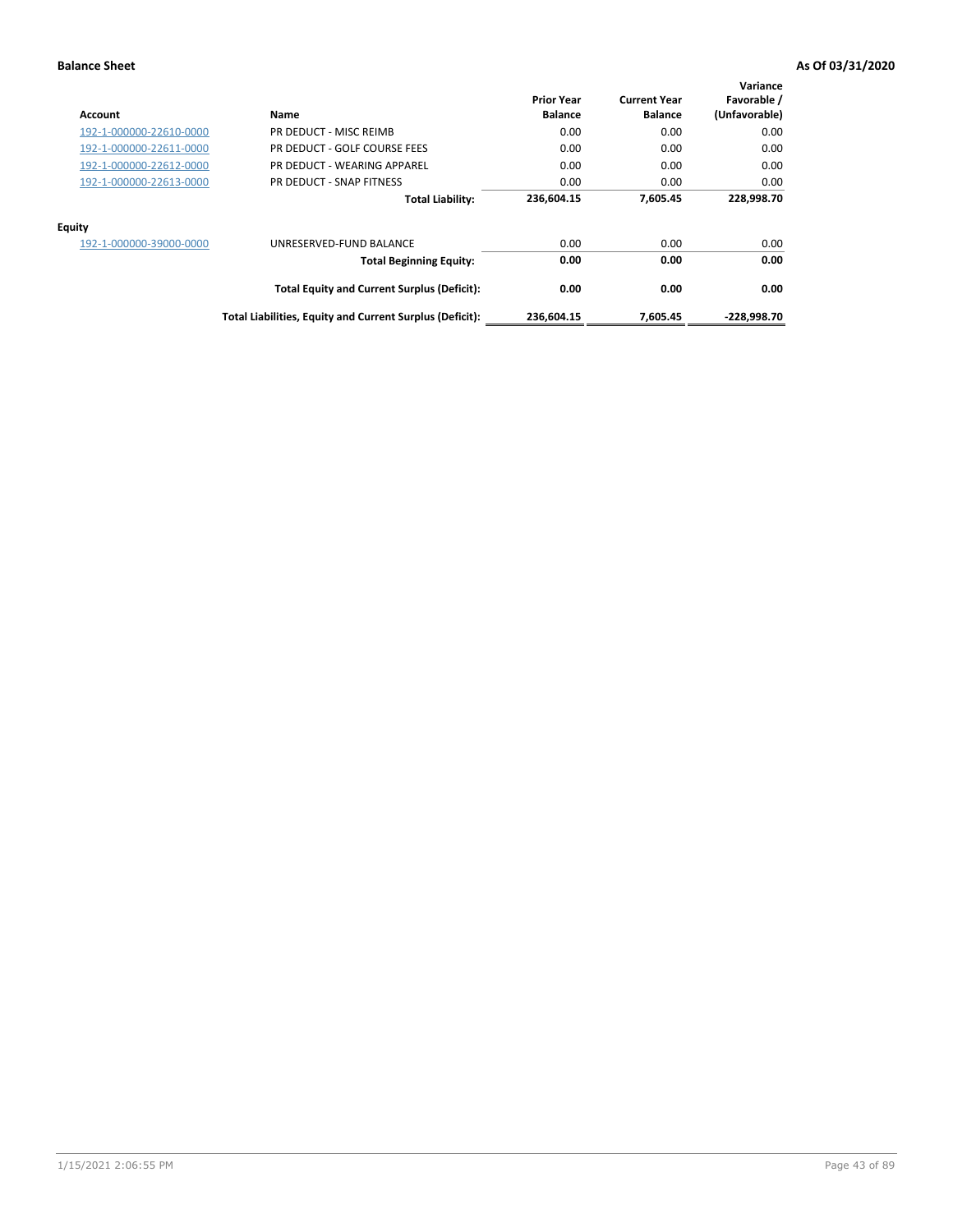| Account                 | Name                                                     | <b>Prior Year</b><br><b>Balance</b> | <b>Current Year</b><br><b>Balance</b> | Variance<br>Favorable /<br>(Unfavorable) |
|-------------------------|----------------------------------------------------------|-------------------------------------|---------------------------------------|------------------------------------------|
| 192-1-000000-22610-0000 | PR DEDUCT - MISC REIMB                                   | 0.00                                | 0.00                                  | 0.00                                     |
| 192-1-000000-22611-0000 | PR DEDUCT - GOLF COURSE FEES                             | 0.00                                | 0.00                                  | 0.00                                     |
| 192-1-000000-22612-0000 | PR DEDUCT - WEARING APPAREL                              | 0.00                                | 0.00                                  | 0.00                                     |
| 192-1-000000-22613-0000 | PR DEDUCT - SNAP FITNESS                                 | 0.00                                | 0.00                                  | 0.00                                     |
|                         | <b>Total Liability:</b>                                  | 236,604.15                          | 7,605.45                              | 228,998.70                               |
| <b>Equity</b>           |                                                          |                                     |                                       |                                          |
| 192-1-000000-39000-0000 | UNRESERVED-FUND BALANCE                                  | 0.00                                | 0.00                                  | 0.00                                     |
|                         | <b>Total Beginning Equity:</b>                           | 0.00                                | 0.00                                  | 0.00                                     |
|                         | <b>Total Equity and Current Surplus (Deficit):</b>       | 0.00                                | 0.00                                  | 0.00                                     |
|                         | Total Liabilities, Equity and Current Surplus (Deficit): | 236,604.15                          | 7.605.45                              | $-228.998.70$                            |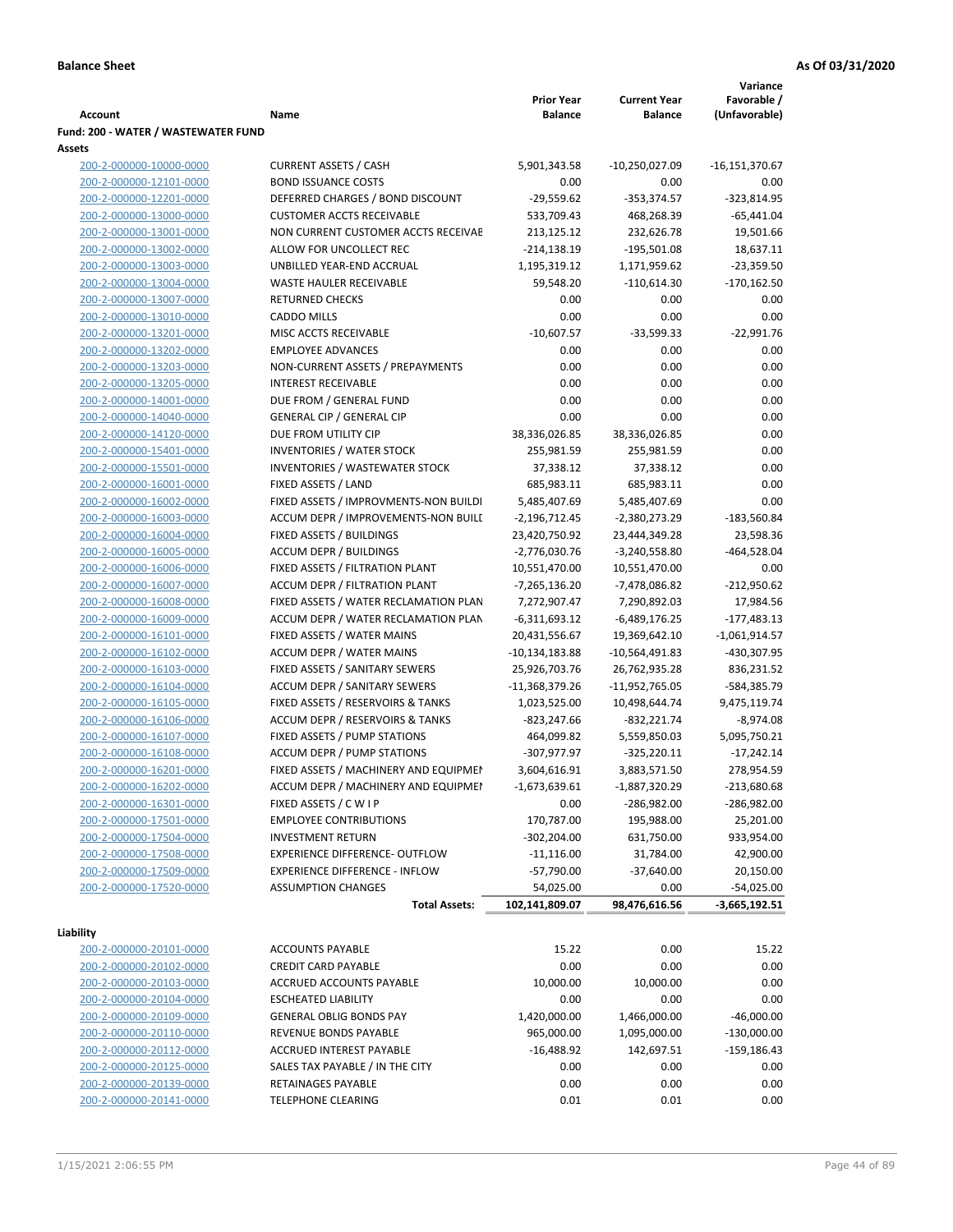|                                     |                                       |                   |                     | Variance         |
|-------------------------------------|---------------------------------------|-------------------|---------------------|------------------|
|                                     |                                       | <b>Prior Year</b> | <b>Current Year</b> | Favorable /      |
| <b>Account</b>                      | Name                                  | <b>Balance</b>    | <b>Balance</b>      | (Unfavorable)    |
| Fund: 200 - WATER / WASTEWATER FUND |                                       |                   |                     |                  |
| Assets                              |                                       |                   |                     |                  |
| 200-2-000000-10000-0000             | <b>CURRENT ASSETS / CASH</b>          | 5,901,343.58      | $-10,250,027.09$    | $-16,151,370.67$ |
| 200-2-000000-12101-0000             | <b>BOND ISSUANCE COSTS</b>            | 0.00              | 0.00                | 0.00             |
| 200-2-000000-12201-0000             | DEFERRED CHARGES / BOND DISCOUNT      | $-29,559.62$      | $-353,374.57$       | $-323,814.95$    |
| 200-2-000000-13000-0000             | <b>CUSTOMER ACCTS RECEIVABLE</b>      | 533,709.43        | 468,268.39          | $-65,441.04$     |
| 200-2-000000-13001-0000             | NON CURRENT CUSTOMER ACCTS RECEIVAE   | 213,125.12        | 232,626.78          | 19,501.66        |
| 200-2-000000-13002-0000             | ALLOW FOR UNCOLLECT REC               | $-214,138.19$     | $-195,501.08$       | 18,637.11        |
| 200-2-000000-13003-0000             | UNBILLED YEAR-END ACCRUAL             | 1,195,319.12      | 1,171,959.62        | $-23,359.50$     |
| 200-2-000000-13004-0000             | WASTE HAULER RECEIVABLE               | 59,548.20         | $-110,614.30$       | $-170,162.50$    |
| 200-2-000000-13007-0000             | <b>RETURNED CHECKS</b>                | 0.00              | 0.00                | 0.00             |
| 200-2-000000-13010-0000             | <b>CADDO MILLS</b>                    | 0.00              | 0.00                | 0.00             |
| 200-2-000000-13201-0000             | MISC ACCTS RECEIVABLE                 | $-10,607.57$      | $-33,599.33$        | $-22,991.76$     |
| 200-2-000000-13202-0000             | <b>EMPLOYEE ADVANCES</b>              | 0.00              | 0.00                | 0.00             |
| 200-2-000000-13203-0000             | NON-CURRENT ASSETS / PREPAYMENTS      | 0.00              | 0.00                | 0.00             |
| 200-2-000000-13205-0000             | <b>INTEREST RECEIVABLE</b>            | 0.00              | 0.00                | 0.00             |
| 200-2-000000-14001-0000             | DUE FROM / GENERAL FUND               | 0.00              | 0.00                | 0.00             |
|                                     |                                       |                   |                     |                  |
| 200-2-000000-14040-0000             | <b>GENERAL CIP / GENERAL CIP</b>      | 0.00              | 0.00                | 0.00             |
| 200-2-000000-14120-0000             | DUE FROM UTILITY CIP                  | 38,336,026.85     | 38,336,026.85       | 0.00             |
| 200-2-000000-15401-0000             | <b>INVENTORIES / WATER STOCK</b>      | 255,981.59        | 255,981.59          | 0.00             |
| 200-2-000000-15501-0000             | <b>INVENTORIES / WASTEWATER STOCK</b> | 37,338.12         | 37,338.12           | 0.00             |
| 200-2-000000-16001-0000             | FIXED ASSETS / LAND                   | 685,983.11        | 685,983.11          | 0.00             |
| 200-2-000000-16002-0000             | FIXED ASSETS / IMPROVMENTS-NON BUILDI | 5,485,407.69      | 5,485,407.69        | 0.00             |
| 200-2-000000-16003-0000             | ACCUM DEPR / IMPROVEMENTS-NON BUILL   | $-2,196,712.45$   | $-2,380,273.29$     | $-183,560.84$    |
| 200-2-000000-16004-0000             | FIXED ASSETS / BUILDINGS              | 23,420,750.92     | 23,444,349.28       | 23,598.36        |
| 200-2-000000-16005-0000             | <b>ACCUM DEPR / BUILDINGS</b>         | $-2,776,030.76$   | $-3,240,558.80$     | $-464,528.04$    |
| 200-2-000000-16006-0000             | FIXED ASSETS / FILTRATION PLANT       | 10,551,470.00     | 10,551,470.00       | 0.00             |
| 200-2-000000-16007-0000             | ACCUM DEPR / FILTRATION PLANT         | -7,265,136.20     | -7,478,086.82       | $-212,950.62$    |
| 200-2-000000-16008-0000             | FIXED ASSETS / WATER RECLAMATION PLAN | 7,272,907.47      | 7,290,892.03        | 17,984.56        |
| 200-2-000000-16009-0000             | ACCUM DEPR / WATER RECLAMATION PLAN   | $-6,311,693.12$   | $-6,489,176.25$     | $-177,483.13$    |
| 200-2-000000-16101-0000             | FIXED ASSETS / WATER MAINS            | 20,431,556.67     | 19,369,642.10       | $-1,061,914.57$  |
| 200-2-000000-16102-0000             | <b>ACCUM DEPR / WATER MAINS</b>       | -10,134,183.88    | -10,564,491.83      | -430,307.95      |
| 200-2-000000-16103-0000             | FIXED ASSETS / SANITARY SEWERS        | 25,926,703.76     | 26,762,935.28       | 836,231.52       |
| 200-2-000000-16104-0000             | <b>ACCUM DEPR / SANITARY SEWERS</b>   | -11,368,379.26    | -11,952,765.05      | -584,385.79      |
| 200-2-000000-16105-0000             | FIXED ASSETS / RESERVOIRS & TANKS     | 1,023,525.00      | 10,498,644.74       | 9,475,119.74     |
| 200-2-000000-16106-0000             | ACCUM DEPR / RESERVOIRS & TANKS       | -823,247.66       | $-832,221.74$       | $-8,974.08$      |
| 200-2-000000-16107-0000             | FIXED ASSETS / PUMP STATIONS          | 464,099.82        | 5,559,850.03        | 5,095,750.21     |
| 200-2-000000-16108-0000             | <b>ACCUM DEPR / PUMP STATIONS</b>     | -307,977.97       | $-325,220.11$       | $-17,242.14$     |
| 200-2-000000-16201-0000             | FIXED ASSETS / MACHINERY AND EQUIPMEN | 3,604,616.91      | 3,883,571.50        | 278,954.59       |
| 200-2-000000-16202-0000             | ACCUM DEPR / MACHINERY AND EQUIPMEI   | $-1,673,639.61$   | $-1,887,320.29$     | $-213,680.68$    |
| 200-2-000000-16301-0000             | FIXED ASSETS / C W I P                | 0.00              | $-286,982.00$       | $-286,982.00$    |
| 200-2-000000-17501-0000             | <b>EMPLOYEE CONTRIBUTIONS</b>         | 170,787.00        | 195,988.00          | 25,201.00        |
| 200-2-000000-17504-0000             | <b>INVESTMENT RETURN</b>              | $-302,204.00$     | 631,750.00          | 933,954.00       |
| 200-2-000000-17508-0000             | EXPERIENCE DIFFERENCE- OUTFLOW        | $-11,116.00$      | 31,784.00           | 42,900.00        |
| 200-2-000000-17509-0000             | <b>EXPERIENCE DIFFERENCE - INFLOW</b> | $-57,790.00$      | $-37,640.00$        | 20,150.00        |
| 200-2-000000-17520-0000             | <b>ASSUMPTION CHANGES</b>             |                   |                     |                  |
|                                     |                                       | 54,025.00         | 0.00                | $-54,025.00$     |
|                                     | <b>Total Assets:</b>                  | 102,141,809.07    | 98,476,616.56       | $-3,665,192.51$  |
| Liability                           |                                       |                   |                     |                  |
| 200-2-000000-20101-0000             | <b>ACCOUNTS PAYABLE</b>               | 15.22             | 0.00                | 15.22            |
| 200-2-000000-20102-0000             | <b>CREDIT CARD PAYABLE</b>            | 0.00              | 0.00                | 0.00             |
| 200-2-000000-20103-0000             | ACCRUED ACCOUNTS PAYABLE              | 10,000.00         | 10,000.00           | 0.00             |
| 200-2-000000-20104-0000             | <b>ESCHEATED LIABILITY</b>            | 0.00              | 0.00                | 0.00             |
| 200-2-000000-20109-0000             | <b>GENERAL OBLIG BONDS PAY</b>        | 1,420,000.00      | 1,466,000.00        | -46,000.00       |
| 200-2-000000-20110-0000             | REVENUE BONDS PAYABLE                 | 965,000.00        | 1,095,000.00        | $-130,000.00$    |
|                                     |                                       |                   |                     |                  |
| 200-2-000000-20112-0000             | ACCRUED INTEREST PAYABLE              | $-16,488.92$      | 142,697.51          | -159,186.43      |
| 200-2-000000-20125-0000             | SALES TAX PAYABLE / IN THE CITY       | 0.00              | 0.00                | 0.00             |
| 200-2-000000-20139-0000             | RETAINAGES PAYABLE                    | 0.00              | 0.00                | 0.00             |
| 200-2-000000-20141-0000             | <b>TELEPHONE CLEARING</b>             | 0.01              | 0.01                | 0.00             |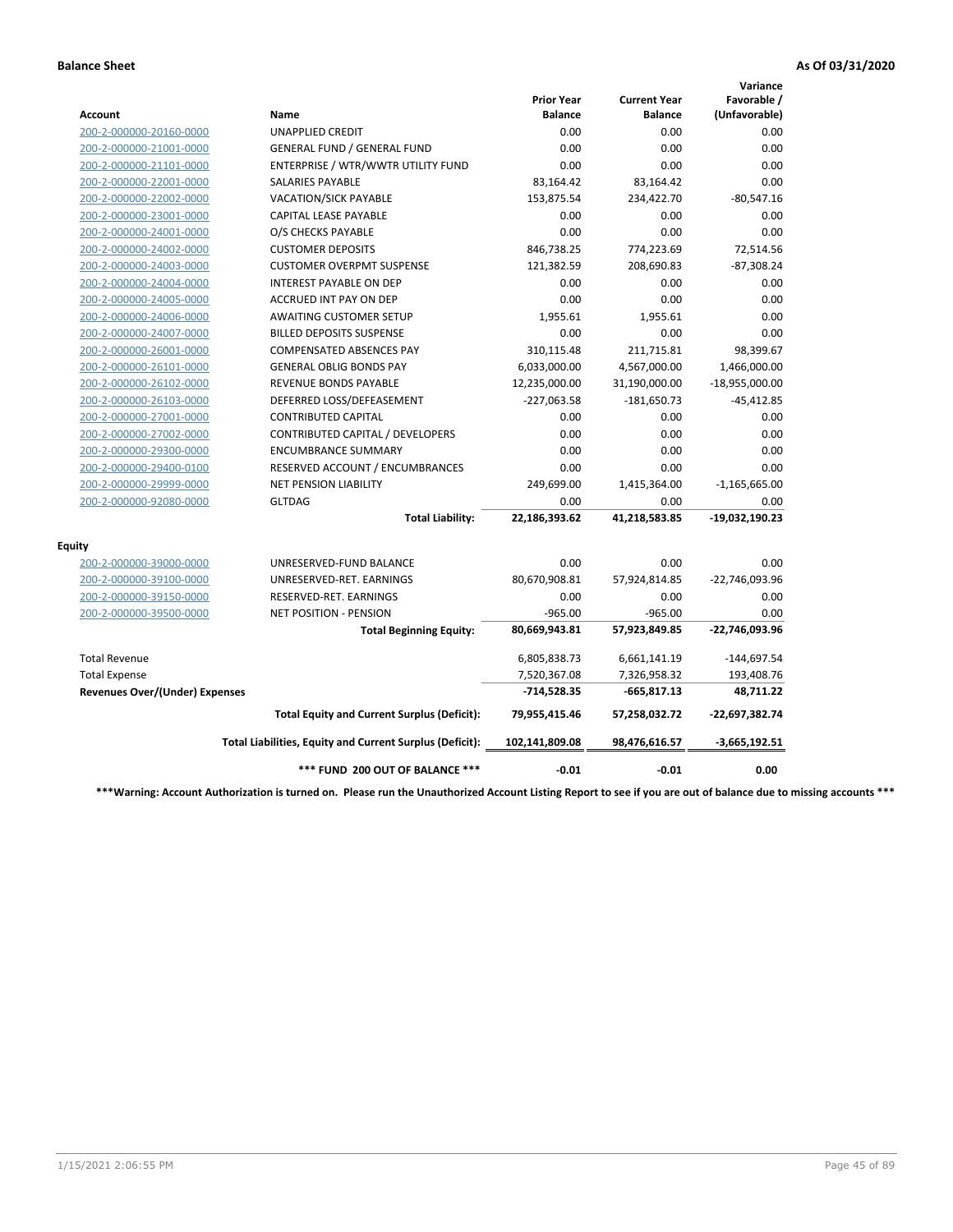|                                       |                                                          |                                     |                                       | Variance                     |
|---------------------------------------|----------------------------------------------------------|-------------------------------------|---------------------------------------|------------------------------|
| Account                               | Name                                                     | <b>Prior Year</b><br><b>Balance</b> | <b>Current Year</b><br><b>Balance</b> | Favorable /<br>(Unfavorable) |
| 200-2-000000-20160-0000               | <b>UNAPPLIED CREDIT</b>                                  | 0.00                                | 0.00                                  | 0.00                         |
| 200-2-000000-21001-0000               | <b>GENERAL FUND / GENERAL FUND</b>                       | 0.00                                | 0.00                                  | 0.00                         |
| 200-2-000000-21101-0000               | ENTERPRISE / WTR/WWTR UTILITY FUND                       | 0.00                                | 0.00                                  | 0.00                         |
| 200-2-000000-22001-0000               | <b>SALARIES PAYABLE</b>                                  | 83,164.42                           | 83,164.42                             | 0.00                         |
| 200-2-000000-22002-0000               | <b>VACATION/SICK PAYABLE</b>                             | 153,875.54                          | 234,422.70                            | $-80,547.16$                 |
| 200-2-000000-23001-0000               | CAPITAL LEASE PAYABLE                                    | 0.00                                | 0.00                                  | 0.00                         |
| 200-2-000000-24001-0000               | O/S CHECKS PAYABLE                                       | 0.00                                | 0.00                                  | 0.00                         |
| 200-2-000000-24002-0000               | <b>CUSTOMER DEPOSITS</b>                                 | 846,738.25                          | 774,223.69                            | 72,514.56                    |
| 200-2-000000-24003-0000               | <b>CUSTOMER OVERPMT SUSPENSE</b>                         | 121,382.59                          | 208,690.83                            | $-87,308.24$                 |
| 200-2-000000-24004-0000               | <b>INTEREST PAYABLE ON DEP</b>                           | 0.00                                | 0.00                                  | 0.00                         |
| 200-2-000000-24005-0000               | <b>ACCRUED INT PAY ON DEP</b>                            | 0.00                                | 0.00                                  | 0.00                         |
| 200-2-000000-24006-0000               | <b>AWAITING CUSTOMER SETUP</b>                           | 1.955.61                            | 1,955.61                              | 0.00                         |
| 200-2-000000-24007-0000               | <b>BILLED DEPOSITS SUSPENSE</b>                          | 0.00                                | 0.00                                  | 0.00                         |
| 200-2-000000-26001-0000               | <b>COMPENSATED ABSENCES PAY</b>                          | 310,115.48                          | 211,715.81                            | 98,399.67                    |
| 200-2-000000-26101-0000               | <b>GENERAL OBLIG BONDS PAY</b>                           | 6,033,000.00                        | 4,567,000.00                          | 1,466,000.00                 |
| 200-2-000000-26102-0000               | <b>REVENUE BONDS PAYABLE</b>                             | 12,235,000.00                       | 31,190,000.00                         | $-18,955,000.00$             |
| 200-2-000000-26103-0000               | DEFERRED LOSS/DEFEASEMENT                                | $-227,063.58$                       | $-181,650.73$                         | $-45,412.85$                 |
| 200-2-000000-27001-0000               | <b>CONTRIBUTED CAPITAL</b>                               | 0.00                                | 0.00                                  | 0.00                         |
| 200-2-000000-27002-0000               | CONTRIBUTED CAPITAL / DEVELOPERS                         | 0.00                                | 0.00                                  | 0.00                         |
| 200-2-000000-29300-0000               | <b>ENCUMBRANCE SUMMARY</b>                               | 0.00                                | 0.00                                  | 0.00                         |
| 200-2-000000-29400-0100               | RESERVED ACCOUNT / ENCUMBRANCES                          | 0.00                                | 0.00                                  | 0.00                         |
| 200-2-000000-29999-0000               | <b>NET PENSION LIABILITY</b>                             | 249,699.00                          | 1,415,364.00                          | $-1,165,665.00$              |
| 200-2-000000-92080-0000               | <b>GLTDAG</b>                                            | 0.00                                | 0.00                                  | 0.00                         |
|                                       | <b>Total Liability:</b>                                  | 22,186,393.62                       | 41,218,583.85                         | -19,032,190.23               |
| <b>Equity</b>                         |                                                          |                                     |                                       |                              |
| 200-2-000000-39000-0000               | UNRESERVED-FUND BALANCE                                  | 0.00                                | 0.00                                  | 0.00                         |
| 200-2-000000-39100-0000               | UNRESERVED-RET. EARNINGS                                 | 80,670,908.81                       | 57,924,814.85                         | -22,746,093.96               |
| 200-2-000000-39150-0000               | RESERVED-RET. EARNINGS                                   | 0.00                                | 0.00                                  | 0.00                         |
| 200-2-000000-39500-0000               | NET POSITION - PENSION                                   | $-965.00$                           | $-965.00$                             | 0.00                         |
|                                       | <b>Total Beginning Equity:</b>                           | 80,669,943.81                       | 57,923,849.85                         | -22,746,093.96               |
| <b>Total Revenue</b>                  |                                                          | 6,805,838.73                        | 6,661,141.19                          | $-144,697.54$                |
| <b>Total Expense</b>                  |                                                          | 7,520,367.08                        | 7,326,958.32                          | 193,408.76                   |
| <b>Revenues Over/(Under) Expenses</b> |                                                          | $-714,528.35$                       | $-665,817.13$                         | 48,711.22                    |
|                                       | <b>Total Equity and Current Surplus (Deficit):</b>       | 79,955,415.46                       | 57,258,032.72                         | $-22,697,382.74$             |
|                                       | Total Liabilities, Equity and Current Surplus (Deficit): | 102,141,809.08                      | 98,476,616.57                         | $-3,665,192.51$              |
|                                       | *** FUND 200 OUT OF BALANCE ***                          | $-0.01$                             | $-0.01$                               | 0.00                         |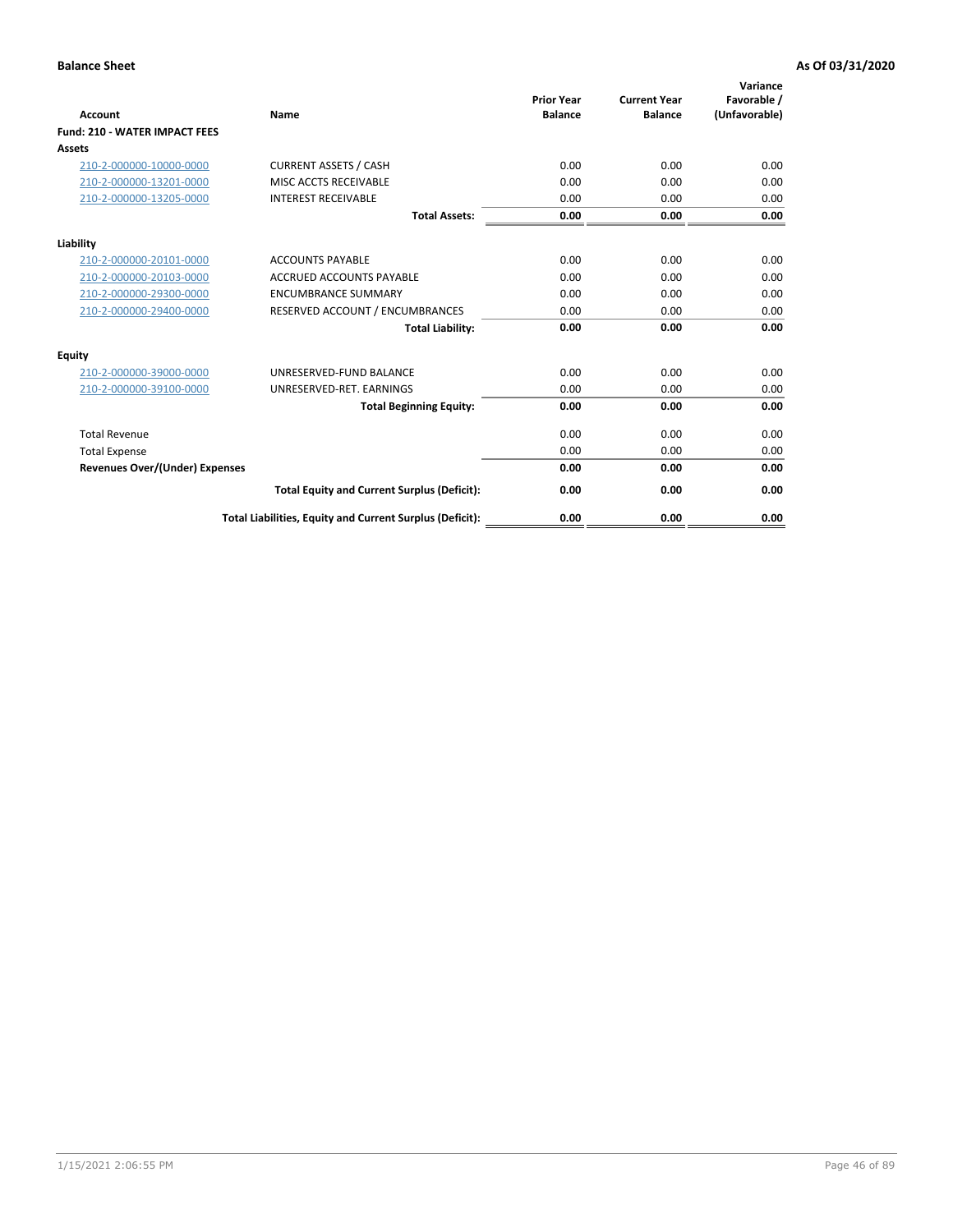| <b>Account</b>                        | <b>Name</b>                                              | <b>Prior Year</b><br><b>Balance</b> | <b>Current Year</b><br><b>Balance</b> | Variance<br>Favorable /<br>(Unfavorable) |
|---------------------------------------|----------------------------------------------------------|-------------------------------------|---------------------------------------|------------------------------------------|
| <b>Fund: 210 - WATER IMPACT FEES</b>  |                                                          |                                     |                                       |                                          |
| <b>Assets</b>                         |                                                          |                                     |                                       |                                          |
| 210-2-000000-10000-0000               | <b>CURRENT ASSETS / CASH</b>                             | 0.00                                | 0.00                                  | 0.00                                     |
| 210-2-000000-13201-0000               | MISC ACCTS RECEIVABLE                                    | 0.00                                | 0.00                                  | 0.00                                     |
| 210-2-000000-13205-0000               | <b>INTEREST RECEIVABLE</b>                               | 0.00                                | 0.00                                  | 0.00                                     |
|                                       | <b>Total Assets:</b>                                     | 0.00                                | 0.00                                  | 0.00                                     |
| Liability                             |                                                          |                                     |                                       |                                          |
| 210-2-000000-20101-0000               | <b>ACCOUNTS PAYABLE</b>                                  | 0.00                                | 0.00                                  | 0.00                                     |
| 210-2-000000-20103-0000               | <b>ACCRUED ACCOUNTS PAYABLE</b>                          | 0.00                                | 0.00                                  | 0.00                                     |
| 210-2-000000-29300-0000               | <b>ENCUMBRANCE SUMMARY</b>                               | 0.00                                | 0.00                                  | 0.00                                     |
| 210-2-000000-29400-0000               | RESERVED ACCOUNT / ENCUMBRANCES                          | 0.00                                | 0.00                                  | 0.00                                     |
|                                       | <b>Total Liability:</b>                                  | 0.00                                | 0.00                                  | 0.00                                     |
| <b>Equity</b>                         |                                                          |                                     |                                       |                                          |
| 210-2-000000-39000-0000               | UNRESERVED-FUND BALANCE                                  | 0.00                                | 0.00                                  | 0.00                                     |
| 210-2-000000-39100-0000               | UNRESERVED-RET. EARNINGS                                 | 0.00                                | 0.00                                  | 0.00                                     |
|                                       | <b>Total Beginning Equity:</b>                           | 0.00                                | 0.00                                  | 0.00                                     |
| <b>Total Revenue</b>                  |                                                          | 0.00                                | 0.00                                  | 0.00                                     |
| <b>Total Expense</b>                  |                                                          | 0.00                                | 0.00                                  | 0.00                                     |
| <b>Revenues Over/(Under) Expenses</b> |                                                          | 0.00                                | 0.00                                  | 0.00                                     |
|                                       | <b>Total Equity and Current Surplus (Deficit):</b>       | 0.00                                | 0.00                                  | 0.00                                     |
|                                       | Total Liabilities, Equity and Current Surplus (Deficit): | 0.00                                | 0.00                                  | 0.00                                     |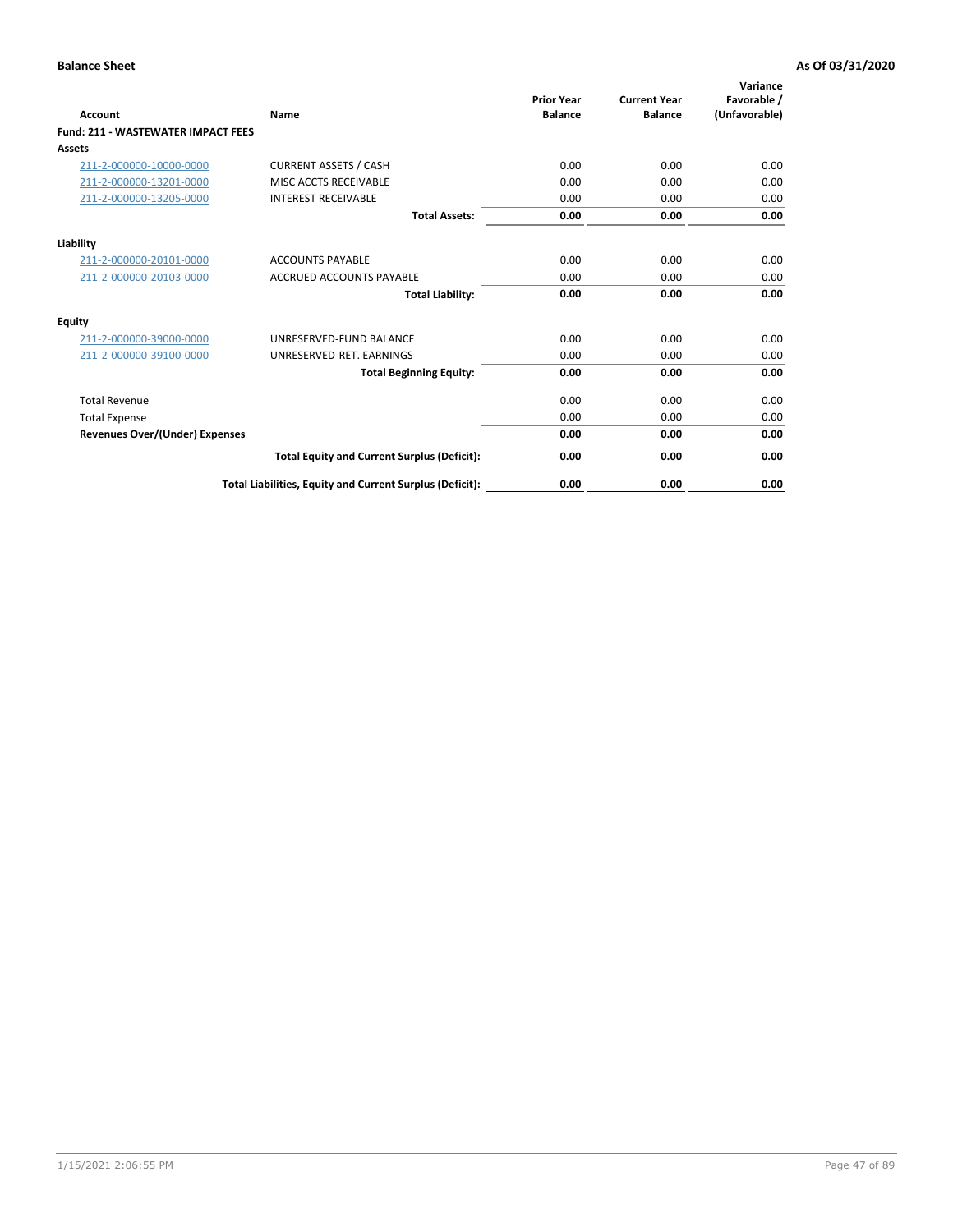| <b>Account</b>                        | <b>Name</b>                                              | <b>Prior Year</b><br><b>Balance</b> | <b>Current Year</b><br><b>Balance</b> | Variance<br>Favorable /<br>(Unfavorable) |
|---------------------------------------|----------------------------------------------------------|-------------------------------------|---------------------------------------|------------------------------------------|
| Fund: 211 - WASTEWATER IMPACT FEES    |                                                          |                                     |                                       |                                          |
| <b>Assets</b>                         |                                                          |                                     |                                       |                                          |
| 211-2-000000-10000-0000               | <b>CURRENT ASSETS / CASH</b>                             | 0.00                                | 0.00                                  | 0.00                                     |
| 211-2-000000-13201-0000               | MISC ACCTS RECEIVABLE                                    | 0.00                                | 0.00                                  | 0.00                                     |
| 211-2-000000-13205-0000               | <b>INTEREST RECEIVABLE</b>                               | 0.00                                | 0.00                                  | 0.00                                     |
|                                       | <b>Total Assets:</b>                                     | 0.00                                | 0.00                                  | 0.00                                     |
| Liability                             |                                                          |                                     |                                       |                                          |
| 211-2-000000-20101-0000               | <b>ACCOUNTS PAYABLE</b>                                  | 0.00                                | 0.00                                  | 0.00                                     |
| 211-2-000000-20103-0000               | <b>ACCRUED ACCOUNTS PAYABLE</b>                          | 0.00                                | 0.00                                  | 0.00                                     |
|                                       | <b>Total Liability:</b>                                  | 0.00                                | 0.00                                  | 0.00                                     |
| <b>Equity</b>                         |                                                          |                                     |                                       |                                          |
| 211-2-000000-39000-0000               | UNRESERVED-FUND BALANCE                                  | 0.00                                | 0.00                                  | 0.00                                     |
| 211-2-000000-39100-0000               | UNRESERVED-RET. EARNINGS                                 | 0.00                                | 0.00                                  | 0.00                                     |
|                                       | <b>Total Beginning Equity:</b>                           | 0.00                                | 0.00                                  | 0.00                                     |
| <b>Total Revenue</b>                  |                                                          | 0.00                                | 0.00                                  | 0.00                                     |
| <b>Total Expense</b>                  |                                                          | 0.00                                | 0.00                                  | 0.00                                     |
| <b>Revenues Over/(Under) Expenses</b> |                                                          | 0.00                                | 0.00                                  | 0.00                                     |
|                                       | <b>Total Equity and Current Surplus (Deficit):</b>       | 0.00                                | 0.00                                  | 0.00                                     |
|                                       | Total Liabilities, Equity and Current Surplus (Deficit): | 0.00                                | 0.00                                  | 0.00                                     |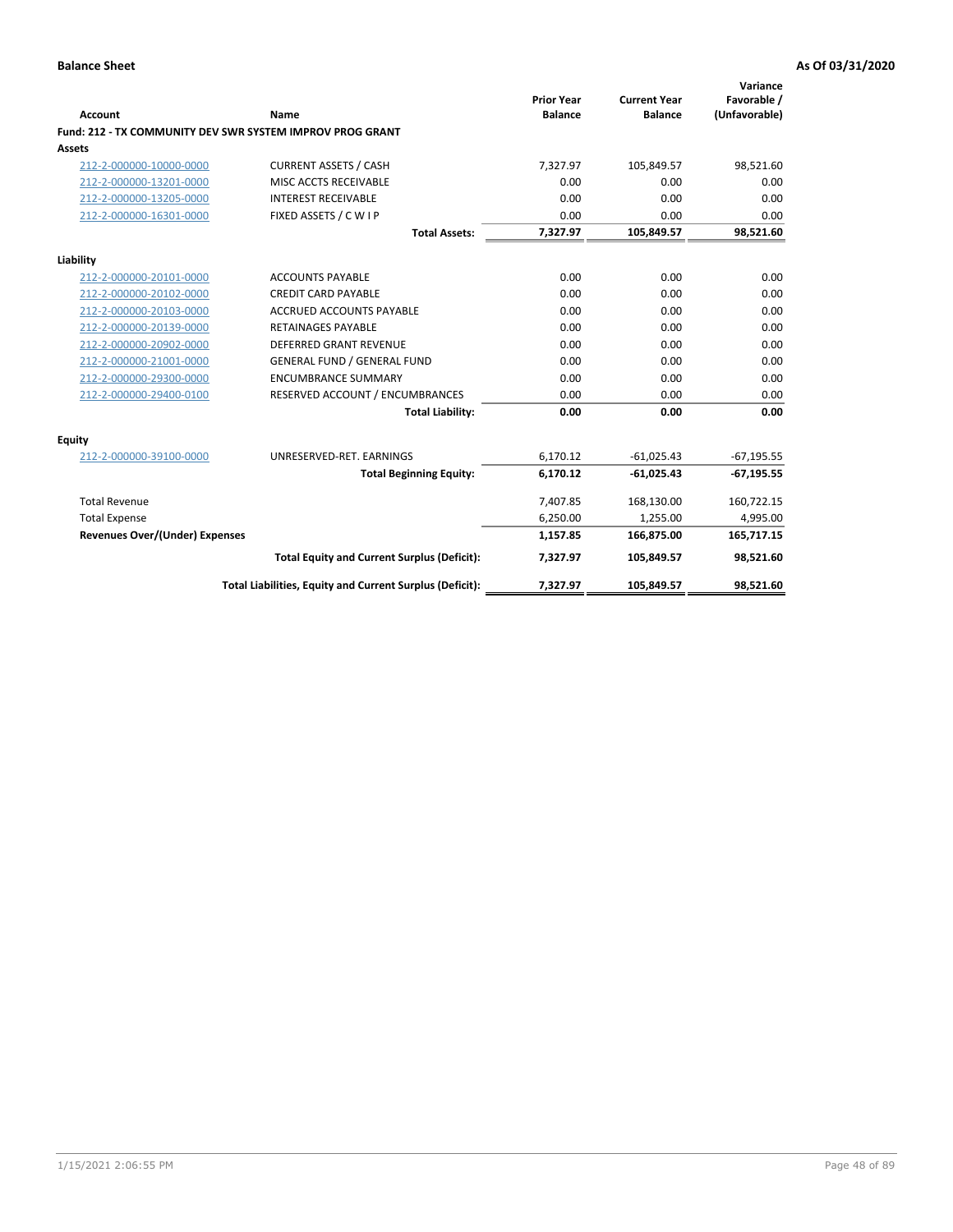| <b>Account</b>                        | Name                                                      | <b>Prior Year</b><br><b>Balance</b> | <b>Current Year</b><br><b>Balance</b> | Variance<br>Favorable /<br>(Unfavorable) |
|---------------------------------------|-----------------------------------------------------------|-------------------------------------|---------------------------------------|------------------------------------------|
|                                       | Fund: 212 - TX COMMUNITY DEV SWR SYSTEM IMPROV PROG GRANT |                                     |                                       |                                          |
| <b>Assets</b>                         |                                                           |                                     |                                       |                                          |
| 212-2-000000-10000-0000               | <b>CURRENT ASSETS / CASH</b>                              | 7,327.97                            | 105,849.57                            | 98,521.60                                |
| 212-2-000000-13201-0000               | MISC ACCTS RECEIVABLE                                     | 0.00                                | 0.00                                  | 0.00                                     |
| 212-2-000000-13205-0000               | <b>INTEREST RECEIVABLE</b>                                | 0.00                                | 0.00                                  | 0.00                                     |
| 212-2-000000-16301-0000               | FIXED ASSETS / C W I P                                    | 0.00                                | 0.00                                  | 0.00                                     |
|                                       | <b>Total Assets:</b>                                      | 7,327.97                            | 105,849.57                            | 98,521.60                                |
| Liability                             |                                                           |                                     |                                       |                                          |
| 212-2-000000-20101-0000               | <b>ACCOUNTS PAYABLE</b>                                   | 0.00                                | 0.00                                  | 0.00                                     |
| 212-2-000000-20102-0000               | <b>CREDIT CARD PAYABLE</b>                                | 0.00                                | 0.00                                  | 0.00                                     |
| 212-2-000000-20103-0000               | <b>ACCRUED ACCOUNTS PAYABLE</b>                           | 0.00                                | 0.00                                  | 0.00                                     |
| 212-2-000000-20139-0000               | <b>RETAINAGES PAYABLE</b>                                 | 0.00                                | 0.00                                  | 0.00                                     |
| 212-2-000000-20902-0000               | <b>DEFERRED GRANT REVENUE</b>                             | 0.00                                | 0.00                                  | 0.00                                     |
| 212-2-000000-21001-0000               | <b>GENERAL FUND / GENERAL FUND</b>                        | 0.00                                | 0.00                                  | 0.00                                     |
| 212-2-000000-29300-0000               | <b>ENCUMBRANCE SUMMARY</b>                                | 0.00                                | 0.00                                  | 0.00                                     |
| 212-2-000000-29400-0100               | RESERVED ACCOUNT / ENCUMBRANCES                           | 0.00                                | 0.00                                  | 0.00                                     |
|                                       | <b>Total Liability:</b>                                   | 0.00                                | 0.00                                  | 0.00                                     |
| Equity                                |                                                           |                                     |                                       |                                          |
| 212-2-000000-39100-0000               | UNRESERVED-RET. EARNINGS                                  | 6,170.12                            | $-61,025.43$                          | $-67,195.55$                             |
|                                       | <b>Total Beginning Equity:</b>                            | 6,170.12                            | $-61,025.43$                          | $-67,195.55$                             |
| <b>Total Revenue</b>                  |                                                           | 7,407.85                            | 168,130.00                            | 160,722.15                               |
| <b>Total Expense</b>                  |                                                           | 6,250.00                            | 1,255.00                              | 4,995.00                                 |
| <b>Revenues Over/(Under) Expenses</b> |                                                           | 1,157.85                            | 166,875.00                            | 165,717.15                               |
|                                       | <b>Total Equity and Current Surplus (Deficit):</b>        | 7,327.97                            | 105,849.57                            | 98,521.60                                |
|                                       | Total Liabilities, Equity and Current Surplus (Deficit):  | 7,327.97                            | 105,849.57                            | 98,521.60                                |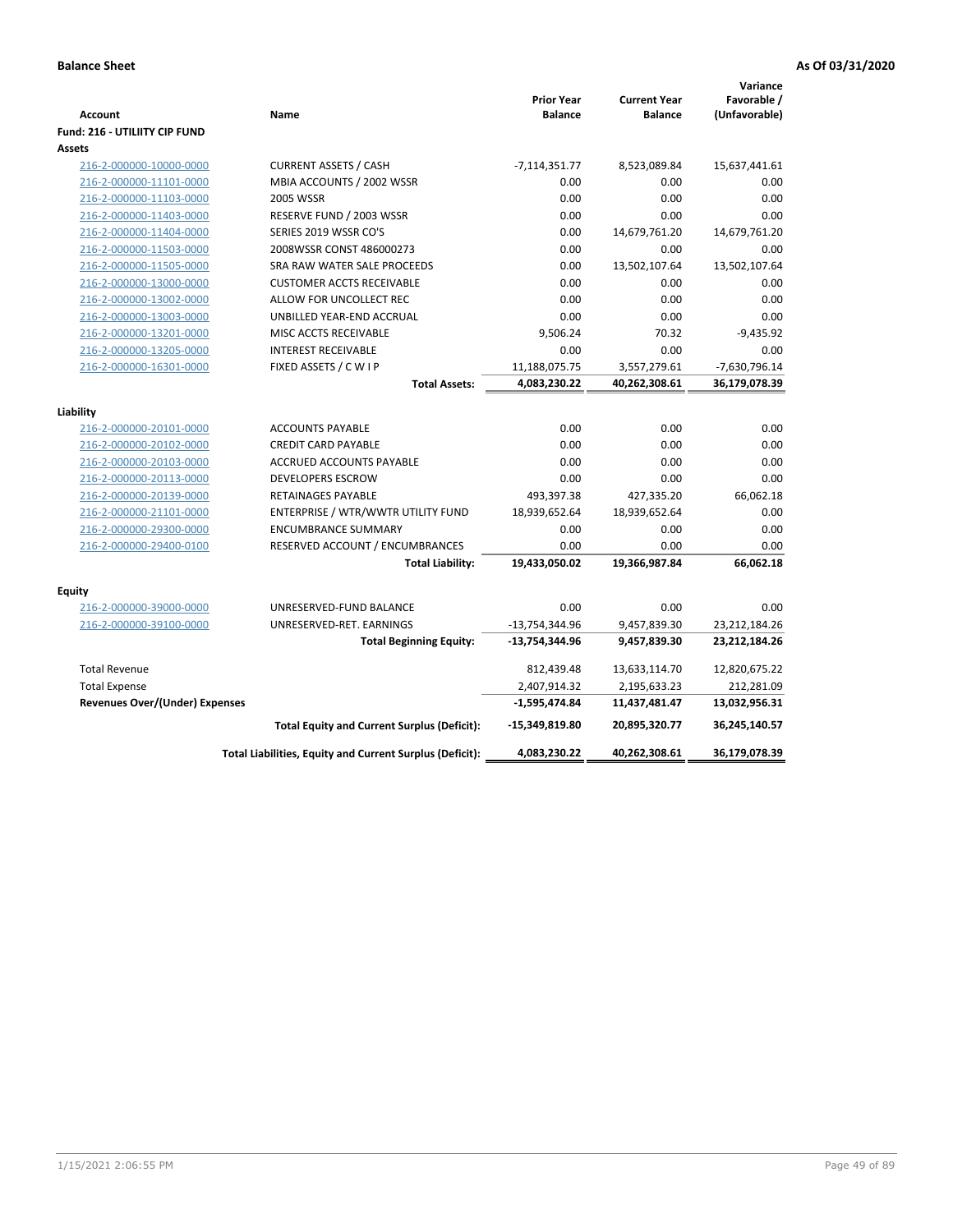| Account<br><b>Fund: 216 - UTILIITY CIP FUND</b>    | Name                                                     | <b>Prior Year</b><br><b>Balance</b> | <b>Current Year</b><br><b>Balance</b> | Variance<br>Favorable /<br>(Unfavorable) |
|----------------------------------------------------|----------------------------------------------------------|-------------------------------------|---------------------------------------|------------------------------------------|
| <b>Assets</b>                                      |                                                          |                                     |                                       |                                          |
| 216-2-000000-10000-0000                            | <b>CURRENT ASSETS / CASH</b>                             | $-7,114,351.77$                     | 8,523,089.84                          | 15,637,441.61                            |
| 216-2-000000-11101-0000                            | MBIA ACCOUNTS / 2002 WSSR                                | 0.00                                | 0.00                                  | 0.00                                     |
| 216-2-000000-11103-0000                            | 2005 WSSR                                                | 0.00                                | 0.00                                  | 0.00                                     |
| 216-2-000000-11403-0000                            | RESERVE FUND / 2003 WSSR                                 | 0.00                                | 0.00                                  | 0.00                                     |
| 216-2-000000-11404-0000                            | SERIES 2019 WSSR CO'S                                    | 0.00                                | 14,679,761.20                         | 14,679,761.20                            |
| 216-2-000000-11503-0000                            | 2008WSSR CONST 486000273                                 | 0.00                                | 0.00                                  | 0.00                                     |
| 216-2-000000-11505-0000                            | SRA RAW WATER SALE PROCEEDS                              | 0.00                                | 13,502,107.64                         | 13,502,107.64                            |
| 216-2-000000-13000-0000                            | <b>CUSTOMER ACCTS RECEIVABLE</b>                         | 0.00                                | 0.00                                  | 0.00                                     |
| 216-2-000000-13002-0000                            | ALLOW FOR UNCOLLECT REC                                  | 0.00                                | 0.00                                  | 0.00                                     |
| 216-2-000000-13003-0000                            | UNBILLED YEAR-END ACCRUAL                                | 0.00                                | 0.00                                  | 0.00                                     |
| 216-2-000000-13201-0000                            | MISC ACCTS RECEIVABLE                                    | 9,506.24                            | 70.32                                 | $-9,435.92$                              |
| 216-2-000000-13205-0000                            | <b>INTEREST RECEIVABLE</b>                               | 0.00                                | 0.00                                  | 0.00                                     |
| 216-2-000000-16301-0000                            | FIXED ASSETS / C W I P                                   | 11,188,075.75                       | 3,557,279.61                          | $-7,630,796.14$                          |
|                                                    | <b>Total Assets:</b>                                     | 4,083,230.22                        | 40,262,308.61                         | 36,179,078.39                            |
|                                                    |                                                          |                                     |                                       |                                          |
| Liability                                          | <b>ACCOUNTS PAYABLE</b>                                  | 0.00                                | 0.00                                  | 0.00                                     |
| 216-2-000000-20101-0000<br>216-2-000000-20102-0000 | <b>CREDIT CARD PAYABLE</b>                               | 0.00                                | 0.00                                  | 0.00                                     |
| 216-2-000000-20103-0000                            | ACCRUED ACCOUNTS PAYABLE                                 | 0.00                                | 0.00                                  | 0.00                                     |
| 216-2-000000-20113-0000                            | <b>DEVELOPERS ESCROW</b>                                 | 0.00                                | 0.00                                  | 0.00                                     |
| 216-2-000000-20139-0000                            | <b>RETAINAGES PAYABLE</b>                                | 493,397.38                          | 427,335.20                            | 66,062.18                                |
| 216-2-000000-21101-0000                            | ENTERPRISE / WTR/WWTR UTILITY FUND                       | 18,939,652.64                       | 18,939,652.64                         | 0.00                                     |
| 216-2-000000-29300-0000                            | <b>ENCUMBRANCE SUMMARY</b>                               | 0.00                                | 0.00                                  | 0.00                                     |
| 216-2-000000-29400-0100                            | RESERVED ACCOUNT / ENCUMBRANCES                          | 0.00                                | 0.00                                  | 0.00                                     |
|                                                    | <b>Total Liability:</b>                                  | 19,433,050.02                       | 19,366,987.84                         | 66,062.18                                |
|                                                    |                                                          |                                     |                                       |                                          |
| <b>Equity</b>                                      |                                                          |                                     |                                       |                                          |
| 216-2-000000-39000-0000                            | UNRESERVED-FUND BALANCE                                  | 0.00                                | 0.00                                  | 0.00                                     |
| 216-2-000000-39100-0000                            | UNRESERVED-RET. EARNINGS                                 | -13,754,344.96                      | 9,457,839.30                          | 23,212,184.26                            |
|                                                    | <b>Total Beginning Equity:</b>                           | -13,754,344.96                      | 9,457,839.30                          | 23,212,184.26                            |
| <b>Total Revenue</b>                               |                                                          | 812,439.48                          | 13,633,114.70                         | 12,820,675.22                            |
| <b>Total Expense</b>                               |                                                          | 2,407,914.32                        | 2,195,633.23                          | 212,281.09                               |
| <b>Revenues Over/(Under) Expenses</b>              |                                                          | -1,595,474.84                       | 11,437,481.47                         | 13,032,956.31                            |
|                                                    | <b>Total Equity and Current Surplus (Deficit):</b>       | -15,349,819.80                      | 20,895,320.77                         | 36,245,140.57                            |
|                                                    | Total Liabilities, Equity and Current Surplus (Deficit): | 4,083,230.22                        | 40,262,308.61                         | 36,179,078.39                            |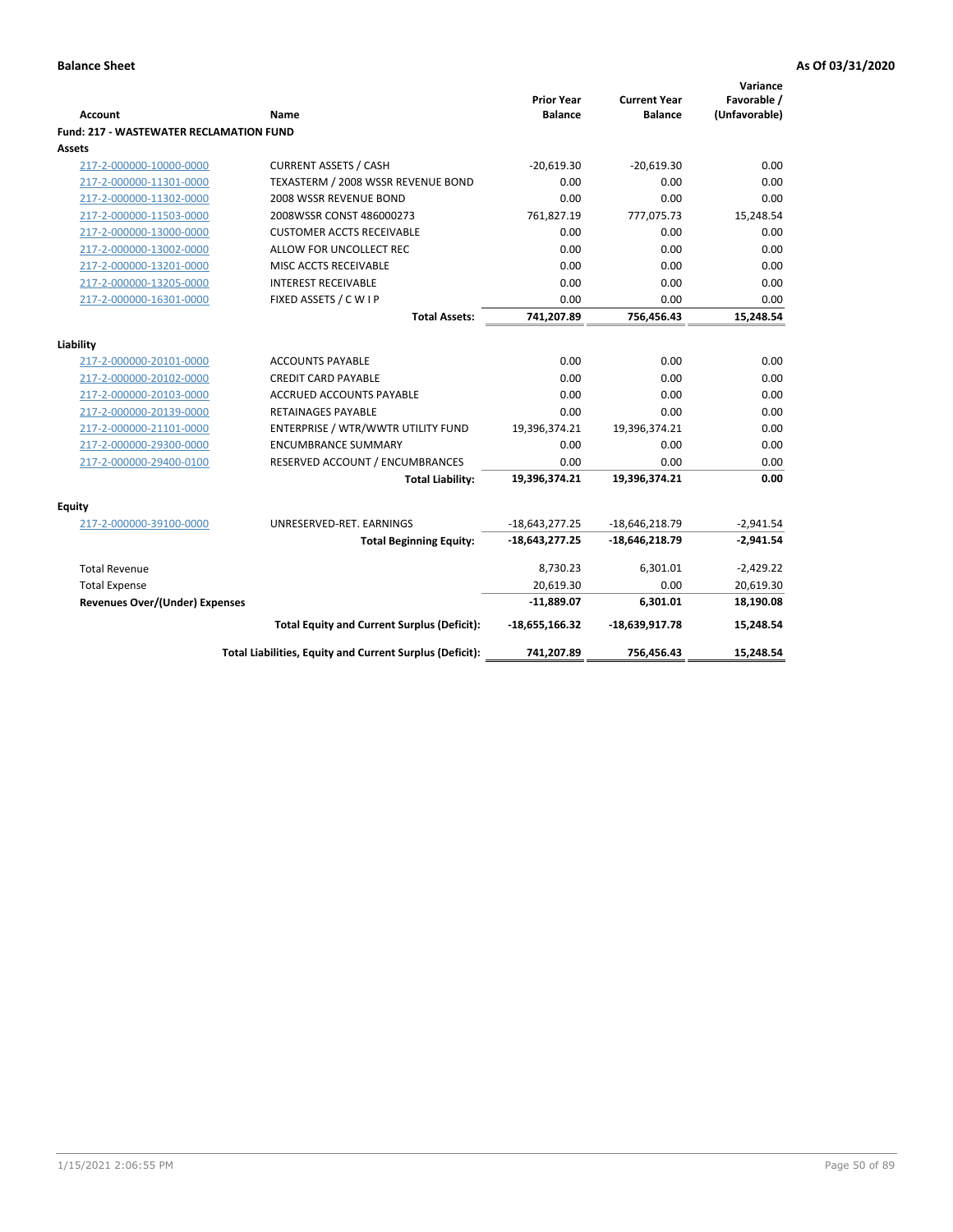| <b>Account</b>                                 | <b>Name</b>                                              | <b>Prior Year</b><br><b>Balance</b> | <b>Current Year</b><br><b>Balance</b> | Variance<br>Favorable /<br>(Unfavorable) |
|------------------------------------------------|----------------------------------------------------------|-------------------------------------|---------------------------------------|------------------------------------------|
| <b>Fund: 217 - WASTEWATER RECLAMATION FUND</b> |                                                          |                                     |                                       |                                          |
| Assets                                         |                                                          |                                     |                                       |                                          |
| 217-2-000000-10000-0000                        | <b>CURRENT ASSETS / CASH</b>                             | $-20.619.30$                        | $-20,619.30$                          | 0.00                                     |
| 217-2-000000-11301-0000                        | TEXASTERM / 2008 WSSR REVENUE BOND                       | 0.00                                | 0.00                                  | 0.00                                     |
| 217-2-000000-11302-0000                        | 2008 WSSR REVENUE BOND                                   | 0.00                                | 0.00                                  | 0.00                                     |
| 217-2-000000-11503-0000                        | 2008WSSR CONST 486000273                                 | 761,827.19                          | 777,075.73                            | 15,248.54                                |
| 217-2-000000-13000-0000                        | <b>CUSTOMER ACCTS RECEIVABLE</b>                         | 0.00                                | 0.00                                  | 0.00                                     |
| 217-2-000000-13002-0000                        | ALLOW FOR UNCOLLECT REC                                  | 0.00                                | 0.00                                  | 0.00                                     |
| 217-2-000000-13201-0000                        | MISC ACCTS RECEIVABLE                                    | 0.00                                | 0.00                                  | 0.00                                     |
| 217-2-000000-13205-0000                        | <b>INTEREST RECEIVABLE</b>                               | 0.00                                | 0.00                                  | 0.00                                     |
| 217-2-000000-16301-0000                        | FIXED ASSETS / C W I P                                   | 0.00                                | 0.00                                  | 0.00                                     |
|                                                | <b>Total Assets:</b>                                     | 741,207.89                          | 756,456.43                            | 15,248.54                                |
|                                                |                                                          |                                     |                                       |                                          |
| Liability                                      |                                                          |                                     |                                       |                                          |
| 217-2-000000-20101-0000                        | <b>ACCOUNTS PAYABLE</b>                                  | 0.00                                | 0.00                                  | 0.00                                     |
| 217-2-000000-20102-0000                        | <b>CREDIT CARD PAYABLE</b>                               | 0.00                                | 0.00                                  | 0.00                                     |
| 217-2-000000-20103-0000                        | <b>ACCRUED ACCOUNTS PAYABLE</b>                          | 0.00                                | 0.00                                  | 0.00                                     |
| 217-2-000000-20139-0000                        | <b>RETAINAGES PAYABLE</b>                                | 0.00                                | 0.00                                  | 0.00                                     |
| 217-2-000000-21101-0000                        | ENTERPRISE / WTR/WWTR UTILITY FUND                       | 19,396,374.21                       | 19,396,374.21                         | 0.00                                     |
| 217-2-000000-29300-0000                        | <b>ENCUMBRANCE SUMMARY</b>                               | 0.00                                | 0.00                                  | 0.00                                     |
| 217-2-000000-29400-0100                        | RESERVED ACCOUNT / ENCUMBRANCES                          | 0.00                                | 0.00                                  | 0.00                                     |
|                                                | <b>Total Liability:</b>                                  | 19,396,374.21                       | 19,396,374.21                         | 0.00                                     |
| <b>Equity</b>                                  |                                                          |                                     |                                       |                                          |
| 217-2-000000-39100-0000                        | UNRESERVED-RET. EARNINGS                                 | $-18,643,277.25$                    | $-18,646,218.79$                      | $-2,941.54$                              |
|                                                | <b>Total Beginning Equity:</b>                           | $-18,643,277.25$                    | -18,646,218.79                        | $-2,941.54$                              |
| <b>Total Revenue</b>                           |                                                          | 8,730.23                            | 6,301.01                              | $-2,429.22$                              |
| <b>Total Expense</b>                           |                                                          | 20,619.30                           | 0.00                                  | 20,619.30                                |
| <b>Revenues Over/(Under) Expenses</b>          |                                                          | $-11,889.07$                        | 6,301.01                              | 18,190.08                                |
|                                                | <b>Total Equity and Current Surplus (Deficit):</b>       | $-18,655,166.32$                    | $-18,639,917.78$                      | 15,248.54                                |
|                                                | Total Liabilities, Equity and Current Surplus (Deficit): | 741,207.89                          | 756,456.43                            | 15,248.54                                |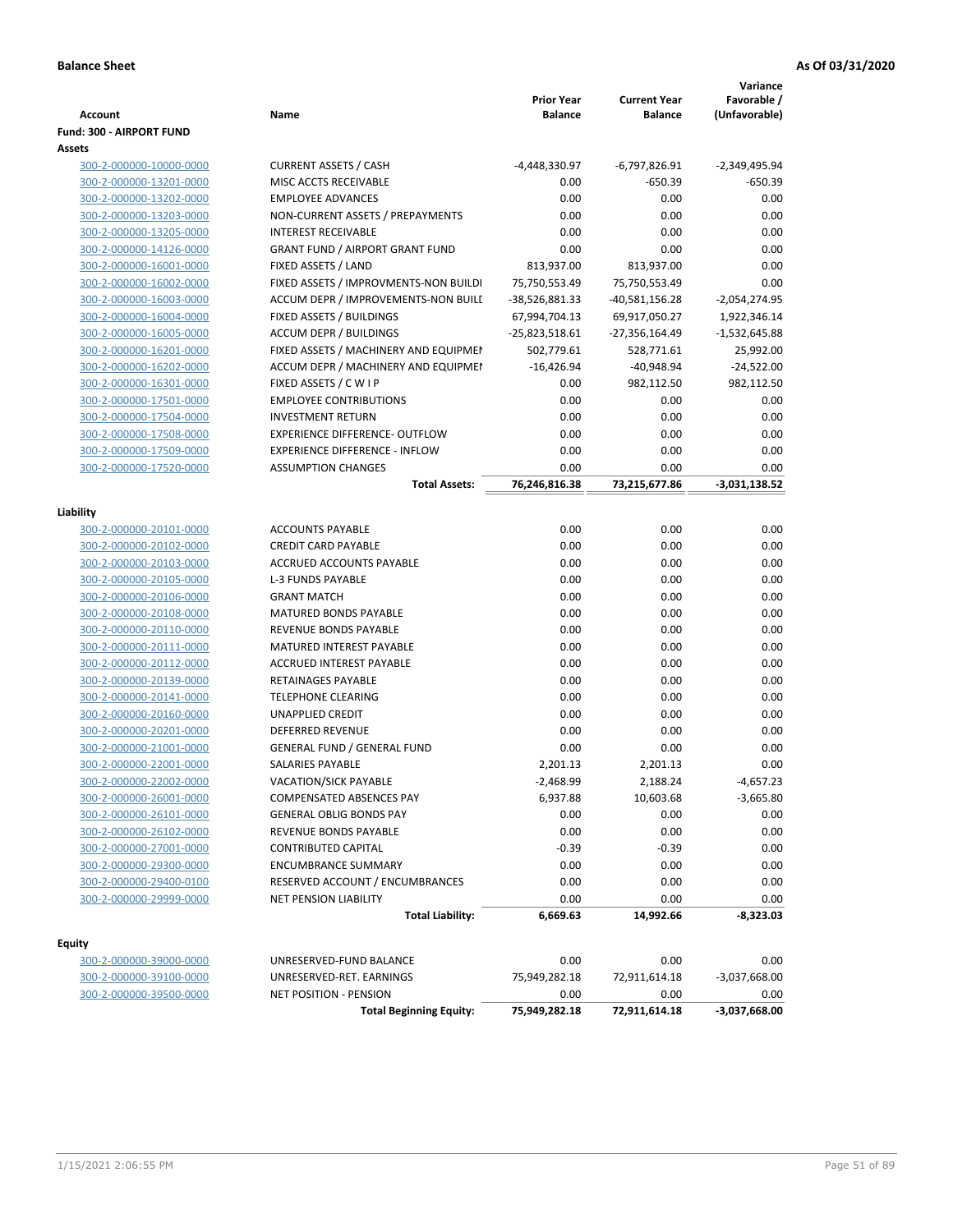|                                |                                                       |                   |                     | Variance        |
|--------------------------------|-------------------------------------------------------|-------------------|---------------------|-----------------|
|                                |                                                       | <b>Prior Year</b> | <b>Current Year</b> | Favorable /     |
| Account                        | Name                                                  | <b>Balance</b>    | <b>Balance</b>      | (Unfavorable)   |
| Fund: 300 - AIRPORT FUND       |                                                       |                   |                     |                 |
| Assets                         |                                                       |                   |                     |                 |
| 300-2-000000-10000-0000        | <b>CURRENT ASSETS / CASH</b>                          | -4,448,330.97     | -6,797,826.91       | $-2,349,495.94$ |
| 300-2-000000-13201-0000        | MISC ACCTS RECEIVABLE                                 | 0.00              | $-650.39$           | $-650.39$       |
| 300-2-000000-13202-0000        | <b>EMPLOYEE ADVANCES</b>                              | 0.00              | 0.00                | 0.00            |
| 300-2-000000-13203-0000        | NON-CURRENT ASSETS / PREPAYMENTS                      | 0.00              | 0.00                | 0.00            |
| 300-2-000000-13205-0000        | <b>INTEREST RECEIVABLE</b>                            | 0.00              | 0.00                | 0.00            |
| 300-2-000000-14126-0000        | <b>GRANT FUND / AIRPORT GRANT FUND</b>                | 0.00              | 0.00                | 0.00            |
| 300-2-000000-16001-0000        | FIXED ASSETS / LAND                                   | 813,937.00        | 813,937.00          | 0.00            |
| 300-2-000000-16002-0000        | FIXED ASSETS / IMPROVMENTS-NON BUILDI                 | 75,750,553.49     | 75,750,553.49       | 0.00            |
| 300-2-000000-16003-0000        | ACCUM DEPR / IMPROVEMENTS-NON BUILI                   | -38,526,881.33    | $-40,581,156.28$    | $-2,054,274.95$ |
| 300-2-000000-16004-0000        | FIXED ASSETS / BUILDINGS                              | 67,994,704.13     | 69,917,050.27       | 1,922,346.14    |
| 300-2-000000-16005-0000        | <b>ACCUM DEPR / BUILDINGS</b>                         | -25,823,518.61    | -27,356,164.49      | $-1,532,645.88$ |
| 300-2-000000-16201-0000        | FIXED ASSETS / MACHINERY AND EQUIPMEN                 | 502,779.61        | 528,771.61          | 25,992.00       |
| 300-2-000000-16202-0000        | ACCUM DEPR / MACHINERY AND EQUIPMEI                   | $-16,426.94$      | -40,948.94          | $-24,522.00$    |
| 300-2-000000-16301-0000        | FIXED ASSETS / C W I P                                | 0.00              | 982,112.50          | 982,112.50      |
| 300-2-000000-17501-0000        | <b>EMPLOYEE CONTRIBUTIONS</b>                         | 0.00              | 0.00                | 0.00            |
| 300-2-000000-17504-0000        | <b>INVESTMENT RETURN</b>                              | 0.00              | 0.00                | 0.00            |
| 300-2-000000-17508-0000        | EXPERIENCE DIFFERENCE- OUTFLOW                        | 0.00              | 0.00                | 0.00            |
| 300-2-000000-17509-0000        | <b>EXPERIENCE DIFFERENCE - INFLOW</b>                 | 0.00              | 0.00                | 0.00            |
| 300-2-000000-17520-0000        | <b>ASSUMPTION CHANGES</b>                             | 0.00              | 0.00                | 0.00            |
|                                | <b>Total Assets:</b>                                  | 76,246,816.38     | 73,215,677.86       | $-3,031,138.52$ |
|                                |                                                       |                   |                     |                 |
| Liability                      |                                                       |                   |                     |                 |
| 300-2-000000-20101-0000        | <b>ACCOUNTS PAYABLE</b><br><b>CREDIT CARD PAYABLE</b> | 0.00<br>0.00      | 0.00                | 0.00            |
| 300-2-000000-20102-0000        |                                                       |                   | 0.00                | 0.00            |
| 300-2-000000-20103-0000        | ACCRUED ACCOUNTS PAYABLE                              | 0.00              | 0.00                | 0.00            |
| 300-2-000000-20105-0000        | <b>L-3 FUNDS PAYABLE</b><br><b>GRANT MATCH</b>        | 0.00<br>0.00      | 0.00<br>0.00        | 0.00<br>0.00    |
| 300-2-000000-20106-0000        |                                                       |                   | 0.00                | 0.00            |
| 300-2-000000-20108-0000        | MATURED BONDS PAYABLE                                 | 0.00              |                     |                 |
| 300-2-000000-20110-0000        | REVENUE BONDS PAYABLE                                 | 0.00              | 0.00                | 0.00            |
| 300-2-000000-20111-0000        | MATURED INTEREST PAYABLE                              | 0.00              | 0.00                | 0.00            |
| 300-2-000000-20112-0000        | <b>ACCRUED INTEREST PAYABLE</b>                       | 0.00              | 0.00                | 0.00            |
| 300-2-000000-20139-0000        | RETAINAGES PAYABLE                                    | 0.00              | 0.00                | 0.00            |
| 300-2-000000-20141-0000        | <b>TELEPHONE CLEARING</b>                             | 0.00              | 0.00                | 0.00            |
| 300-2-000000-20160-0000        | <b>UNAPPLIED CREDIT</b>                               | 0.00              | 0.00                | 0.00            |
| 300-2-000000-20201-0000        | <b>DEFERRED REVENUE</b>                               | 0.00              | 0.00                | 0.00            |
| 300-2-000000-21001-0000        | <b>GENERAL FUND / GENERAL FUND</b>                    | 0.00              | 0.00                | 0.00            |
| <u>300-2-000000-22001-0000</u> | SALARIES PAYABLE                                      | 2,201.13          | 2,201.13            | 0.00            |
| 300-2-000000-22002-0000        | VACATION/SICK PAYABLE                                 | $-2,468.99$       | 2,188.24            | $-4,657.23$     |
| 300-2-000000-26001-0000        | <b>COMPENSATED ABSENCES PAY</b>                       | 6,937.88          | 10,603.68           | $-3,665.80$     |
| 300-2-000000-26101-0000        | <b>GENERAL OBLIG BONDS PAY</b>                        | 0.00              | 0.00                | 0.00            |
| 300-2-000000-26102-0000        | REVENUE BONDS PAYABLE                                 | 0.00              | 0.00                | 0.00            |
| 300-2-000000-27001-0000        | <b>CONTRIBUTED CAPITAL</b>                            | $-0.39$           | $-0.39$             | 0.00            |
| 300-2-000000-29300-0000        | <b>ENCUMBRANCE SUMMARY</b>                            | 0.00              | 0.00                | 0.00            |
| 300-2-000000-29400-0100        | RESERVED ACCOUNT / ENCUMBRANCES                       | 0.00              | 0.00                | 0.00            |
| 300-2-000000-29999-0000        | NET PENSION LIABILITY                                 | 0.00              | 0.00                | 0.00            |
|                                | <b>Total Liability:</b>                               | 6,669.63          | 14,992.66           | -8,323.03       |
| <b>Equity</b>                  |                                                       |                   |                     |                 |
| 300-2-000000-39000-0000        | UNRESERVED-FUND BALANCE                               | 0.00              | 0.00                | 0.00            |
| 300-2-000000-39100-0000        | UNRESERVED-RET. EARNINGS                              | 75,949,282.18     | 72,911,614.18       | $-3,037,668.00$ |
| 300-2-000000-39500-0000        | NET POSITION - PENSION                                | 0.00              | 0.00                | 0.00            |
|                                | <b>Total Beginning Equity:</b>                        | 75,949,282.18     | 72,911,614.18       | $-3,037,668.00$ |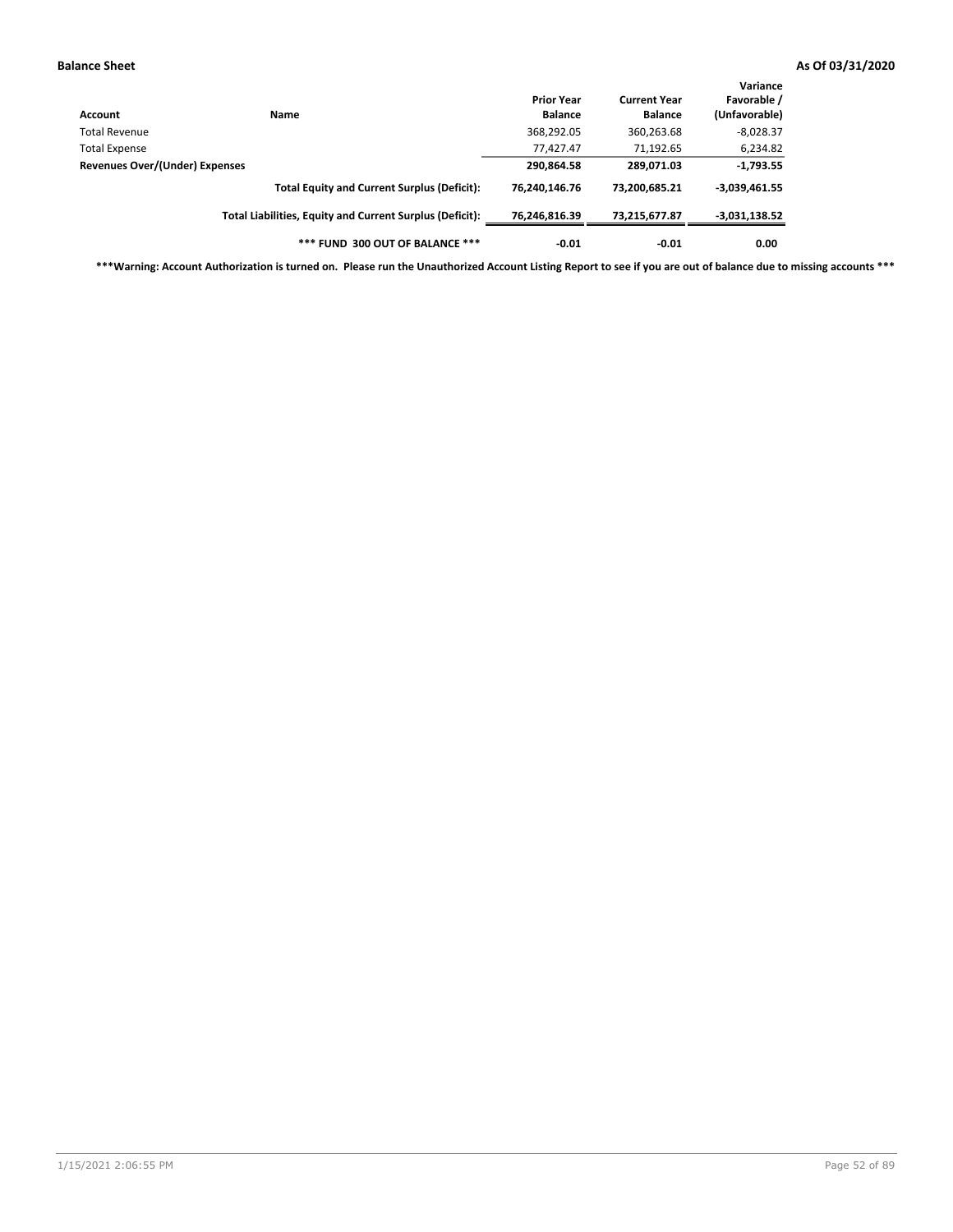| Account                        | Name                                                     | <b>Prior Year</b><br><b>Balance</b> | <b>Current Year</b><br><b>Balance</b> | Variance<br>Favorable /<br>(Unfavorable) |
|--------------------------------|----------------------------------------------------------|-------------------------------------|---------------------------------------|------------------------------------------|
| Total Revenue                  |                                                          | 368,292.05                          | 360,263.68                            | $-8,028.37$                              |
| <b>Total Expense</b>           |                                                          | 77,427.47                           | 71,192.65                             | 6,234.82                                 |
| Revenues Over/(Under) Expenses |                                                          | 290,864.58                          | 289,071.03                            | $-1,793.55$                              |
|                                | <b>Total Equity and Current Surplus (Deficit):</b>       | 76.240.146.76                       | 73,200,685.21                         | $-3,039,461.55$                          |
|                                | Total Liabilities, Equity and Current Surplus (Deficit): | 76,246,816.39                       | 73.215.677.87                         | $-3,031,138.52$                          |
|                                | *** FUND 300 OUT OF BALANCE ***                          | $-0.01$                             | $-0.01$                               | 0.00                                     |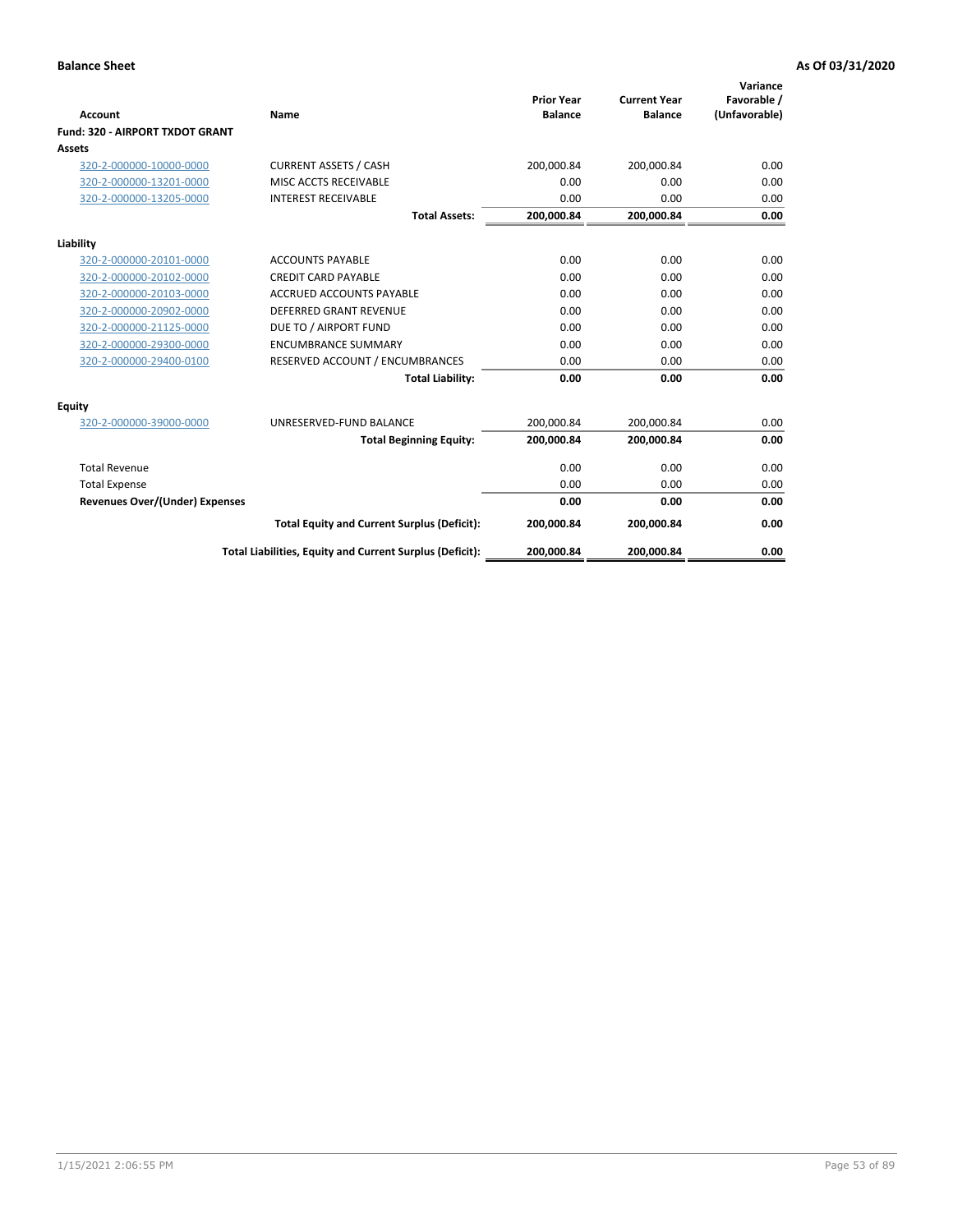|                                       |                                                          | <b>Prior Year</b> | <b>Current Year</b> | Variance<br>Favorable / |
|---------------------------------------|----------------------------------------------------------|-------------------|---------------------|-------------------------|
| <b>Account</b>                        | Name                                                     | <b>Balance</b>    | <b>Balance</b>      | (Unfavorable)           |
| Fund: 320 - AIRPORT TXDOT GRANT       |                                                          |                   |                     |                         |
| Assets                                |                                                          |                   |                     |                         |
| 320-2-000000-10000-0000               | <b>CURRENT ASSETS / CASH</b>                             | 200,000.84        | 200,000.84          | 0.00                    |
| 320-2-000000-13201-0000               | MISC ACCTS RECEIVABLE                                    | 0.00              | 0.00                | 0.00                    |
| 320-2-000000-13205-0000               | <b>INTEREST RECEIVABLE</b>                               | 0.00              | 0.00                | 0.00                    |
|                                       | <b>Total Assets:</b>                                     | 200,000.84        | 200,000.84          | 0.00                    |
| Liability                             |                                                          |                   |                     |                         |
| 320-2-000000-20101-0000               | <b>ACCOUNTS PAYABLE</b>                                  | 0.00              | 0.00                | 0.00                    |
| 320-2-000000-20102-0000               | <b>CREDIT CARD PAYABLE</b>                               | 0.00              | 0.00                | 0.00                    |
| 320-2-000000-20103-0000               | <b>ACCRUED ACCOUNTS PAYABLE</b>                          | 0.00              | 0.00                | 0.00                    |
| 320-2-000000-20902-0000               | <b>DEFERRED GRANT REVENUE</b>                            | 0.00              | 0.00                | 0.00                    |
| 320-2-000000-21125-0000               | DUE TO / AIRPORT FUND                                    | 0.00              | 0.00                | 0.00                    |
| 320-2-000000-29300-0000               | <b>ENCUMBRANCE SUMMARY</b>                               | 0.00              | 0.00                | 0.00                    |
| 320-2-000000-29400-0100               | RESERVED ACCOUNT / ENCUMBRANCES                          | 0.00              | 0.00                | 0.00                    |
|                                       | <b>Total Liability:</b>                                  | 0.00              | 0.00                | 0.00                    |
| <b>Equity</b>                         |                                                          |                   |                     |                         |
| 320-2-000000-39000-0000               | UNRESERVED-FUND BALANCE                                  | 200,000.84        | 200,000.84          | 0.00                    |
|                                       | <b>Total Beginning Equity:</b>                           | 200,000.84        | 200,000.84          | 0.00                    |
| <b>Total Revenue</b>                  |                                                          | 0.00              | 0.00                | 0.00                    |
| <b>Total Expense</b>                  |                                                          | 0.00              | 0.00                | 0.00                    |
| <b>Revenues Over/(Under) Expenses</b> |                                                          | 0.00              | 0.00                | 0.00                    |
|                                       | <b>Total Equity and Current Surplus (Deficit):</b>       | 200,000.84        | 200,000.84          | 0.00                    |
|                                       | Total Liabilities, Equity and Current Surplus (Deficit): | 200,000.84        | 200,000.84          | 0.00                    |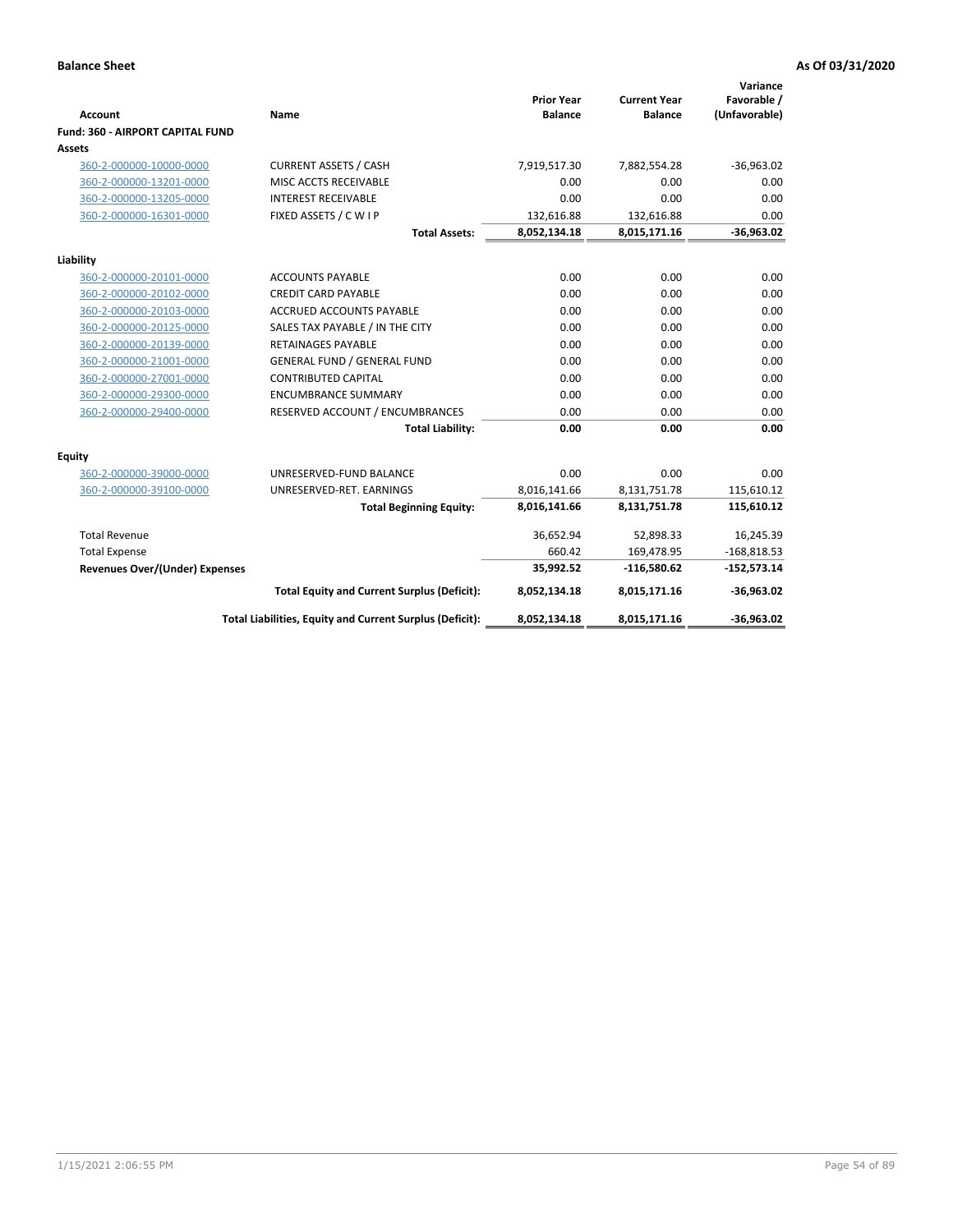| <b>Account</b>                             | Name                                                     | <b>Prior Year</b><br><b>Balance</b> | <b>Current Year</b><br><b>Balance</b> | Variance<br>Favorable /<br>(Unfavorable) |
|--------------------------------------------|----------------------------------------------------------|-------------------------------------|---------------------------------------|------------------------------------------|
| Fund: 360 - AIRPORT CAPITAL FUND<br>Assets |                                                          |                                     |                                       |                                          |
| 360-2-000000-10000-0000                    | <b>CURRENT ASSETS / CASH</b>                             | 7,919,517.30                        | 7,882,554.28                          | $-36,963.02$                             |
| 360-2-000000-13201-0000                    | MISC ACCTS RECEIVABLE                                    | 0.00                                | 0.00                                  | 0.00                                     |
| 360-2-000000-13205-0000                    | <b>INTEREST RECEIVABLE</b>                               | 0.00                                | 0.00                                  | 0.00                                     |
| 360-2-000000-16301-0000                    | FIXED ASSETS / C W I P                                   | 132,616.88                          | 132,616.88                            | 0.00                                     |
|                                            | <b>Total Assets:</b>                                     | 8,052,134.18                        | 8,015,171.16                          | $-36,963.02$                             |
| Liability                                  |                                                          |                                     |                                       |                                          |
| 360-2-000000-20101-0000                    | <b>ACCOUNTS PAYABLE</b>                                  | 0.00                                | 0.00                                  | 0.00                                     |
| 360-2-000000-20102-0000                    | <b>CREDIT CARD PAYABLE</b>                               | 0.00                                | 0.00                                  | 0.00                                     |
| 360-2-000000-20103-0000                    | <b>ACCRUED ACCOUNTS PAYABLE</b>                          | 0.00                                | 0.00                                  | 0.00                                     |
| 360-2-000000-20125-0000                    | SALES TAX PAYABLE / IN THE CITY                          | 0.00                                | 0.00                                  | 0.00                                     |
| 360-2-000000-20139-0000                    | <b>RETAINAGES PAYABLE</b>                                | 0.00                                | 0.00                                  | 0.00                                     |
| 360-2-000000-21001-0000                    | <b>GENERAL FUND / GENERAL FUND</b>                       | 0.00                                | 0.00                                  | 0.00                                     |
| 360-2-000000-27001-0000                    | <b>CONTRIBUTED CAPITAL</b>                               | 0.00                                | 0.00                                  | 0.00                                     |
| 360-2-000000-29300-0000                    | <b>ENCUMBRANCE SUMMARY</b>                               | 0.00                                | 0.00                                  | 0.00                                     |
| 360-2-000000-29400-0000                    | RESERVED ACCOUNT / ENCUMBRANCES                          | 0.00                                | 0.00                                  | 0.00                                     |
|                                            | <b>Total Liability:</b>                                  | 0.00                                | 0.00                                  | 0.00                                     |
| Equity                                     |                                                          |                                     |                                       |                                          |
| 360-2-000000-39000-0000                    | UNRESERVED-FUND BALANCE                                  | 0.00                                | 0.00                                  | 0.00                                     |
| 360-2-000000-39100-0000                    | UNRESERVED-RET. EARNINGS                                 | 8,016,141.66                        | 8,131,751.78                          | 115,610.12                               |
|                                            | <b>Total Beginning Equity:</b>                           | 8,016,141.66                        | 8,131,751.78                          | 115,610.12                               |
| <b>Total Revenue</b>                       |                                                          | 36,652.94                           | 52,898.33                             | 16,245.39                                |
| <b>Total Expense</b>                       |                                                          | 660.42                              | 169,478.95                            | $-168,818.53$                            |
| <b>Revenues Over/(Under) Expenses</b>      |                                                          | 35,992.52                           | $-116,580.62$                         | $-152,573.14$                            |
|                                            | <b>Total Equity and Current Surplus (Deficit):</b>       | 8,052,134.18                        | 8,015,171.16                          | $-36,963.02$                             |
|                                            | Total Liabilities, Equity and Current Surplus (Deficit): | 8,052,134.18                        | 8,015,171.16                          | $-36,963.02$                             |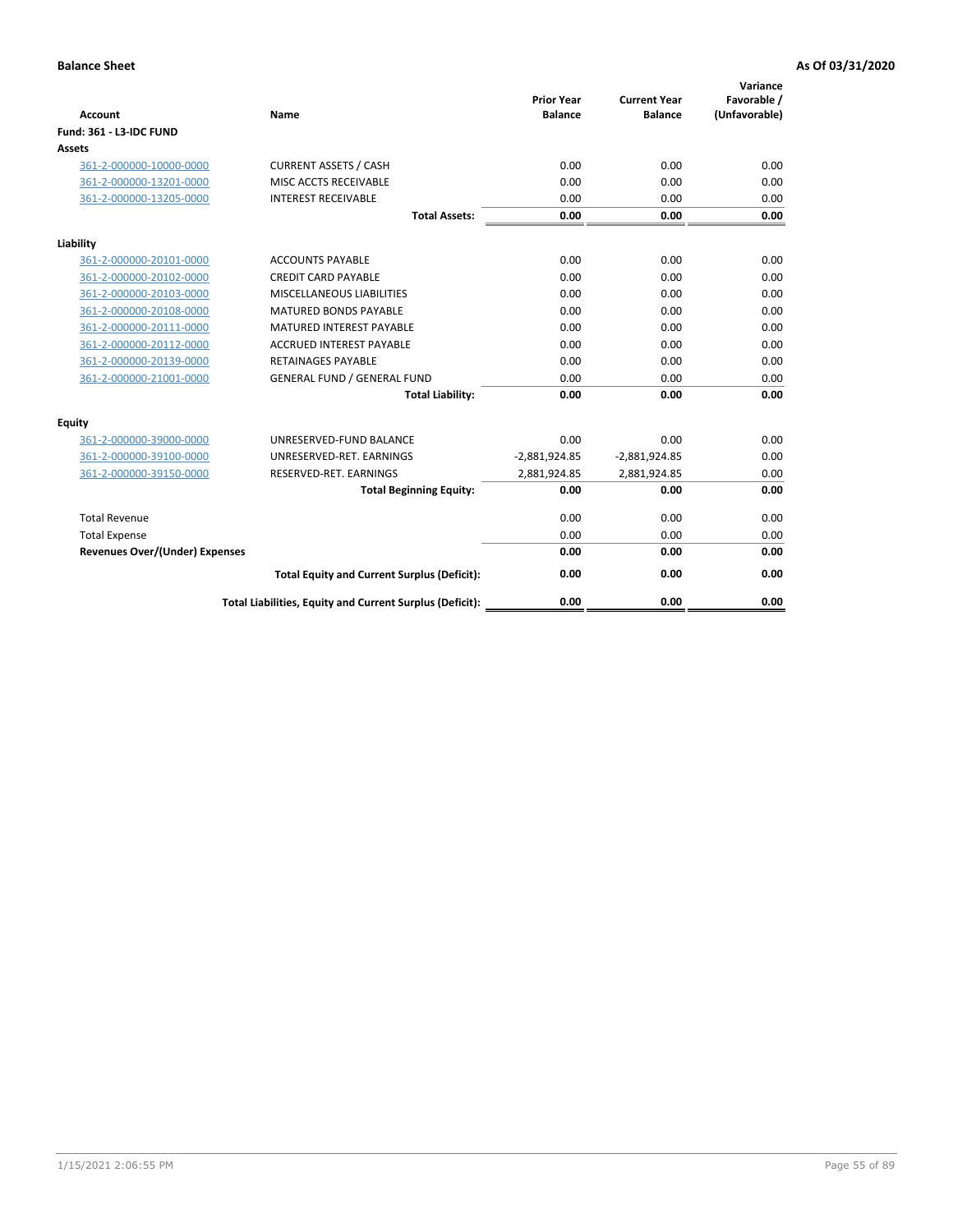| <b>Account</b>                        | Name                                                     | <b>Prior Year</b><br><b>Balance</b> | <b>Current Year</b><br><b>Balance</b> | Variance<br>Favorable /<br>(Unfavorable) |
|---------------------------------------|----------------------------------------------------------|-------------------------------------|---------------------------------------|------------------------------------------|
| <b>Fund: 361 - L3-IDC FUND</b>        |                                                          |                                     |                                       |                                          |
| Assets                                |                                                          |                                     |                                       |                                          |
| 361-2-000000-10000-0000               | <b>CURRENT ASSETS / CASH</b>                             | 0.00                                | 0.00                                  | 0.00                                     |
| 361-2-000000-13201-0000               | MISC ACCTS RECEIVABLE                                    | 0.00                                | 0.00                                  | 0.00                                     |
| 361-2-000000-13205-0000               | <b>INTEREST RECEIVABLE</b>                               | 0.00                                | 0.00                                  | 0.00                                     |
|                                       | <b>Total Assets:</b>                                     | 0.00                                | 0.00                                  | 0.00                                     |
| Liability                             |                                                          |                                     |                                       |                                          |
| 361-2-000000-20101-0000               | <b>ACCOUNTS PAYABLE</b>                                  | 0.00                                | 0.00                                  | 0.00                                     |
| 361-2-000000-20102-0000               | <b>CREDIT CARD PAYABLE</b>                               | 0.00                                | 0.00                                  | 0.00                                     |
| 361-2-000000-20103-0000               | MISCELLANEOUS LIABILITIES                                | 0.00                                | 0.00                                  | 0.00                                     |
| 361-2-000000-20108-0000               | <b>MATURED BONDS PAYABLE</b>                             | 0.00                                | 0.00                                  | 0.00                                     |
| 361-2-000000-20111-0000               | <b>MATURED INTEREST PAYABLE</b>                          | 0.00                                | 0.00                                  | 0.00                                     |
| 361-2-000000-20112-0000               | <b>ACCRUED INTEREST PAYABLE</b>                          | 0.00                                | 0.00                                  | 0.00                                     |
| 361-2-000000-20139-0000               | <b>RETAINAGES PAYABLE</b>                                | 0.00                                | 0.00                                  | 0.00                                     |
| 361-2-000000-21001-0000               | <b>GENERAL FUND / GENERAL FUND</b>                       | 0.00                                | 0.00                                  | 0.00                                     |
|                                       | <b>Total Liability:</b>                                  | 0.00                                | 0.00                                  | 0.00                                     |
| Equity                                |                                                          |                                     |                                       |                                          |
| 361-2-000000-39000-0000               | UNRESERVED-FUND BALANCE                                  | 0.00                                | 0.00                                  | 0.00                                     |
| 361-2-000000-39100-0000               | UNRESERVED-RET. EARNINGS                                 | $-2,881,924.85$                     | $-2,881,924.85$                       | 0.00                                     |
| 361-2-000000-39150-0000               | RESERVED-RET. EARNINGS                                   | 2,881,924.85                        | 2,881,924.85                          | 0.00                                     |
|                                       | <b>Total Beginning Equity:</b>                           | 0.00                                | 0.00                                  | 0.00                                     |
| <b>Total Revenue</b>                  |                                                          | 0.00                                | 0.00                                  | 0.00                                     |
| <b>Total Expense</b>                  |                                                          | 0.00                                | 0.00                                  | 0.00                                     |
| <b>Revenues Over/(Under) Expenses</b> |                                                          | 0.00                                | 0.00                                  | 0.00                                     |
|                                       | <b>Total Equity and Current Surplus (Deficit):</b>       | 0.00                                | 0.00                                  | 0.00                                     |
|                                       | Total Liabilities, Equity and Current Surplus (Deficit): | 0.00                                | 0.00                                  | 0.00                                     |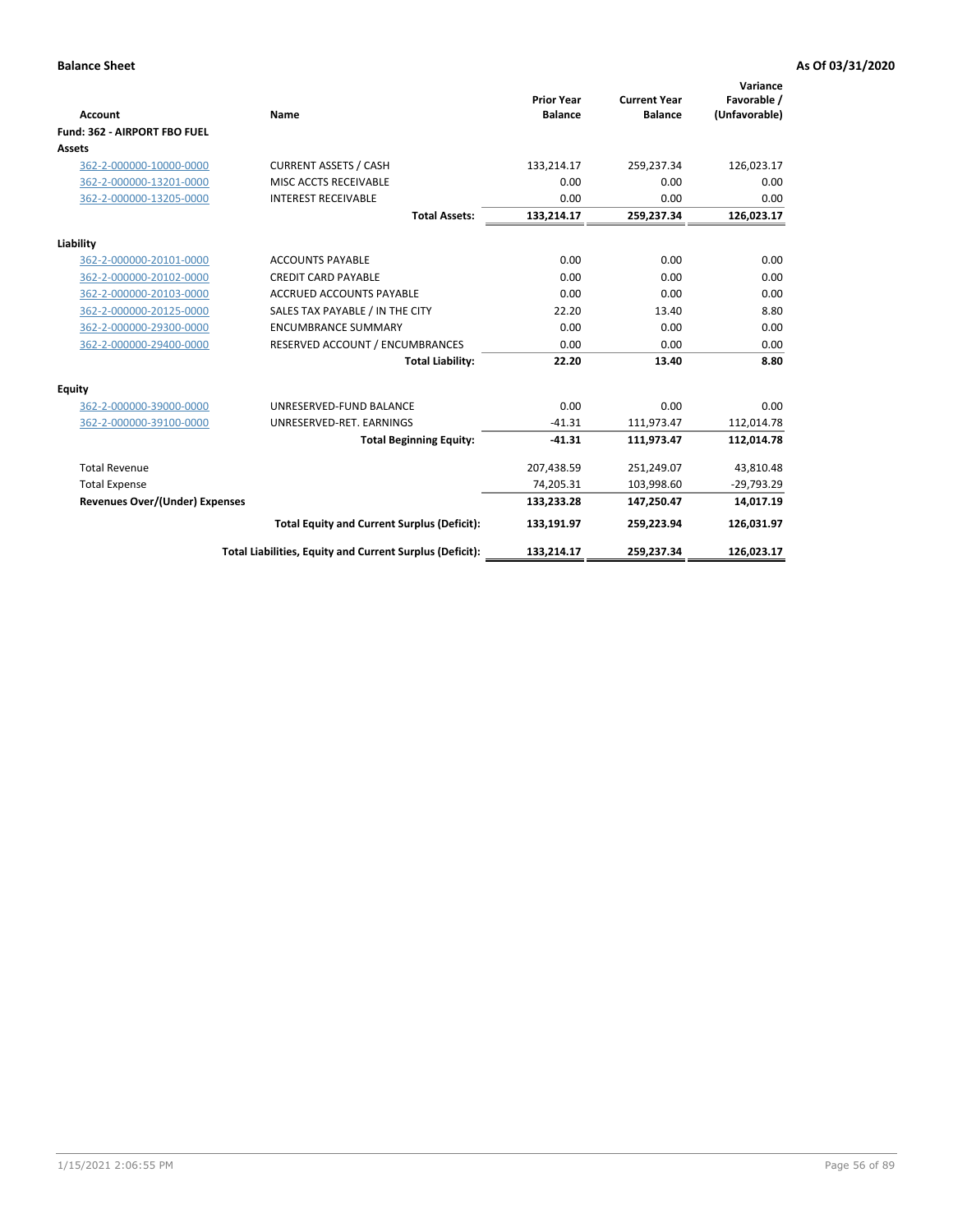|                                       |                                                          |                                     |                                       | Variance                     |
|---------------------------------------|----------------------------------------------------------|-------------------------------------|---------------------------------------|------------------------------|
| <b>Account</b>                        | Name                                                     | <b>Prior Year</b><br><b>Balance</b> | <b>Current Year</b><br><b>Balance</b> | Favorable /<br>(Unfavorable) |
| Fund: 362 - AIRPORT FBO FUEL          |                                                          |                                     |                                       |                              |
| Assets                                |                                                          |                                     |                                       |                              |
| 362-2-000000-10000-0000               | <b>CURRENT ASSETS / CASH</b>                             | 133,214.17                          | 259,237.34                            | 126,023.17                   |
| 362-2-000000-13201-0000               | MISC ACCTS RECEIVABLE                                    | 0.00                                | 0.00                                  | 0.00                         |
| 362-2-000000-13205-0000               | <b>INTEREST RECEIVABLE</b>                               | 0.00                                | 0.00                                  | 0.00                         |
|                                       | <b>Total Assets:</b>                                     | 133,214.17                          | 259,237.34                            | 126,023.17                   |
| Liability                             |                                                          |                                     |                                       |                              |
| 362-2-000000-20101-0000               | <b>ACCOUNTS PAYABLE</b>                                  | 0.00                                | 0.00                                  | 0.00                         |
| 362-2-000000-20102-0000               | <b>CREDIT CARD PAYABLE</b>                               | 0.00                                | 0.00                                  | 0.00                         |
| 362-2-000000-20103-0000               | <b>ACCRUED ACCOUNTS PAYABLE</b>                          | 0.00                                | 0.00                                  | 0.00                         |
| 362-2-000000-20125-0000               | SALES TAX PAYABLE / IN THE CITY                          | 22.20                               | 13.40                                 | 8.80                         |
| 362-2-000000-29300-0000               | <b>ENCUMBRANCE SUMMARY</b>                               | 0.00                                | 0.00                                  | 0.00                         |
| 362-2-000000-29400-0000               | RESERVED ACCOUNT / ENCUMBRANCES                          | 0.00                                | 0.00                                  | 0.00                         |
|                                       | <b>Total Liability:</b>                                  | 22.20                               | 13.40                                 | 8.80                         |
| <b>Equity</b>                         |                                                          |                                     |                                       |                              |
| 362-2-000000-39000-0000               | UNRESERVED-FUND BALANCE                                  | 0.00                                | 0.00                                  | 0.00                         |
| 362-2-000000-39100-0000               | UNRESERVED-RET. EARNINGS                                 | $-41.31$                            | 111,973.47                            | 112,014.78                   |
|                                       | <b>Total Beginning Equity:</b>                           | $-41.31$                            | 111,973.47                            | 112,014.78                   |
| <b>Total Revenue</b>                  |                                                          | 207,438.59                          | 251,249.07                            | 43,810.48                    |
| <b>Total Expense</b>                  |                                                          | 74,205.31                           | 103,998.60                            | $-29,793.29$                 |
| <b>Revenues Over/(Under) Expenses</b> |                                                          | 133,233.28                          | 147,250.47                            | 14,017.19                    |
|                                       | <b>Total Equity and Current Surplus (Deficit):</b>       | 133,191.97                          | 259,223.94                            | 126,031.97                   |
|                                       | Total Liabilities, Equity and Current Surplus (Deficit): | 133,214.17                          | 259,237.34                            | 126,023.17                   |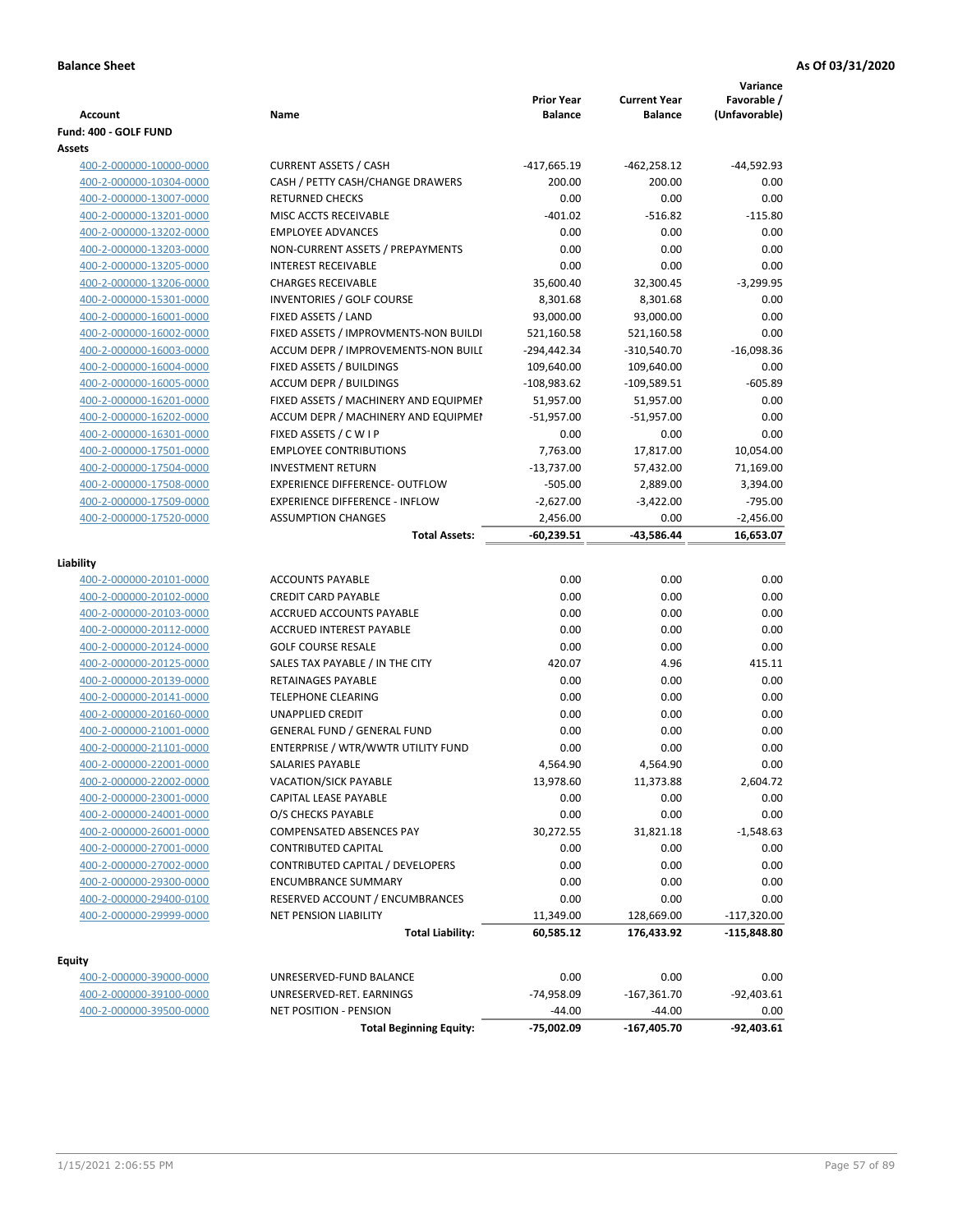| Account                                            | Name                                                                     | <b>Prior Year</b><br><b>Balance</b> | <b>Current Year</b><br><b>Balance</b> | Variance<br>Favorable /<br>(Unfavorable) |
|----------------------------------------------------|--------------------------------------------------------------------------|-------------------------------------|---------------------------------------|------------------------------------------|
| Fund: 400 - GOLF FUND                              |                                                                          |                                     |                                       |                                          |
| Assets                                             |                                                                          |                                     |                                       |                                          |
| 400-2-000000-10000-0000                            | <b>CURRENT ASSETS / CASH</b>                                             | -417,665.19                         | -462,258.12                           | $-44,592.93$                             |
| 400-2-000000-10304-0000                            | CASH / PETTY CASH/CHANGE DRAWERS                                         | 200.00                              | 200.00                                | 0.00                                     |
| 400-2-000000-13007-0000                            | <b>RETURNED CHECKS</b>                                                   | 0.00                                | 0.00                                  | 0.00                                     |
| 400-2-000000-13201-0000                            | MISC ACCTS RECEIVABLE                                                    | $-401.02$                           | $-516.82$                             | $-115.80$                                |
| 400-2-000000-13202-0000                            | <b>EMPLOYEE ADVANCES</b>                                                 | 0.00                                | 0.00                                  | 0.00                                     |
| 400-2-000000-13203-0000                            | NON-CURRENT ASSETS / PREPAYMENTS                                         | 0.00                                | 0.00                                  | 0.00                                     |
| 400-2-000000-13205-0000                            | <b>INTEREST RECEIVABLE</b>                                               | 0.00                                | 0.00                                  | 0.00                                     |
| 400-2-000000-13206-0000                            | <b>CHARGES RECEIVABLE</b>                                                | 35,600.40                           | 32,300.45                             | $-3,299.95$                              |
| 400-2-000000-15301-0000                            | INVENTORIES / GOLF COURSE                                                | 8,301.68                            | 8,301.68                              | 0.00                                     |
| 400-2-000000-16001-0000                            | FIXED ASSETS / LAND                                                      | 93,000.00                           | 93,000.00                             | 0.00                                     |
| 400-2-000000-16002-0000                            | FIXED ASSETS / IMPROVMENTS-NON BUILDI                                    | 521,160.58                          | 521,160.58                            | 0.00                                     |
| 400-2-000000-16003-0000                            | ACCUM DEPR / IMPROVEMENTS-NON BUILI                                      | -294,442.34                         | -310,540.70                           | $-16,098.36$                             |
| 400-2-000000-16004-0000                            | FIXED ASSETS / BUILDINGS                                                 | 109,640.00                          | 109,640.00                            | 0.00                                     |
| 400-2-000000-16005-0000                            | <b>ACCUM DEPR / BUILDINGS</b>                                            | $-108,983.62$                       | $-109,589.51$                         | $-605.89$                                |
| 400-2-000000-16201-0000                            | FIXED ASSETS / MACHINERY AND EQUIPMEN                                    | 51,957.00                           | 51,957.00                             | 0.00                                     |
| 400-2-000000-16202-0000                            | ACCUM DEPR / MACHINERY AND EQUIPMEI                                      | $-51,957.00$                        | $-51,957.00$                          | 0.00                                     |
| 400-2-000000-16301-0000                            | FIXED ASSETS / C W I P                                                   | 0.00                                | 0.00                                  | 0.00                                     |
| 400-2-000000-17501-0000                            | <b>EMPLOYEE CONTRIBUTIONS</b>                                            | 7,763.00                            | 17,817.00                             | 10,054.00                                |
| 400-2-000000-17504-0000                            | <b>INVESTMENT RETURN</b>                                                 | $-13,737.00$                        | 57,432.00                             | 71,169.00                                |
| 400-2-000000-17508-0000                            | <b>EXPERIENCE DIFFERENCE- OUTFLOW</b>                                    | $-505.00$                           | 2,889.00                              | 3,394.00                                 |
| 400-2-000000-17509-0000                            | <b>EXPERIENCE DIFFERENCE - INFLOW</b>                                    | $-2,627.00$                         | $-3,422.00$                           | $-795.00$                                |
| 400-2-000000-17520-0000                            | <b>ASSUMPTION CHANGES</b>                                                | 2,456.00                            | 0.00                                  | $-2,456.00$                              |
|                                                    | <b>Total Assets:</b>                                                     | $-60,239.51$                        | -43,586.44                            | 16,653.07                                |
|                                                    |                                                                          |                                     |                                       |                                          |
| Liability                                          |                                                                          |                                     |                                       |                                          |
| 400-2-000000-20101-0000                            | <b>ACCOUNTS PAYABLE</b>                                                  | 0.00                                | 0.00                                  | 0.00                                     |
| 400-2-000000-20102-0000                            | <b>CREDIT CARD PAYABLE</b>                                               | 0.00                                | 0.00                                  | 0.00                                     |
| 400-2-000000-20103-0000                            | ACCRUED ACCOUNTS PAYABLE                                                 | 0.00                                | 0.00                                  | 0.00                                     |
| 400-2-000000-20112-0000                            | <b>ACCRUED INTEREST PAYABLE</b>                                          | 0.00                                | 0.00                                  | 0.00                                     |
| 400-2-000000-20124-0000                            | <b>GOLF COURSE RESALE</b>                                                | 0.00                                | 0.00                                  | 0.00                                     |
| 400-2-000000-20125-0000                            | SALES TAX PAYABLE / IN THE CITY                                          | 420.07                              | 4.96                                  | 415.11                                   |
| 400-2-000000-20139-0000                            | RETAINAGES PAYABLE                                                       | 0.00                                | 0.00                                  | 0.00                                     |
| 400-2-000000-20141-0000                            | <b>TELEPHONE CLEARING</b>                                                | 0.00                                | 0.00                                  | 0.00                                     |
| 400-2-000000-20160-0000                            | <b>UNAPPLIED CREDIT</b>                                                  | 0.00                                | 0.00                                  | 0.00                                     |
| 400-2-000000-21001-0000                            | <b>GENERAL FUND / GENERAL FUND</b><br>ENTERPRISE / WTR/WWTR UTILITY FUND | 0.00                                | 0.00                                  | 0.00<br>0.00                             |
| 400-2-000000-21101-0000                            |                                                                          | 0.00<br>4,564.90                    | 0.00<br>4,564.90                      | 0.00                                     |
| 400-2-000000-22001-0000<br>400-2-000000-22002-0000 | SALARIES PAYABLE<br>VACATION/SICK PAYABLE                                | 13,978.60                           | 11,373.88                             | 2,604.72                                 |
| 400-2-000000-23001-0000                            | CAPITAL LEASE PAYABLE                                                    | 0.00                                | 0.00                                  | 0.00                                     |
| 400-2-000000-24001-0000                            | O/S CHECKS PAYABLE                                                       | 0.00                                | 0.00                                  | 0.00                                     |
| 400-2-000000-26001-0000                            | COMPENSATED ABSENCES PAY                                                 | 30,272.55                           | 31,821.18                             | $-1,548.63$                              |
| 400-2-000000-27001-0000                            | <b>CONTRIBUTED CAPITAL</b>                                               | 0.00                                | 0.00                                  | 0.00                                     |
| 400-2-000000-27002-0000                            | <b>CONTRIBUTED CAPITAL / DEVELOPERS</b>                                  | 0.00                                | 0.00                                  | 0.00                                     |
| 400-2-000000-29300-0000                            | <b>ENCUMBRANCE SUMMARY</b>                                               | 0.00                                | 0.00                                  | 0.00                                     |
| 400-2-000000-29400-0100                            | RESERVED ACCOUNT / ENCUMBRANCES                                          | 0.00                                | 0.00                                  | 0.00                                     |
| 400-2-000000-29999-0000                            | <b>NET PENSION LIABILITY</b>                                             | 11,349.00                           | 128,669.00                            | $-117,320.00$                            |
|                                                    | <b>Total Liability:</b>                                                  | 60,585.12                           | 176,433.92                            | -115,848.80                              |
|                                                    |                                                                          |                                     |                                       |                                          |
| <b>Equity</b>                                      |                                                                          |                                     |                                       |                                          |
| 400-2-000000-39000-0000                            | UNRESERVED-FUND BALANCE                                                  | 0.00                                | 0.00                                  | 0.00                                     |
| 400-2-000000-39100-0000                            | UNRESERVED-RET. EARNINGS                                                 | -74,958.09                          | $-167,361.70$                         | $-92,403.61$                             |
| 400-2-000000-39500-0000                            | NET POSITION - PENSION                                                   | $-44.00$                            | $-44.00$                              | 0.00                                     |
|                                                    | <b>Total Beginning Equity:</b>                                           | -75,002.09                          | $-167,405.70$                         | $-92,403.61$                             |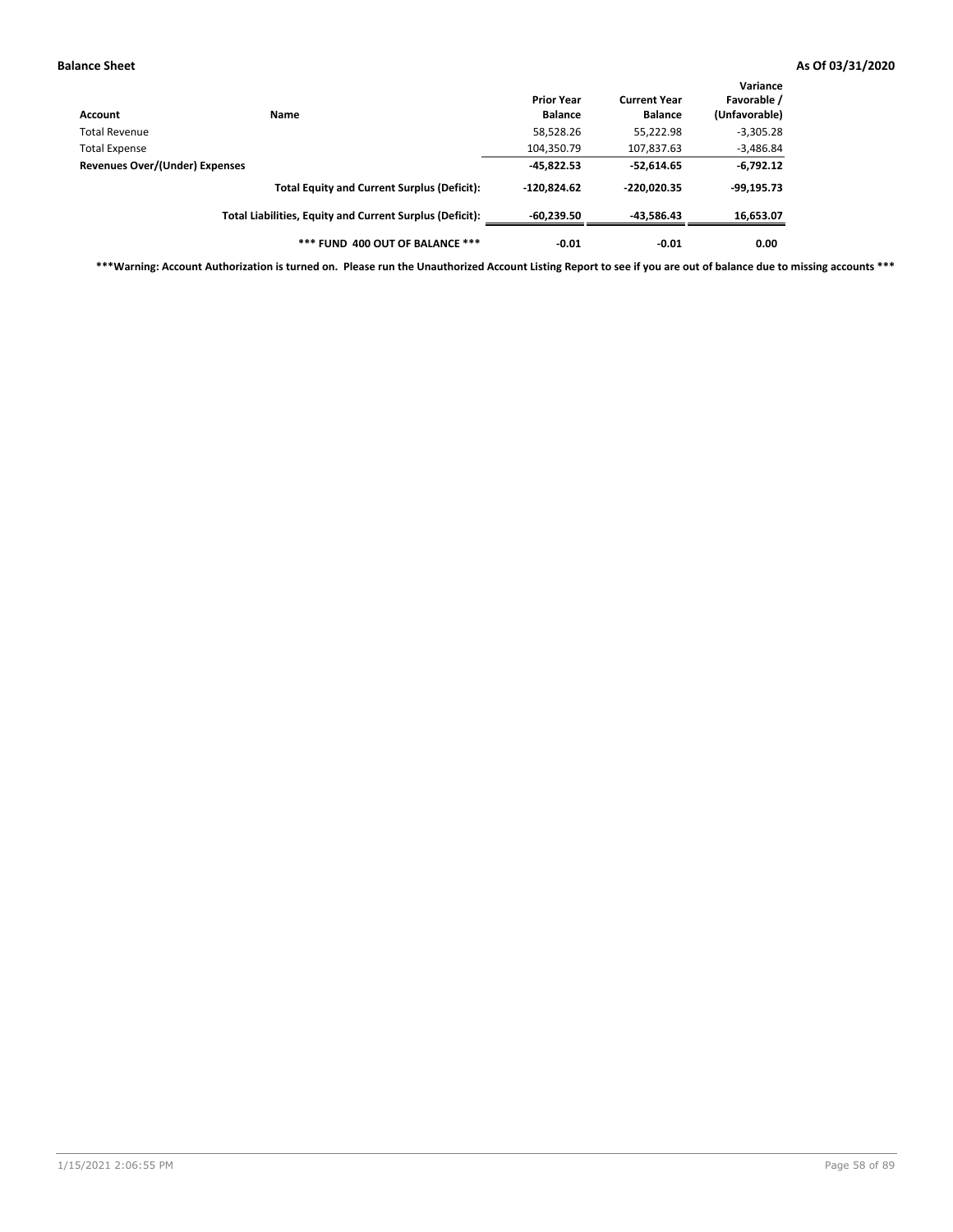| Account                        | <b>Name</b>                                              | <b>Prior Year</b><br><b>Balance</b> | <b>Current Year</b><br><b>Balance</b> | Variance<br>Favorable /<br>(Unfavorable) |
|--------------------------------|----------------------------------------------------------|-------------------------------------|---------------------------------------|------------------------------------------|
| Total Revenue                  |                                                          | 58,528.26                           | 55,222.98                             | $-3,305.28$                              |
| <b>Total Expense</b>           |                                                          | 104,350.79                          | 107,837.63                            | $-3,486.84$                              |
| Revenues Over/(Under) Expenses |                                                          | $-45,822.53$                        | $-52,614.65$                          | $-6,792.12$                              |
|                                | <b>Total Equity and Current Surplus (Deficit):</b>       | $-120.824.62$                       | $-220.020.35$                         | $-99,195.73$                             |
|                                | Total Liabilities, Equity and Current Surplus (Deficit): | $-60.239.50$                        | $-43,586.43$                          | 16,653.07                                |
|                                | *** FUND 400 OUT OF BALANCE ***                          | $-0.01$                             | $-0.01$                               | 0.00                                     |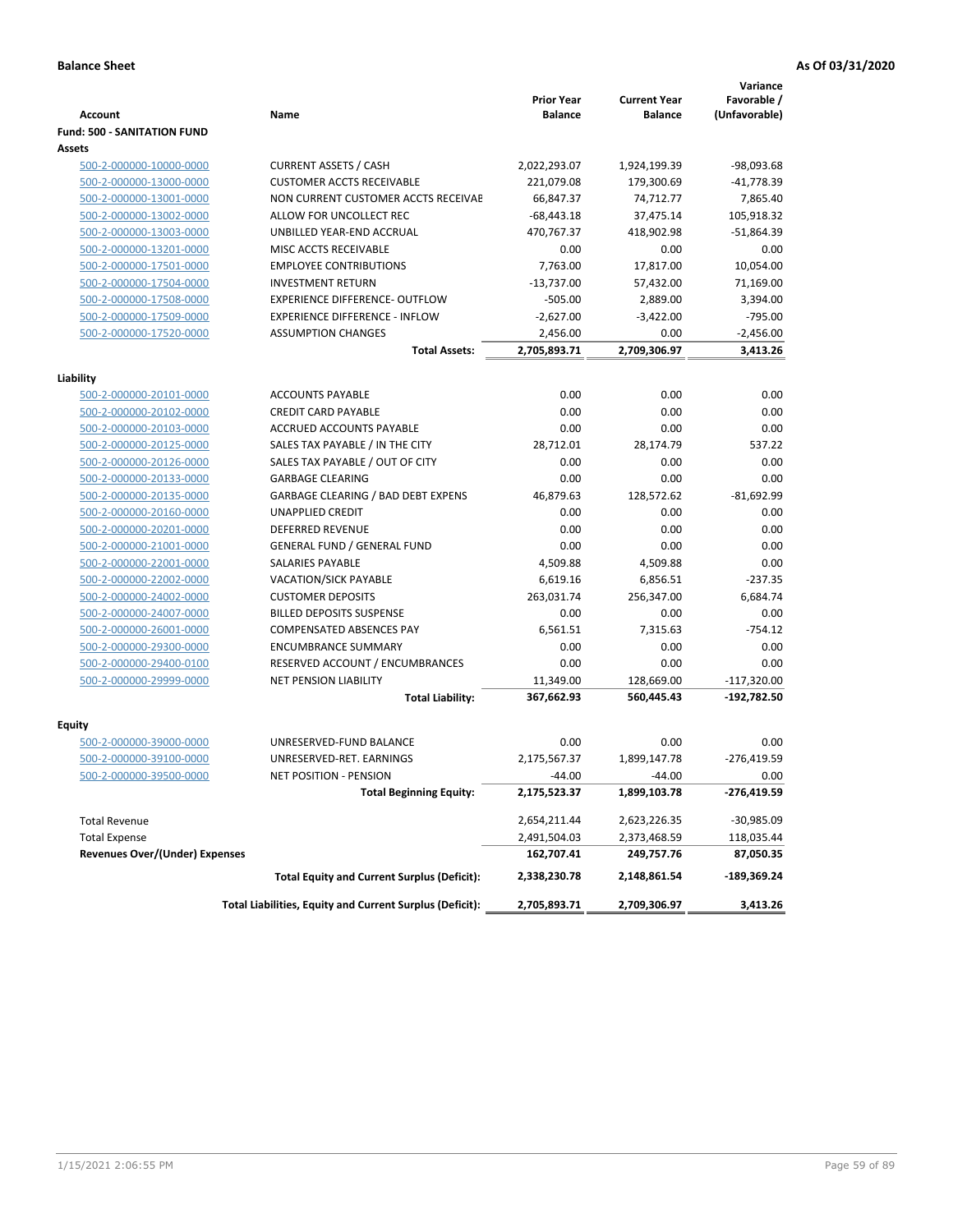|                                                    |                                                          |                   |                     | Variance      |
|----------------------------------------------------|----------------------------------------------------------|-------------------|---------------------|---------------|
|                                                    |                                                          | <b>Prior Year</b> | <b>Current Year</b> | Favorable /   |
| <b>Account</b>                                     | Name                                                     | <b>Balance</b>    | <b>Balance</b>      | (Unfavorable) |
| <b>Fund: 500 - SANITATION FUND</b><br>Assets       |                                                          |                   |                     |               |
| 500-2-000000-10000-0000                            | <b>CURRENT ASSETS / CASH</b>                             | 2,022,293.07      | 1,924,199.39        | -98,093.68    |
| 500-2-000000-13000-0000                            | <b>CUSTOMER ACCTS RECEIVABLE</b>                         | 221,079.08        | 179,300.69          | $-41,778.39$  |
| 500-2-000000-13001-0000                            | NON CURRENT CUSTOMER ACCTS RECEIVAE                      | 66,847.37         | 74,712.77           | 7,865.40      |
| 500-2-000000-13002-0000                            | ALLOW FOR UNCOLLECT REC                                  | $-68,443.18$      | 37,475.14           | 105,918.32    |
| 500-2-000000-13003-0000                            | UNBILLED YEAR-END ACCRUAL                                | 470,767.37        | 418,902.98          | $-51,864.39$  |
| 500-2-000000-13201-0000                            | MISC ACCTS RECEIVABLE                                    | 0.00              | 0.00                | 0.00          |
| 500-2-000000-17501-0000                            | <b>EMPLOYEE CONTRIBUTIONS</b>                            | 7,763.00          | 17,817.00           | 10,054.00     |
| 500-2-000000-17504-0000                            | <b>INVESTMENT RETURN</b>                                 | $-13,737.00$      | 57,432.00           | 71,169.00     |
| 500-2-000000-17508-0000                            | <b>EXPERIENCE DIFFERENCE- OUTFLOW</b>                    | $-505.00$         | 2,889.00            | 3,394.00      |
| 500-2-000000-17509-0000                            | <b>EXPERIENCE DIFFERENCE - INFLOW</b>                    | $-2,627.00$       | $-3,422.00$         | $-795.00$     |
| 500-2-000000-17520-0000                            | <b>ASSUMPTION CHANGES</b>                                | 2,456.00          | 0.00                | $-2,456.00$   |
|                                                    | <b>Total Assets:</b>                                     | 2,705,893.71      | 2,709,306.97        | 3,413.26      |
|                                                    |                                                          |                   |                     |               |
| Liability                                          |                                                          |                   |                     |               |
| 500-2-000000-20101-0000                            | <b>ACCOUNTS PAYABLE</b>                                  | 0.00              | 0.00                | 0.00          |
| 500-2-000000-20102-0000                            | <b>CREDIT CARD PAYABLE</b>                               | 0.00              | 0.00                | 0.00          |
| 500-2-000000-20103-0000                            | ACCRUED ACCOUNTS PAYABLE                                 | 0.00              | 0.00                | 0.00          |
| 500-2-000000-20125-0000                            | SALES TAX PAYABLE / IN THE CITY                          | 28,712.01         | 28,174.79           | 537.22        |
| 500-2-000000-20126-0000                            | SALES TAX PAYABLE / OUT OF CITY                          | 0.00              | 0.00                | 0.00          |
| 500-2-000000-20133-0000                            | <b>GARBAGE CLEARING</b>                                  | 0.00              | 0.00                | 0.00          |
| 500-2-000000-20135-0000                            | <b>GARBAGE CLEARING / BAD DEBT EXPENS</b>                | 46,879.63         | 128,572.62          | $-81,692.99$  |
| 500-2-000000-20160-0000                            | UNAPPLIED CREDIT                                         | 0.00              | 0.00                | 0.00          |
| 500-2-000000-20201-0000                            | <b>DEFERRED REVENUE</b>                                  | 0.00              | 0.00                | 0.00          |
| 500-2-000000-21001-0000                            | <b>GENERAL FUND / GENERAL FUND</b>                       | 0.00              | 0.00                | 0.00          |
| 500-2-000000-22001-0000                            | SALARIES PAYABLE                                         | 4,509.88          | 4,509.88            | 0.00          |
| 500-2-000000-22002-0000                            | <b>VACATION/SICK PAYABLE</b>                             | 6,619.16          | 6,856.51            | $-237.35$     |
| 500-2-000000-24002-0000                            | <b>CUSTOMER DEPOSITS</b>                                 | 263,031.74        | 256,347.00          | 6,684.74      |
| 500-2-000000-24007-0000                            | <b>BILLED DEPOSITS SUSPENSE</b>                          | 0.00              | 0.00                | 0.00          |
| 500-2-000000-26001-0000                            | <b>COMPENSATED ABSENCES PAY</b>                          | 6,561.51          | 7,315.63            | $-754.12$     |
| 500-2-000000-29300-0000                            | <b>ENCUMBRANCE SUMMARY</b>                               | 0.00              | 0.00                | 0.00          |
| 500-2-000000-29400-0100<br>500-2-000000-29999-0000 | RESERVED ACCOUNT / ENCUMBRANCES                          | 0.00              | 0.00                | 0.00          |
|                                                    | <b>NET PENSION LIABILITY</b>                             | 11,349.00         | 128,669.00          | $-117,320.00$ |
|                                                    | <b>Total Liability:</b>                                  | 367,662.93        | 560,445.43          | $-192,782.50$ |
| <b>Equity</b>                                      |                                                          |                   |                     |               |
| 500-2-000000-39000-0000                            | UNRESERVED-FUND BALANCE                                  | 0.00              | 0.00                | 0.00          |
| 500-2-000000-39100-0000                            | UNRESERVED-RET. EARNINGS                                 | 2,175,567.37      | 1,899,147.78        | $-276,419.59$ |
| 500-2-000000-39500-0000                            | NET POSITION - PENSION                                   | $-44.00$          | $-44.00$            | 0.00          |
|                                                    | <b>Total Beginning Equity:</b>                           | 2,175,523.37      | 1,899,103.78        | $-276,419.59$ |
| <b>Total Revenue</b>                               |                                                          | 2,654,211.44      | 2,623,226.35        | $-30,985.09$  |
| <b>Total Expense</b>                               |                                                          | 2,491,504.03      | 2,373,468.59        | 118,035.44    |
| <b>Revenues Over/(Under) Expenses</b>              |                                                          | 162,707.41        | 249,757.76          | 87,050.35     |
|                                                    | <b>Total Equity and Current Surplus (Deficit):</b>       | 2,338,230.78      | 2,148,861.54        | $-189,369.24$ |
|                                                    | Total Liabilities, Equity and Current Surplus (Deficit): | 2,705,893.71      | 2,709,306.97        | 3,413.26      |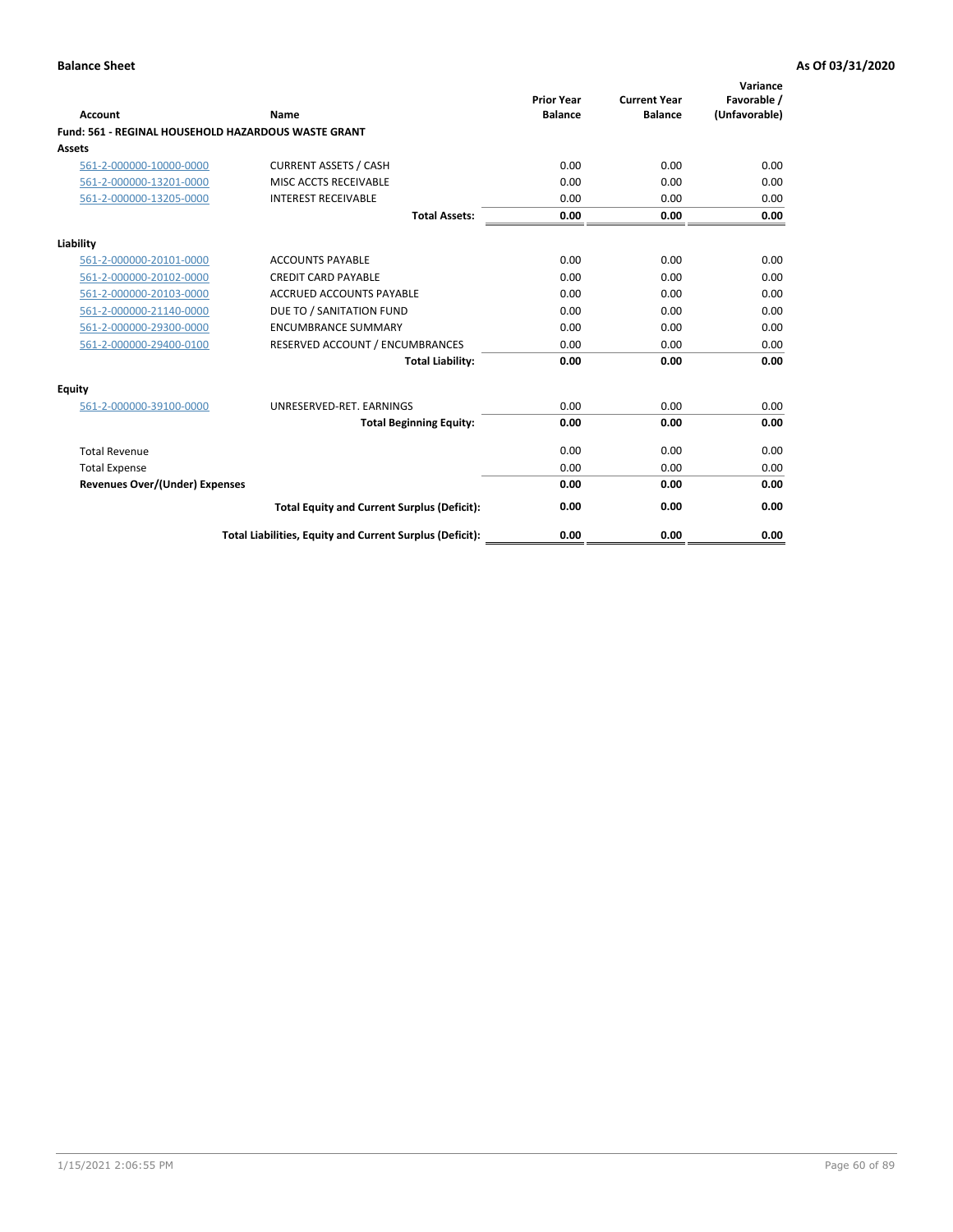| Account                                             | Name                                                     | <b>Prior Year</b><br><b>Balance</b> | <b>Current Year</b><br><b>Balance</b> | Variance<br>Favorable /<br>(Unfavorable) |
|-----------------------------------------------------|----------------------------------------------------------|-------------------------------------|---------------------------------------|------------------------------------------|
| Fund: 561 - REGINAL HOUSEHOLD HAZARDOUS WASTE GRANT |                                                          |                                     |                                       |                                          |
| <b>Assets</b>                                       |                                                          |                                     |                                       |                                          |
| 561-2-000000-10000-0000                             | <b>CURRENT ASSETS / CASH</b>                             | 0.00                                | 0.00                                  | 0.00                                     |
| 561-2-000000-13201-0000                             | MISC ACCTS RECEIVABLE                                    | 0.00                                | 0.00                                  | 0.00                                     |
| 561-2-000000-13205-0000                             | <b>INTEREST RECEIVABLE</b>                               | 0.00                                | 0.00                                  | 0.00                                     |
|                                                     | <b>Total Assets:</b>                                     | 0.00                                | 0.00                                  | 0.00                                     |
| Liability                                           |                                                          |                                     |                                       |                                          |
| 561-2-000000-20101-0000                             | <b>ACCOUNTS PAYABLE</b>                                  | 0.00                                | 0.00                                  | 0.00                                     |
| 561-2-000000-20102-0000                             | <b>CREDIT CARD PAYABLE</b>                               | 0.00                                | 0.00                                  | 0.00                                     |
| 561-2-000000-20103-0000                             | <b>ACCRUED ACCOUNTS PAYABLE</b>                          | 0.00                                | 0.00                                  | 0.00                                     |
| 561-2-000000-21140-0000                             | DUE TO / SANITATION FUND                                 | 0.00                                | 0.00                                  | 0.00                                     |
| 561-2-000000-29300-0000                             | <b>ENCUMBRANCE SUMMARY</b>                               | 0.00                                | 0.00                                  | 0.00                                     |
| 561-2-000000-29400-0100                             | RESERVED ACCOUNT / ENCUMBRANCES                          | 0.00                                | 0.00                                  | 0.00                                     |
|                                                     | <b>Total Liability:</b>                                  | 0.00                                | 0.00                                  | 0.00                                     |
| <b>Equity</b>                                       |                                                          |                                     |                                       |                                          |
| 561-2-000000-39100-0000                             | UNRESERVED-RET. EARNINGS                                 | 0.00                                | 0.00                                  | 0.00                                     |
|                                                     | <b>Total Beginning Equity:</b>                           | 0.00                                | 0.00                                  | 0.00                                     |
| <b>Total Revenue</b>                                |                                                          | 0.00                                | 0.00                                  | 0.00                                     |
| <b>Total Expense</b>                                |                                                          | 0.00                                | 0.00                                  | 0.00                                     |
| <b>Revenues Over/(Under) Expenses</b>               |                                                          | 0.00                                | 0.00                                  | 0.00                                     |
|                                                     | <b>Total Equity and Current Surplus (Deficit):</b>       | 0.00                                | 0.00                                  | 0.00                                     |
|                                                     | Total Liabilities, Equity and Current Surplus (Deficit): | 0.00                                | 0.00                                  | 0.00                                     |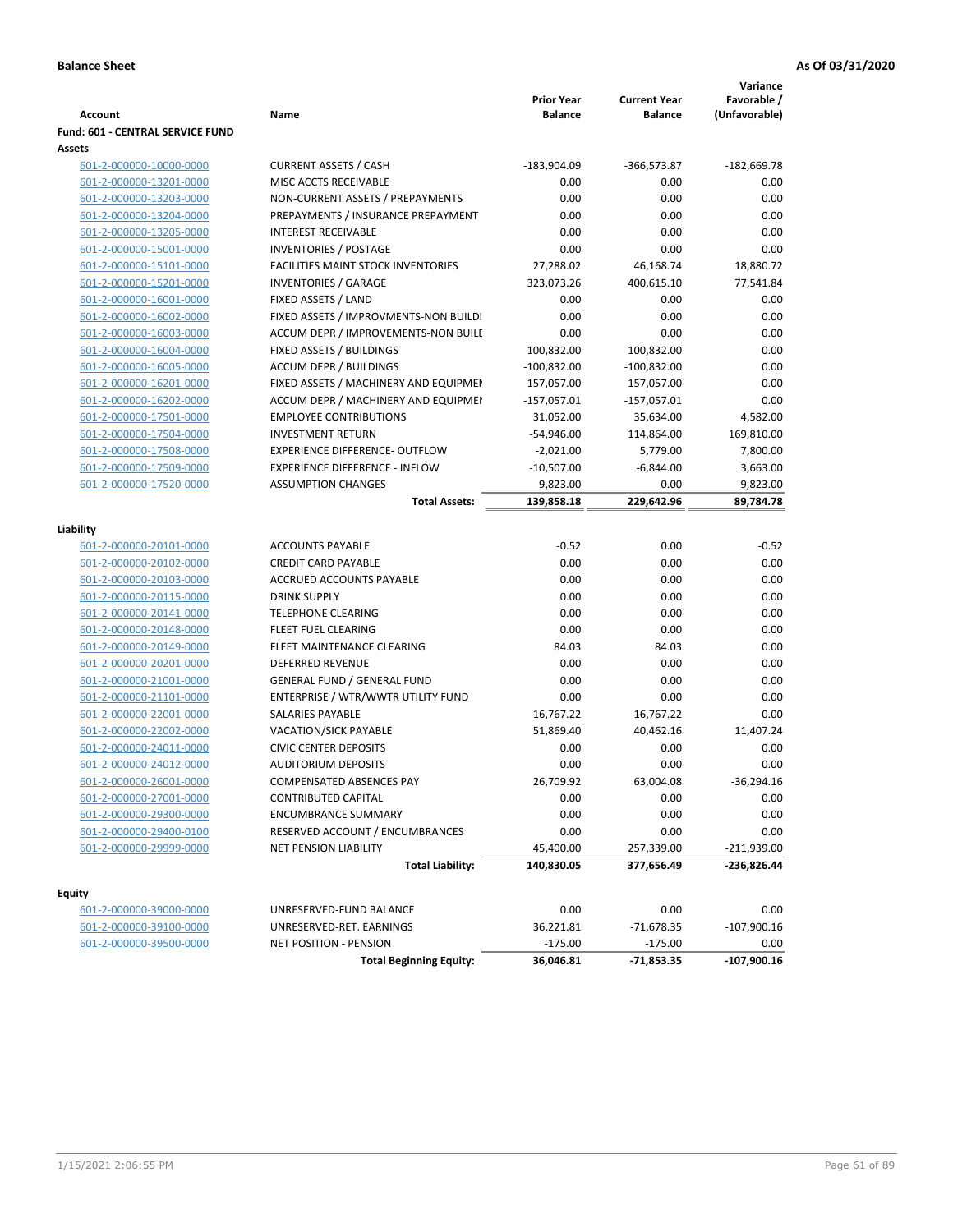|                                  |                                           |                                     |                                       | Variance                     |
|----------------------------------|-------------------------------------------|-------------------------------------|---------------------------------------|------------------------------|
| <b>Account</b>                   | Name                                      | <b>Prior Year</b><br><b>Balance</b> | <b>Current Year</b><br><b>Balance</b> | Favorable /<br>(Unfavorable) |
| Fund: 601 - CENTRAL SERVICE FUND |                                           |                                     |                                       |                              |
| Assets                           |                                           |                                     |                                       |                              |
| 601-2-000000-10000-0000          | <b>CURRENT ASSETS / CASH</b>              | $-183,904.09$                       | $-366,573.87$                         | $-182,669.78$                |
| 601-2-000000-13201-0000          | MISC ACCTS RECEIVABLE                     | 0.00                                | 0.00                                  | 0.00                         |
| 601-2-000000-13203-0000          | NON-CURRENT ASSETS / PREPAYMENTS          | 0.00                                | 0.00                                  | 0.00                         |
| 601-2-000000-13204-0000          | PREPAYMENTS / INSURANCE PREPAYMENT        | 0.00                                | 0.00                                  | 0.00                         |
| 601-2-000000-13205-0000          | <b>INTEREST RECEIVABLE</b>                | 0.00                                | 0.00                                  | 0.00                         |
| 601-2-000000-15001-0000          | <b>INVENTORIES / POSTAGE</b>              | 0.00                                | 0.00                                  | 0.00                         |
| 601-2-000000-15101-0000          | <b>FACILITIES MAINT STOCK INVENTORIES</b> | 27,288.02                           | 46,168.74                             | 18,880.72                    |
| 601-2-000000-15201-0000          | <b>INVENTORIES / GARAGE</b>               | 323,073.26                          | 400,615.10                            | 77,541.84                    |
| 601-2-000000-16001-0000          | FIXED ASSETS / LAND                       | 0.00                                | 0.00                                  | 0.00                         |
| 601-2-000000-16002-0000          | FIXED ASSETS / IMPROVMENTS-NON BUILDI     | 0.00                                | 0.00                                  | 0.00                         |
| 601-2-000000-16003-0000          | ACCUM DEPR / IMPROVEMENTS-NON BUILI       | 0.00                                | 0.00                                  | 0.00                         |
| 601-2-000000-16004-0000          | FIXED ASSETS / BUILDINGS                  | 100,832.00                          | 100,832.00                            | 0.00                         |
| 601-2-000000-16005-0000          | <b>ACCUM DEPR / BUILDINGS</b>             | $-100,832.00$                       | $-100,832.00$                         | 0.00                         |
| 601-2-000000-16201-0000          | FIXED ASSETS / MACHINERY AND EQUIPMEN     | 157,057.00                          | 157,057.00                            | 0.00                         |
| 601-2-000000-16202-0000          | ACCUM DEPR / MACHINERY AND EQUIPMEI       | $-157,057.01$                       | $-157,057.01$                         | 0.00                         |
| 601-2-000000-17501-0000          | <b>EMPLOYEE CONTRIBUTIONS</b>             | 31,052.00                           | 35,634.00                             | 4,582.00                     |
| 601-2-000000-17504-0000          | <b>INVESTMENT RETURN</b>                  | $-54,946.00$                        | 114,864.00                            | 169,810.00                   |
| 601-2-000000-17508-0000          | <b>EXPERIENCE DIFFERENCE- OUTFLOW</b>     | $-2,021.00$                         | 5,779.00                              | 7,800.00                     |
| 601-2-000000-17509-0000          | <b>EXPERIENCE DIFFERENCE - INFLOW</b>     | $-10,507.00$                        | $-6,844.00$                           | 3,663.00                     |
| 601-2-000000-17520-0000          | <b>ASSUMPTION CHANGES</b>                 | 9,823.00                            | 0.00                                  | $-9,823.00$                  |
|                                  | <b>Total Assets:</b>                      | 139,858.18                          | 229,642.96                            | 89,784.78                    |
|                                  |                                           |                                     |                                       |                              |
| Liability                        |                                           |                                     |                                       |                              |
| 601-2-000000-20101-0000          | <b>ACCOUNTS PAYABLE</b>                   | $-0.52$                             | 0.00                                  | $-0.52$                      |
| 601-2-000000-20102-0000          | <b>CREDIT CARD PAYABLE</b>                | 0.00                                | 0.00                                  | 0.00                         |
| 601-2-000000-20103-0000          | ACCRUED ACCOUNTS PAYABLE                  | 0.00                                | 0.00                                  | 0.00                         |
| 601-2-000000-20115-0000          | <b>DRINK SUPPLY</b>                       | 0.00                                | 0.00                                  | 0.00                         |
| 601-2-000000-20141-0000          | <b>TELEPHONE CLEARING</b>                 | 0.00                                | 0.00                                  | 0.00                         |
| 601-2-000000-20148-0000          | FLEET FUEL CLEARING                       | 0.00                                | 0.00                                  | 0.00                         |
| 601-2-000000-20149-0000          | FLEET MAINTENANCE CLEARING                | 84.03                               | 84.03                                 | 0.00                         |
| 601-2-000000-20201-0000          | <b>DEFERRED REVENUE</b>                   | 0.00                                | 0.00                                  | 0.00                         |
| 601-2-000000-21001-0000          | <b>GENERAL FUND / GENERAL FUND</b>        | 0.00                                | 0.00                                  | 0.00                         |
| 601-2-000000-21101-0000          | ENTERPRISE / WTR/WWTR UTILITY FUND        | 0.00                                | 0.00                                  | 0.00                         |
| 601-2-000000-22001-0000          | SALARIES PAYABLE                          | 16,767.22                           | 16,767.22                             | 0.00                         |
| 601-2-000000-22002-0000          | <b>VACATION/SICK PAYABLE</b>              | 51,869.40                           | 40,462.16                             | 11,407.24                    |
| 601-2-000000-24011-0000          | <b>CIVIC CENTER DEPOSITS</b>              | 0.00                                | 0.00                                  | 0.00                         |
| 601-2-000000-24012-0000          | <b>AUDITORIUM DEPOSITS</b>                | 0.00                                | 0.00                                  | 0.00                         |
| 601-2-000000-26001-0000          | COMPENSATED ABSENCES PAY                  | 26,709.92                           | 63,004.08                             | $-36,294.16$                 |
| 601-2-000000-27001-0000          | CONTRIBUTED CAPITAL                       | 0.00                                | 0.00                                  | 0.00                         |
| 601-2-000000-29300-0000          | <b>ENCUMBRANCE SUMMARY</b>                | 0.00                                | 0.00                                  | 0.00                         |
| 601-2-000000-29400-0100          | RESERVED ACCOUNT / ENCUMBRANCES           | 0.00                                | 0.00                                  | 0.00                         |
| 601-2-000000-29999-0000          | NET PENSION LIABILITY                     | 45,400.00                           | 257,339.00                            | $-211,939.00$                |
|                                  | <b>Total Liability:</b>                   | 140,830.05                          | 377,656.49                            | $-236,826.44$                |
| <b>Equity</b>                    |                                           |                                     |                                       |                              |
| 601-2-000000-39000-0000          | UNRESERVED-FUND BALANCE                   | 0.00                                | 0.00                                  | 0.00                         |
| 601-2-000000-39100-0000          | UNRESERVED-RET. EARNINGS                  | 36,221.81                           | $-71,678.35$                          | $-107,900.16$                |
| 601-2-000000-39500-0000          | NET POSITION - PENSION                    | $-175.00$                           | $-175.00$                             | 0.00                         |
|                                  | <b>Total Beginning Equity:</b>            | 36,046.81                           | -71,853.35                            | $-107,900.16$                |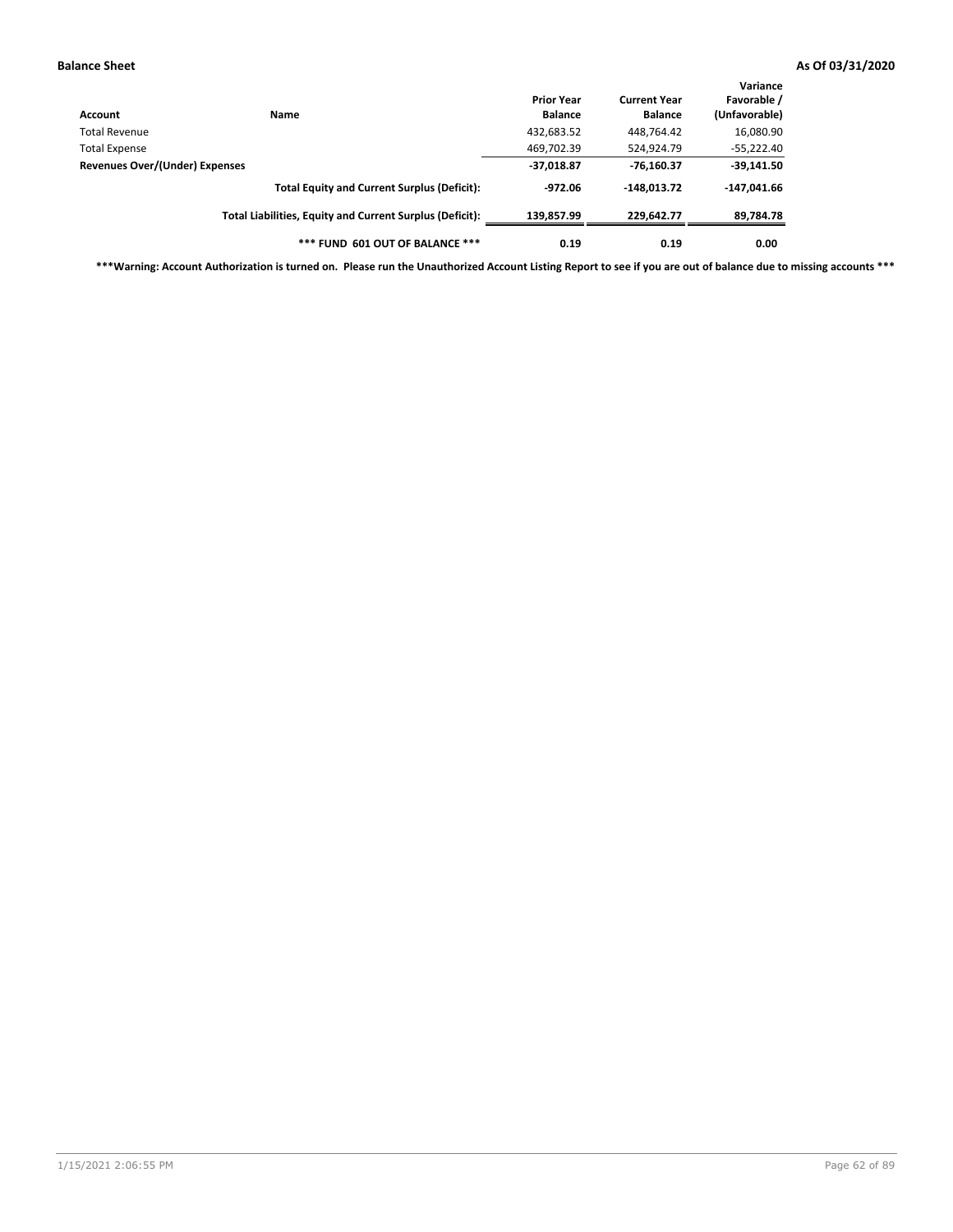| Account                                                                              | Name                                                     | <b>Prior Year</b><br><b>Balance</b> | <b>Current Year</b><br><b>Balance</b> | Variance<br>Favorable /<br>(Unfavorable) |
|--------------------------------------------------------------------------------------|----------------------------------------------------------|-------------------------------------|---------------------------------------|------------------------------------------|
| Total Revenue                                                                        |                                                          | 432,683.52                          | 448,764.42                            | 16,080.90                                |
| Total Expense                                                                        |                                                          | 469,702.39                          | 524,924.79                            | $-55,222.40$                             |
| Revenues Over/(Under) Expenses<br><b>Total Equity and Current Surplus (Deficit):</b> | $-37,018.87$                                             | $-76,160.37$                        | $-39,141.50$                          |                                          |
|                                                                                      |                                                          | $-972.06$                           | $-148.013.72$                         | $-147,041.66$                            |
|                                                                                      | Total Liabilities, Equity and Current Surplus (Deficit): | 139.857.99                          | 229.642.77                            | 89,784.78                                |
|                                                                                      | *** FUND 601 OUT OF BALANCE ***                          | 0.19                                | 0.19                                  | 0.00                                     |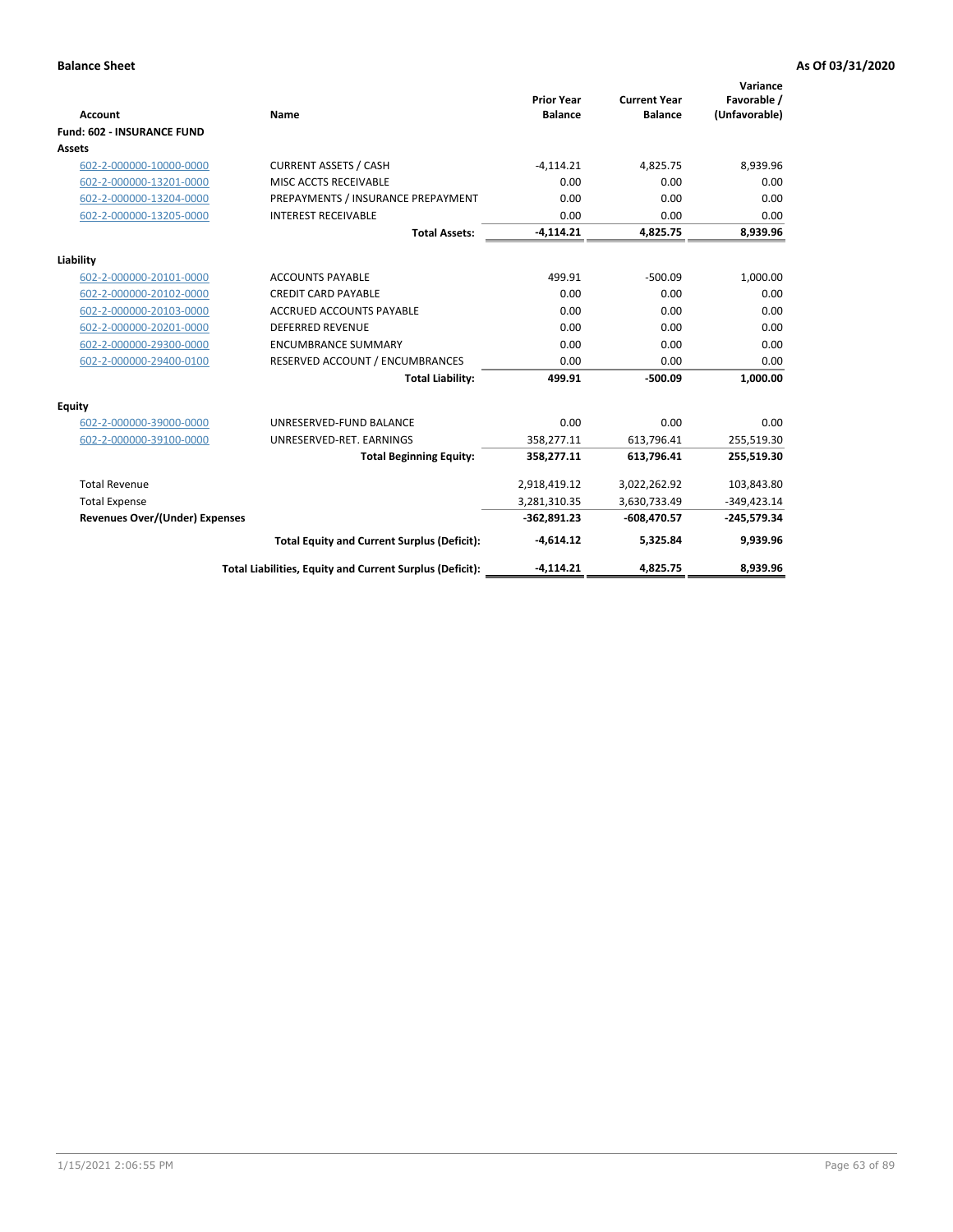| <b>Account</b>                        | Name                                                     | <b>Prior Year</b><br><b>Balance</b> | <b>Current Year</b><br><b>Balance</b> | Variance<br>Favorable /<br>(Unfavorable) |
|---------------------------------------|----------------------------------------------------------|-------------------------------------|---------------------------------------|------------------------------------------|
| <b>Fund: 602 - INSURANCE FUND</b>     |                                                          |                                     |                                       |                                          |
| <b>Assets</b>                         |                                                          |                                     |                                       |                                          |
| 602-2-000000-10000-0000               | <b>CURRENT ASSETS / CASH</b>                             | $-4,114.21$                         | 4,825.75                              | 8,939.96                                 |
| 602-2-000000-13201-0000               | MISC ACCTS RECEIVABLE                                    | 0.00                                | 0.00                                  | 0.00                                     |
| 602-2-000000-13204-0000               | PREPAYMENTS / INSURANCE PREPAYMENT                       | 0.00                                | 0.00                                  | 0.00                                     |
| 602-2-000000-13205-0000               | <b>INTEREST RECEIVABLE</b>                               | 0.00                                | 0.00                                  | 0.00                                     |
|                                       | <b>Total Assets:</b>                                     | $-4,114.21$                         | 4,825.75                              | 8,939.96                                 |
| Liability                             |                                                          |                                     |                                       |                                          |
| 602-2-000000-20101-0000               | <b>ACCOUNTS PAYABLE</b>                                  | 499.91                              | $-500.09$                             | 1,000.00                                 |
| 602-2-000000-20102-0000               | <b>CREDIT CARD PAYABLE</b>                               | 0.00                                | 0.00                                  | 0.00                                     |
| 602-2-000000-20103-0000               | <b>ACCRUED ACCOUNTS PAYABLE</b>                          | 0.00                                | 0.00                                  | 0.00                                     |
| 602-2-000000-20201-0000               | <b>DEFERRED REVENUE</b>                                  | 0.00                                | 0.00                                  | 0.00                                     |
| 602-2-000000-29300-0000               | <b>ENCUMBRANCE SUMMARY</b>                               | 0.00                                | 0.00                                  | 0.00                                     |
| 602-2-000000-29400-0100               | RESERVED ACCOUNT / ENCUMBRANCES                          | 0.00                                | 0.00                                  | 0.00                                     |
|                                       | <b>Total Liability:</b>                                  | 499.91                              | $-500.09$                             | 1,000.00                                 |
| <b>Equity</b>                         |                                                          |                                     |                                       |                                          |
| 602-2-000000-39000-0000               | UNRESERVED-FUND BALANCE                                  | 0.00                                | 0.00                                  | 0.00                                     |
| 602-2-000000-39100-0000               | UNRESERVED-RET. EARNINGS                                 | 358,277.11                          | 613,796.41                            | 255,519.30                               |
|                                       | <b>Total Beginning Equity:</b>                           | 358,277.11                          | 613,796.41                            | 255,519.30                               |
| <b>Total Revenue</b>                  |                                                          | 2,918,419.12                        | 3,022,262.92                          | 103,843.80                               |
| <b>Total Expense</b>                  |                                                          | 3,281,310.35                        | 3,630,733.49                          | $-349,423.14$                            |
| <b>Revenues Over/(Under) Expenses</b> |                                                          | $-362,891.23$                       | $-608,470.57$                         | $-245,579.34$                            |
|                                       | <b>Total Equity and Current Surplus (Deficit):</b>       | $-4,614.12$                         | 5,325.84                              | 9,939.96                                 |
|                                       | Total Liabilities, Equity and Current Surplus (Deficit): | $-4.114.21$                         | 4.825.75                              | 8.939.96                                 |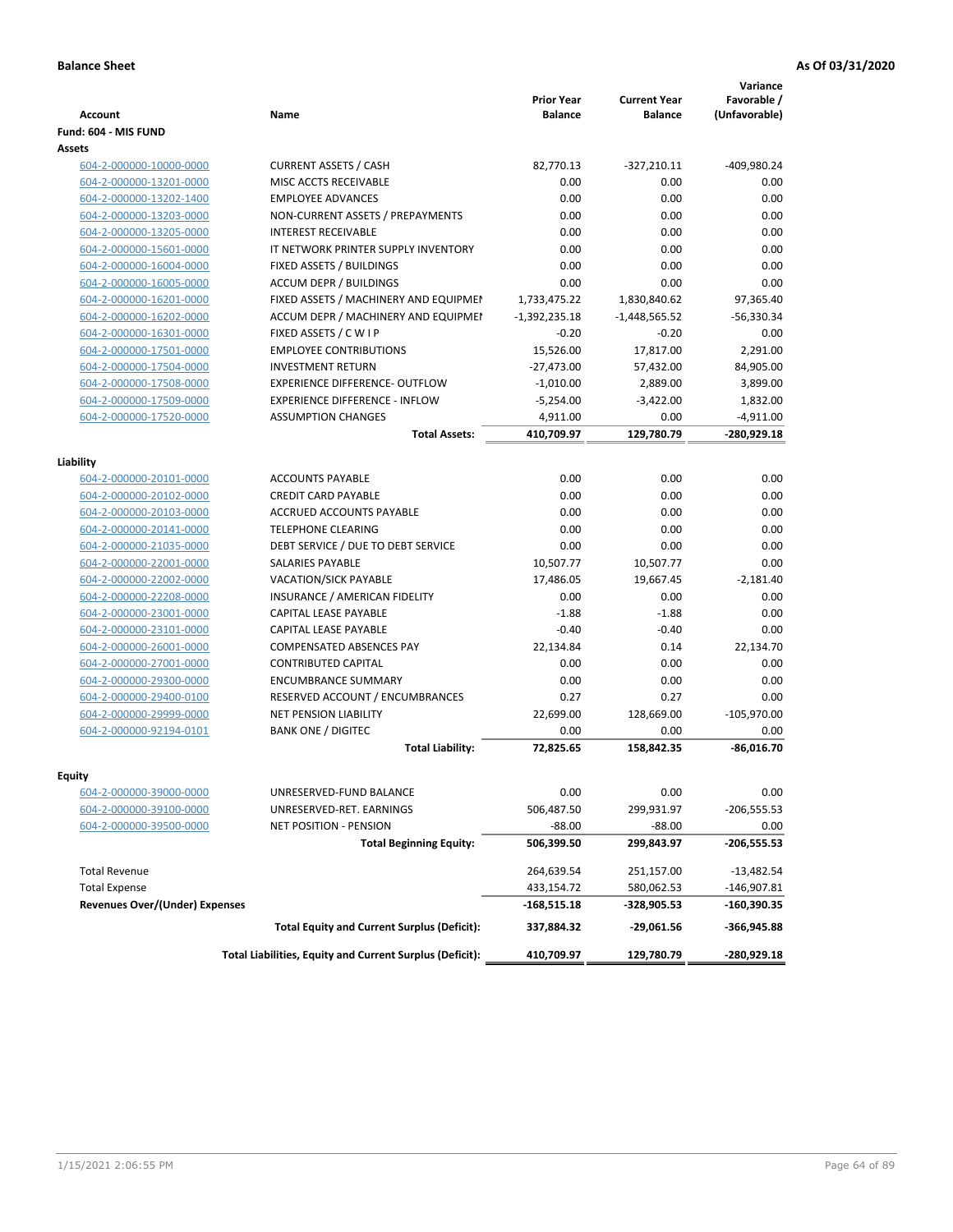| <b>Account</b>                        | <b>Name</b>                                              | <b>Prior Year</b><br><b>Balance</b> | <b>Current Year</b><br><b>Balance</b> | Variance<br>Favorable /<br>(Unfavorable) |
|---------------------------------------|----------------------------------------------------------|-------------------------------------|---------------------------------------|------------------------------------------|
| Fund: 604 - MIS FUND                  |                                                          |                                     |                                       |                                          |
| Assets                                |                                                          |                                     |                                       |                                          |
| 604-2-000000-10000-0000               | <b>CURRENT ASSETS / CASH</b>                             | 82,770.13                           | $-327,210.11$                         | -409,980.24                              |
| 604-2-000000-13201-0000               | MISC ACCTS RECEIVABLE                                    | 0.00                                | 0.00                                  | 0.00                                     |
| 604-2-000000-13202-1400               | <b>EMPLOYEE ADVANCES</b>                                 | 0.00                                | 0.00                                  | 0.00                                     |
| 604-2-000000-13203-0000               | NON-CURRENT ASSETS / PREPAYMENTS                         | 0.00                                | 0.00                                  | 0.00                                     |
| 604-2-000000-13205-0000               | <b>INTEREST RECEIVABLE</b>                               | 0.00                                | 0.00                                  | 0.00                                     |
| 604-2-000000-15601-0000               | IT NETWORK PRINTER SUPPLY INVENTORY                      | 0.00                                | 0.00                                  | 0.00                                     |
| 604-2-000000-16004-0000               | FIXED ASSETS / BUILDINGS                                 | 0.00                                | 0.00                                  | 0.00                                     |
| 604-2-000000-16005-0000               | <b>ACCUM DEPR / BUILDINGS</b>                            | 0.00                                | 0.00                                  | 0.00                                     |
| 604-2-000000-16201-0000               | FIXED ASSETS / MACHINERY AND EQUIPMEN                    | 1,733,475.22                        | 1,830,840.62                          | 97,365.40                                |
| 604-2-000000-16202-0000               | ACCUM DEPR / MACHINERY AND EQUIPMEI                      | $-1,392,235.18$                     | $-1,448,565.52$                       | $-56,330.34$                             |
| 604-2-000000-16301-0000               | FIXED ASSETS / C W I P                                   | $-0.20$                             | $-0.20$                               | 0.00                                     |
| 604-2-000000-17501-0000               | <b>EMPLOYEE CONTRIBUTIONS</b>                            | 15,526.00                           | 17,817.00                             | 2,291.00                                 |
| 604-2-000000-17504-0000               | <b>INVESTMENT RETURN</b>                                 | $-27,473.00$                        | 57,432.00                             | 84,905.00                                |
| 604-2-000000-17508-0000               | <b>EXPERIENCE DIFFERENCE- OUTFLOW</b>                    | $-1,010.00$                         | 2,889.00                              | 3,899.00                                 |
| 604-2-000000-17509-0000               | <b>EXPERIENCE DIFFERENCE - INFLOW</b>                    | $-5,254.00$                         | $-3,422.00$                           | 1,832.00                                 |
| 604-2-000000-17520-0000               | <b>ASSUMPTION CHANGES</b>                                | 4,911.00                            | 0.00                                  | $-4,911.00$                              |
|                                       | <b>Total Assets:</b>                                     | 410,709.97                          | 129,780.79                            | -280,929.18                              |
|                                       |                                                          |                                     |                                       |                                          |
| Liability                             |                                                          |                                     |                                       |                                          |
| 604-2-000000-20101-0000               | <b>ACCOUNTS PAYABLE</b>                                  | 0.00                                | 0.00                                  | 0.00                                     |
| 604-2-000000-20102-0000               | <b>CREDIT CARD PAYABLE</b>                               | 0.00                                | 0.00                                  | 0.00                                     |
| 604-2-000000-20103-0000               | <b>ACCRUED ACCOUNTS PAYABLE</b>                          | 0.00                                | 0.00                                  | 0.00                                     |
| 604-2-000000-20141-0000               | <b>TELEPHONE CLEARING</b>                                | 0.00                                | 0.00                                  | 0.00                                     |
| 604-2-000000-21035-0000               | DEBT SERVICE / DUE TO DEBT SERVICE                       | 0.00                                | 0.00                                  | 0.00                                     |
| 604-2-000000-22001-0000               | <b>SALARIES PAYABLE</b>                                  | 10,507.77                           | 10,507.77                             | 0.00                                     |
| 604-2-000000-22002-0000               | <b>VACATION/SICK PAYABLE</b>                             | 17,486.05                           | 19,667.45                             | $-2,181.40$                              |
| 604-2-000000-22208-0000               | INSURANCE / AMERICAN FIDELITY                            | 0.00                                | 0.00                                  | 0.00                                     |
| 604-2-000000-23001-0000               | CAPITAL LEASE PAYABLE                                    | $-1.88$                             | $-1.88$                               | 0.00                                     |
| 604-2-000000-23101-0000               | CAPITAL LEASE PAYABLE                                    | $-0.40$                             | $-0.40$                               | 0.00                                     |
| 604-2-000000-26001-0000               | <b>COMPENSATED ABSENCES PAY</b>                          | 22,134.84                           | 0.14                                  | 22,134.70                                |
| 604-2-000000-27001-0000               | <b>CONTRIBUTED CAPITAL</b>                               | 0.00                                | 0.00                                  | 0.00                                     |
| 604-2-000000-29300-0000               | <b>ENCUMBRANCE SUMMARY</b>                               | 0.00                                | 0.00                                  | 0.00                                     |
| 604-2-000000-29400-0100               | RESERVED ACCOUNT / ENCUMBRANCES                          | 0.27                                | 0.27                                  | 0.00                                     |
| 604-2-000000-29999-0000               | <b>NET PENSION LIABILITY</b>                             | 22,699.00                           | 128,669.00                            | $-105,970.00$                            |
| 604-2-000000-92194-0101               | <b>BANK ONE / DIGITEC</b>                                | 0.00                                | 0.00                                  | 0.00                                     |
|                                       | <b>Total Liability:</b>                                  | 72,825.65                           | 158,842.35                            | $-86,016.70$                             |
|                                       |                                                          |                                     |                                       |                                          |
| Equity                                |                                                          |                                     |                                       |                                          |
| 604-2-000000-39000-0000               | UNRESERVED-FUND BALANCE                                  | 0.00                                | 0.00                                  | 0.00                                     |
| 604-2-000000-39100-0000               | UNRESERVED-RET. EARNINGS                                 | 506,487.50                          | 299,931.97                            | $-206,555.53$                            |
| 604-2-000000-39500-0000               | <b>NET POSITION - PENSION</b>                            | $-88.00$                            | $-88.00$                              | 0.00                                     |
|                                       | <b>Total Beginning Equity:</b>                           | 506,399.50                          | 299,843.97                            | -206,555.53                              |
| <b>Total Revenue</b>                  |                                                          | 264,639.54                          | 251,157.00                            | $-13,482.54$                             |
| <b>Total Expense</b>                  |                                                          | 433,154.72                          | 580,062.53                            | $-146,907.81$                            |
| <b>Revenues Over/(Under) Expenses</b> |                                                          | $-168,515.18$                       | -328,905.53                           | $-160,390.35$                            |
|                                       | <b>Total Equity and Current Surplus (Deficit):</b>       | 337,884.32                          | -29,061.56                            | $-366,945.88$                            |
|                                       | Total Liabilities, Equity and Current Surplus (Deficit): | 410,709.97                          | 129,780.79                            | -280,929.18                              |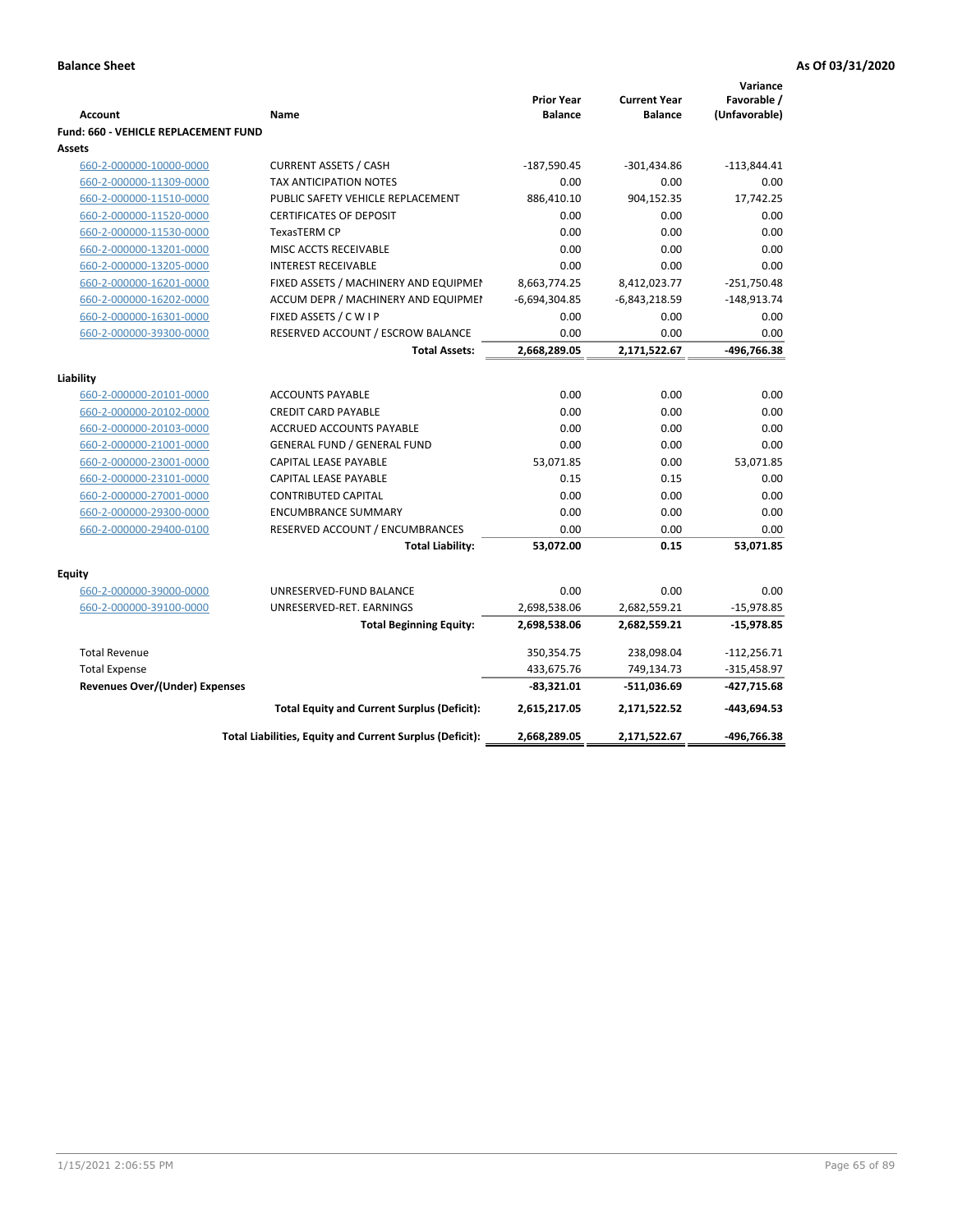|                                             |                                                          | <b>Prior Year</b> | <b>Current Year</b> | Variance<br>Favorable / |
|---------------------------------------------|----------------------------------------------------------|-------------------|---------------------|-------------------------|
| <b>Account</b>                              | Name                                                     | <b>Balance</b>    | <b>Balance</b>      | (Unfavorable)           |
| <b>Fund: 660 - VEHICLE REPLACEMENT FUND</b> |                                                          |                   |                     |                         |
| Assets                                      |                                                          |                   |                     |                         |
| 660-2-000000-10000-0000                     | <b>CURRENT ASSETS / CASH</b>                             | $-187,590.45$     | $-301,434.86$       | $-113,844.41$           |
| 660-2-000000-11309-0000                     | TAX ANTICIPATION NOTES                                   | 0.00              | 0.00                | 0.00                    |
| 660-2-000000-11510-0000                     | PUBLIC SAFETY VEHICLE REPLACEMENT                        | 886,410.10        | 904,152.35          | 17,742.25               |
| 660-2-000000-11520-0000                     | <b>CERTIFICATES OF DEPOSIT</b>                           | 0.00              | 0.00                | 0.00                    |
| 660-2-000000-11530-0000                     | TexasTERM CP                                             | 0.00              | 0.00                | 0.00                    |
| 660-2-000000-13201-0000                     | MISC ACCTS RECEIVABLE                                    | 0.00              | 0.00                | 0.00                    |
| 660-2-000000-13205-0000                     | <b>INTEREST RECEIVABLE</b>                               | 0.00              | 0.00                | 0.00                    |
| 660-2-000000-16201-0000                     | FIXED ASSETS / MACHINERY AND EQUIPMEN                    | 8,663,774.25      | 8,412,023.77        | $-251,750.48$           |
| 660-2-000000-16202-0000                     | ACCUM DEPR / MACHINERY AND EQUIPMEI                      | $-6,694,304.85$   | $-6,843,218.59$     | $-148,913.74$           |
| 660-2-000000-16301-0000                     | FIXED ASSETS / C W I P                                   | 0.00              | 0.00                | 0.00                    |
| 660-2-000000-39300-0000                     | RESERVED ACCOUNT / ESCROW BALANCE                        | 0.00              | 0.00                | 0.00                    |
|                                             | <b>Total Assets:</b>                                     | 2,668,289.05      | 2,171,522.67        | -496,766.38             |
|                                             |                                                          |                   |                     |                         |
| Liability                                   |                                                          |                   |                     |                         |
| 660-2-000000-20101-0000                     | <b>ACCOUNTS PAYABLE</b>                                  | 0.00              | 0.00                | 0.00                    |
| 660-2-000000-20102-0000                     | <b>CREDIT CARD PAYABLE</b>                               | 0.00              | 0.00                | 0.00                    |
| 660-2-000000-20103-0000                     | <b>ACCRUED ACCOUNTS PAYABLE</b>                          | 0.00              | 0.00                | 0.00                    |
| 660-2-000000-21001-0000                     | <b>GENERAL FUND / GENERAL FUND</b>                       | 0.00              | 0.00                | 0.00                    |
| 660-2-000000-23001-0000                     | <b>CAPITAL LEASE PAYABLE</b>                             | 53,071.85         | 0.00                | 53,071.85               |
| 660-2-000000-23101-0000                     | <b>CAPITAL LEASE PAYABLE</b>                             | 0.15              | 0.15                | 0.00                    |
| 660-2-000000-27001-0000                     | <b>CONTRIBUTED CAPITAL</b>                               | 0.00              | 0.00                | 0.00                    |
| 660-2-000000-29300-0000                     | <b>ENCUMBRANCE SUMMARY</b>                               | 0.00              | 0.00                | 0.00                    |
| 660-2-000000-29400-0100                     | RESERVED ACCOUNT / ENCUMBRANCES                          | 0.00              | 0.00                | 0.00                    |
|                                             | <b>Total Liability:</b>                                  | 53,072.00         | 0.15                | 53,071.85               |
| <b>Equity</b>                               |                                                          |                   |                     |                         |
| 660-2-000000-39000-0000                     | UNRESERVED-FUND BALANCE                                  | 0.00              | 0.00                | 0.00                    |
| 660-2-000000-39100-0000                     | UNRESERVED-RET. EARNINGS                                 | 2,698,538.06      | 2,682,559.21        | $-15,978.85$            |
|                                             | <b>Total Beginning Equity:</b>                           | 2,698,538.06      | 2,682,559.21        | $-15,978.85$            |
|                                             |                                                          |                   |                     |                         |
| <b>Total Revenue</b>                        |                                                          | 350,354.75        | 238,098.04          | $-112,256.71$           |
| <b>Total Expense</b>                        |                                                          | 433,675.76        | 749,134.73          | $-315,458.97$           |
| <b>Revenues Over/(Under) Expenses</b>       |                                                          | $-83,321.01$      | -511,036.69         | -427,715.68             |
|                                             | <b>Total Equity and Current Surplus (Deficit):</b>       | 2,615,217.05      | 2,171,522.52        | $-443,694.53$           |
|                                             | Total Liabilities, Equity and Current Surplus (Deficit): | 2,668,289.05      | 2,171,522.67        | -496,766.38             |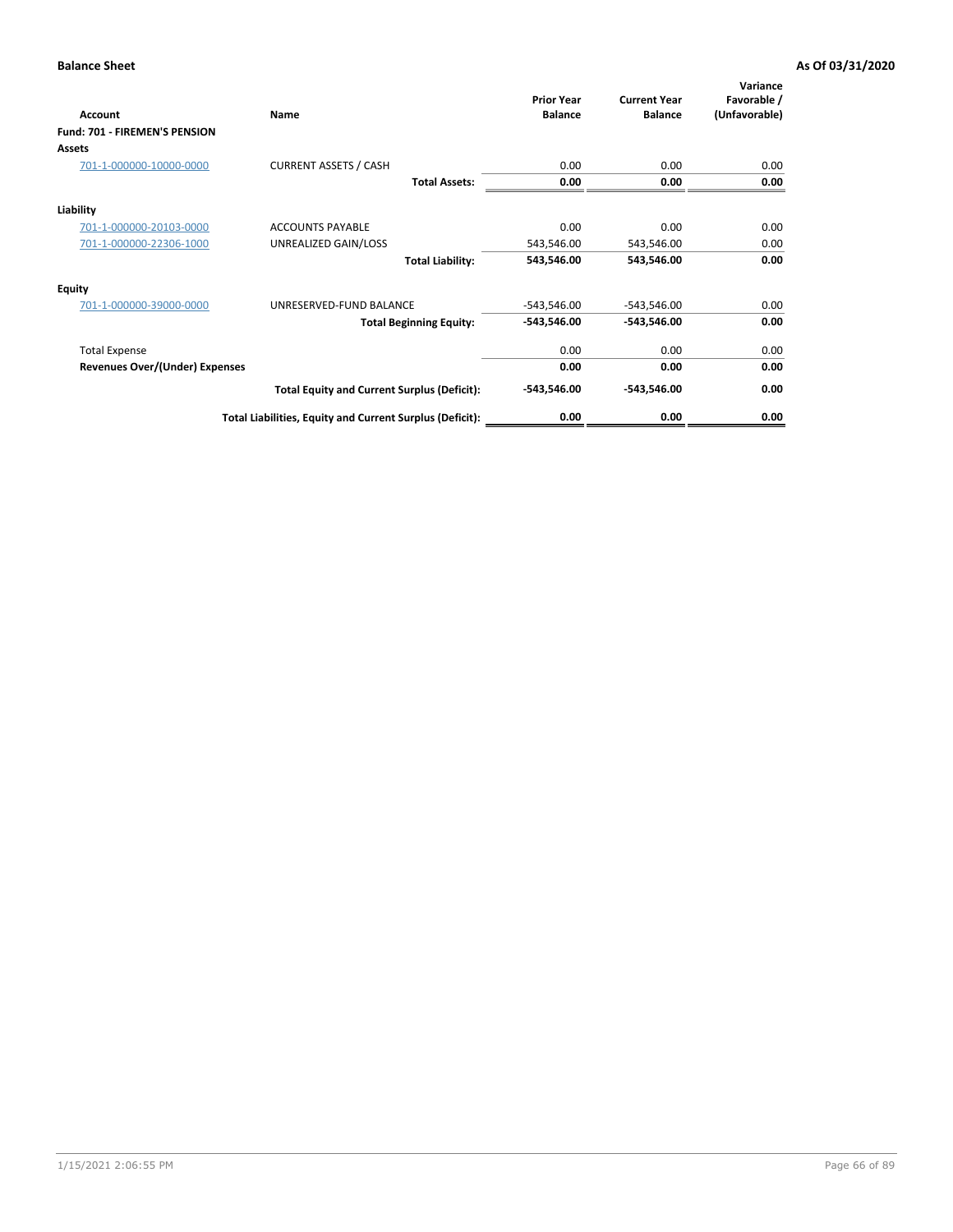| Account                               | Name                                                     | <b>Prior Year</b><br><b>Balance</b> | <b>Current Year</b><br><b>Balance</b> | Variance<br>Favorable /<br>(Unfavorable) |
|---------------------------------------|----------------------------------------------------------|-------------------------------------|---------------------------------------|------------------------------------------|
| Fund: 701 - FIREMEN'S PENSION         |                                                          |                                     |                                       |                                          |
| <b>Assets</b>                         |                                                          |                                     |                                       |                                          |
| 701-1-000000-10000-0000               | <b>CURRENT ASSETS / CASH</b>                             | 0.00                                | 0.00                                  | 0.00                                     |
|                                       | <b>Total Assets:</b>                                     | 0.00                                | 0.00                                  | 0.00                                     |
| Liability                             |                                                          |                                     |                                       |                                          |
| 701-1-000000-20103-0000               | <b>ACCOUNTS PAYABLE</b>                                  | 0.00                                | 0.00                                  | 0.00                                     |
| 701-1-000000-22306-1000               | UNREALIZED GAIN/LOSS                                     | 543,546.00                          | 543,546.00                            | 0.00                                     |
|                                       | <b>Total Liability:</b>                                  | 543,546.00                          | 543,546.00                            | 0.00                                     |
| <b>Equity</b>                         |                                                          |                                     |                                       |                                          |
| 701-1-000000-39000-0000               | UNRESERVED-FUND BALANCE                                  | $-543,546.00$                       | $-543,546.00$                         | 0.00                                     |
|                                       | <b>Total Beginning Equity:</b>                           | $-543,546.00$                       | $-543,546.00$                         | 0.00                                     |
| <b>Total Expense</b>                  |                                                          | 0.00                                | 0.00                                  | 0.00                                     |
| <b>Revenues Over/(Under) Expenses</b> |                                                          | 0.00                                | 0.00                                  | 0.00                                     |
|                                       | <b>Total Equity and Current Surplus (Deficit):</b>       | $-543,546.00$                       | $-543,546.00$                         | 0.00                                     |
|                                       | Total Liabilities, Equity and Current Surplus (Deficit): | 0.00                                | 0.00                                  | 0.00                                     |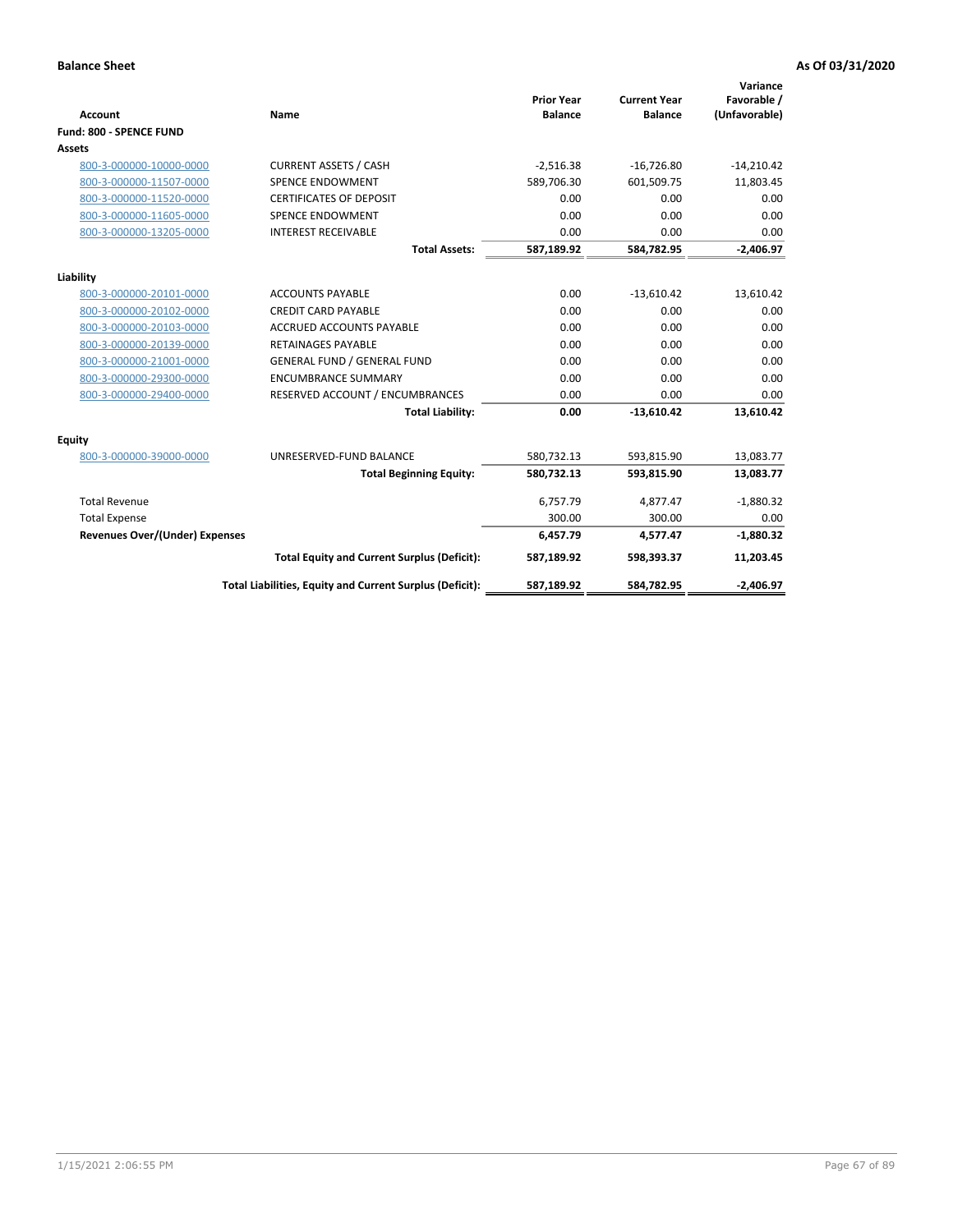| <b>Account</b>                        | <b>Name</b>                                              | <b>Prior Year</b><br><b>Balance</b> | <b>Current Year</b><br><b>Balance</b> | Variance<br>Favorable /<br>(Unfavorable) |
|---------------------------------------|----------------------------------------------------------|-------------------------------------|---------------------------------------|------------------------------------------|
| Fund: 800 - SPENCE FUND               |                                                          |                                     |                                       |                                          |
| Assets                                |                                                          |                                     |                                       |                                          |
| 800-3-000000-10000-0000               | <b>CURRENT ASSETS / CASH</b>                             | $-2,516.38$                         | $-16,726.80$                          | $-14,210.42$                             |
| 800-3-000000-11507-0000               | <b>SPENCE ENDOWMENT</b>                                  | 589,706.30                          | 601,509.75                            | 11,803.45                                |
| 800-3-000000-11520-0000               | <b>CERTIFICATES OF DEPOSIT</b>                           | 0.00                                | 0.00                                  | 0.00                                     |
| 800-3-000000-11605-0000               | <b>SPENCE ENDOWMENT</b>                                  | 0.00                                | 0.00                                  | 0.00                                     |
| 800-3-000000-13205-0000               | <b>INTEREST RECEIVABLE</b>                               | 0.00                                | 0.00                                  | 0.00                                     |
|                                       | <b>Total Assets:</b>                                     | 587,189.92                          | 584,782.95                            | $-2,406.97$                              |
| Liability                             |                                                          |                                     |                                       |                                          |
| 800-3-000000-20101-0000               | <b>ACCOUNTS PAYABLE</b>                                  | 0.00                                | $-13,610.42$                          | 13,610.42                                |
| 800-3-000000-20102-0000               | <b>CREDIT CARD PAYABLE</b>                               | 0.00                                | 0.00                                  | 0.00                                     |
| 800-3-000000-20103-0000               | <b>ACCRUED ACCOUNTS PAYABLE</b>                          | 0.00                                | 0.00                                  | 0.00                                     |
| 800-3-000000-20139-0000               | <b>RETAINAGES PAYABLE</b>                                | 0.00                                | 0.00                                  | 0.00                                     |
| 800-3-000000-21001-0000               | <b>GENERAL FUND / GENERAL FUND</b>                       | 0.00                                | 0.00                                  | 0.00                                     |
| 800-3-000000-29300-0000               | <b>ENCUMBRANCE SUMMARY</b>                               | 0.00                                | 0.00                                  | 0.00                                     |
| 800-3-000000-29400-0000               | RESERVED ACCOUNT / ENCUMBRANCES                          | 0.00                                | 0.00                                  | 0.00                                     |
|                                       | <b>Total Liability:</b>                                  | 0.00                                | $-13,610.42$                          | 13,610.42                                |
| <b>Equity</b>                         |                                                          |                                     |                                       |                                          |
| 800-3-000000-39000-0000               | UNRESERVED-FUND BALANCE                                  | 580,732.13                          | 593,815.90                            | 13,083.77                                |
|                                       | <b>Total Beginning Equity:</b>                           | 580,732.13                          | 593,815.90                            | 13,083.77                                |
| <b>Total Revenue</b>                  |                                                          | 6,757.79                            | 4,877.47                              | $-1,880.32$                              |
| <b>Total Expense</b>                  |                                                          | 300.00                              | 300.00                                | 0.00                                     |
| <b>Revenues Over/(Under) Expenses</b> |                                                          | 6,457.79                            | 4,577.47                              | $-1,880.32$                              |
|                                       | <b>Total Equity and Current Surplus (Deficit):</b>       | 587,189.92                          | 598,393.37                            | 11,203.45                                |
|                                       | Total Liabilities, Equity and Current Surplus (Deficit): | 587,189.92                          | 584,782.95                            | $-2,406.97$                              |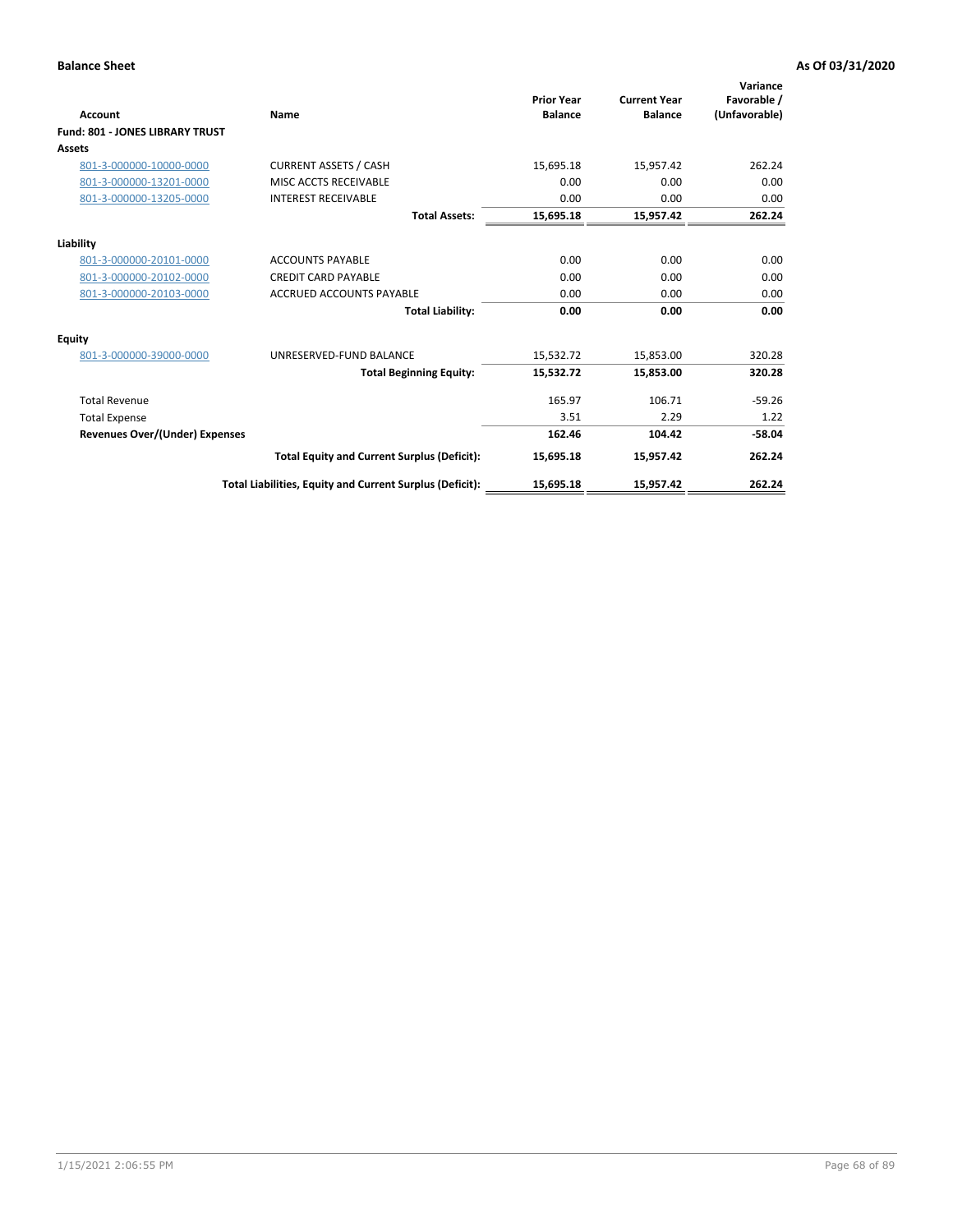| <b>Account</b>                         | <b>Name</b>                                              | <b>Prior Year</b><br><b>Balance</b> | <b>Current Year</b><br><b>Balance</b> | Variance<br>Favorable /<br>(Unfavorable) |
|----------------------------------------|----------------------------------------------------------|-------------------------------------|---------------------------------------|------------------------------------------|
| <b>Fund: 801 - JONES LIBRARY TRUST</b> |                                                          |                                     |                                       |                                          |
| Assets                                 |                                                          |                                     |                                       |                                          |
| 801-3-000000-10000-0000                | <b>CURRENT ASSETS / CASH</b>                             | 15,695.18                           | 15,957.42                             | 262.24                                   |
| 801-3-000000-13201-0000                | MISC ACCTS RECEIVABLE                                    | 0.00                                | 0.00                                  | 0.00                                     |
| 801-3-000000-13205-0000                | <b>INTEREST RECEIVABLE</b>                               | 0.00                                | 0.00                                  | 0.00                                     |
|                                        | <b>Total Assets:</b>                                     | 15,695.18                           | 15,957.42                             | 262.24                                   |
| Liability                              |                                                          |                                     |                                       |                                          |
| 801-3-000000-20101-0000                | <b>ACCOUNTS PAYABLE</b>                                  | 0.00                                | 0.00                                  | 0.00                                     |
| 801-3-000000-20102-0000                | <b>CREDIT CARD PAYABLE</b>                               | 0.00                                | 0.00                                  | 0.00                                     |
| 801-3-000000-20103-0000                | <b>ACCRUED ACCOUNTS PAYABLE</b>                          | 0.00                                | 0.00                                  | 0.00                                     |
|                                        | <b>Total Liability:</b>                                  | 0.00                                | 0.00                                  | 0.00                                     |
| Equity                                 |                                                          |                                     |                                       |                                          |
| 801-3-000000-39000-0000                | UNRESERVED-FUND BALANCE                                  | 15,532.72                           | 15,853.00                             | 320.28                                   |
|                                        | <b>Total Beginning Equity:</b>                           | 15,532.72                           | 15,853.00                             | 320.28                                   |
| <b>Total Revenue</b>                   |                                                          | 165.97                              | 106.71                                | $-59.26$                                 |
| <b>Total Expense</b>                   |                                                          | 3.51                                | 2.29                                  | 1.22                                     |
| <b>Revenues Over/(Under) Expenses</b>  |                                                          | 162.46                              | 104.42                                | $-58.04$                                 |
|                                        | <b>Total Equity and Current Surplus (Deficit):</b>       | 15,695.18                           | 15,957.42                             | 262.24                                   |
|                                        | Total Liabilities, Equity and Current Surplus (Deficit): | 15,695.18                           | 15,957.42                             | 262.24                                   |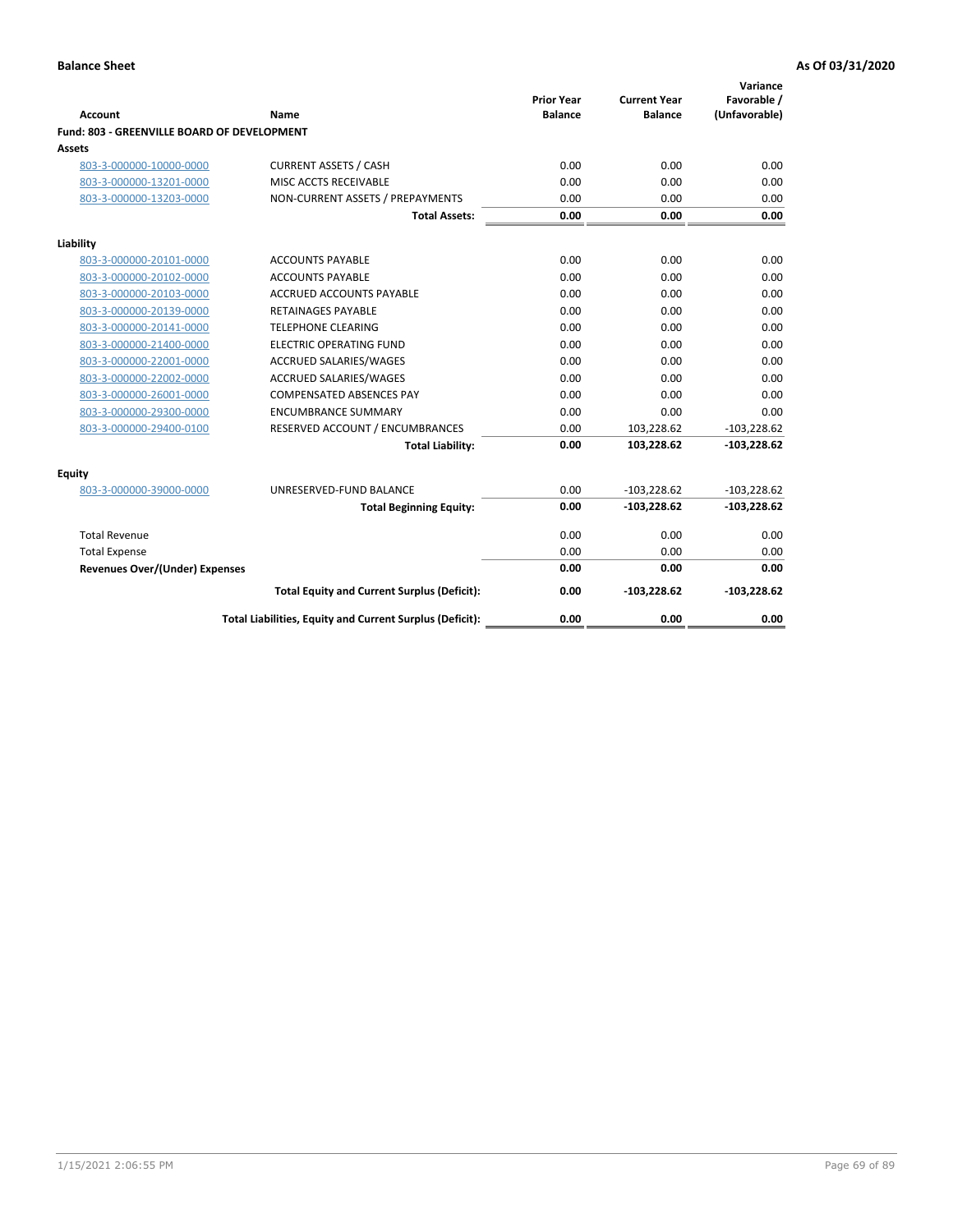| <b>Account</b>                              | Name                                                     | <b>Prior Year</b><br><b>Balance</b> | <b>Current Year</b><br><b>Balance</b> | Variance<br>Favorable /<br>(Unfavorable) |
|---------------------------------------------|----------------------------------------------------------|-------------------------------------|---------------------------------------|------------------------------------------|
| Fund: 803 - GREENVILLE BOARD OF DEVELOPMENT |                                                          |                                     |                                       |                                          |
| Assets                                      |                                                          |                                     |                                       |                                          |
| 803-3-000000-10000-0000                     | <b>CURRENT ASSETS / CASH</b>                             | 0.00                                | 0.00                                  | 0.00                                     |
| 803-3-000000-13201-0000                     | MISC ACCTS RECEIVABLE                                    | 0.00                                | 0.00                                  | 0.00                                     |
| 803-3-000000-13203-0000                     | NON-CURRENT ASSETS / PREPAYMENTS                         | 0.00                                | 0.00                                  | 0.00                                     |
|                                             | <b>Total Assets:</b>                                     | 0.00                                | 0.00                                  | 0.00                                     |
| Liability                                   |                                                          |                                     |                                       |                                          |
| 803-3-000000-20101-0000                     | <b>ACCOUNTS PAYABLE</b>                                  | 0.00                                | 0.00                                  | 0.00                                     |
| 803-3-000000-20102-0000                     | <b>ACCOUNTS PAYABLE</b>                                  | 0.00                                | 0.00                                  | 0.00                                     |
| 803-3-000000-20103-0000                     | <b>ACCRUED ACCOUNTS PAYABLE</b>                          | 0.00                                | 0.00                                  | 0.00                                     |
| 803-3-000000-20139-0000                     | <b>RETAINAGES PAYABLE</b>                                | 0.00                                | 0.00                                  | 0.00                                     |
| 803-3-000000-20141-0000                     | <b>TELEPHONE CLEARING</b>                                | 0.00                                | 0.00                                  | 0.00                                     |
| 803-3-000000-21400-0000                     | <b>ELECTRIC OPERATING FUND</b>                           | 0.00                                | 0.00                                  | 0.00                                     |
| 803-3-000000-22001-0000                     | ACCRUED SALARIES/WAGES                                   | 0.00                                | 0.00                                  | 0.00                                     |
| 803-3-000000-22002-0000                     | <b>ACCRUED SALARIES/WAGES</b>                            | 0.00                                | 0.00                                  | 0.00                                     |
| 803-3-000000-26001-0000                     | <b>COMPENSATED ABSENCES PAY</b>                          | 0.00                                | 0.00                                  | 0.00                                     |
| 803-3-000000-29300-0000                     | <b>ENCUMBRANCE SUMMARY</b>                               | 0.00                                | 0.00                                  | 0.00                                     |
| 803-3-000000-29400-0100                     | RESERVED ACCOUNT / ENCUMBRANCES                          | 0.00                                | 103,228.62                            | $-103,228.62$                            |
|                                             | <b>Total Liability:</b>                                  | 0.00                                | 103,228.62                            | $-103,228.62$                            |
| Equity                                      |                                                          |                                     |                                       |                                          |
| 803-3-000000-39000-0000                     | UNRESERVED-FUND BALANCE                                  | 0.00                                | $-103,228.62$                         | $-103,228.62$                            |
|                                             | <b>Total Beginning Equity:</b>                           | 0.00                                | $-103,228.62$                         | $-103,228.62$                            |
| <b>Total Revenue</b>                        |                                                          | 0.00                                | 0.00                                  | 0.00                                     |
| <b>Total Expense</b>                        |                                                          | 0.00                                | 0.00                                  | 0.00                                     |
| <b>Revenues Over/(Under) Expenses</b>       |                                                          | 0.00                                | 0.00                                  | 0.00                                     |
|                                             | <b>Total Equity and Current Surplus (Deficit):</b>       | 0.00                                | $-103,228.62$                         | $-103,228.62$                            |
|                                             | Total Liabilities, Equity and Current Surplus (Deficit): | 0.00                                | 0.00                                  | 0.00                                     |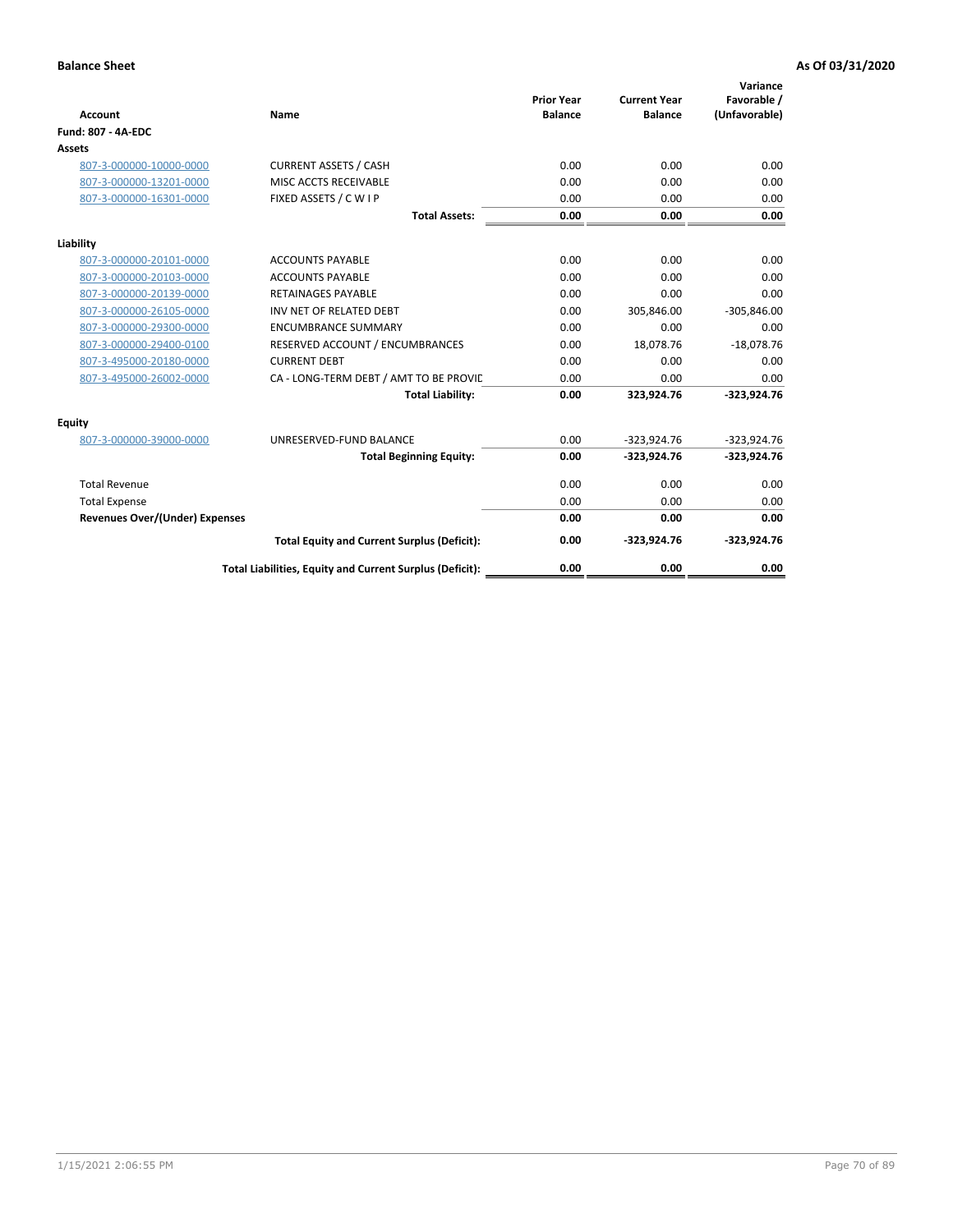| <b>Account</b>                        | Name                                                     | <b>Prior Year</b><br><b>Balance</b> | <b>Current Year</b><br><b>Balance</b> | Variance<br>Favorable /<br>(Unfavorable) |
|---------------------------------------|----------------------------------------------------------|-------------------------------------|---------------------------------------|------------------------------------------|
| Fund: 807 - 4A-EDC                    |                                                          |                                     |                                       |                                          |
| <b>Assets</b>                         |                                                          |                                     |                                       |                                          |
| 807-3-000000-10000-0000               | <b>CURRENT ASSETS / CASH</b>                             | 0.00                                | 0.00                                  | 0.00                                     |
| 807-3-000000-13201-0000               | MISC ACCTS RECEIVABLE                                    | 0.00                                | 0.00                                  | 0.00                                     |
| 807-3-000000-16301-0000               | FIXED ASSETS / C W I P                                   | 0.00                                | 0.00                                  | 0.00                                     |
|                                       | <b>Total Assets:</b>                                     | 0.00                                | 0.00                                  | 0.00                                     |
| Liability                             |                                                          |                                     |                                       |                                          |
| 807-3-000000-20101-0000               | <b>ACCOUNTS PAYABLE</b>                                  | 0.00                                | 0.00                                  | 0.00                                     |
| 807-3-000000-20103-0000               | <b>ACCOUNTS PAYABLE</b>                                  | 0.00                                | 0.00                                  | 0.00                                     |
| 807-3-000000-20139-0000               | <b>RETAINAGES PAYABLE</b>                                | 0.00                                | 0.00                                  | 0.00                                     |
| 807-3-000000-26105-0000               | INV NET OF RELATED DEBT                                  | 0.00                                | 305,846.00                            | $-305,846.00$                            |
| 807-3-000000-29300-0000               | <b>ENCUMBRANCE SUMMARY</b>                               | 0.00                                | 0.00                                  | 0.00                                     |
| 807-3-000000-29400-0100               | RESERVED ACCOUNT / ENCUMBRANCES                          | 0.00                                | 18,078.76                             | $-18,078.76$                             |
| 807-3-495000-20180-0000               | <b>CURRENT DEBT</b>                                      | 0.00                                | 0.00                                  | 0.00                                     |
| 807-3-495000-26002-0000               | CA - LONG-TERM DEBT / AMT TO BE PROVIL                   | 0.00                                | 0.00                                  | 0.00                                     |
|                                       | <b>Total Liability:</b>                                  | 0.00                                | 323,924.76                            | $-323,924.76$                            |
| Equity                                |                                                          |                                     |                                       |                                          |
| 807-3-000000-39000-0000               | UNRESERVED-FUND BALANCE                                  | 0.00                                | $-323,924.76$                         | $-323,924.76$                            |
|                                       | <b>Total Beginning Equity:</b>                           | 0.00                                | $-323,924.76$                         | $-323,924.76$                            |
| <b>Total Revenue</b>                  |                                                          | 0.00                                | 0.00                                  | 0.00                                     |
| <b>Total Expense</b>                  |                                                          | 0.00                                | 0.00                                  | 0.00                                     |
| <b>Revenues Over/(Under) Expenses</b> |                                                          | 0.00                                | 0.00                                  | 0.00                                     |
|                                       | <b>Total Equity and Current Surplus (Deficit):</b>       | 0.00                                | $-323,924.76$                         | $-323,924.76$                            |
|                                       | Total Liabilities, Equity and Current Surplus (Deficit): | 0.00                                | 0.00                                  | 0.00                                     |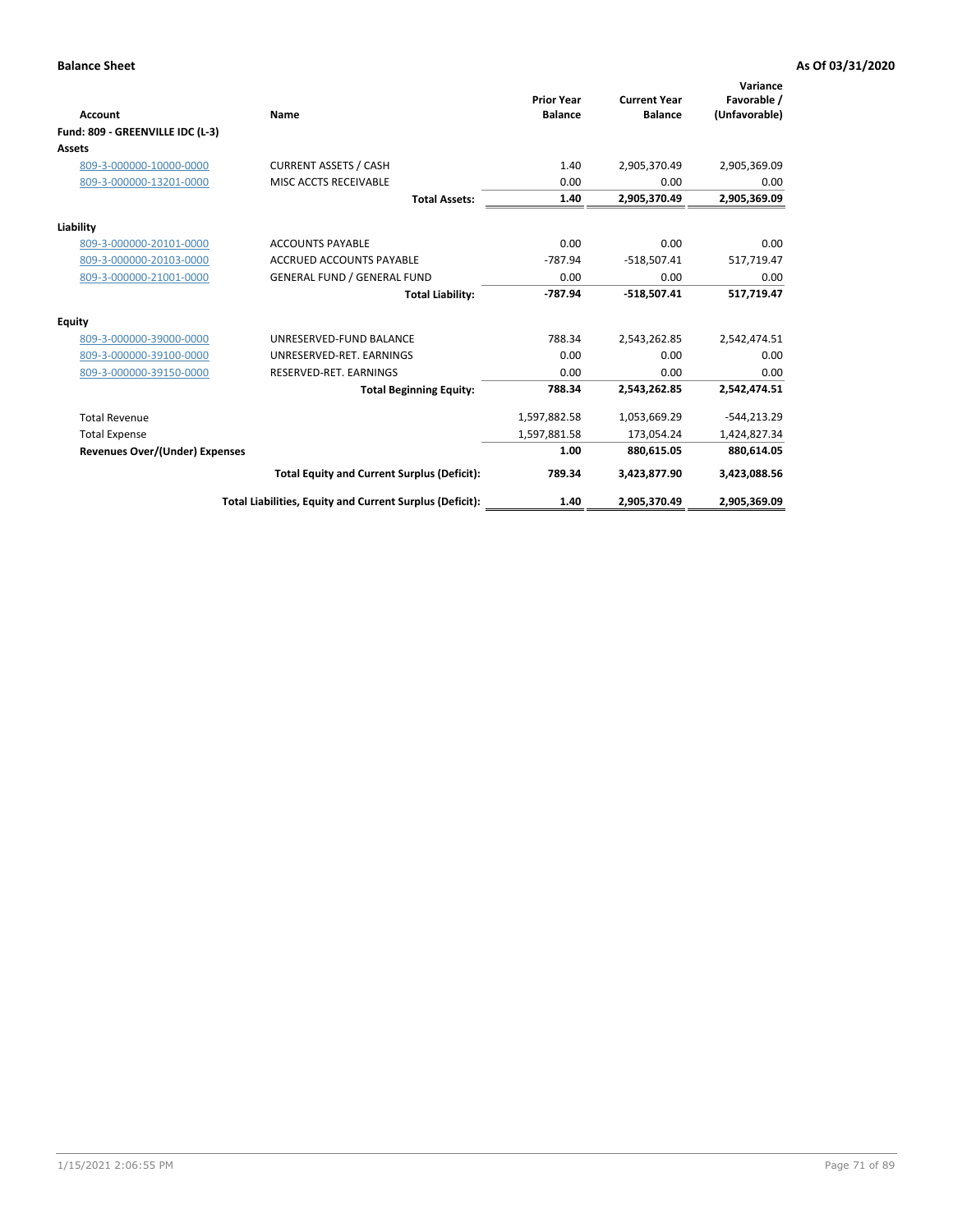| <b>Account</b>                   | Name                                                     | <b>Prior Year</b><br><b>Balance</b> | <b>Current Year</b><br><b>Balance</b> | Variance<br>Favorable /<br>(Unfavorable) |
|----------------------------------|----------------------------------------------------------|-------------------------------------|---------------------------------------|------------------------------------------|
| Fund: 809 - GREENVILLE IDC (L-3) |                                                          |                                     |                                       |                                          |
| <b>Assets</b>                    |                                                          |                                     |                                       |                                          |
| 809-3-000000-10000-0000          | <b>CURRENT ASSETS / CASH</b>                             | 1.40                                | 2,905,370.49                          | 2,905,369.09                             |
| 809-3-000000-13201-0000          | MISC ACCTS RECEIVABLE                                    | 0.00                                | 0.00                                  | 0.00                                     |
|                                  | <b>Total Assets:</b>                                     | 1.40                                | 2,905,370.49                          | 2,905,369.09                             |
| Liability                        |                                                          |                                     |                                       |                                          |
| 809-3-000000-20101-0000          | <b>ACCOUNTS PAYABLE</b>                                  | 0.00                                | 0.00                                  | 0.00                                     |
| 809-3-000000-20103-0000          | <b>ACCRUED ACCOUNTS PAYABLE</b>                          | $-787.94$                           | $-518,507.41$                         | 517,719.47                               |
| 809-3-000000-21001-0000          | <b>GENERAL FUND / GENERAL FUND</b>                       | 0.00                                | 0.00                                  | 0.00                                     |
|                                  | <b>Total Liability:</b>                                  | -787.94                             | $-518,507.41$                         | 517,719.47                               |
| <b>Equity</b>                    |                                                          |                                     |                                       |                                          |
| 809-3-000000-39000-0000          | UNRESERVED-FUND BALANCE                                  | 788.34                              | 2,543,262.85                          | 2,542,474.51                             |
| 809-3-000000-39100-0000          | UNRESERVED-RET, EARNINGS                                 | 0.00                                | 0.00                                  | 0.00                                     |
| 809-3-000000-39150-0000          | RESERVED-RET. EARNINGS                                   | 0.00                                | 0.00                                  | 0.00                                     |
|                                  | <b>Total Beginning Equity:</b>                           | 788.34                              | 2,543,262.85                          | 2,542,474.51                             |
| <b>Total Revenue</b>             |                                                          | 1,597,882.58                        | 1,053,669.29                          | $-544, 213.29$                           |
| <b>Total Expense</b>             |                                                          | 1,597,881.58                        | 173,054.24                            | 1,424,827.34                             |
| Revenues Over/(Under) Expenses   |                                                          | 1.00                                | 880,615.05                            | 880,614.05                               |
|                                  | <b>Total Equity and Current Surplus (Deficit):</b>       | 789.34                              | 3,423,877.90                          | 3,423,088.56                             |
|                                  | Total Liabilities, Equity and Current Surplus (Deficit): | 1.40                                | 2,905,370.49                          | 2,905,369.09                             |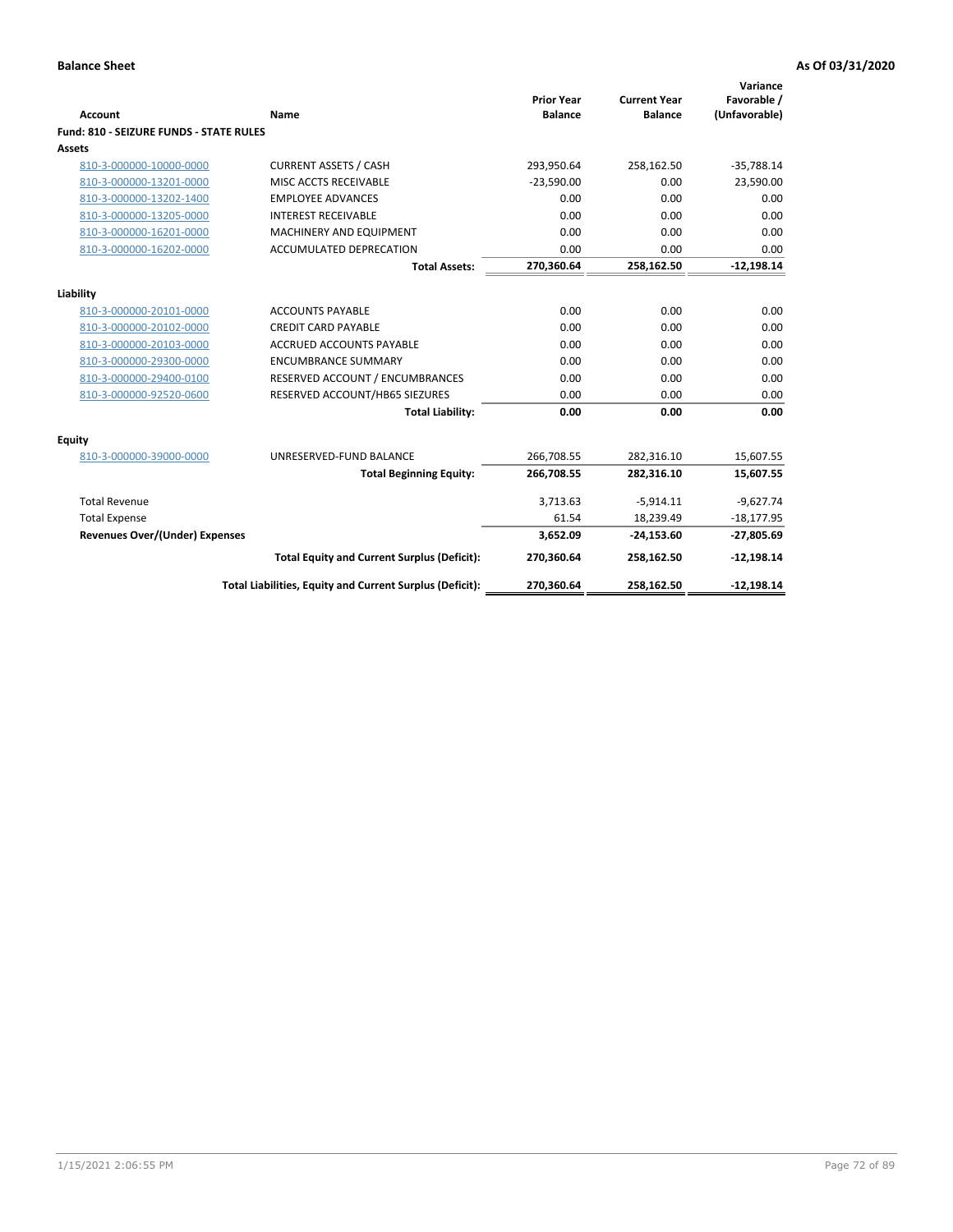| <b>Account</b>                          | Name                                                     | <b>Prior Year</b><br><b>Balance</b> | <b>Current Year</b><br><b>Balance</b> | Variance<br>Favorable /<br>(Unfavorable) |
|-----------------------------------------|----------------------------------------------------------|-------------------------------------|---------------------------------------|------------------------------------------|
| Fund: 810 - SEIZURE FUNDS - STATE RULES |                                                          |                                     |                                       |                                          |
| <b>Assets</b>                           |                                                          |                                     |                                       |                                          |
| 810-3-000000-10000-0000                 | <b>CURRENT ASSETS / CASH</b>                             | 293,950.64                          | 258,162.50                            | $-35,788.14$                             |
| 810-3-000000-13201-0000                 | MISC ACCTS RECEIVABLE                                    | $-23,590.00$                        | 0.00                                  | 23,590.00                                |
| 810-3-000000-13202-1400                 | <b>EMPLOYEE ADVANCES</b>                                 | 0.00                                | 0.00                                  | 0.00                                     |
| 810-3-000000-13205-0000                 | <b>INTEREST RECEIVABLE</b>                               | 0.00                                | 0.00                                  | 0.00                                     |
| 810-3-000000-16201-0000                 | MACHINERY AND EQUIPMENT                                  | 0.00                                | 0.00                                  | 0.00                                     |
| 810-3-000000-16202-0000                 | <b>ACCUMULATED DEPRECATION</b>                           | 0.00                                | 0.00                                  | 0.00                                     |
|                                         | <b>Total Assets:</b>                                     | 270,360.64                          | 258,162.50                            | $-12,198.14$                             |
|                                         |                                                          |                                     |                                       |                                          |
| Liability                               |                                                          |                                     |                                       |                                          |
| 810-3-000000-20101-0000                 | <b>ACCOUNTS PAYABLE</b>                                  | 0.00                                | 0.00                                  | 0.00                                     |
| 810-3-000000-20102-0000                 | <b>CREDIT CARD PAYABLE</b>                               | 0.00                                | 0.00                                  | 0.00                                     |
| 810-3-000000-20103-0000                 | <b>ACCRUED ACCOUNTS PAYABLE</b>                          | 0.00                                | 0.00                                  | 0.00                                     |
| 810-3-000000-29300-0000                 | <b>ENCUMBRANCE SUMMARY</b>                               | 0.00                                | 0.00                                  | 0.00                                     |
| 810-3-000000-29400-0100                 | RESERVED ACCOUNT / ENCUMBRANCES                          | 0.00                                | 0.00                                  | 0.00                                     |
| 810-3-000000-92520-0600                 | RESERVED ACCOUNT/HB65 SIEZURES                           | 0.00                                | 0.00                                  | 0.00                                     |
|                                         | <b>Total Liability:</b>                                  | 0.00                                | 0.00                                  | 0.00                                     |
| <b>Equity</b>                           |                                                          |                                     |                                       |                                          |
| 810-3-000000-39000-0000                 | UNRESERVED-FUND BALANCE                                  | 266,708.55                          | 282,316.10                            | 15,607.55                                |
|                                         | <b>Total Beginning Equity:</b>                           | 266,708.55                          | 282,316.10                            | 15,607.55                                |
| <b>Total Revenue</b>                    |                                                          | 3,713.63                            | $-5,914.11$                           | $-9,627.74$                              |
| <b>Total Expense</b>                    |                                                          | 61.54                               | 18,239.49                             | $-18,177.95$                             |
| <b>Revenues Over/(Under) Expenses</b>   |                                                          | 3,652.09                            | $-24,153.60$                          | $-27,805.69$                             |
|                                         | <b>Total Equity and Current Surplus (Deficit):</b>       | 270,360.64                          | 258,162.50                            | $-12,198.14$                             |
|                                         | Total Liabilities, Equity and Current Surplus (Deficit): | 270,360.64                          | 258,162.50                            | $-12,198.14$                             |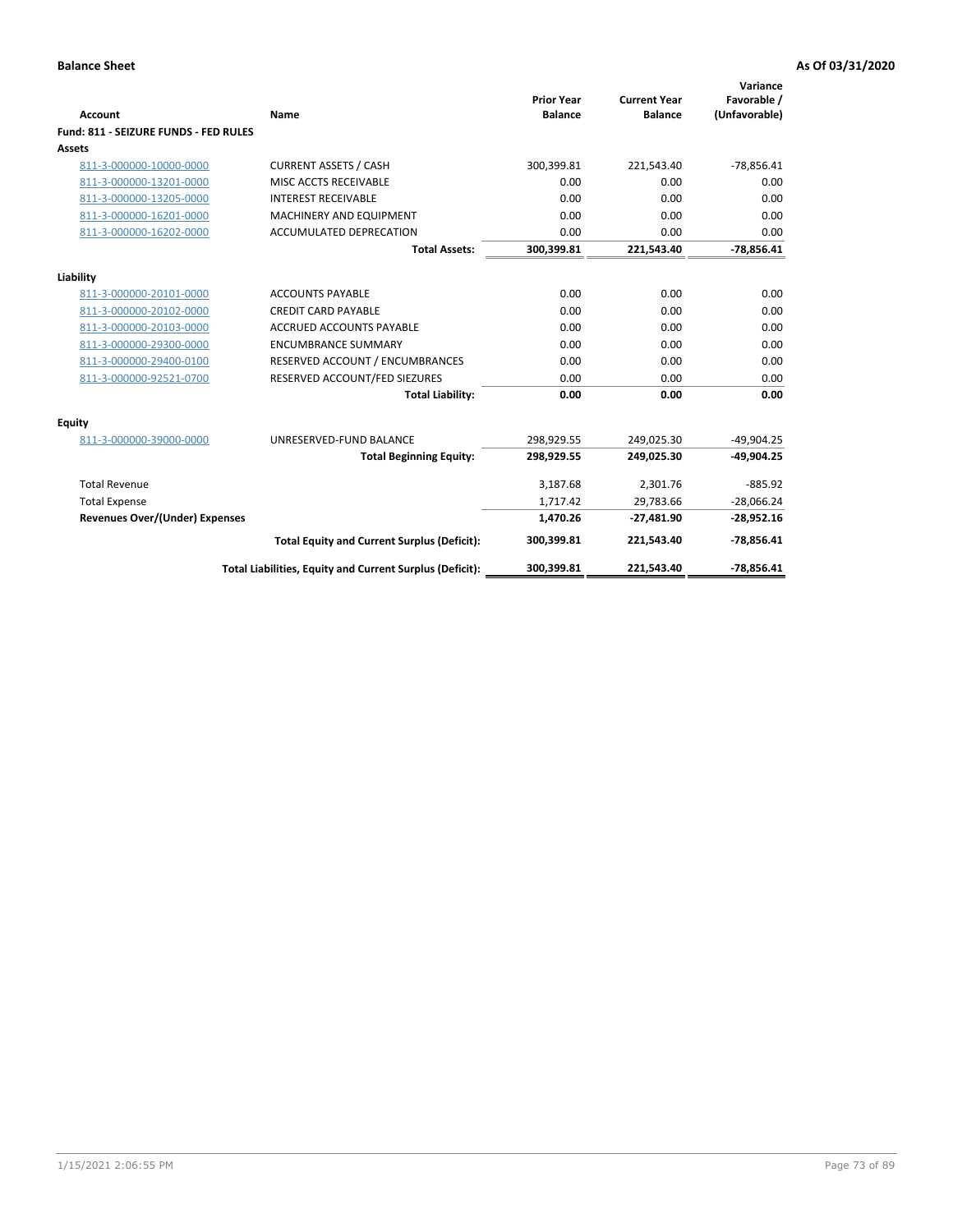| <b>Account</b>                        | Name                                                     | <b>Prior Year</b><br><b>Balance</b> | <b>Current Year</b><br><b>Balance</b> | Variance<br>Favorable /<br>(Unfavorable) |
|---------------------------------------|----------------------------------------------------------|-------------------------------------|---------------------------------------|------------------------------------------|
| Fund: 811 - SEIZURE FUNDS - FED RULES |                                                          |                                     |                                       |                                          |
| <b>Assets</b>                         |                                                          |                                     |                                       |                                          |
| 811-3-000000-10000-0000               | <b>CURRENT ASSETS / CASH</b>                             | 300,399.81                          | 221,543.40                            | $-78,856.41$                             |
| 811-3-000000-13201-0000               | MISC ACCTS RECEIVABLE                                    | 0.00                                | 0.00                                  | 0.00                                     |
| 811-3-000000-13205-0000               | <b>INTEREST RECEIVABLE</b>                               | 0.00                                | 0.00                                  | 0.00                                     |
| 811-3-000000-16201-0000               | <b>MACHINERY AND EQUIPMENT</b>                           | 0.00                                | 0.00                                  | 0.00                                     |
| 811-3-000000-16202-0000               | <b>ACCUMULATED DEPRECATION</b>                           | 0.00                                | 0.00                                  | 0.00                                     |
|                                       | <b>Total Assets:</b>                                     | 300,399.81                          | 221,543.40                            | $-78,856.41$                             |
| Liability                             |                                                          |                                     |                                       |                                          |
| 811-3-000000-20101-0000               | <b>ACCOUNTS PAYABLE</b>                                  | 0.00                                | 0.00                                  | 0.00                                     |
| 811-3-000000-20102-0000               | <b>CREDIT CARD PAYABLE</b>                               | 0.00                                | 0.00                                  | 0.00                                     |
| 811-3-000000-20103-0000               | <b>ACCRUED ACCOUNTS PAYABLE</b>                          | 0.00                                | 0.00                                  | 0.00                                     |
| 811-3-000000-29300-0000               | <b>ENCUMBRANCE SUMMARY</b>                               | 0.00                                | 0.00                                  | 0.00                                     |
| 811-3-000000-29400-0100               | RESERVED ACCOUNT / ENCUMBRANCES                          | 0.00                                | 0.00                                  | 0.00                                     |
| 811-3-000000-92521-0700               | RESERVED ACCOUNT/FED SIEZURES                            | 0.00                                | 0.00                                  | 0.00                                     |
|                                       | <b>Total Liability:</b>                                  | 0.00                                | 0.00                                  | 0.00                                     |
|                                       |                                                          |                                     |                                       |                                          |
| Equity                                |                                                          |                                     |                                       |                                          |
| 811-3-000000-39000-0000               | UNRESERVED-FUND BALANCE                                  | 298,929.55                          | 249,025.30                            | $-49,904.25$                             |
|                                       | <b>Total Beginning Equity:</b>                           | 298,929.55                          | 249,025.30                            | $-49,904.25$                             |
| <b>Total Revenue</b>                  |                                                          | 3,187.68                            | 2,301.76                              | $-885.92$                                |
| <b>Total Expense</b>                  |                                                          | 1,717.42                            | 29,783.66                             | $-28,066.24$                             |
| <b>Revenues Over/(Under) Expenses</b> |                                                          | 1,470.26                            | $-27,481.90$                          | $-28,952.16$                             |
|                                       | <b>Total Equity and Current Surplus (Deficit):</b>       | 300,399.81                          | 221,543.40                            | $-78,856.41$                             |
|                                       | Total Liabilities, Equity and Current Surplus (Deficit): | 300,399.81                          | 221,543.40                            | $-78.856.41$                             |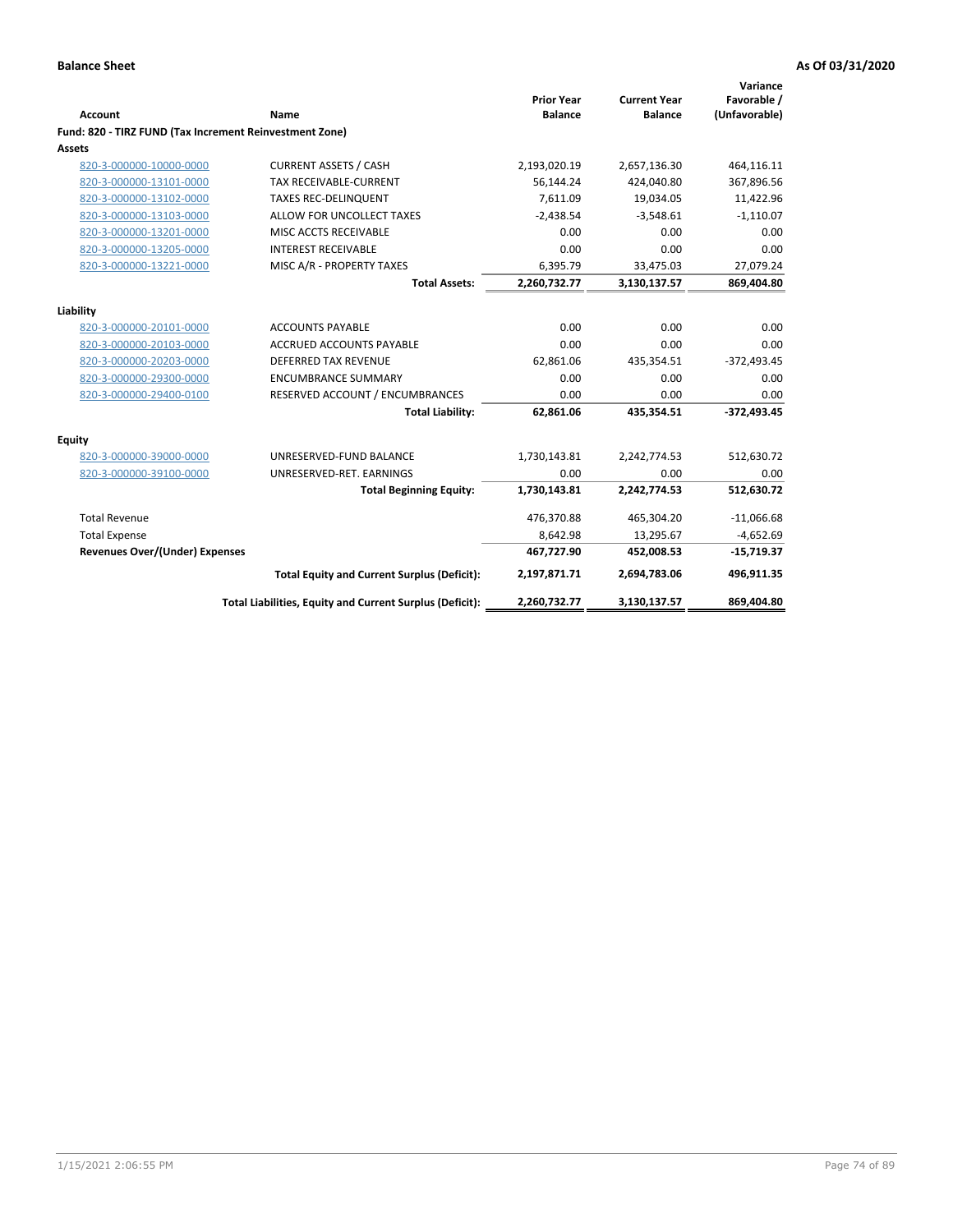|                                                         |                                                          | <b>Prior Year</b> | <b>Current Year</b> | Variance<br>Favorable / |
|---------------------------------------------------------|----------------------------------------------------------|-------------------|---------------------|-------------------------|
| <b>Account</b>                                          | Name                                                     | <b>Balance</b>    | <b>Balance</b>      | (Unfavorable)           |
| Fund: 820 - TIRZ FUND (Tax Increment Reinvestment Zone) |                                                          |                   |                     |                         |
| Assets                                                  |                                                          |                   |                     |                         |
| 820-3-000000-10000-0000                                 | <b>CURRENT ASSETS / CASH</b>                             | 2,193,020.19      | 2,657,136.30        | 464,116.11              |
| 820-3-000000-13101-0000                                 | TAX RECEIVABLE-CURRENT                                   | 56,144.24         | 424,040.80          | 367,896.56              |
| 820-3-000000-13102-0000                                 | <b>TAXES REC-DELINQUENT</b>                              | 7,611.09          | 19,034.05           | 11,422.96               |
| 820-3-000000-13103-0000                                 | ALLOW FOR UNCOLLECT TAXES                                | $-2,438.54$       | $-3,548.61$         | $-1,110.07$             |
| 820-3-000000-13201-0000                                 | MISC ACCTS RECEIVABLE                                    | 0.00              | 0.00                | 0.00                    |
| 820-3-000000-13205-0000                                 | <b>INTEREST RECEIVABLE</b>                               | 0.00              | 0.00                | 0.00                    |
| 820-3-000000-13221-0000                                 | MISC A/R - PROPERTY TAXES                                | 6,395.79          | 33,475.03           | 27,079.24               |
|                                                         | <b>Total Assets:</b>                                     | 2,260,732.77      | 3,130,137.57        | 869,404.80              |
| Liability                                               |                                                          |                   |                     |                         |
| 820-3-000000-20101-0000                                 | <b>ACCOUNTS PAYABLE</b>                                  | 0.00              | 0.00                | 0.00                    |
| 820-3-000000-20103-0000                                 | <b>ACCRUED ACCOUNTS PAYABLE</b>                          | 0.00              | 0.00                | 0.00                    |
| 820-3-000000-20203-0000                                 | <b>DEFERRED TAX REVENUE</b>                              | 62,861.06         | 435,354.51          | $-372,493.45$           |
| 820-3-000000-29300-0000                                 | <b>ENCUMBRANCE SUMMARY</b>                               | 0.00              | 0.00                | 0.00                    |
| 820-3-000000-29400-0100                                 | RESERVED ACCOUNT / ENCUMBRANCES                          | 0.00              | 0.00                | 0.00                    |
|                                                         | <b>Total Liability:</b>                                  | 62,861.06         | 435,354.51          | $-372,493.45$           |
| Equity                                                  |                                                          |                   |                     |                         |
| 820-3-000000-39000-0000                                 | UNRESERVED-FUND BALANCE                                  | 1,730,143.81      | 2,242,774.53        | 512,630.72              |
| 820-3-000000-39100-0000                                 | UNRESERVED-RET. EARNINGS                                 | 0.00              | 0.00                | 0.00                    |
|                                                         | <b>Total Beginning Equity:</b>                           | 1,730,143.81      | 2,242,774.53        | 512,630.72              |
| <b>Total Revenue</b>                                    |                                                          | 476,370.88        | 465,304.20          | $-11,066.68$            |
| <b>Total Expense</b>                                    |                                                          | 8,642.98          | 13,295.67           | $-4,652.69$             |
| <b>Revenues Over/(Under) Expenses</b>                   |                                                          | 467,727.90        | 452,008.53          | $-15,719.37$            |
|                                                         | <b>Total Equity and Current Surplus (Deficit):</b>       | 2,197,871.71      | 2,694,783.06        | 496,911.35              |
|                                                         | Total Liabilities, Equity and Current Surplus (Deficit): | 2,260,732.77      | 3,130,137.57        | 869,404.80              |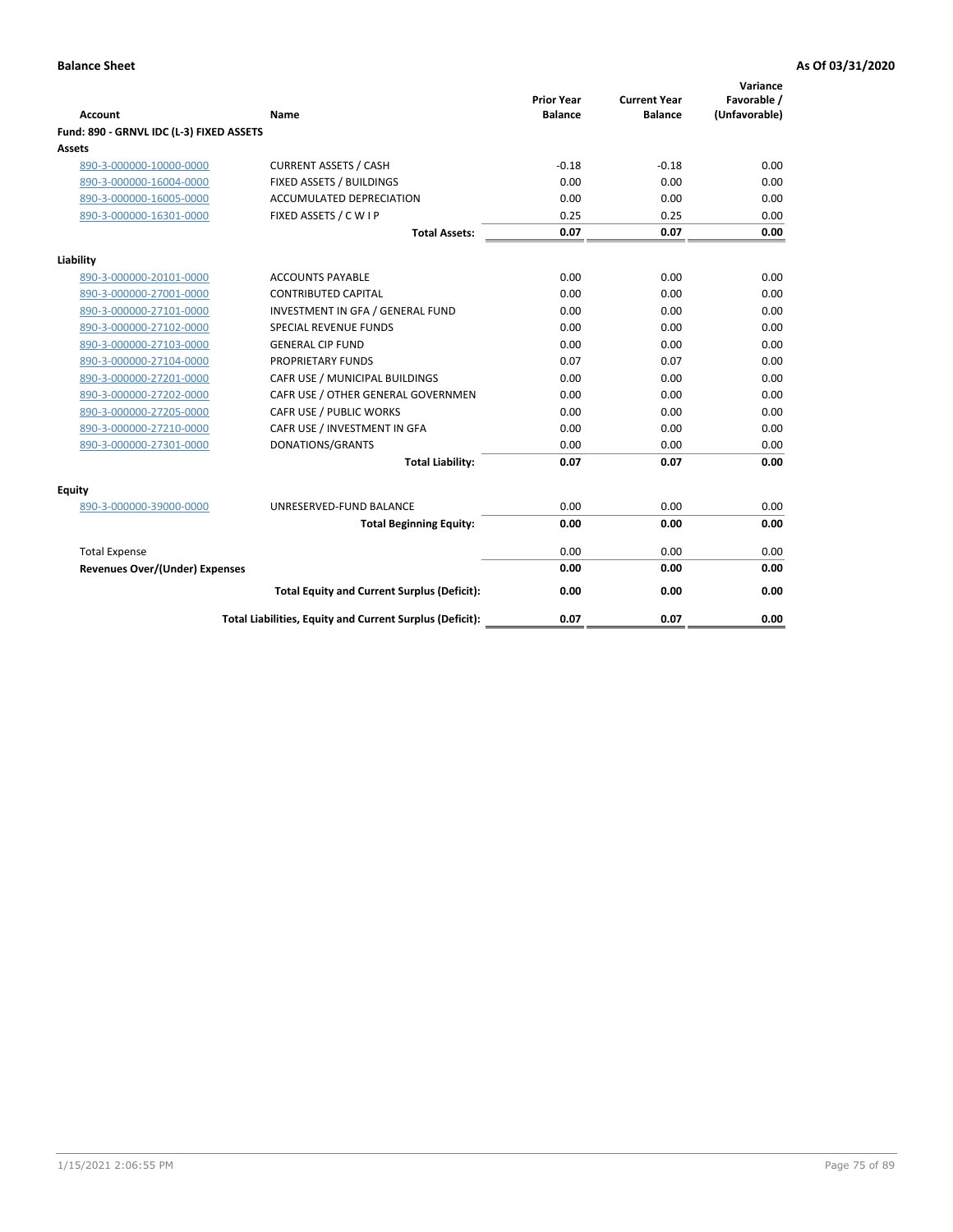| <b>Account</b>                           | Name                                                     | <b>Prior Year</b><br><b>Balance</b> | <b>Current Year</b><br><b>Balance</b> | Variance<br>Favorable /<br>(Unfavorable) |
|------------------------------------------|----------------------------------------------------------|-------------------------------------|---------------------------------------|------------------------------------------|
| Fund: 890 - GRNVL IDC (L-3) FIXED ASSETS |                                                          |                                     |                                       |                                          |
| <b>Assets</b>                            |                                                          |                                     |                                       |                                          |
| 890-3-000000-10000-0000                  | <b>CURRENT ASSETS / CASH</b>                             | $-0.18$                             | $-0.18$                               | 0.00                                     |
| 890-3-000000-16004-0000                  | FIXED ASSETS / BUILDINGS                                 | 0.00                                | 0.00                                  | 0.00                                     |
| 890-3-000000-16005-0000                  | <b>ACCUMULATED DEPRECIATION</b>                          | 0.00                                | 0.00                                  | 0.00                                     |
| 890-3-000000-16301-0000                  | FIXED ASSETS / C W I P                                   | 0.25                                | 0.25                                  | 0.00                                     |
|                                          | <b>Total Assets:</b>                                     | 0.07                                | 0.07                                  | 0.00                                     |
| Liability                                |                                                          |                                     |                                       |                                          |
| 890-3-000000-20101-0000                  | <b>ACCOUNTS PAYABLE</b>                                  | 0.00                                | 0.00                                  | 0.00                                     |
| 890-3-000000-27001-0000                  | <b>CONTRIBUTED CAPITAL</b>                               | 0.00                                | 0.00                                  | 0.00                                     |
| 890-3-000000-27101-0000                  | INVESTMENT IN GFA / GENERAL FUND                         | 0.00                                | 0.00                                  | 0.00                                     |
| 890-3-000000-27102-0000                  | <b>SPECIAL REVENUE FUNDS</b>                             | 0.00                                | 0.00                                  | 0.00                                     |
| 890-3-000000-27103-0000                  | <b>GENERAL CIP FUND</b>                                  | 0.00                                | 0.00                                  | 0.00                                     |
| 890-3-000000-27104-0000                  | PROPRIETARY FUNDS                                        | 0.07                                | 0.07                                  | 0.00                                     |
| 890-3-000000-27201-0000                  | CAFR USE / MUNICIPAL BUILDINGS                           | 0.00                                | 0.00                                  | 0.00                                     |
| 890-3-000000-27202-0000                  | CAFR USE / OTHER GENERAL GOVERNMEN                       | 0.00                                | 0.00                                  | 0.00                                     |
| 890-3-000000-27205-0000                  | CAFR USE / PUBLIC WORKS                                  | 0.00                                | 0.00                                  | 0.00                                     |
| 890-3-000000-27210-0000                  | CAFR USE / INVESTMENT IN GFA                             | 0.00                                | 0.00                                  | 0.00                                     |
| 890-3-000000-27301-0000                  | DONATIONS/GRANTS                                         | 0.00                                | 0.00                                  | 0.00                                     |
|                                          | <b>Total Liability:</b>                                  | 0.07                                | 0.07                                  | 0.00                                     |
| Equity                                   |                                                          |                                     |                                       |                                          |
| 890-3-000000-39000-0000                  | UNRESERVED-FUND BALANCE                                  | 0.00                                | 0.00                                  | 0.00                                     |
|                                          | <b>Total Beginning Equity:</b>                           | 0.00                                | 0.00                                  | 0.00                                     |
| <b>Total Expense</b>                     |                                                          | 0.00                                | 0.00                                  | 0.00                                     |
| Revenues Over/(Under) Expenses           |                                                          | 0.00                                | 0.00                                  | 0.00                                     |
|                                          | <b>Total Equity and Current Surplus (Deficit):</b>       | 0.00                                | 0.00                                  | 0.00                                     |
|                                          | Total Liabilities, Equity and Current Surplus (Deficit): | 0.07                                | 0.07                                  | 0.00                                     |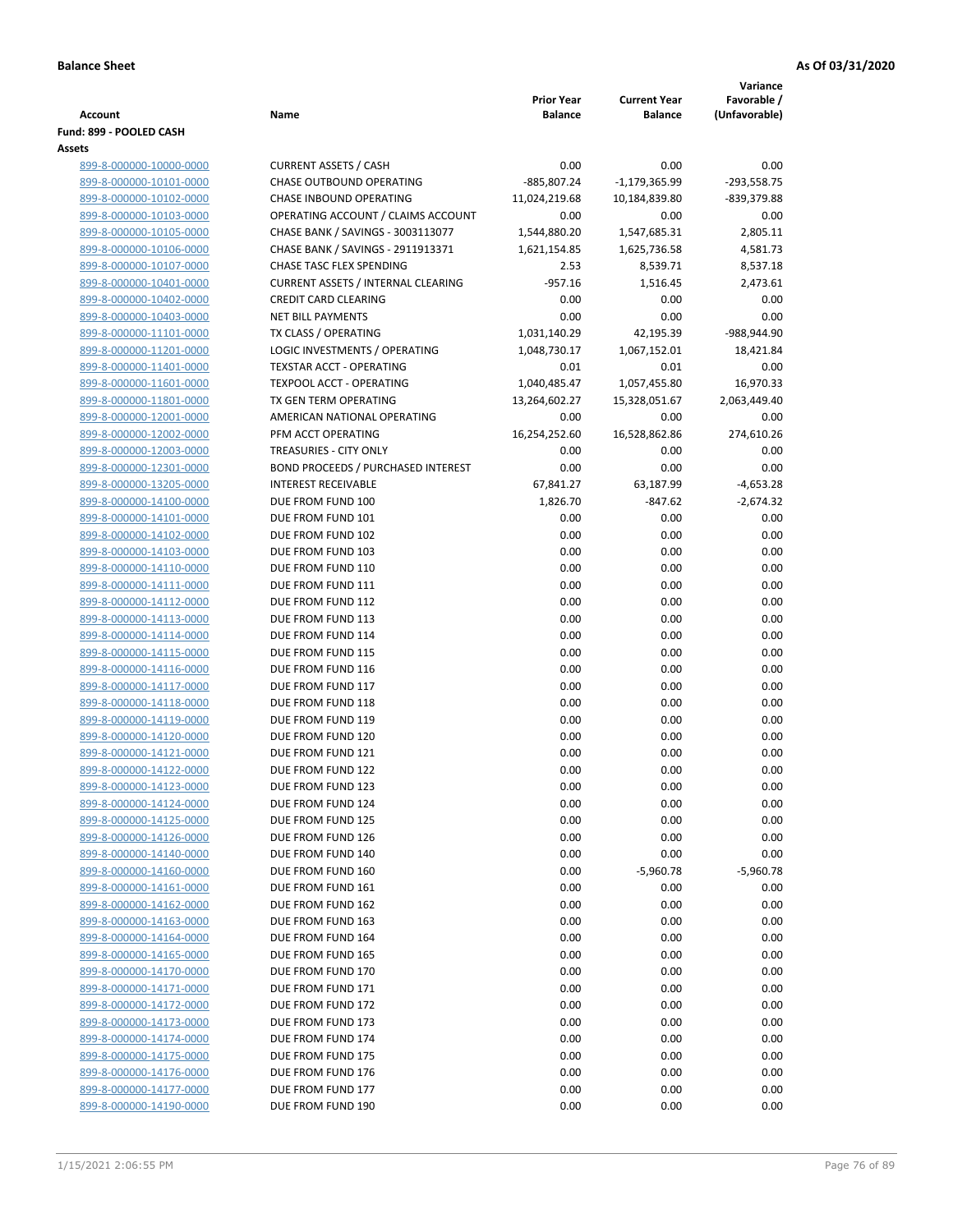|                                                    |                                                                     |                   |                     | Variance      |
|----------------------------------------------------|---------------------------------------------------------------------|-------------------|---------------------|---------------|
|                                                    |                                                                     | <b>Prior Year</b> | <b>Current Year</b> | Favorable /   |
| Account                                            | Name                                                                | <b>Balance</b>    | <b>Balance</b>      | (Unfavorable) |
| Fund: 899 - POOLED CASH<br><b>Assets</b>           |                                                                     |                   |                     |               |
| 899-8-000000-10000-0000                            | <b>CURRENT ASSETS / CASH</b>                                        | 0.00              | 0.00                | 0.00          |
| 899-8-000000-10101-0000                            | CHASE OUTBOUND OPERATING                                            | -885,807.24       | $-1,179,365.99$     | $-293,558.75$ |
| 899-8-000000-10102-0000                            | <b>CHASE INBOUND OPERATING</b>                                      | 11,024,219.68     | 10,184,839.80       | -839,379.88   |
| 899-8-000000-10103-0000                            | OPERATING ACCOUNT / CLAIMS ACCOUNT                                  | 0.00              | 0.00                | 0.00          |
| 899-8-000000-10105-0000                            | CHASE BANK / SAVINGS - 3003113077                                   | 1,544,880.20      | 1,547,685.31        | 2,805.11      |
| 899-8-000000-10106-0000                            | CHASE BANK / SAVINGS - 2911913371                                   | 1,621,154.85      | 1,625,736.58        | 4,581.73      |
| 899-8-000000-10107-0000                            | <b>CHASE TASC FLEX SPENDING</b>                                     | 2.53              | 8,539.71            | 8,537.18      |
| 899-8-000000-10401-0000                            | <b>CURRENT ASSETS / INTERNAL CLEARING</b>                           | $-957.16$         | 1,516.45            | 2,473.61      |
| 899-8-000000-10402-0000                            | <b>CREDIT CARD CLEARING</b>                                         | 0.00              | 0.00                | 0.00          |
| 899-8-000000-10403-0000                            | <b>NET BILL PAYMENTS</b>                                            | 0.00              | 0.00                | 0.00          |
| 899-8-000000-11101-0000                            | TX CLASS / OPERATING                                                | 1,031,140.29      | 42,195.39           | -988,944.90   |
| 899-8-000000-11201-0000                            | LOGIC INVESTMENTS / OPERATING                                       | 1,048,730.17      | 1,067,152.01        | 18,421.84     |
| 899-8-000000-11401-0000                            | <b>TEXSTAR ACCT - OPERATING</b>                                     | 0.01              | 0.01                | 0.00          |
| 899-8-000000-11601-0000                            | <b>TEXPOOL ACCT - OPERATING</b>                                     | 1,040,485.47      | 1,057,455.80        | 16,970.33     |
| 899-8-000000-11801-0000                            | TX GEN TERM OPERATING                                               | 13,264,602.27     | 15,328,051.67       | 2,063,449.40  |
| 899-8-000000-12001-0000                            | AMERICAN NATIONAL OPERATING                                         | 0.00              | 0.00                | 0.00          |
| 899-8-000000-12002-0000                            | PFM ACCT OPERATING                                                  | 16,254,252.60     | 16,528,862.86       | 274,610.26    |
| 899-8-000000-12003-0000<br>899-8-000000-12301-0000 | TREASURIES - CITY ONLY<br><b>BOND PROCEEDS / PURCHASED INTEREST</b> | 0.00              | 0.00                | 0.00<br>0.00  |
| 899-8-000000-13205-0000                            | <b>INTEREST RECEIVABLE</b>                                          | 0.00<br>67,841.27 | 0.00<br>63,187.99   | $-4,653.28$   |
| 899-8-000000-14100-0000                            | DUE FROM FUND 100                                                   | 1,826.70          | $-847.62$           | $-2,674.32$   |
| 899-8-000000-14101-0000                            | DUE FROM FUND 101                                                   | 0.00              | 0.00                | 0.00          |
| 899-8-000000-14102-0000                            | DUE FROM FUND 102                                                   | 0.00              | 0.00                | 0.00          |
| 899-8-000000-14103-0000                            | DUE FROM FUND 103                                                   | 0.00              | 0.00                | 0.00          |
| 899-8-000000-14110-0000                            | DUE FROM FUND 110                                                   | 0.00              | 0.00                | 0.00          |
| 899-8-000000-14111-0000                            | DUE FROM FUND 111                                                   | 0.00              | 0.00                | 0.00          |
| 899-8-000000-14112-0000                            | DUE FROM FUND 112                                                   | 0.00              | 0.00                | 0.00          |
| 899-8-000000-14113-0000                            | DUE FROM FUND 113                                                   | 0.00              | 0.00                | 0.00          |
| 899-8-000000-14114-0000                            | DUE FROM FUND 114                                                   | 0.00              | 0.00                | 0.00          |
| 899-8-000000-14115-0000                            | DUE FROM FUND 115                                                   | 0.00              | 0.00                | 0.00          |
| 899-8-000000-14116-0000                            | DUE FROM FUND 116                                                   | 0.00              | 0.00                | 0.00          |
| 899-8-000000-14117-0000                            | DUE FROM FUND 117                                                   | 0.00              | 0.00                | 0.00          |
| 899-8-000000-14118-0000                            | DUE FROM FUND 118                                                   | 0.00              | 0.00                | 0.00          |
| 899-8-000000-14119-0000                            | DUE FROM FUND 119                                                   | 0.00              | 0.00                | 0.00          |
| 899-8-000000-14120-0000                            | DUE FROM FUND 120                                                   | 0.00              | 0.00                | 0.00          |
| 899-8-000000-14121-0000                            | DUE FROM FUND 121                                                   | 0.00              | 0.00<br>0.00        | 0.00<br>0.00  |
| 899-8-000000-14122-0000<br>899-8-000000-14123-0000 | DUE FROM FUND 122<br>DUE FROM FUND 123                              | 0.00<br>0.00      | 0.00                | 0.00          |
| 899-8-000000-14124-0000                            | DUE FROM FUND 124                                                   | 0.00              | 0.00                | 0.00          |
| 899-8-000000-14125-0000                            | DUE FROM FUND 125                                                   | 0.00              | 0.00                | 0.00          |
| 899-8-000000-14126-0000                            | DUE FROM FUND 126                                                   | 0.00              | 0.00                | 0.00          |
| 899-8-000000-14140-0000                            | DUE FROM FUND 140                                                   | 0.00              | 0.00                | 0.00          |
| 899-8-000000-14160-0000                            | DUE FROM FUND 160                                                   | 0.00              | $-5,960.78$         | $-5,960.78$   |
| 899-8-000000-14161-0000                            | DUE FROM FUND 161                                                   | 0.00              | 0.00                | 0.00          |
| 899-8-000000-14162-0000                            | DUE FROM FUND 162                                                   | 0.00              | 0.00                | 0.00          |
| 899-8-000000-14163-0000                            | DUE FROM FUND 163                                                   | 0.00              | 0.00                | 0.00          |
| 899-8-000000-14164-0000                            | DUE FROM FUND 164                                                   | 0.00              | 0.00                | 0.00          |
| 899-8-000000-14165-0000                            | DUE FROM FUND 165                                                   | 0.00              | 0.00                | 0.00          |
| 899-8-000000-14170-0000                            | DUE FROM FUND 170                                                   | 0.00              | 0.00                | 0.00          |
| 899-8-000000-14171-0000                            | DUE FROM FUND 171                                                   | 0.00              | 0.00                | 0.00          |
| 899-8-000000-14172-0000                            | DUE FROM FUND 172                                                   | 0.00              | 0.00                | 0.00          |
| 899-8-000000-14173-0000                            | DUE FROM FUND 173                                                   | 0.00              | 0.00                | 0.00          |
| 899-8-000000-14174-0000                            | DUE FROM FUND 174                                                   | 0.00              | 0.00                | 0.00          |
| 899-8-000000-14175-0000                            | DUE FROM FUND 175                                                   | 0.00              | 0.00                | 0.00          |
| 899-8-000000-14176-0000<br>899-8-000000-14177-0000 | DUE FROM FUND 176<br>DUE FROM FUND 177                              | 0.00<br>0.00      | 0.00<br>0.00        | 0.00<br>0.00  |
| 899-8-000000-14190-0000                            | DUE FROM FUND 190                                                   | 0.00              | 0.00                | 0.00          |
|                                                    |                                                                     |                   |                     |               |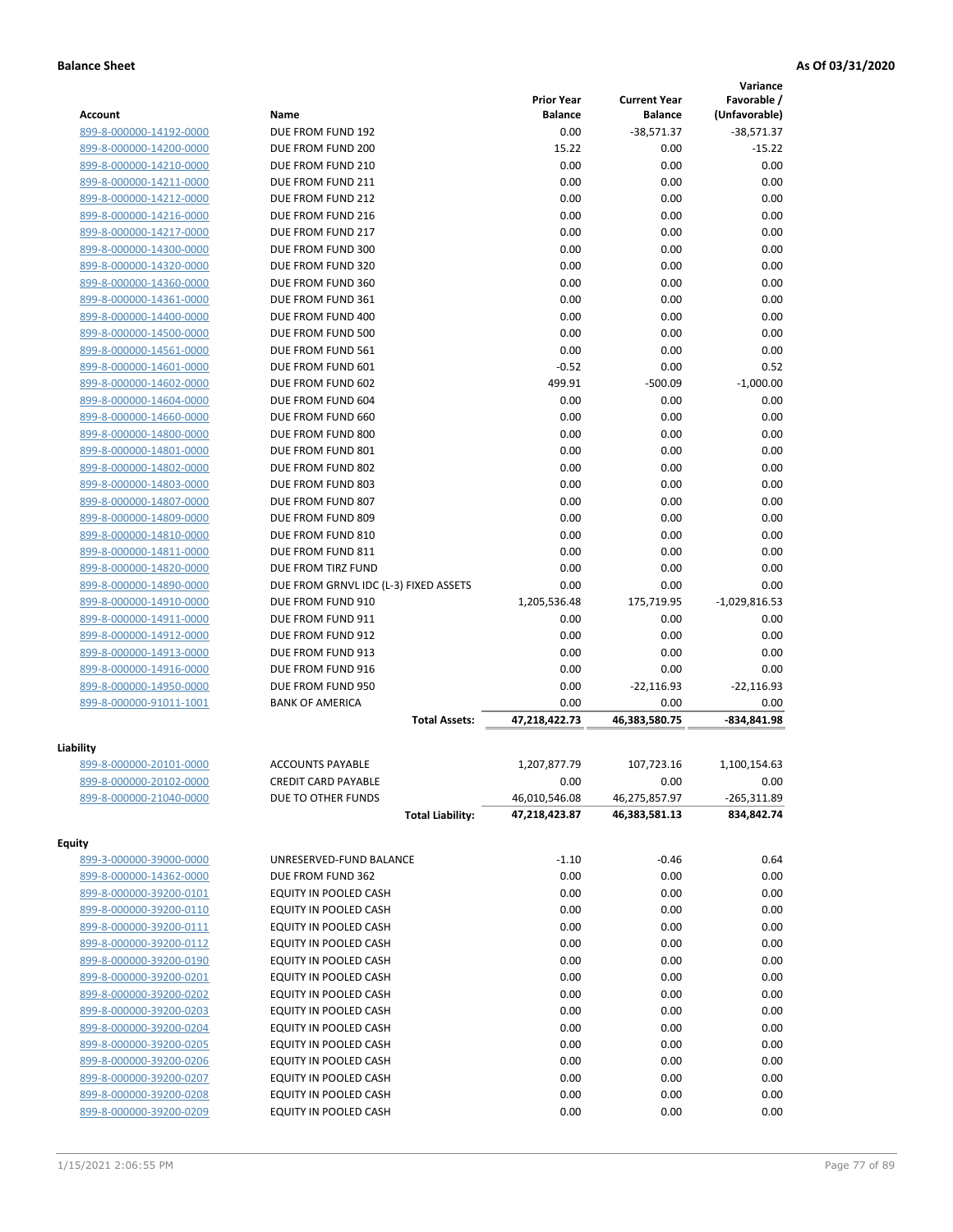|                         |                                       |                   |                     | Variance        |
|-------------------------|---------------------------------------|-------------------|---------------------|-----------------|
|                         |                                       | <b>Prior Year</b> | <b>Current Year</b> | Favorable /     |
| Account                 | Name                                  | <b>Balance</b>    | <b>Balance</b>      | (Unfavorable)   |
| 899-8-000000-14192-0000 | DUE FROM FUND 192                     | 0.00              | $-38,571.37$        | $-38,571.37$    |
| 899-8-000000-14200-0000 | DUE FROM FUND 200                     | 15.22             | 0.00                | $-15.22$        |
| 899-8-000000-14210-0000 | DUE FROM FUND 210                     | 0.00              | 0.00                | 0.00            |
| 899-8-000000-14211-0000 | DUE FROM FUND 211                     | 0.00              | 0.00                | 0.00            |
| 899-8-000000-14212-0000 | DUE FROM FUND 212                     | 0.00              | 0.00                | 0.00            |
| 899-8-000000-14216-0000 | DUE FROM FUND 216                     | 0.00              | 0.00                | 0.00            |
| 899-8-000000-14217-0000 | DUE FROM FUND 217                     | 0.00              | 0.00                | 0.00            |
| 899-8-000000-14300-0000 | DUE FROM FUND 300                     | 0.00              | 0.00                | 0.00            |
| 899-8-000000-14320-0000 | DUE FROM FUND 320                     | 0.00              | 0.00                | 0.00            |
| 899-8-000000-14360-0000 | DUE FROM FUND 360                     | 0.00              | 0.00                | 0.00            |
| 899-8-000000-14361-0000 | DUE FROM FUND 361                     | 0.00              | 0.00                | 0.00            |
| 899-8-000000-14400-0000 | DUE FROM FUND 400                     | 0.00              | 0.00                | 0.00            |
| 899-8-000000-14500-0000 | DUE FROM FUND 500                     | 0.00              | 0.00                | 0.00            |
| 899-8-000000-14561-0000 | DUE FROM FUND 561                     | 0.00              | 0.00                | 0.00            |
| 899-8-000000-14601-0000 | DUE FROM FUND 601                     | $-0.52$           | 0.00                | 0.52            |
| 899-8-000000-14602-0000 | DUE FROM FUND 602                     | 499.91            | $-500.09$           | $-1,000.00$     |
| 899-8-000000-14604-0000 | DUE FROM FUND 604                     | 0.00              | 0.00                | 0.00            |
| 899-8-000000-14660-0000 | DUE FROM FUND 660                     | 0.00              | 0.00                | 0.00            |
| 899-8-000000-14800-0000 | DUE FROM FUND 800                     | 0.00              | 0.00                | 0.00            |
| 899-8-000000-14801-0000 | DUE FROM FUND 801                     | 0.00              | 0.00                | 0.00            |
| 899-8-000000-14802-0000 | DUE FROM FUND 802                     | 0.00              | 0.00                | 0.00            |
| 899-8-000000-14803-0000 | DUE FROM FUND 803                     | 0.00              | 0.00                | 0.00            |
| 899-8-000000-14807-0000 | DUE FROM FUND 807                     | 0.00              | 0.00                | 0.00            |
| 899-8-000000-14809-0000 | DUE FROM FUND 809                     | 0.00              | 0.00                | 0.00            |
| 899-8-000000-14810-0000 | DUE FROM FUND 810                     | 0.00              | 0.00                | 0.00            |
| 899-8-000000-14811-0000 | DUE FROM FUND 811                     | 0.00              | 0.00                | 0.00            |
| 899-8-000000-14820-0000 | DUE FROM TIRZ FUND                    | 0.00              | 0.00                | 0.00            |
| 899-8-000000-14890-0000 | DUE FROM GRNVL IDC (L-3) FIXED ASSETS | 0.00              | 0.00                | 0.00            |
| 899-8-000000-14910-0000 | DUE FROM FUND 910                     | 1,205,536.48      | 175,719.95          | $-1,029,816.53$ |
| 899-8-000000-14911-0000 | DUE FROM FUND 911                     | 0.00              | 0.00                | 0.00            |
| 899-8-000000-14912-0000 | DUE FROM FUND 912                     | 0.00              | 0.00                | 0.00            |
| 899-8-000000-14913-0000 | DUE FROM FUND 913                     | 0.00              | 0.00                | 0.00            |
| 899-8-000000-14916-0000 | DUE FROM FUND 916                     | 0.00              | 0.00                | 0.00            |
| 899-8-000000-14950-0000 | DUE FROM FUND 950                     | 0.00              | $-22,116.93$        | $-22,116.93$    |
| 899-8-000000-91011-1001 | <b>BANK OF AMERICA</b>                | 0.00              | 0.00                | 0.00            |
|                         | <b>Total Assets:</b>                  | 47,218,422.73     | 46.383.580.75       | -834,841.98     |
|                         |                                       |                   |                     |                 |
| Liability               |                                       |                   |                     |                 |
| 899-8-000000-20101-0000 | <b>ACCOUNTS PAYABLE</b>               | 1,207,877.79      | 107,723.16          | 1,100,154.63    |
| 899-8-000000-20102-0000 | <b>CREDIT CARD PAYABLE</b>            | 0.00              | 0.00                | 0.00            |
| 899-8-000000-21040-0000 | DUE TO OTHER FUNDS                    | 46,010,546.08     | 46,275,857.97       | $-265,311.89$   |
|                         | <b>Total Liability:</b>               | 47,218,423.87     | 46,383,581.13       | 834,842.74      |
| <b>Equity</b>           |                                       |                   |                     |                 |
| 899-3-000000-39000-0000 | UNRESERVED-FUND BALANCE               | $-1.10$           | $-0.46$             | 0.64            |
| 899-8-000000-14362-0000 | DUE FROM FUND 362                     | 0.00              | 0.00                | 0.00            |
| 899-8-000000-39200-0101 | EQUITY IN POOLED CASH                 | 0.00              | 0.00                | 0.00            |
| 899-8-000000-39200-0110 | EQUITY IN POOLED CASH                 | 0.00              | 0.00                | 0.00            |
| 899-8-000000-39200-0111 | EQUITY IN POOLED CASH                 | 0.00              | 0.00                | 0.00            |
| 899-8-000000-39200-0112 | EQUITY IN POOLED CASH                 | 0.00              | 0.00                | 0.00            |
| 899-8-000000-39200-0190 | EQUITY IN POOLED CASH                 | 0.00              | 0.00                | 0.00            |
| 899-8-000000-39200-0201 | EQUITY IN POOLED CASH                 | 0.00              | 0.00                | 0.00            |
|                         |                                       |                   |                     |                 |
| 899-8-000000-39200-0202 | EQUITY IN POOLED CASH                 | 0.00              | 0.00                | 0.00            |
| 899-8-000000-39200-0203 | EQUITY IN POOLED CASH                 | 0.00              | 0.00                | 0.00            |
| 899-8-000000-39200-0204 | EQUITY IN POOLED CASH                 | 0.00              | 0.00                | 0.00            |
| 899-8-000000-39200-0205 | EQUITY IN POOLED CASH                 | 0.00              | 0.00                | 0.00            |
| 899-8-000000-39200-0206 | EQUITY IN POOLED CASH                 | 0.00              | 0.00                | 0.00            |
| 899-8-000000-39200-0207 | EQUITY IN POOLED CASH                 | 0.00              | 0.00                | 0.00            |
| 899-8-000000-39200-0208 | EQUITY IN POOLED CASH                 | 0.00              | 0.00                | 0.00            |
| 899-8-000000-39200-0209 | EQUITY IN POOLED CASH                 | 0.00              | 0.00                | 0.00            |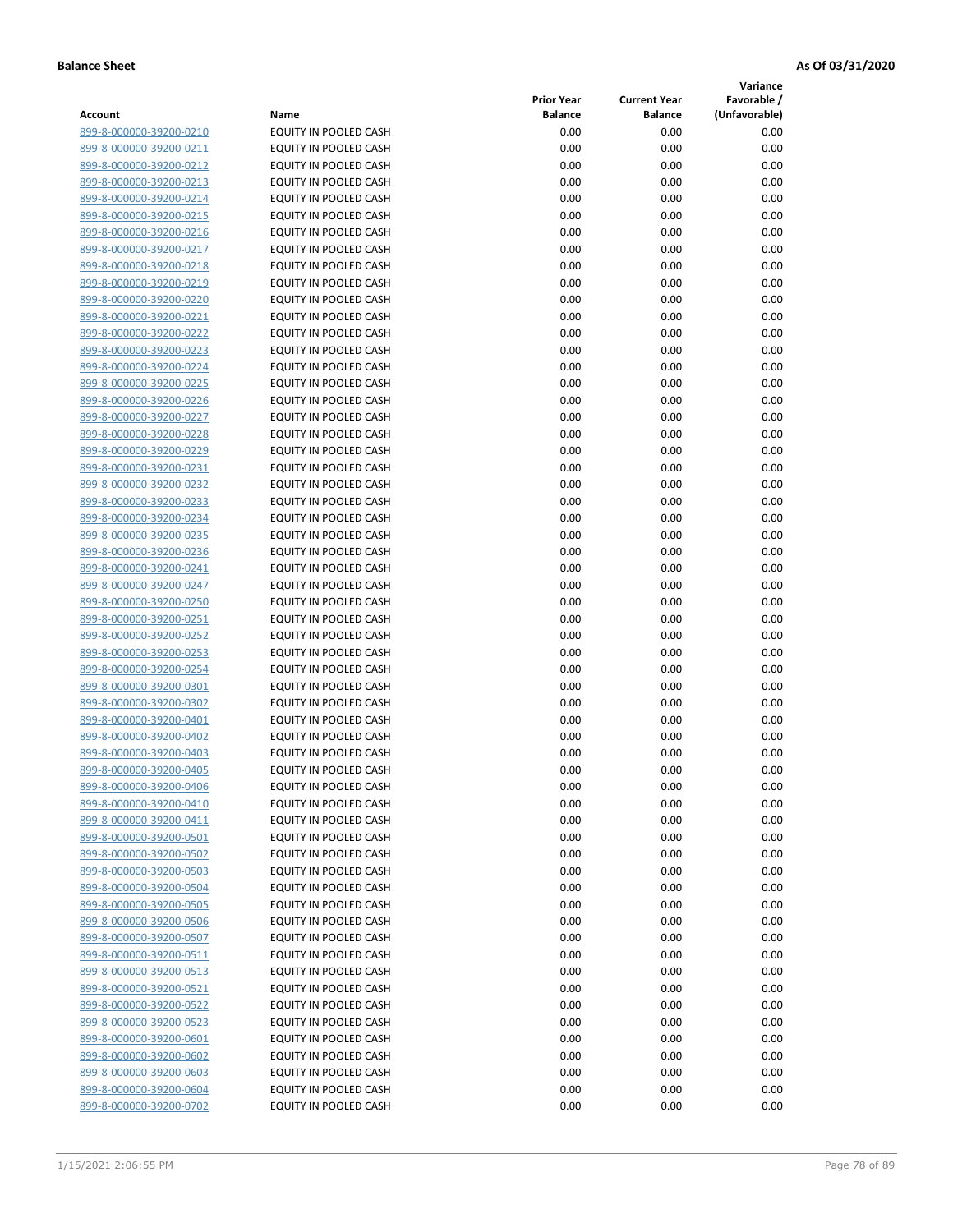**Variance**

| Account                                            | Name                                           | <b>Prior Year</b><br><b>Balance</b> | <b>Current Year</b><br><b>Balance</b> | Favorable /<br>(Unfavorable) |
|----------------------------------------------------|------------------------------------------------|-------------------------------------|---------------------------------------|------------------------------|
| 899-8-000000-39200-0210                            | EQUITY IN POOLED CASH                          | 0.00                                | 0.00                                  | 0.00                         |
| 899-8-000000-39200-0211                            | EQUITY IN POOLED CASH                          | 0.00                                | 0.00                                  | 0.00                         |
| 899-8-000000-39200-0212                            | EQUITY IN POOLED CASH                          | 0.00                                | 0.00                                  | 0.00                         |
| 899-8-000000-39200-0213                            | EQUITY IN POOLED CASH                          | 0.00                                | 0.00                                  | 0.00                         |
| 899-8-000000-39200-0214                            | <b>EQUITY IN POOLED CASH</b>                   | 0.00                                | 0.00                                  | 0.00                         |
| 899-8-000000-39200-0215                            | EQUITY IN POOLED CASH                          | 0.00                                | 0.00                                  | 0.00                         |
| 899-8-000000-39200-0216                            | EQUITY IN POOLED CASH                          | 0.00                                | 0.00                                  | 0.00                         |
| 899-8-000000-39200-0217                            | EQUITY IN POOLED CASH                          | 0.00                                | 0.00                                  | 0.00                         |
| 899-8-000000-39200-0218                            | EQUITY IN POOLED CASH                          | 0.00                                | 0.00                                  | 0.00                         |
| 899-8-000000-39200-0219                            | EQUITY IN POOLED CASH                          | 0.00                                | 0.00                                  | 0.00                         |
| 899-8-000000-39200-0220                            | EQUITY IN POOLED CASH                          | 0.00                                | 0.00                                  | 0.00                         |
| 899-8-000000-39200-0221                            | EQUITY IN POOLED CASH                          | 0.00                                | 0.00                                  | 0.00                         |
| 899-8-000000-39200-0222                            | EQUITY IN POOLED CASH                          | 0.00                                | 0.00                                  | 0.00                         |
| 899-8-000000-39200-0223                            | EQUITY IN POOLED CASH                          | 0.00                                | 0.00                                  | 0.00                         |
| 899-8-000000-39200-0224                            | EQUITY IN POOLED CASH                          | 0.00                                | 0.00                                  | 0.00                         |
| 899-8-000000-39200-0225                            | EQUITY IN POOLED CASH                          | 0.00                                | 0.00                                  | 0.00                         |
| 899-8-000000-39200-0226                            | EQUITY IN POOLED CASH                          | 0.00                                | 0.00                                  | 0.00                         |
| 899-8-000000-39200-0227                            | EQUITY IN POOLED CASH                          | 0.00                                | 0.00                                  | 0.00                         |
| 899-8-000000-39200-0228                            | EQUITY IN POOLED CASH                          | 0.00                                | 0.00                                  | 0.00                         |
| 899-8-000000-39200-0229                            | <b>EQUITY IN POOLED CASH</b>                   | 0.00                                | 0.00                                  | 0.00                         |
| 899-8-000000-39200-0231                            | <b>EQUITY IN POOLED CASH</b>                   | 0.00                                | 0.00                                  | 0.00                         |
| 899-8-000000-39200-0232                            | EQUITY IN POOLED CASH                          | 0.00                                | 0.00                                  | 0.00                         |
| 899-8-000000-39200-0233                            | EQUITY IN POOLED CASH                          | 0.00                                | 0.00                                  | 0.00                         |
| 899-8-000000-39200-0234                            | EQUITY IN POOLED CASH                          | 0.00                                | 0.00                                  | 0.00                         |
| 899-8-000000-39200-0235                            | EQUITY IN POOLED CASH                          | 0.00                                | 0.00                                  | 0.00                         |
| 899-8-000000-39200-0236                            | EQUITY IN POOLED CASH                          | 0.00                                | 0.00                                  | 0.00                         |
| 899-8-000000-39200-0241                            | EQUITY IN POOLED CASH                          | 0.00                                | 0.00                                  | 0.00                         |
| 899-8-000000-39200-0247                            | EQUITY IN POOLED CASH                          | 0.00                                | 0.00                                  | 0.00                         |
| 899-8-000000-39200-0250                            | EQUITY IN POOLED CASH                          | 0.00                                | 0.00                                  | 0.00                         |
| 899-8-000000-39200-0251                            | EQUITY IN POOLED CASH                          | 0.00                                | 0.00                                  | 0.00                         |
| 899-8-000000-39200-0252                            | EQUITY IN POOLED CASH                          | 0.00                                | 0.00                                  | 0.00                         |
| 899-8-000000-39200-0253                            | EQUITY IN POOLED CASH                          | 0.00                                | 0.00                                  | 0.00                         |
| 899-8-000000-39200-0254                            | EQUITY IN POOLED CASH                          | 0.00                                | 0.00                                  | 0.00                         |
| 899-8-000000-39200-0301<br>899-8-000000-39200-0302 | EQUITY IN POOLED CASH                          | 0.00<br>0.00                        | 0.00                                  | 0.00                         |
| 899-8-000000-39200-0401                            | EQUITY IN POOLED CASH<br>EQUITY IN POOLED CASH | 0.00                                | 0.00<br>0.00                          | 0.00<br>0.00                 |
| 899-8-000000-39200-0402                            | EQUITY IN POOLED CASH                          | 0.00                                | 0.00                                  | 0.00                         |
| 899-8-000000-39200-0403                            | EQUITY IN POOLED CASH                          | 0.00                                | 0.00                                  | 0.00                         |
| 899-8-000000-39200-0405                            | <b>EQUITY IN POOLED CASH</b>                   | 0.00                                | 0.00                                  | 0.00                         |
| 899-8-000000-39200-0406                            | EQUITY IN POOLED CASH                          | 0.00                                | 0.00                                  | 0.00                         |
| 899-8-000000-39200-0410                            | <b>EQUITY IN POOLED CASH</b>                   | 0.00                                | 0.00                                  | 0.00                         |
| 899-8-000000-39200-0411                            | EQUITY IN POOLED CASH                          | 0.00                                | 0.00                                  | 0.00                         |
| 899-8-000000-39200-0501                            | EQUITY IN POOLED CASH                          | 0.00                                | 0.00                                  | 0.00                         |
| 899-8-000000-39200-0502                            | EQUITY IN POOLED CASH                          | 0.00                                | 0.00                                  | 0.00                         |
| 899-8-000000-39200-0503                            | EQUITY IN POOLED CASH                          | 0.00                                | 0.00                                  | 0.00                         |
| 899-8-000000-39200-0504                            | <b>EQUITY IN POOLED CASH</b>                   | 0.00                                | 0.00                                  | 0.00                         |
| 899-8-000000-39200-0505                            | EQUITY IN POOLED CASH                          | 0.00                                | 0.00                                  | 0.00                         |
| 899-8-000000-39200-0506                            | EQUITY IN POOLED CASH                          | 0.00                                | 0.00                                  | 0.00                         |
| 899-8-000000-39200-0507                            | EQUITY IN POOLED CASH                          | 0.00                                | 0.00                                  | 0.00                         |
| 899-8-000000-39200-0511                            | <b>EQUITY IN POOLED CASH</b>                   | 0.00                                | 0.00                                  | 0.00                         |
| 899-8-000000-39200-0513                            | EQUITY IN POOLED CASH                          | 0.00                                | 0.00                                  | 0.00                         |
| 899-8-000000-39200-0521                            | EQUITY IN POOLED CASH                          | 0.00                                | 0.00                                  | 0.00                         |
| 899-8-000000-39200-0522                            | EQUITY IN POOLED CASH                          | 0.00                                | 0.00                                  | 0.00                         |
| 899-8-000000-39200-0523                            | EQUITY IN POOLED CASH                          | 0.00                                | 0.00                                  | 0.00                         |
| 899-8-000000-39200-0601                            | EQUITY IN POOLED CASH                          | 0.00                                | 0.00                                  | 0.00                         |
| 899-8-000000-39200-0602                            | EQUITY IN POOLED CASH                          | 0.00                                | 0.00                                  | 0.00                         |
| 899-8-000000-39200-0603                            | EQUITY IN POOLED CASH                          | 0.00                                | 0.00                                  | 0.00                         |
| 899-8-000000-39200-0604                            | EQUITY IN POOLED CASH                          | 0.00                                | 0.00                                  | 0.00                         |
| 899-8-000000-39200-0702                            | EQUITY IN POOLED CASH                          | 0.00                                | 0.00                                  | 0.00                         |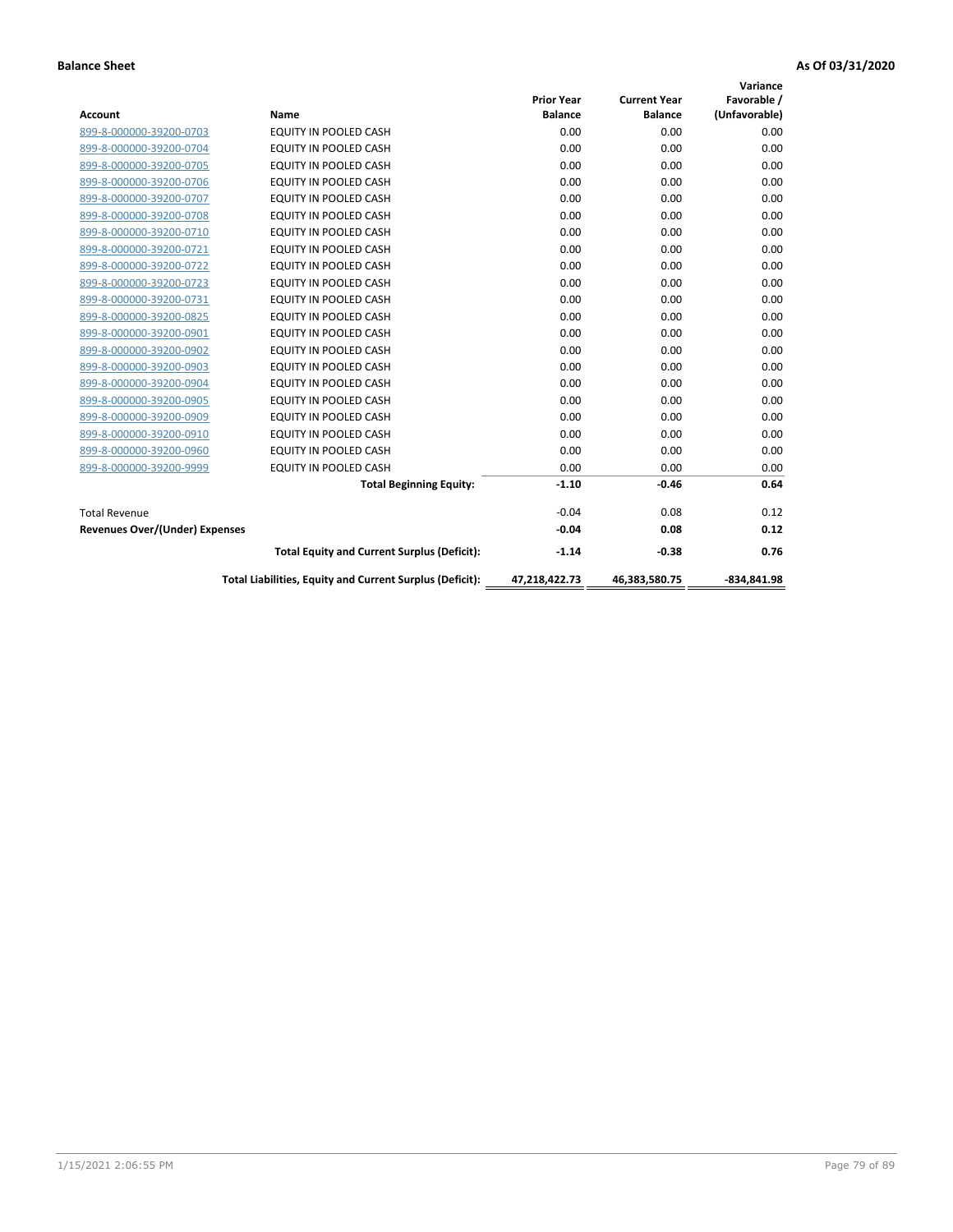|                                       |                                                          |                   |                     | Variance      |
|---------------------------------------|----------------------------------------------------------|-------------------|---------------------|---------------|
|                                       |                                                          | <b>Prior Year</b> | <b>Current Year</b> | Favorable /   |
| <b>Account</b>                        | Name                                                     | <b>Balance</b>    | <b>Balance</b>      | (Unfavorable) |
| 899-8-000000-39200-0703               | <b>EQUITY IN POOLED CASH</b>                             | 0.00              | 0.00                | 0.00          |
| 899-8-000000-39200-0704               | EQUITY IN POOLED CASH                                    | 0.00              | 0.00                | 0.00          |
| 899-8-000000-39200-0705               | <b>EQUITY IN POOLED CASH</b>                             | 0.00              | 0.00                | 0.00          |
| 899-8-000000-39200-0706               | <b>EQUITY IN POOLED CASH</b>                             | 0.00              | 0.00                | 0.00          |
| 899-8-000000-39200-0707               | <b>EQUITY IN POOLED CASH</b>                             | 0.00              | 0.00                | 0.00          |
| 899-8-000000-39200-0708               | <b>EQUITY IN POOLED CASH</b>                             | 0.00              | 0.00                | 0.00          |
| 899-8-000000-39200-0710               | <b>EQUITY IN POOLED CASH</b>                             | 0.00              | 0.00                | 0.00          |
| 899-8-000000-39200-0721               | <b>EQUITY IN POOLED CASH</b>                             | 0.00              | 0.00                | 0.00          |
| 899-8-000000-39200-0722               | EQUITY IN POOLED CASH                                    | 0.00              | 0.00                | 0.00          |
| 899-8-000000-39200-0723               | <b>EQUITY IN POOLED CASH</b>                             | 0.00              | 0.00                | 0.00          |
| 899-8-000000-39200-0731               | <b>EQUITY IN POOLED CASH</b>                             | 0.00              | 0.00                | 0.00          |
| 899-8-000000-39200-0825               | <b>EQUITY IN POOLED CASH</b>                             | 0.00              | 0.00                | 0.00          |
| 899-8-000000-39200-0901               | EQUITY IN POOLED CASH                                    | 0.00              | 0.00                | 0.00          |
| 899-8-000000-39200-0902               | EQUITY IN POOLED CASH                                    | 0.00              | 0.00                | 0.00          |
| 899-8-000000-39200-0903               | <b>EQUITY IN POOLED CASH</b>                             | 0.00              | 0.00                | 0.00          |
| 899-8-000000-39200-0904               | <b>EQUITY IN POOLED CASH</b>                             | 0.00              | 0.00                | 0.00          |
| 899-8-000000-39200-0905               | <b>EQUITY IN POOLED CASH</b>                             | 0.00              | 0.00                | 0.00          |
| 899-8-000000-39200-0909               | EQUITY IN POOLED CASH                                    | 0.00              | 0.00                | 0.00          |
| 899-8-000000-39200-0910               | <b>EQUITY IN POOLED CASH</b>                             | 0.00              | 0.00                | 0.00          |
| 899-8-000000-39200-0960               | <b>EQUITY IN POOLED CASH</b>                             | 0.00              | 0.00                | 0.00          |
| 899-8-000000-39200-9999               | <b>EQUITY IN POOLED CASH</b>                             | 0.00              | 0.00                | 0.00          |
|                                       | <b>Total Beginning Equity:</b>                           | $-1.10$           | $-0.46$             | 0.64          |
| <b>Total Revenue</b>                  |                                                          | $-0.04$           | 0.08                | 0.12          |
| <b>Revenues Over/(Under) Expenses</b> |                                                          | $-0.04$           | 0.08                | 0.12          |
|                                       | <b>Total Equity and Current Surplus (Deficit):</b>       | $-1.14$           | $-0.38$             | 0.76          |
|                                       | Total Liabilities, Equity and Current Surplus (Deficit): | 47,218,422.73     | 46,383,580.75       | $-834.841.98$ |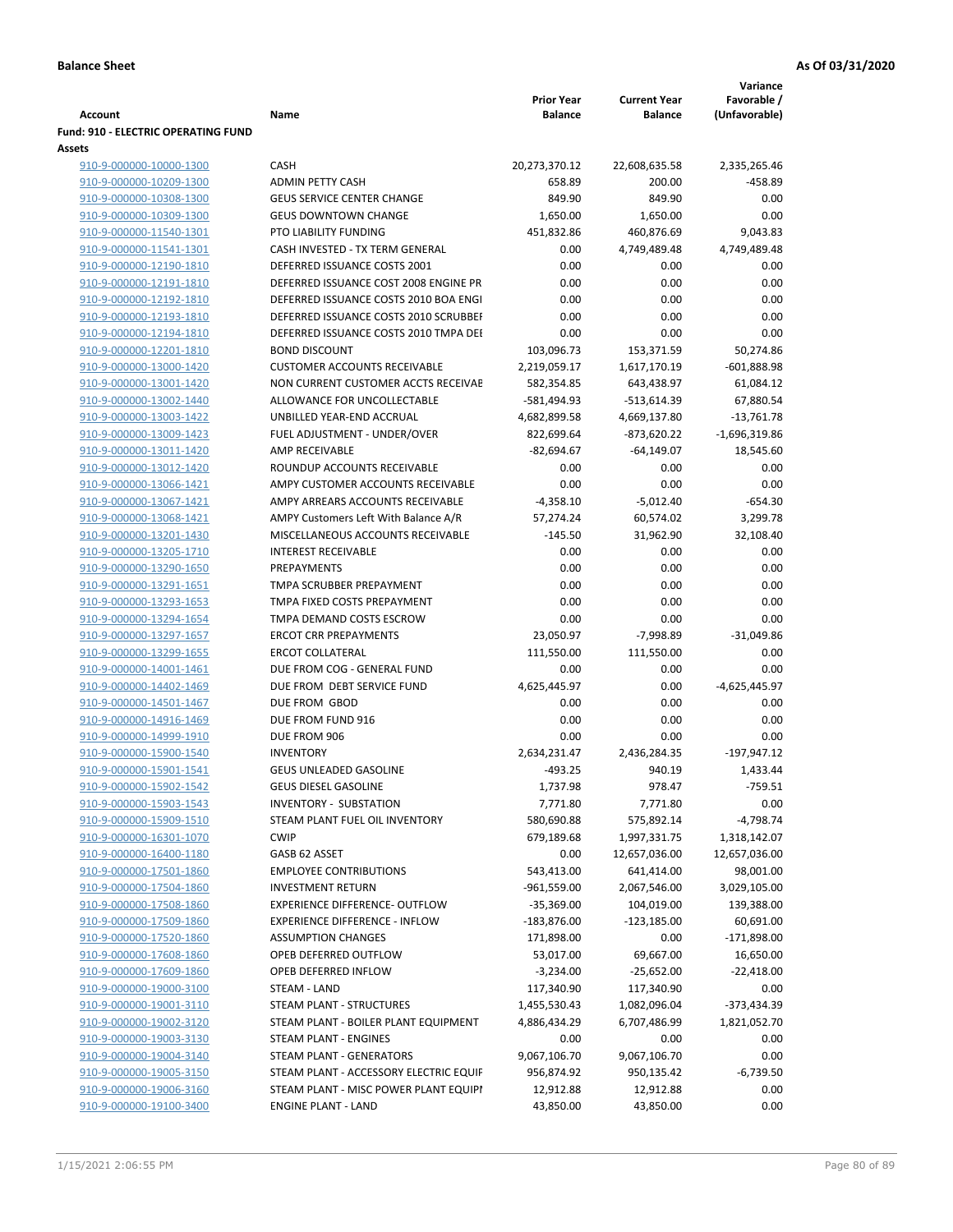|                                            |                                                                    |                   |                     | Variance            |
|--------------------------------------------|--------------------------------------------------------------------|-------------------|---------------------|---------------------|
|                                            |                                                                    | <b>Prior Year</b> | <b>Current Year</b> | Favorable /         |
| Account                                    | Name                                                               | <b>Balance</b>    | <b>Balance</b>      | (Unfavorable)       |
| <b>Fund: 910 - ELECTRIC OPERATING FUND</b> |                                                                    |                   |                     |                     |
| <b>Assets</b>                              |                                                                    |                   |                     |                     |
| 910-9-000000-10000-1300                    | <b>CASH</b>                                                        | 20,273,370.12     | 22,608,635.58       | 2,335,265.46        |
| 910-9-000000-10209-1300                    | <b>ADMIN PETTY CASH</b>                                            | 658.89            | 200.00              | $-458.89$           |
| 910-9-000000-10308-1300                    | <b>GEUS SERVICE CENTER CHANGE</b>                                  | 849.90            | 849.90              | 0.00                |
| 910-9-000000-10309-1300                    | <b>GEUS DOWNTOWN CHANGE</b>                                        | 1,650.00          | 1,650.00            | 0.00                |
| 910-9-000000-11540-1301                    | PTO LIABILITY FUNDING                                              | 451,832.86        | 460,876.69          | 9,043.83            |
| 910-9-000000-11541-1301                    | CASH INVESTED - TX TERM GENERAL                                    | 0.00              | 4,749,489.48        | 4,749,489.48        |
| 910-9-000000-12190-1810                    | DEFERRED ISSUANCE COSTS 2001                                       | 0.00              | 0.00                | 0.00                |
| 910-9-000000-12191-1810                    | DEFERRED ISSUANCE COST 2008 ENGINE PR                              | 0.00              | 0.00                | 0.00                |
| 910-9-000000-12192-1810                    | DEFERRED ISSUANCE COSTS 2010 BOA ENGI                              | 0.00              | 0.00                | 0.00                |
| 910-9-000000-12193-1810                    | DEFERRED ISSUANCE COSTS 2010 SCRUBBEI                              | 0.00              | 0.00                | 0.00                |
| 910-9-000000-12194-1810                    | DEFERRED ISSUANCE COSTS 2010 TMPA DEI                              | 0.00              | 0.00                | 0.00                |
| 910-9-000000-12201-1810                    | <b>BOND DISCOUNT</b>                                               | 103,096.73        | 153,371.59          | 50,274.86           |
| 910-9-000000-13000-1420                    | <b>CUSTOMER ACCOUNTS RECEIVABLE</b>                                | 2,219,059.17      | 1,617,170.19        | $-601,888.98$       |
| 910-9-000000-13001-1420                    | NON CURRENT CUSTOMER ACCTS RECEIVAE                                | 582,354.85        | 643,438.97          | 61,084.12           |
| 910-9-000000-13002-1440                    | ALLOWANCE FOR UNCOLLECTABLE                                        | -581,494.93       | $-513,614.39$       | 67,880.54           |
| 910-9-000000-13003-1422                    | UNBILLED YEAR-END ACCRUAL                                          | 4,682,899.58      | 4,669,137.80        | $-13,761.78$        |
| 910-9-000000-13009-1423                    | FUEL ADJUSTMENT - UNDER/OVER                                       | 822,699.64        | $-873,620.22$       | $-1,696,319.86$     |
| 910-9-000000-13011-1420                    | AMP RECEIVABLE                                                     | $-82,694.67$      | $-64,149.07$        | 18,545.60           |
|                                            |                                                                    |                   |                     |                     |
| 910-9-000000-13012-1420                    | ROUNDUP ACCOUNTS RECEIVABLE                                        | 0.00              | 0.00                | 0.00                |
| 910-9-000000-13066-1421                    | AMPY CUSTOMER ACCOUNTS RECEIVABLE                                  | 0.00              | 0.00                | 0.00                |
| 910-9-000000-13067-1421                    | AMPY ARREARS ACCOUNTS RECEIVABLE                                   | $-4,358.10$       | $-5,012.40$         | $-654.30$           |
| 910-9-000000-13068-1421                    | AMPY Customers Left With Balance A/R                               | 57,274.24         | 60,574.02           | 3,299.78            |
| 910-9-000000-13201-1430                    | MISCELLANEOUS ACCOUNTS RECEIVABLE                                  | $-145.50$         | 31,962.90           | 32,108.40           |
| 910-9-000000-13205-1710                    | <b>INTEREST RECEIVABLE</b>                                         | 0.00              | 0.00                | 0.00                |
| 910-9-000000-13290-1650                    | PREPAYMENTS                                                        | 0.00              | 0.00                | 0.00                |
| 910-9-000000-13291-1651                    | TMPA SCRUBBER PREPAYMENT                                           | 0.00              | 0.00                | 0.00                |
| 910-9-000000-13293-1653                    | TMPA FIXED COSTS PREPAYMENT                                        | 0.00              | 0.00                | 0.00                |
| 910-9-000000-13294-1654                    | TMPA DEMAND COSTS ESCROW                                           | 0.00              | 0.00                | 0.00                |
| 910-9-000000-13297-1657                    | <b>ERCOT CRR PREPAYMENTS</b>                                       | 23,050.97         | $-7,998.89$         | $-31,049.86$        |
| 910-9-000000-13299-1655                    | <b>ERCOT COLLATERAL</b>                                            | 111,550.00        | 111,550.00          | 0.00                |
| 910-9-000000-14001-1461                    | DUE FROM COG - GENERAL FUND                                        | 0.00              | 0.00                | 0.00                |
| 910-9-000000-14402-1469                    | DUE FROM DEBT SERVICE FUND                                         | 4,625,445.97      | 0.00                | -4,625,445.97       |
| 910-9-000000-14501-1467                    | DUE FROM GBOD                                                      | 0.00              | 0.00                | 0.00                |
| 910-9-000000-14916-1469                    | DUE FROM FUND 916                                                  | 0.00              | 0.00                | 0.00                |
| 910-9-000000-14999-1910                    | DUE FROM 906                                                       | 0.00              | 0.00                | 0.00                |
| 910-9-000000-15900-1540                    | <b>INVENTORY</b>                                                   | 2,634,231.47      | 2,436,284.35        | $-197,947.12$       |
| 910-9-000000-15901-1541                    | <b>GEUS UNLEADED GASOLINE</b>                                      | $-493.25$         | 940.19              | 1,433.44            |
| 910-9-000000-15902-1542                    | <b>GEUS DIESEL GASOLINE</b>                                        | 1,737.98          | 978.47              | $-759.51$           |
| 910-9-000000-15903-1543                    | <b>INVENTORY - SUBSTATION</b>                                      | 7,771.80          | 7,771.80            | 0.00                |
| 910-9-000000-15909-1510                    | STEAM PLANT FUEL OIL INVENTORY                                     | 580,690.88        | 575,892.14          | $-4,798.74$         |
| 910-9-000000-16301-1070                    | <b>CWIP</b>                                                        | 679,189.68        | 1,997,331.75        | 1,318,142.07        |
| 910-9-000000-16400-1180                    | GASB 62 ASSET                                                      | 0.00              | 12,657,036.00       | 12,657,036.00       |
| 910-9-000000-17501-1860                    | <b>EMPLOYEE CONTRIBUTIONS</b>                                      | 543,413.00        | 641,414.00          | 98,001.00           |
| 910-9-000000-17504-1860                    | <b>INVESTMENT RETURN</b>                                           | $-961,559.00$     | 2,067,546.00        | 3,029,105.00        |
| 910-9-000000-17508-1860                    | <b>EXPERIENCE DIFFERENCE- OUTFLOW</b>                              | $-35,369.00$      | 104,019.00          | 139,388.00          |
| 910-9-000000-17509-1860                    | <b>EXPERIENCE DIFFERENCE - INFLOW</b>                              | $-183,876.00$     | $-123,185.00$       | 60,691.00           |
| 910-9-000000-17520-1860                    | <b>ASSUMPTION CHANGES</b>                                          | 171,898.00        | 0.00                | $-171,898.00$       |
| 910-9-000000-17608-1860                    | OPEB DEFERRED OUTFLOW                                              | 53,017.00         | 69,667.00           | 16,650.00           |
| 910-9-000000-17609-1860                    | OPEB DEFERRED INFLOW                                               | $-3,234.00$       | $-25,652.00$        | $-22,418.00$        |
| 910-9-000000-19000-3100                    | STEAM - LAND                                                       | 117,340.90        | 117,340.90          | 0.00                |
| 910-9-000000-19001-3110                    | STEAM PLANT - STRUCTURES                                           | 1,455,530.43      | 1,082,096.04        | -373,434.39         |
| 910-9-000000-19002-3120                    | STEAM PLANT - BOILER PLANT EQUIPMENT                               | 4,886,434.29      | 6,707,486.99        | 1,821,052.70        |
| 910-9-000000-19003-3130                    | STEAM PLANT - ENGINES                                              | 0.00              | 0.00                | 0.00                |
|                                            |                                                                    | 9,067,106.70      |                     |                     |
| 910-9-000000-19004-3140                    | STEAM PLANT - GENERATORS<br>STEAM PLANT - ACCESSORY ELECTRIC EQUIF |                   | 9,067,106.70        | 0.00<br>$-6,739.50$ |
| 910-9-000000-19005-3150                    |                                                                    | 956,874.92        | 950,135.42          |                     |
| 910-9-000000-19006-3160                    | STEAM PLANT - MISC POWER PLANT EQUIPI                              | 12,912.88         | 12,912.88           | 0.00                |
| 910-9-000000-19100-3400                    | <b>ENGINE PLANT - LAND</b>                                         | 43,850.00         | 43,850.00           | 0.00                |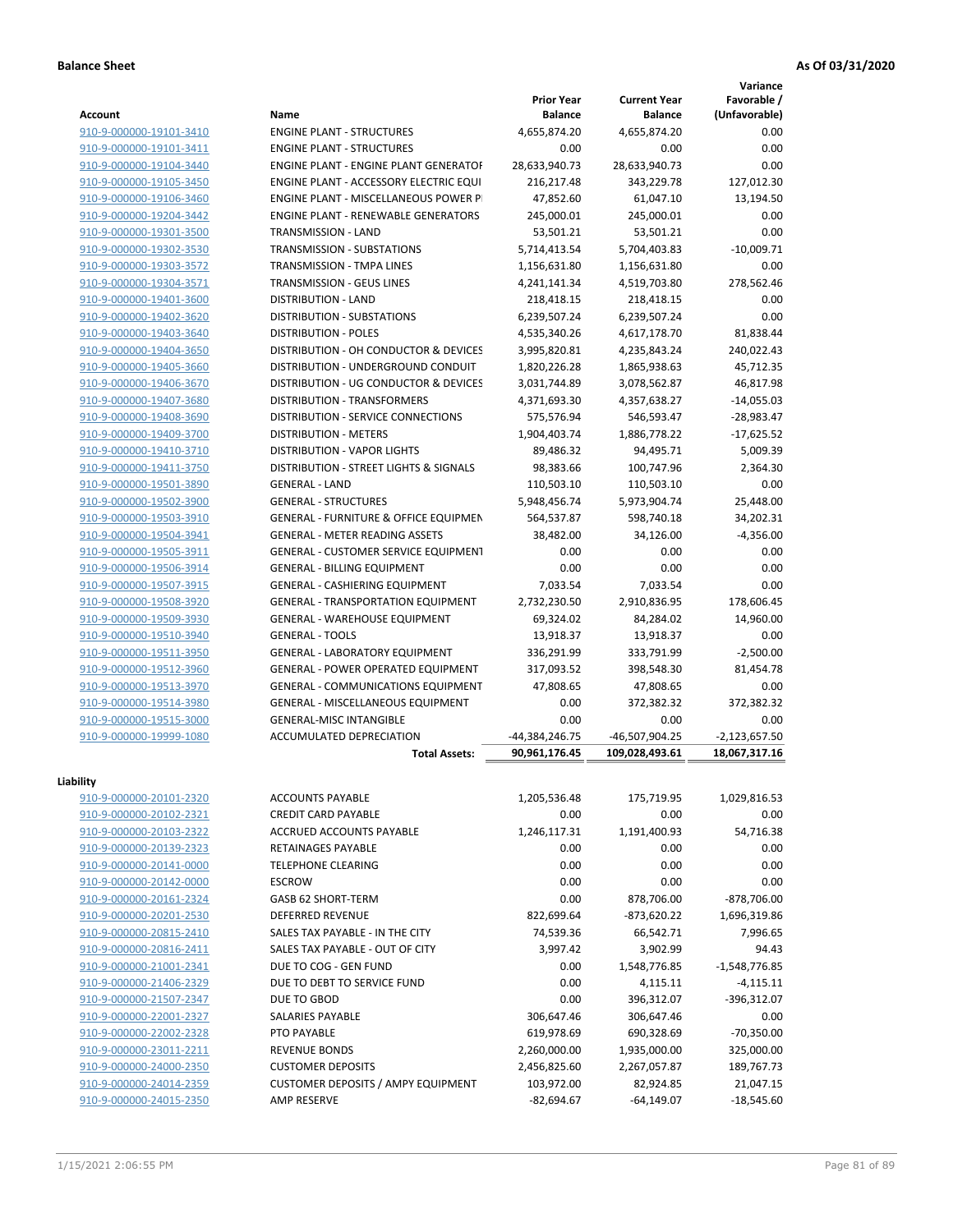**Variance**

| <b>Account</b>          | Name                                                            | <b>Prior Year</b><br><b>Balance</b> | <b>Current Year</b><br><b>Balance</b> | Favorable /<br>(Unfavorable) |
|-------------------------|-----------------------------------------------------------------|-------------------------------------|---------------------------------------|------------------------------|
| 910-9-000000-19101-3410 | <b>ENGINE PLANT - STRUCTURES</b>                                | 4,655,874.20                        | 4,655,874.20                          | 0.00                         |
| 910-9-000000-19101-3411 | <b>ENGINE PLANT - STRUCTURES</b>                                | 0.00                                | 0.00                                  | 0.00                         |
| 910-9-000000-19104-3440 | <b>ENGINE PLANT - ENGINE PLANT GENERATOF</b>                    | 28,633,940.73                       | 28,633,940.73                         | 0.00                         |
| 910-9-000000-19105-3450 | ENGINE PLANT - ACCESSORY ELECTRIC EQUI                          | 216,217.48                          | 343,229.78                            | 127,012.30                   |
| 910-9-000000-19106-3460 | ENGINE PLANT - MISCELLANEOUS POWER P                            | 47,852.60                           | 61,047.10                             | 13,194.50                    |
| 910-9-000000-19204-3442 | <b>ENGINE PLANT - RENEWABLE GENERATORS</b>                      | 245,000.01                          | 245,000.01                            | 0.00                         |
|                         | TRANSMISSION - LAND                                             |                                     |                                       | 0.00                         |
| 910-9-000000-19301-3500 | <b>TRANSMISSION - SUBSTATIONS</b>                               | 53,501.21                           | 53,501.21                             |                              |
| 910-9-000000-19302-3530 |                                                                 | 5,714,413.54                        | 5,704,403.83                          | $-10,009.71$                 |
| 910-9-000000-19303-3572 | <b>TRANSMISSION - TMPA LINES</b>                                | 1,156,631.80                        | 1,156,631.80                          | 0.00                         |
| 910-9-000000-19304-3571 | TRANSMISSION - GEUS LINES                                       | 4,241,141.34                        | 4,519,703.80                          | 278,562.46                   |
| 910-9-000000-19401-3600 | <b>DISTRIBUTION - LAND</b>                                      | 218,418.15                          | 218,418.15                            | 0.00                         |
| 910-9-000000-19402-3620 | DISTRIBUTION - SUBSTATIONS                                      | 6,239,507.24                        | 6,239,507.24                          | 0.00                         |
| 910-9-000000-19403-3640 | <b>DISTRIBUTION - POLES</b>                                     | 4,535,340.26                        | 4,617,178.70                          | 81,838.44                    |
| 910-9-000000-19404-3650 | DISTRIBUTION - OH CONDUCTOR & DEVICES                           | 3,995,820.81                        | 4,235,843.24                          | 240,022.43                   |
| 910-9-000000-19405-3660 | DISTRIBUTION - UNDERGROUND CONDUIT                              | 1,820,226.28                        | 1,865,938.63                          | 45,712.35                    |
| 910-9-000000-19406-3670 | DISTRIBUTION - UG CONDUCTOR & DEVICES                           | 3,031,744.89                        | 3,078,562.87                          | 46,817.98                    |
| 910-9-000000-19407-3680 | DISTRIBUTION - TRANSFORMERS                                     | 4,371,693.30                        | 4,357,638.27                          | $-14,055.03$                 |
| 910-9-000000-19408-3690 | <b>DISTRIBUTION - SERVICE CONNECTIONS</b>                       | 575,576.94                          | 546,593.47                            | $-28,983.47$                 |
| 910-9-000000-19409-3700 | <b>DISTRIBUTION - METERS</b>                                    | 1,904,403.74                        | 1,886,778.22                          | $-17,625.52$                 |
| 910-9-000000-19410-3710 | DISTRIBUTION - VAPOR LIGHTS                                     | 89,486.32                           | 94,495.71                             | 5,009.39                     |
| 910-9-000000-19411-3750 | DISTRIBUTION - STREET LIGHTS & SIGNALS                          | 98,383.66                           | 100,747.96                            | 2.364.30                     |
| 910-9-000000-19501-3890 | <b>GENERAL - LAND</b>                                           | 110,503.10                          | 110,503.10                            | 0.00                         |
| 910-9-000000-19502-3900 | <b>GENERAL - STRUCTURES</b>                                     | 5,948,456.74                        | 5,973,904.74                          | 25,448.00                    |
| 910-9-000000-19503-3910 | <b>GENERAL - FURNITURE &amp; OFFICE EQUIPMEN</b>                | 564,537.87                          | 598,740.18                            | 34,202.31                    |
| 910-9-000000-19504-3941 | <b>GENERAL - METER READING ASSETS</b>                           | 38,482.00                           | 34,126.00                             | $-4,356.00$                  |
| 910-9-000000-19505-3911 | <b>GENERAL - CUSTOMER SERVICE EQUIPMENT</b>                     | 0.00                                | 0.00                                  | 0.00                         |
| 910-9-000000-19506-3914 | <b>GENERAL - BILLING EQUIPMENT</b>                              | 0.00                                | 0.00                                  | 0.00                         |
| 910-9-000000-19507-3915 | GENERAL - CASHIERING EQUIPMENT                                  | 7,033.54                            | 7,033.54                              | 0.00                         |
| 910-9-000000-19508-3920 | <b>GENERAL - TRANSPORTATION EQUIPMENT</b>                       | 2,732,230.50                        | 2,910,836.95                          | 178,606.45                   |
| 910-9-000000-19509-3930 | GENERAL - WAREHOUSE EQUIPMENT                                   | 69,324.02                           | 84,284.02                             | 14,960.00                    |
| 910-9-000000-19510-3940 | <b>GENERAL - TOOLS</b>                                          | 13,918.37                           | 13,918.37                             | 0.00                         |
| 910-9-000000-19511-3950 | <b>GENERAL - LABORATORY EQUIPMENT</b>                           | 336,291.99                          | 333,791.99                            | $-2,500.00$                  |
| 910-9-000000-19512-3960 | <b>GENERAL - POWER OPERATED EQUIPMENT</b>                       | 317,093.52                          | 398,548.30                            | 81,454.78                    |
| 910-9-000000-19513-3970 | GENERAL - COMMUNICATIONS EQUIPMENT                              | 47,808.65                           | 47,808.65                             | 0.00                         |
| 910-9-000000-19514-3980 | GENERAL - MISCELLANEOUS EQUIPMENT                               | 0.00                                | 372,382.32                            | 372,382.32                   |
| 910-9-000000-19515-3000 | <b>GENERAL-MISC INTANGIBLE</b>                                  | 0.00                                | 0.00                                  | 0.00                         |
| 910-9-000000-19999-1080 | ACCUMULATED DEPRECIATION                                        | -44,384,246.75                      | -46,507,904.25                        | $-2,123,657.50$              |
|                         | <b>Total Assets:</b>                                            | 90,961,176.45                       | 109,028,493.61                        | 18,067,317.16                |
|                         |                                                                 |                                     |                                       |                              |
| Liability               |                                                                 |                                     |                                       |                              |
| 910-9-000000-20101-2320 | <b>ACCOUNTS PAYABLE</b>                                         | 1,205,536.48                        | 175,719.95                            | 1,029,816.53                 |
| 910-9-000000-20102-2321 | <b>CREDIT CARD PAYABLE</b>                                      | 0.00                                | 0.00                                  | 0.00                         |
| 910-9-000000-20103-2322 | ACCRUED ACCOUNTS PAYABLE                                        | 1,246,117.31                        | 1,191,400.93                          | 54,716.38                    |
| 910-9-000000-20139-2323 | RETAINAGES PAYABLE                                              | 0.00                                | 0.00                                  | 0.00                         |
| 910-9-000000-20141-0000 | <b>TELEPHONE CLEARING</b>                                       | 0.00                                | 0.00                                  | 0.00                         |
| 910-9-000000-20142-0000 | <b>ESCROW</b>                                                   | 0.00                                | 0.00                                  | 0.00                         |
| 910-9-000000-20161-2324 | GASB 62 SHORT-TERM                                              | 0.00                                | 878,706.00                            | $-878,706.00$                |
| 910-9-000000-20201-2530 | <b>DEFERRED REVENUE</b>                                         | 822,699.64                          | $-873,620.22$                         | 1,696,319.86                 |
| 910-9-000000-20815-2410 | SALES TAX PAYABLE - IN THE CITY                                 | 74,539.36                           | 66,542.71                             | 7,996.65                     |
| 910-9-000000-20816-2411 | SALES TAX PAYABLE - OUT OF CITY                                 | 3,997.42                            | 3,902.99                              | 94.43                        |
| 910-9-000000-21001-2341 | DUE TO COG - GEN FUND                                           | 0.00                                | 1,548,776.85                          | -1,548,776.85                |
| 910-9-000000-21406-2329 | DUE TO DEBT TO SERVICE FUND                                     | 0.00                                | 4,115.11                              | $-4,115.11$                  |
| 910-9-000000-21507-2347 | DUE TO GBOD                                                     | 0.00                                | 396,312.07                            | -396,312.07                  |
| 910-9-000000-22001-2327 | SALARIES PAYABLE                                                | 306,647.46                          | 306,647.46                            | 0.00                         |
| 910-9-000000-22002-2328 | PTO PAYABLE                                                     | 619,978.69                          | 690,328.69                            | $-70,350.00$                 |
| 910-9-000000-23011-2211 | <b>REVENUE BONDS</b>                                            | 2,260,000.00                        | 1,935,000.00                          | 325,000.00                   |
| 910-9-000000-24000-2350 | <b>CUSTOMER DEPOSITS</b>                                        | 2,456,825.60                        | 2,267,057.87                          | 189,767.73                   |
| 910-9-000000-24014-2359 |                                                                 |                                     |                                       | 21,047.15                    |
|                         | <b>CUSTOMER DEPOSITS / AMPY EQUIPMENT</b><br><b>AMP RESERVE</b> | 103,972.00                          | 82,924.85                             |                              |
| 910-9-000000-24015-2350 |                                                                 | $-82,694.67$                        | $-64,149.07$                          | $-18,545.60$                 |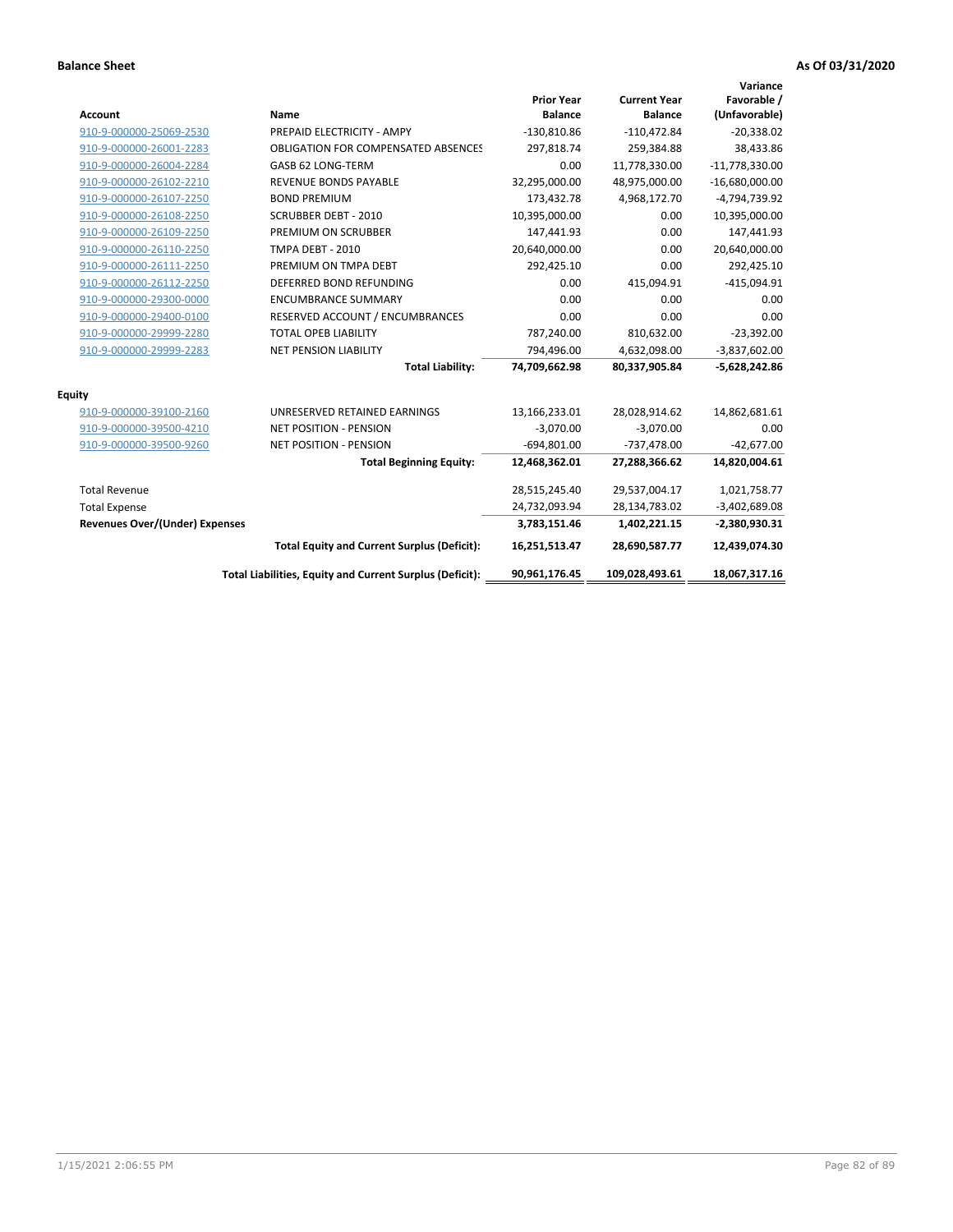| <b>Account</b>                        | <b>Name</b>                                              | <b>Prior Year</b><br><b>Balance</b> | <b>Current Year</b><br><b>Balance</b> | Variance<br>Favorable /<br>(Unfavorable) |
|---------------------------------------|----------------------------------------------------------|-------------------------------------|---------------------------------------|------------------------------------------|
| 910-9-000000-25069-2530               | PREPAID ELECTRICITY - AMPY                               | $-130,810.86$                       | $-110,472.84$                         | $-20,338.02$                             |
| 910-9-000000-26001-2283               | <b>OBLIGATION FOR COMPENSATED ABSENCES</b>               | 297,818.74                          | 259,384.88                            | 38,433.86                                |
| 910-9-000000-26004-2284               | GASB 62 LONG-TERM                                        | 0.00                                | 11,778,330.00                         | $-11,778,330.00$                         |
| 910-9-000000-26102-2210               | REVENUE BONDS PAYABLE                                    | 32,295,000.00                       | 48,975,000.00                         | $-16,680,000.00$                         |
| 910-9-000000-26107-2250               | <b>BOND PREMIUM</b>                                      | 173,432.78                          | 4,968,172.70                          | -4,794,739.92                            |
| 910-9-000000-26108-2250               | <b>SCRUBBER DEBT - 2010</b>                              | 10,395,000.00                       | 0.00                                  | 10,395,000.00                            |
| 910-9-000000-26109-2250               | PREMIUM ON SCRUBBER                                      | 147,441.93                          | 0.00                                  | 147,441.93                               |
| 910-9-000000-26110-2250               | <b>TMPA DEBT - 2010</b>                                  | 20,640,000.00                       | 0.00                                  | 20,640,000.00                            |
| 910-9-000000-26111-2250               | PREMIUM ON TMPA DEBT                                     | 292,425.10                          | 0.00                                  | 292,425.10                               |
| 910-9-000000-26112-2250               | DEFERRED BOND REFUNDING                                  | 0.00                                | 415,094.91                            | $-415,094.91$                            |
| 910-9-000000-29300-0000               | <b>ENCUMBRANCE SUMMARY</b>                               | 0.00                                | 0.00                                  | 0.00                                     |
| 910-9-000000-29400-0100               | RESERVED ACCOUNT / ENCUMBRANCES                          | 0.00                                | 0.00                                  | 0.00                                     |
| 910-9-000000-29999-2280               | <b>TOTAL OPEB LIABILITY</b>                              | 787,240.00                          | 810,632.00                            | $-23,392.00$                             |
| 910-9-000000-29999-2283               | <b>NET PENSION LIABILITY</b>                             | 794,496.00                          | 4,632,098.00                          | $-3,837,602.00$                          |
|                                       | <b>Total Liability:</b>                                  | 74,709,662.98                       | 80,337,905.84                         | $-5,628,242.86$                          |
| <b>Equity</b>                         |                                                          |                                     |                                       |                                          |
| 910-9-000000-39100-2160               | UNRESERVED RETAINED EARNINGS                             | 13,166,233.01                       | 28,028,914.62                         | 14,862,681.61                            |
| 910-9-000000-39500-4210               | <b>NET POSITION - PENSION</b>                            | $-3,070.00$                         | $-3,070.00$                           | 0.00                                     |
| 910-9-000000-39500-9260               | <b>NET POSITION - PENSION</b>                            | $-694,801.00$                       | $-737,478.00$                         | $-42,677.00$                             |
|                                       | <b>Total Beginning Equity:</b>                           | 12,468,362.01                       | 27,288,366.62                         | 14,820,004.61                            |
| <b>Total Revenue</b>                  |                                                          | 28,515,245.40                       | 29,537,004.17                         | 1,021,758.77                             |
| <b>Total Expense</b>                  |                                                          | 24,732,093.94                       | 28,134,783.02                         | $-3,402,689.08$                          |
| <b>Revenues Over/(Under) Expenses</b> |                                                          | 3,783,151.46                        | 1,402,221.15                          | $-2,380,930.31$                          |
|                                       | <b>Total Equity and Current Surplus (Deficit):</b>       | 16,251,513.47                       | 28,690,587.77                         | 12,439,074.30                            |
|                                       | Total Liabilities, Equity and Current Surplus (Deficit): | 90,961,176.45                       | 109,028,493.61                        | 18,067,317.16                            |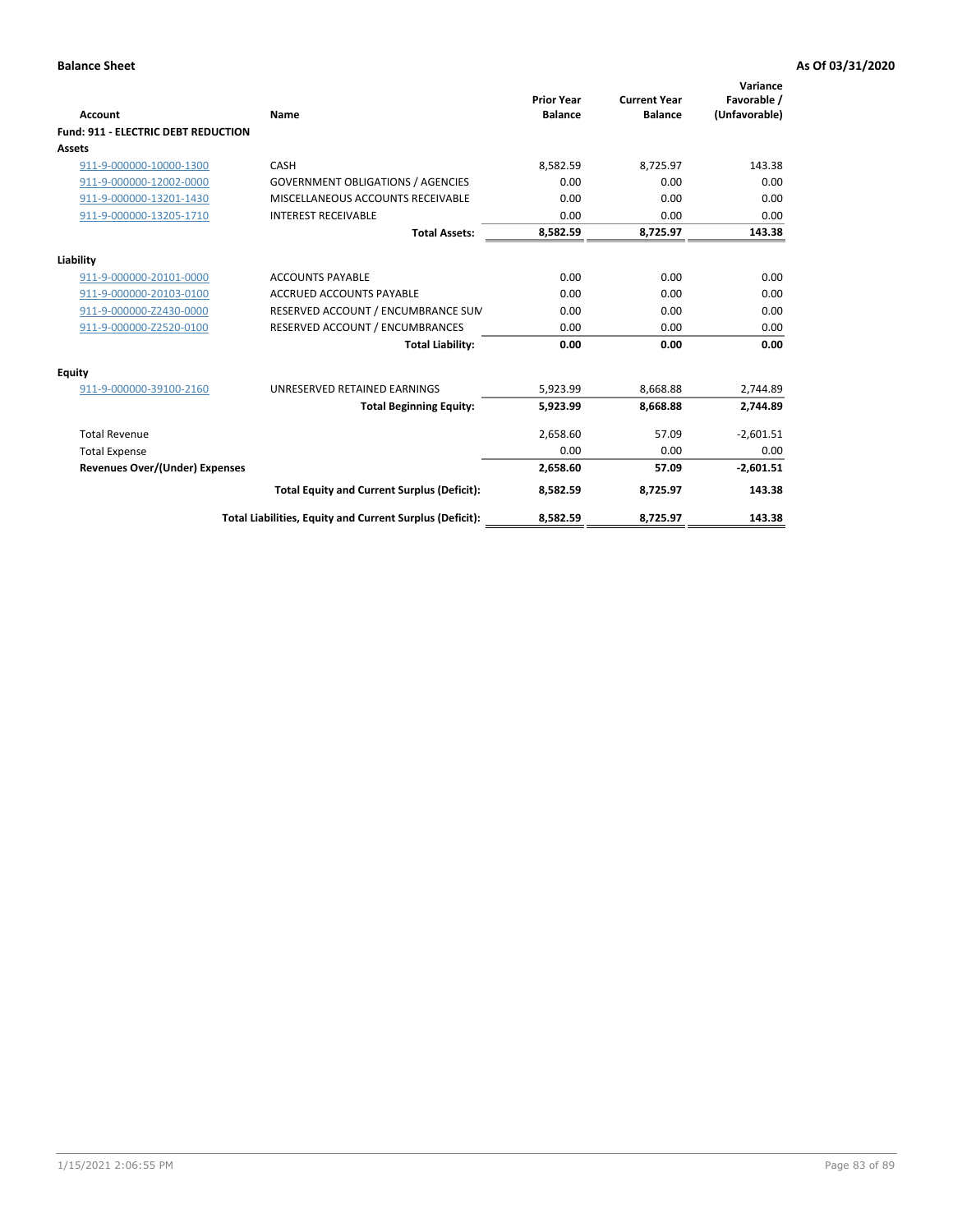| <b>Account</b>                             | Name                                                     | <b>Prior Year</b><br><b>Balance</b> | <b>Current Year</b><br><b>Balance</b> | Variance<br>Favorable /<br>(Unfavorable) |
|--------------------------------------------|----------------------------------------------------------|-------------------------------------|---------------------------------------|------------------------------------------|
| <b>Fund: 911 - ELECTRIC DEBT REDUCTION</b> |                                                          |                                     |                                       |                                          |
| Assets                                     |                                                          |                                     |                                       |                                          |
| 911-9-000000-10000-1300                    | CASH                                                     | 8,582.59                            | 8,725.97                              | 143.38                                   |
| 911-9-000000-12002-0000                    | <b>GOVERNMENT OBLIGATIONS / AGENCIES</b>                 | 0.00                                | 0.00                                  | 0.00                                     |
| 911-9-000000-13201-1430                    | MISCELLANEOUS ACCOUNTS RECEIVABLE                        | 0.00                                | 0.00                                  | 0.00                                     |
| 911-9-000000-13205-1710                    | <b>INTEREST RECEIVABLE</b>                               | 0.00                                | 0.00                                  | 0.00                                     |
|                                            | <b>Total Assets:</b>                                     | 8,582.59                            | 8,725.97                              | 143.38                                   |
| Liability                                  |                                                          |                                     |                                       |                                          |
| 911-9-000000-20101-0000                    | <b>ACCOUNTS PAYABLE</b>                                  | 0.00                                | 0.00                                  | 0.00                                     |
| 911-9-000000-20103-0100                    | <b>ACCRUED ACCOUNTS PAYABLE</b>                          | 0.00                                | 0.00                                  | 0.00                                     |
| 911-9-000000-Z2430-0000                    | RESERVED ACCOUNT / ENCUMBRANCE SUM                       | 0.00                                | 0.00                                  | 0.00                                     |
| 911-9-000000-Z2520-0100                    | RESERVED ACCOUNT / ENCUMBRANCES                          | 0.00                                | 0.00                                  | 0.00                                     |
|                                            | <b>Total Liability:</b>                                  | 0.00                                | 0.00                                  | 0.00                                     |
| Equity                                     |                                                          |                                     |                                       |                                          |
| 911-9-000000-39100-2160                    | UNRESERVED RETAINED EARNINGS                             | 5,923.99                            | 8,668.88                              | 2,744.89                                 |
|                                            | <b>Total Beginning Equity:</b>                           | 5,923.99                            | 8,668.88                              | 2,744.89                                 |
| <b>Total Revenue</b>                       |                                                          | 2.658.60                            | 57.09                                 | $-2.601.51$                              |
| <b>Total Expense</b>                       |                                                          | 0.00                                | 0.00                                  | 0.00                                     |
| <b>Revenues Over/(Under) Expenses</b>      |                                                          | 2,658.60                            | 57.09                                 | $-2,601.51$                              |
|                                            | <b>Total Equity and Current Surplus (Deficit):</b>       | 8,582.59                            | 8,725.97                              | 143.38                                   |
|                                            | Total Liabilities, Equity and Current Surplus (Deficit): | 8,582.59                            | 8,725.97                              | 143.38                                   |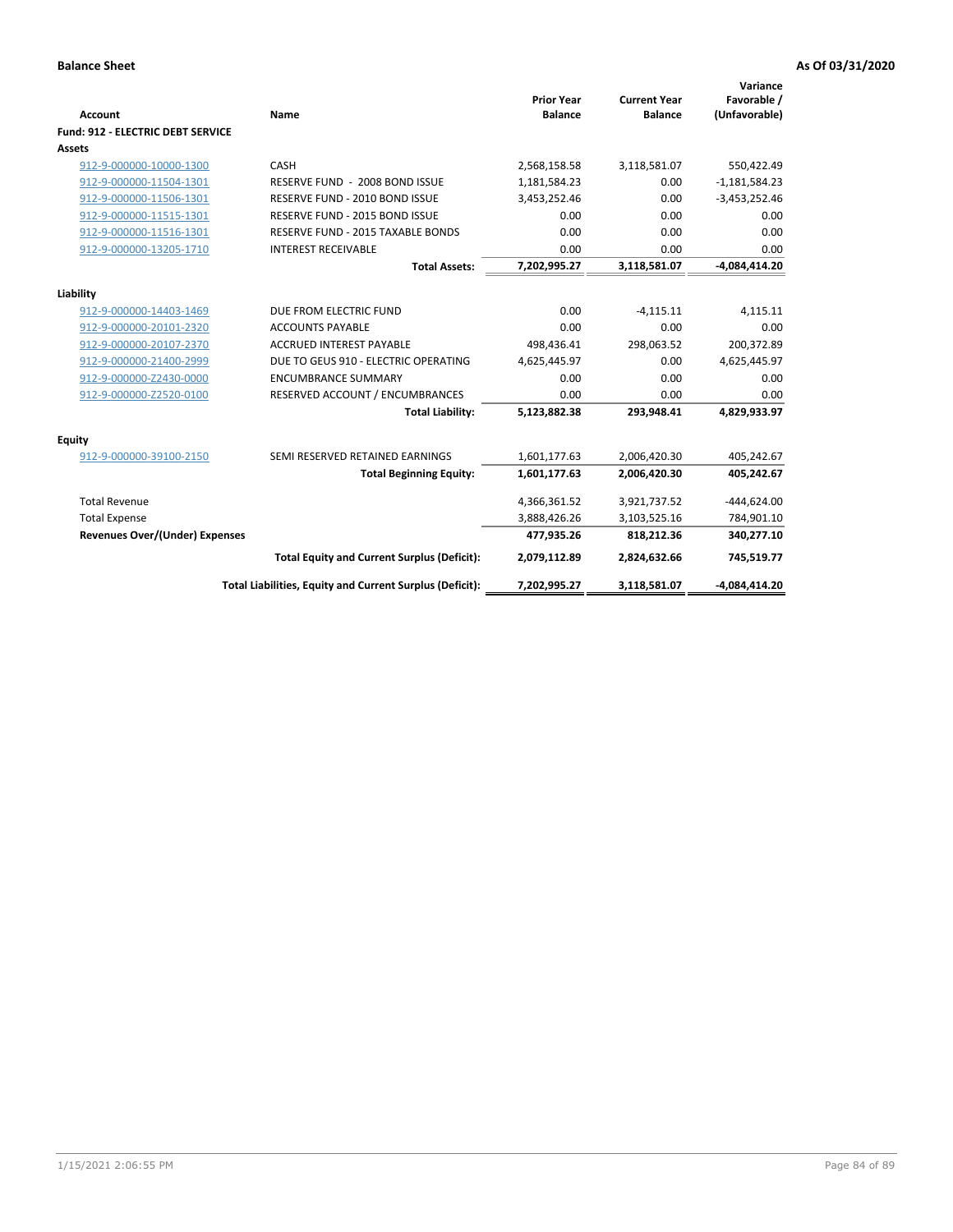| <b>Account</b>                           | Name                                                     | <b>Prior Year</b><br><b>Balance</b> | <b>Current Year</b><br><b>Balance</b> | Variance<br>Favorable /<br>(Unfavorable) |
|------------------------------------------|----------------------------------------------------------|-------------------------------------|---------------------------------------|------------------------------------------|
| <b>Fund: 912 - ELECTRIC DEBT SERVICE</b> |                                                          |                                     |                                       |                                          |
| <b>Assets</b>                            |                                                          |                                     |                                       |                                          |
| 912-9-000000-10000-1300                  | CASH                                                     | 2,568,158.58                        | 3,118,581.07                          | 550,422.49                               |
| 912-9-000000-11504-1301                  | RESERVE FUND - 2008 BOND ISSUE                           | 1,181,584.23                        | 0.00                                  | $-1,181,584.23$                          |
| 912-9-000000-11506-1301                  | RESERVE FUND - 2010 BOND ISSUE                           | 3,453,252.46                        | 0.00                                  | $-3,453,252.46$                          |
| 912-9-000000-11515-1301                  | RESERVE FUND - 2015 BOND ISSUE                           | 0.00                                | 0.00                                  | 0.00                                     |
| 912-9-000000-11516-1301                  | RESERVE FUND - 2015 TAXABLE BONDS                        | 0.00                                | 0.00                                  | 0.00                                     |
| 912-9-000000-13205-1710                  | <b>INTEREST RECEIVABLE</b>                               | 0.00                                | 0.00                                  | 0.00                                     |
|                                          | <b>Total Assets:</b>                                     | 7,202,995.27                        | 3,118,581.07                          | $-4,084,414.20$                          |
| Liability                                |                                                          |                                     |                                       |                                          |
| 912-9-000000-14403-1469                  | DUE FROM ELECTRIC FUND                                   | 0.00                                | $-4,115.11$                           | 4,115.11                                 |
| 912-9-000000-20101-2320                  | <b>ACCOUNTS PAYABLE</b>                                  | 0.00                                | 0.00                                  | 0.00                                     |
| 912-9-000000-20107-2370                  | <b>ACCRUED INTEREST PAYABLE</b>                          | 498,436.41                          | 298,063.52                            | 200,372.89                               |
| 912-9-000000-21400-2999                  | DUE TO GEUS 910 - ELECTRIC OPERATING                     | 4,625,445.97                        | 0.00                                  | 4,625,445.97                             |
| 912-9-000000-Z2430-0000                  | <b>ENCUMBRANCE SUMMARY</b>                               | 0.00                                | 0.00                                  | 0.00                                     |
| 912-9-000000-Z2520-0100                  | RESERVED ACCOUNT / ENCUMBRANCES                          | 0.00                                | 0.00                                  | 0.00                                     |
|                                          | <b>Total Liability:</b>                                  | 5,123,882.38                        | 293.948.41                            | 4,829,933.97                             |
| Equity                                   |                                                          |                                     |                                       |                                          |
| 912-9-000000-39100-2150                  | SEMI RESERVED RETAINED EARNINGS                          | 1,601,177.63                        | 2,006,420.30                          | 405,242.67                               |
|                                          | <b>Total Beginning Equity:</b>                           | 1,601,177.63                        | 2,006,420.30                          | 405,242.67                               |
| <b>Total Revenue</b>                     |                                                          | 4,366,361.52                        | 3,921,737.52                          | $-444,624.00$                            |
| <b>Total Expense</b>                     |                                                          | 3,888,426.26                        | 3,103,525.16                          | 784,901.10                               |
| Revenues Over/(Under) Expenses           |                                                          | 477,935.26                          | 818,212.36                            | 340,277.10                               |
|                                          | <b>Total Equity and Current Surplus (Deficit):</b>       | 2,079,112.89                        | 2,824,632.66                          | 745,519.77                               |
|                                          | Total Liabilities, Equity and Current Surplus (Deficit): | 7,202,995.27                        | 3,118,581.07                          | $-4,084,414.20$                          |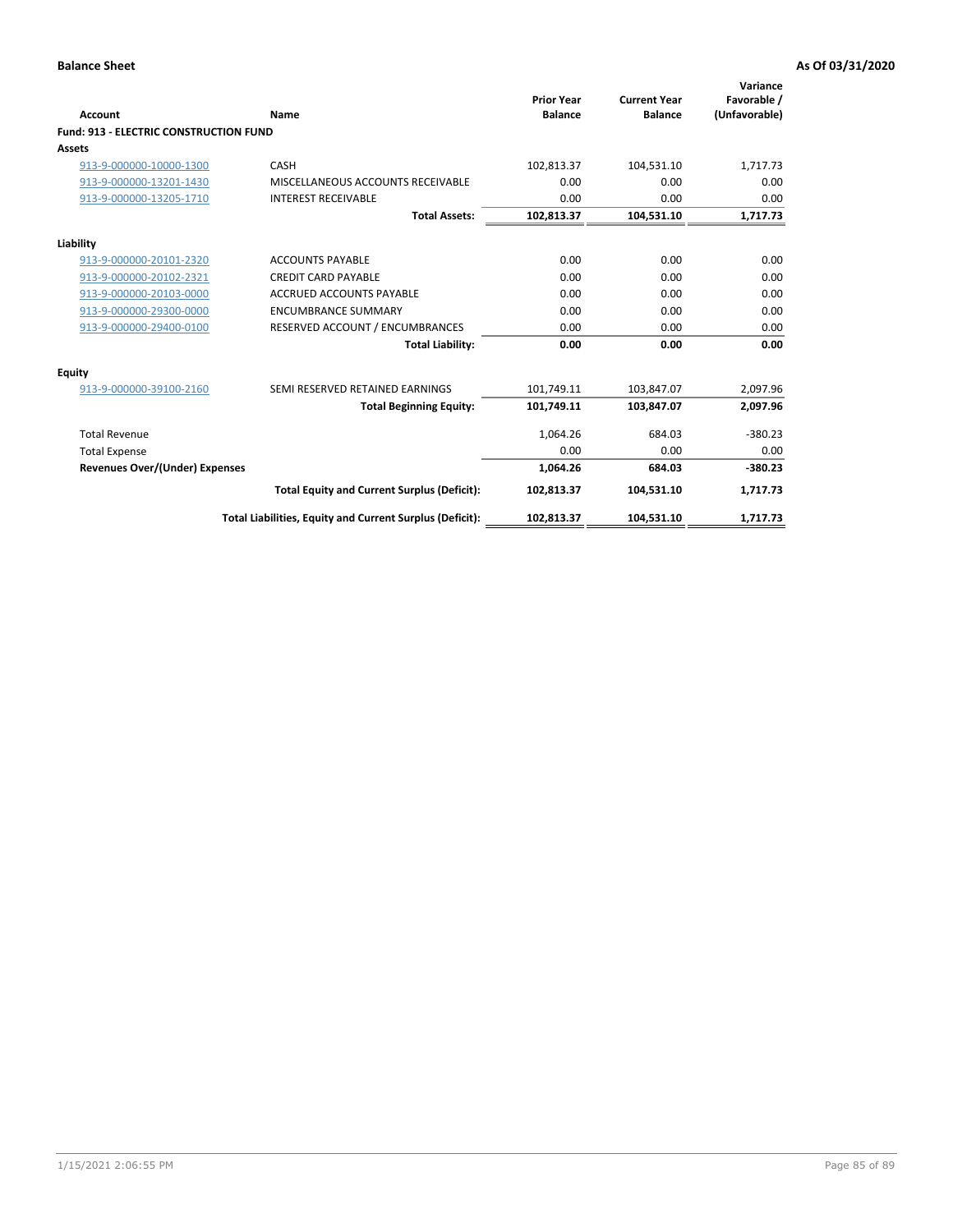| Account                                       | Name                                                     | <b>Prior Year</b><br><b>Balance</b> | <b>Current Year</b><br><b>Balance</b> | Variance<br>Favorable /<br>(Unfavorable) |
|-----------------------------------------------|----------------------------------------------------------|-------------------------------------|---------------------------------------|------------------------------------------|
| <b>Fund: 913 - ELECTRIC CONSTRUCTION FUND</b> |                                                          |                                     |                                       |                                          |
| Assets                                        |                                                          |                                     |                                       |                                          |
| 913-9-000000-10000-1300                       | CASH                                                     | 102,813.37                          | 104,531.10                            | 1,717.73                                 |
| 913-9-000000-13201-1430                       | MISCELLANEOUS ACCOUNTS RECEIVABLE                        | 0.00                                | 0.00                                  | 0.00                                     |
| 913-9-000000-13205-1710                       | <b>INTEREST RECEIVABLE</b>                               | 0.00                                | 0.00                                  | 0.00                                     |
|                                               | <b>Total Assets:</b>                                     | 102,813.37                          | 104,531.10                            | 1,717.73                                 |
| Liability                                     |                                                          |                                     |                                       |                                          |
| 913-9-000000-20101-2320                       | <b>ACCOUNTS PAYABLE</b>                                  | 0.00                                | 0.00                                  | 0.00                                     |
| 913-9-000000-20102-2321                       | <b>CREDIT CARD PAYABLE</b>                               | 0.00                                | 0.00                                  | 0.00                                     |
| 913-9-000000-20103-0000                       | <b>ACCRUED ACCOUNTS PAYABLE</b>                          | 0.00                                | 0.00                                  | 0.00                                     |
| 913-9-000000-29300-0000                       | <b>ENCUMBRANCE SUMMARY</b>                               | 0.00                                | 0.00                                  | 0.00                                     |
| 913-9-000000-29400-0100                       | RESERVED ACCOUNT / ENCUMBRANCES                          | 0.00                                | 0.00                                  | 0.00                                     |
|                                               | <b>Total Liability:</b>                                  | 0.00                                | 0.00                                  | 0.00                                     |
| Equity                                        |                                                          |                                     |                                       |                                          |
| 913-9-000000-39100-2160                       | SEMI RESERVED RETAINED EARNINGS                          | 101,749.11                          | 103,847.07                            | 2,097.96                                 |
|                                               | <b>Total Beginning Equity:</b>                           | 101,749.11                          | 103,847.07                            | 2,097.96                                 |
| <b>Total Revenue</b>                          |                                                          | 1,064.26                            | 684.03                                | $-380.23$                                |
| <b>Total Expense</b>                          |                                                          | 0.00                                | 0.00                                  | 0.00                                     |
| <b>Revenues Over/(Under) Expenses</b>         |                                                          | 1.064.26                            | 684.03                                | $-380.23$                                |
|                                               | <b>Total Equity and Current Surplus (Deficit):</b>       | 102,813.37                          | 104,531.10                            | 1,717.73                                 |
|                                               | Total Liabilities, Equity and Current Surplus (Deficit): | 102,813.37                          | 104,531.10                            | 1,717.73                                 |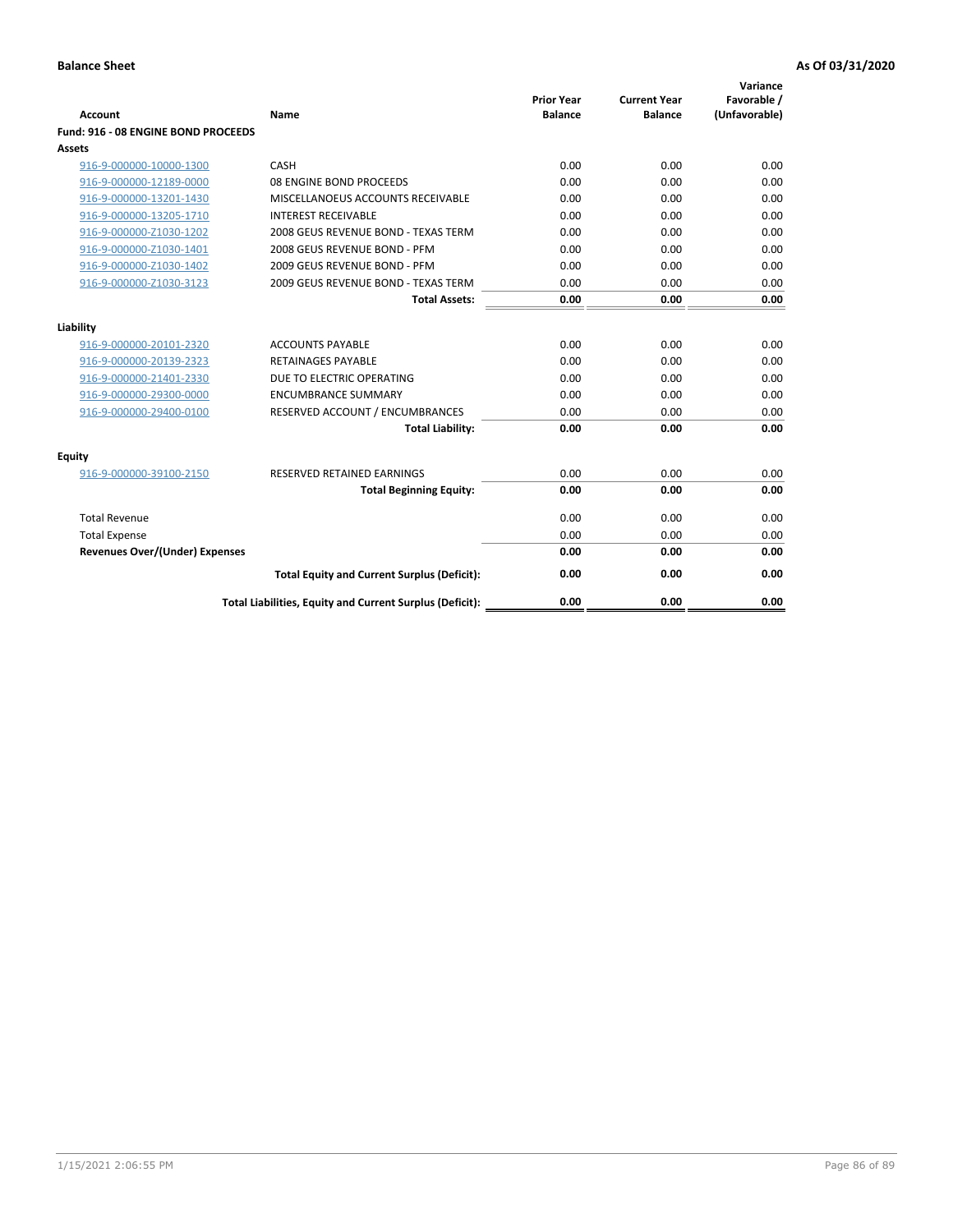| <b>Account</b>                        | Name                                                     | <b>Prior Year</b><br><b>Balance</b> | <b>Current Year</b><br><b>Balance</b> | Variance<br>Favorable /<br>(Unfavorable) |
|---------------------------------------|----------------------------------------------------------|-------------------------------------|---------------------------------------|------------------------------------------|
| Fund: 916 - 08 ENGINE BOND PROCEEDS   |                                                          |                                     |                                       |                                          |
| Assets                                |                                                          |                                     |                                       |                                          |
| 916-9-000000-10000-1300               | CASH                                                     | 0.00                                | 0.00                                  | 0.00                                     |
| 916-9-000000-12189-0000               | 08 ENGINE BOND PROCEEDS                                  | 0.00                                | 0.00                                  | 0.00                                     |
| 916-9-000000-13201-1430               | MISCELLANOEUS ACCOUNTS RECEIVABLE                        | 0.00                                | 0.00                                  | 0.00                                     |
| 916-9-000000-13205-1710               | <b>INTEREST RECEIVABLE</b>                               | 0.00                                | 0.00                                  | 0.00                                     |
| 916-9-000000-Z1030-1202               | 2008 GEUS REVENUE BOND - TEXAS TERM                      | 0.00                                | 0.00                                  | 0.00                                     |
| 916-9-000000-Z1030-1401               | 2008 GEUS REVENUE BOND - PFM                             | 0.00                                | 0.00                                  | 0.00                                     |
| 916-9-000000-Z1030-1402               | 2009 GEUS REVENUE BOND - PFM                             | 0.00                                | 0.00                                  | 0.00                                     |
| 916-9-000000-Z1030-3123               | 2009 GEUS REVENUE BOND - TEXAS TERM                      | 0.00                                | 0.00                                  | 0.00                                     |
|                                       | <b>Total Assets:</b>                                     | 0.00                                | 0.00                                  | 0.00                                     |
| Liability                             |                                                          |                                     |                                       |                                          |
| 916-9-000000-20101-2320               | <b>ACCOUNTS PAYABLE</b>                                  | 0.00                                | 0.00                                  | 0.00                                     |
| 916-9-000000-20139-2323               | <b>RETAINAGES PAYABLE</b>                                | 0.00                                | 0.00                                  | 0.00                                     |
| 916-9-000000-21401-2330               | DUE TO ELECTRIC OPERATING                                | 0.00                                | 0.00                                  | 0.00                                     |
| 916-9-000000-29300-0000               | <b>ENCUMBRANCE SUMMARY</b>                               | 0.00                                | 0.00                                  | 0.00                                     |
| 916-9-000000-29400-0100               | RESERVED ACCOUNT / ENCUMBRANCES                          | 0.00                                | 0.00                                  | 0.00                                     |
|                                       | <b>Total Liability:</b>                                  | 0.00                                | 0.00                                  | 0.00                                     |
|                                       |                                                          |                                     |                                       |                                          |
| Equity                                |                                                          |                                     |                                       |                                          |
| 916-9-000000-39100-2150               | <b>RESERVED RETAINED EARNINGS</b>                        | 0.00                                | 0.00                                  | 0.00                                     |
|                                       | <b>Total Beginning Equity:</b>                           | 0.00                                | 0.00                                  | 0.00                                     |
| <b>Total Revenue</b>                  |                                                          | 0.00                                | 0.00                                  | 0.00                                     |
| <b>Total Expense</b>                  |                                                          | 0.00                                | 0.00                                  | 0.00                                     |
| <b>Revenues Over/(Under) Expenses</b> |                                                          | 0.00                                | 0.00                                  | 0.00                                     |
|                                       | <b>Total Equity and Current Surplus (Deficit):</b>       | 0.00                                | 0.00                                  | 0.00                                     |
|                                       | Total Liabilities, Equity and Current Surplus (Deficit): | 0.00                                | 0.00                                  | 0.00                                     |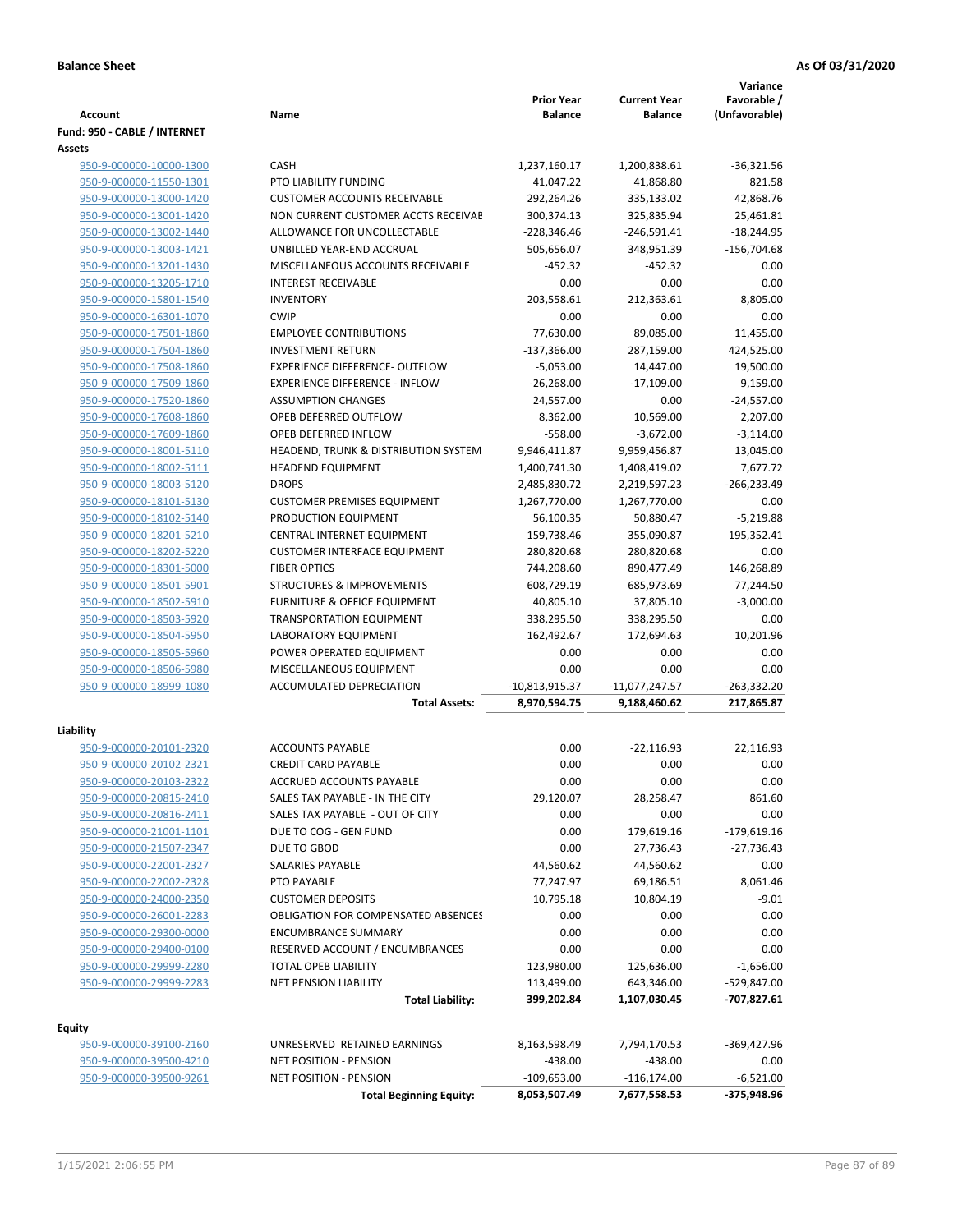|                              |                                            | <b>Prior Year</b> | <b>Current Year</b> | Variance<br>Favorable / |
|------------------------------|--------------------------------------------|-------------------|---------------------|-------------------------|
| Account                      | Name                                       | <b>Balance</b>    | <b>Balance</b>      | (Unfavorable)           |
| Fund: 950 - CABLE / INTERNET |                                            |                   |                     |                         |
| Assets                       |                                            |                   |                     |                         |
| 950-9-000000-10000-1300      | <b>CASH</b>                                | 1,237,160.17      | 1,200,838.61        | $-36,321.56$            |
| 950-9-000000-11550-1301      | PTO LIABILITY FUNDING                      | 41,047.22         | 41,868.80           | 821.58                  |
| 950-9-000000-13000-1420      | <b>CUSTOMER ACCOUNTS RECEIVABLE</b>        | 292,264.26        | 335,133.02          | 42,868.76               |
| 950-9-000000-13001-1420      | NON CURRENT CUSTOMER ACCTS RECEIVAE        | 300,374.13        | 325,835.94          | 25,461.81               |
| 950-9-000000-13002-1440      | ALLOWANCE FOR UNCOLLECTABLE                | $-228,346.46$     | $-246,591.41$       | $-18,244.95$            |
| 950-9-000000-13003-1421      | UNBILLED YEAR-END ACCRUAL                  | 505,656.07        | 348,951.39          | $-156,704.68$           |
| 950-9-000000-13201-1430      | MISCELLANEOUS ACCOUNTS RECEIVABLE          | $-452.32$         | $-452.32$           | 0.00                    |
| 950-9-000000-13205-1710      | <b>INTEREST RECEIVABLE</b>                 | 0.00              | 0.00                | 0.00                    |
| 950-9-000000-15801-1540      | <b>INVENTORY</b>                           | 203,558.61        | 212,363.61          | 8,805.00                |
| 950-9-000000-16301-1070      | <b>CWIP</b>                                | 0.00              | 0.00                | 0.00                    |
| 950-9-000000-17501-1860      | <b>EMPLOYEE CONTRIBUTIONS</b>              | 77,630.00         | 89,085.00           | 11,455.00               |
| 950-9-000000-17504-1860      | <b>INVESTMENT RETURN</b>                   | $-137,366.00$     | 287,159.00          | 424,525.00              |
| 950-9-000000-17508-1860      | EXPERIENCE DIFFERENCE- OUTFLOW             | $-5,053.00$       | 14,447.00           | 19,500.00               |
| 950-9-000000-17509-1860      | <b>EXPERIENCE DIFFERENCE - INFLOW</b>      | $-26,268.00$      | $-17,109.00$        | 9,159.00                |
| 950-9-000000-17520-1860      | <b>ASSUMPTION CHANGES</b>                  | 24,557.00         | 0.00                | $-24,557.00$            |
| 950-9-000000-17608-1860      | OPEB DEFERRED OUTFLOW                      | 8,362.00          | 10,569.00           | 2,207.00                |
| 950-9-000000-17609-1860      | <b>OPEB DEFERRED INFLOW</b>                | $-558.00$         | $-3,672.00$         | $-3,114.00$             |
| 950-9-000000-18001-5110      | HEADEND, TRUNK & DISTRIBUTION SYSTEM       | 9,946,411.87      | 9,959,456.87        | 13,045.00               |
| 950-9-000000-18002-5111      | <b>HEADEND EQUIPMENT</b>                   | 1,400,741.30      | 1,408,419.02        | 7,677.72                |
| 950-9-000000-18003-5120      | <b>DROPS</b>                               | 2,485,830.72      | 2,219,597.23        | $-266,233.49$           |
| 950-9-000000-18101-5130      | <b>CUSTOMER PREMISES EQUIPMENT</b>         | 1,267,770.00      | 1,267,770.00        | 0.00                    |
| 950-9-000000-18102-5140      | PRODUCTION EQUIPMENT                       | 56,100.35         | 50,880.47           | $-5,219.88$             |
| 950-9-000000-18201-5210      | CENTRAL INTERNET EQUIPMENT                 | 159,738.46        | 355,090.87          | 195,352.41              |
| 950-9-000000-18202-5220      | <b>CUSTOMER INTERFACE EQUIPMENT</b>        | 280,820.68        | 280,820.68          | 0.00                    |
| 950-9-000000-18301-5000      | <b>FIBER OPTICS</b>                        | 744,208.60        | 890,477.49          | 146,268.89              |
| 950-9-000000-18501-5901      | <b>STRUCTURES &amp; IMPROVEMENTS</b>       | 608,729.19        | 685,973.69          | 77,244.50               |
| 950-9-000000-18502-5910      | <b>FURNITURE &amp; OFFICE EQUIPMENT</b>    | 40,805.10         | 37,805.10           | $-3,000.00$             |
| 950-9-000000-18503-5920      | <b>TRANSPORTATION EQUIPMENT</b>            | 338,295.50        | 338,295.50          | 0.00                    |
| 950-9-000000-18504-5950      | LABORATORY EQUIPMENT                       | 162,492.67        | 172,694.63          | 10,201.96               |
| 950-9-000000-18505-5960      | POWER OPERATED EQUIPMENT                   | 0.00              | 0.00                | 0.00                    |
| 950-9-000000-18506-5980      | MISCELLANEOUS EQUIPMENT                    | 0.00              | 0.00                | 0.00                    |
| 950-9-000000-18999-1080      | <b>ACCUMULATED DEPRECIATION</b>            | $-10,813,915.37$  | $-11,077,247.57$    | -263,332.20             |
|                              | <b>Total Assets:</b>                       | 8,970,594.75      | 9,188,460.62        | 217,865.87              |
| Liability                    |                                            |                   |                     |                         |
| 950-9-000000-20101-2320      | <b>ACCOUNTS PAYABLE</b>                    | 0.00              | $-22,116.93$        | 22,116.93               |
| 950-9-000000-20102-2321      | <b>CREDIT CARD PAYABLE</b>                 | 0.00              | 0.00                | 0.00                    |
| 950-9-000000-20103-2322      | ACCRUED ACCOUNTS PAYABLE                   | 0.00              | 0.00                | 0.00                    |
| 950-9-000000-20815-2410      | SALES TAX PAYABLE - IN THE CITY            | 29,120.07         | 28,258.47           | 861.60                  |
| 950-9-000000-20816-2411      | SALES TAX PAYABLE - OUT OF CITY            | 0.00              | 0.00                | 0.00                    |
| 950-9-000000-21001-1101      | DUE TO COG - GEN FUND                      | 0.00              | 179,619.16          | $-179,619.16$           |
| 950-9-000000-21507-2347      | DUE TO GBOD                                | 0.00              | 27,736.43           | $-27,736.43$            |
| 950-9-000000-22001-2327      | SALARIES PAYABLE                           | 44,560.62         | 44,560.62           | 0.00                    |
| 950-9-000000-22002-2328      | PTO PAYABLE                                | 77,247.97         | 69,186.51           | 8,061.46                |
| 950-9-000000-24000-2350      | <b>CUSTOMER DEPOSITS</b>                   | 10,795.18         | 10,804.19           | $-9.01$                 |
| 950-9-000000-26001-2283      | <b>OBLIGATION FOR COMPENSATED ABSENCES</b> | 0.00              | 0.00                | 0.00                    |
| 950-9-000000-29300-0000      | <b>ENCUMBRANCE SUMMARY</b>                 | 0.00              | 0.00                | 0.00                    |
| 950-9-000000-29400-0100      | RESERVED ACCOUNT / ENCUMBRANCES            | 0.00              | 0.00                | 0.00                    |
| 950-9-000000-29999-2280      | <b>TOTAL OPEB LIABILITY</b>                | 123,980.00        | 125,636.00          | $-1,656.00$             |
| 950-9-000000-29999-2283      | NET PENSION LIABILITY                      | 113,499.00        | 643,346.00          | -529,847.00             |
|                              | <b>Total Liability:</b>                    | 399,202.84        | 1,107,030.45        | $-707,827.61$           |
|                              |                                            |                   |                     |                         |
| <b>Equity</b>                |                                            |                   |                     |                         |
| 950-9-000000-39100-2160      | UNRESERVED RETAINED EARNINGS               | 8,163,598.49      | 7,794,170.53        | -369,427.96             |
| 950-9-000000-39500-4210      | NET POSITION - PENSION                     | $-438.00$         | $-438.00$           | 0.00                    |
| 950-9-000000-39500-9261      | <b>NET POSITION - PENSION</b>              | $-109,653.00$     | $-116, 174.00$      | $-6,521.00$             |
|                              | <b>Total Beginning Equity:</b>             | 8,053,507.49      | 7,677,558.53        | -375,948.96             |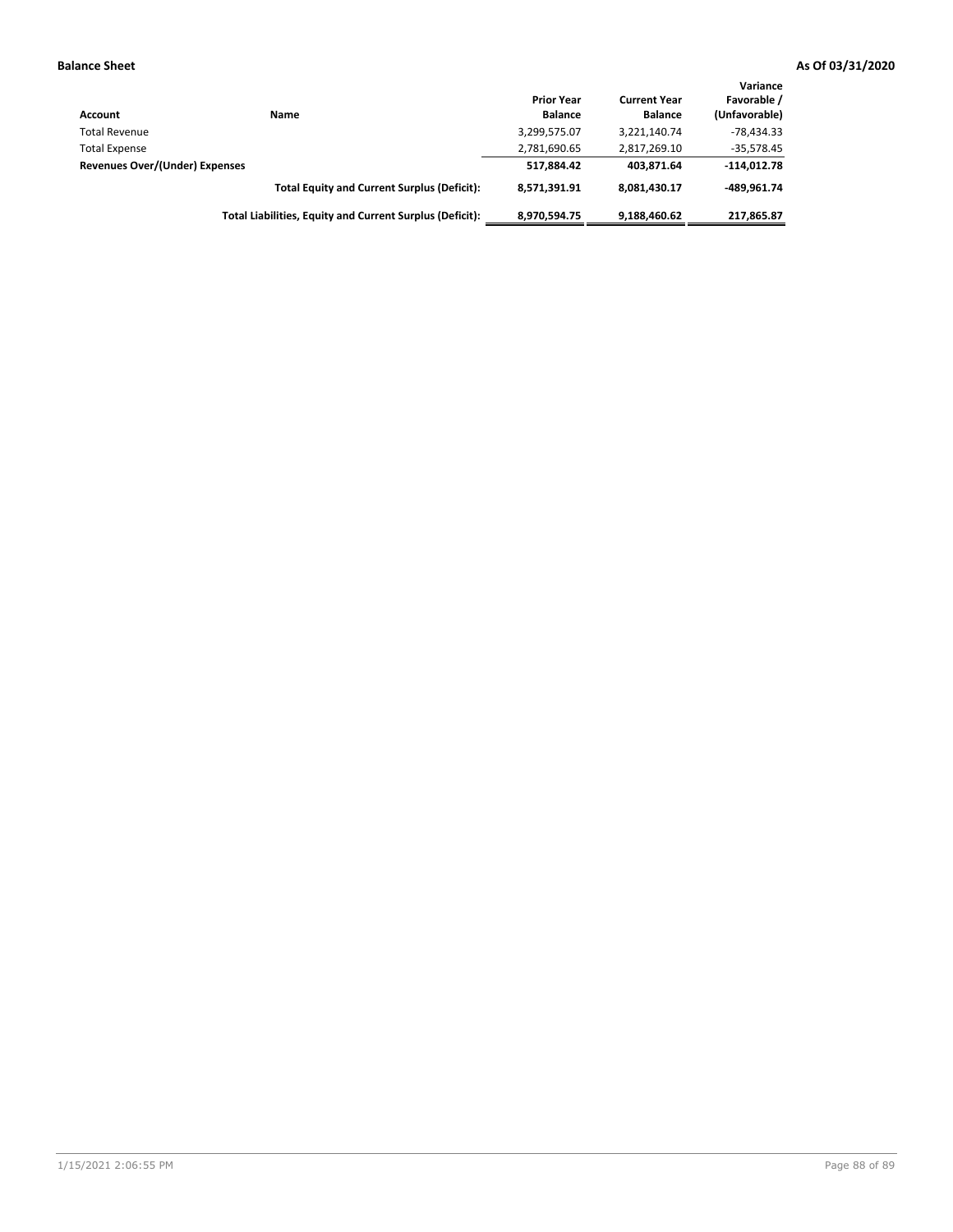| Account                        | Name                                                     | <b>Prior Year</b><br><b>Balance</b> | <b>Current Year</b><br><b>Balance</b> | Variance<br>Favorable /<br>(Unfavorable) |
|--------------------------------|----------------------------------------------------------|-------------------------------------|---------------------------------------|------------------------------------------|
| <b>Total Revenue</b>           |                                                          | 3,299,575.07                        | 3,221,140.74                          | $-78.434.33$                             |
| <b>Total Expense</b>           |                                                          | 2,781,690.65                        | 2,817,269.10                          | $-35,578.45$                             |
| Revenues Over/(Under) Expenses |                                                          | 517.884.42                          | 403.871.64                            | $-114,012.78$                            |
|                                | <b>Total Equity and Current Surplus (Deficit):</b>       | 8,571,391.91                        | 8,081,430.17                          | -489.961.74                              |
|                                | Total Liabilities, Equity and Current Surplus (Deficit): | 8,970,594.75                        | 9,188,460.62                          | 217,865.87                               |